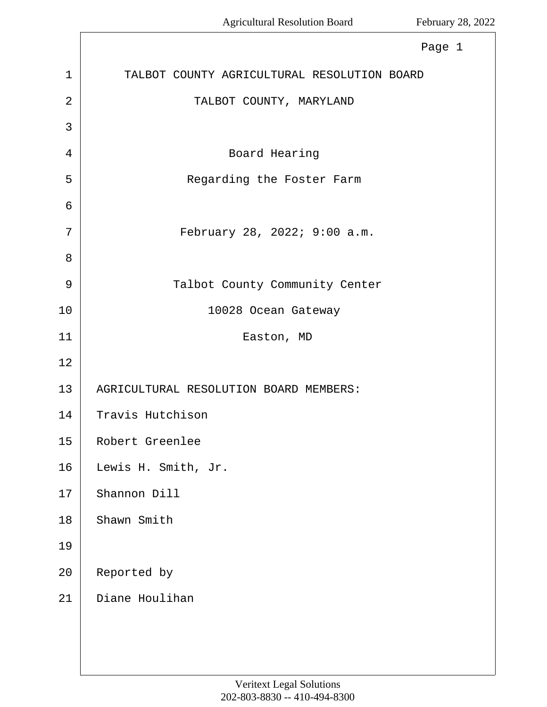Г

|    | Page 1                                      |
|----|---------------------------------------------|
| 1  | TALBOT COUNTY AGRICULTURAL RESOLUTION BOARD |
| 2  | TALBOT COUNTY, MARYLAND                     |
| 3  |                                             |
| 4  | Board Hearing                               |
| 5  | Regarding the Foster Farm                   |
| 6  |                                             |
| 7  | February 28, 2022; 9:00 a.m.                |
| 8  |                                             |
| 9  | Talbot County Community Center              |
| 10 | 10028 Ocean Gateway                         |
| 11 | Easton, MD                                  |
| 12 |                                             |
| 13 | AGRICULTURAL RESOLUTION BOARD MEMBERS:      |
| 14 | Travis Hutchison                            |
| 15 | Robert Greenlee                             |
| 16 | Lewis H. Smith, Jr.                         |
| 17 | Shannon Dill                                |
| 18 | Shawn Smith                                 |
| 19 |                                             |
| 20 | Reported by                                 |
| 21 | Diane Houlihan                              |
|    |                                             |
|    |                                             |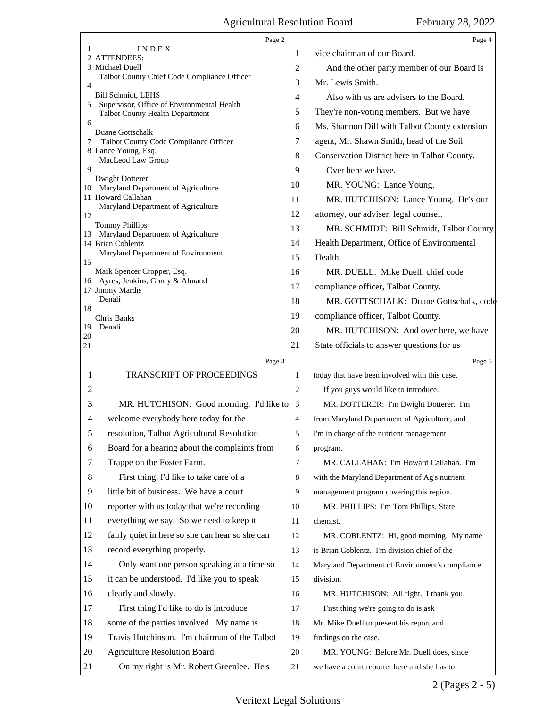|          | Page 2                                                           |                | Page 4                                          |
|----------|------------------------------------------------------------------|----------------|-------------------------------------------------|
| 1        | INDEX<br>2 ATTENDEES:                                            | 1              | vice chairman of our Board.                     |
|          | 3 Michael Duell                                                  | $\overline{2}$ | And the other party member of our Board is      |
| 4        | Talbot County Chief Code Compliance Officer                      | 3              | Mr. Lewis Smith.                                |
|          | Bill Schmidt, LEHS<br>Supervisor, Office of Environmental Health | 4              | Also with us are advisers to the Board.         |
| 5        | <b>Talbot County Health Department</b>                           | 5              | They're non-voting members. But we have         |
| 6        | Duane Gottschalk                                                 | 6              | Ms. Shannon Dill with Talbot County extension   |
| 7        | Talbot County Code Compliance Officer                            | 7              | agent, Mr. Shawn Smith, head of the Soil        |
|          | 8 Lance Young, Esq.<br>MacLeod Law Group                         | 8              | Conservation District here in Talbot County.    |
| 9        |                                                                  | 9              | Over here we have.                              |
|          | Dwight Dotterer<br>10 Maryland Department of Agriculture         | 10             | MR. YOUNG: Lance Young.                         |
|          | 11 Howard Callahan                                               | 11             | MR. HUTCHISON: Lance Young. He's our            |
| 12       | Maryland Department of Agriculture                               | 12             | attorney, our adviser, legal counsel.           |
|          | <b>Tommy Phillips</b>                                            | 13             | MR. SCHMIDT: Bill Schmidt, Talbot County        |
| 13       | Maryland Department of Agriculture<br>14 Brian Coblentz          | 14             | Health Department, Office of Environmental      |
| 15       | Maryland Department of Environment                               | 15             | Health.                                         |
|          | Mark Spencer Cropper, Esq.                                       | 16             | MR. DUELL: Mike Duell, chief code               |
|          | 16 Ayres, Jenkins, Gordy & Almand<br>17 Jimmy Mardis             | 17             | compliance officer, Talbot County.              |
|          | Denali                                                           | 18             | MR. GOTTSCHALK: Duane Gottschalk, code          |
| 18       | Chris Banks                                                      | 19             | compliance officer, Talbot County.              |
| 19       | Denali                                                           | 20             | MR. HUTCHISON: And over here, we have           |
| 20<br>21 |                                                                  | 21             | State officials to answer questions for us      |
|          |                                                                  |                |                                                 |
|          | Page 3                                                           |                | Page 5                                          |
| 1        | TRANSCRIPT OF PROCEEDINGS                                        | 1              | today that have been involved with this case.   |
| 2        |                                                                  | 2              | If you guys would like to introduce.            |
| 3        | MR. HUTCHISON: Good morning. I'd like to                         | 3              | MR. DOTTERER: I'm Dwight Dotterer. I'm          |
| 4        | welcome everybody here today for the                             | 4              | from Maryland Department of Agriculture, and    |
| 5        | resolution, Talbot Agricultural Resolution                       | 5              | I'm in charge of the nutrient management        |
| 6        | Board for a hearing about the complaints from                    | 6              | program.                                        |
| 7        | Trappe on the Foster Farm.                                       | $\overline{7}$ | MR. CALLAHAN: I'm Howard Callahan. I'm          |
| 8        | First thing, I'd like to take care of a                          | 8              | with the Maryland Department of Ag's nutrient   |
| 9        | little bit of business. We have a court                          | 9              | management program covering this region.        |
| 10       | reporter with us today that we're recording                      | 10             | MR. PHILLIPS: I'm Tom Phillips, State           |
| 11       | everything we say. So we need to keep it                         | 11             | chemist.                                        |
| 12       | fairly quiet in here so she can hear so she can                  | 12             | MR. COBLENTZ: Hi, good morning. My name         |
| 13       | record everything properly.                                      | 13             | is Brian Coblentz. I'm division chief of the    |
| 14       | Only want one person speaking at a time so                       | 14             | Maryland Department of Environment's compliance |
| 15       | it can be understood. I'd like you to speak                      | 15             | division.                                       |
| 16       | clearly and slowly.                                              | 16             | MR. HUTCHISON: All right. I thank you.          |
| 17       | First thing I'd like to do is introduce                          | 17             | First thing we're going to do is ask            |
| 18       | some of the parties involved. My name is                         | 18             | Mr. Mike Duell to present his report and        |
| 19       | Travis Hutchinson. I'm chairman of the Talbot                    | 19             | findings on the case.                           |
| 20       | Agriculture Resolution Board.                                    | 20             | MR. YOUNG: Before Mr. Duell does, since         |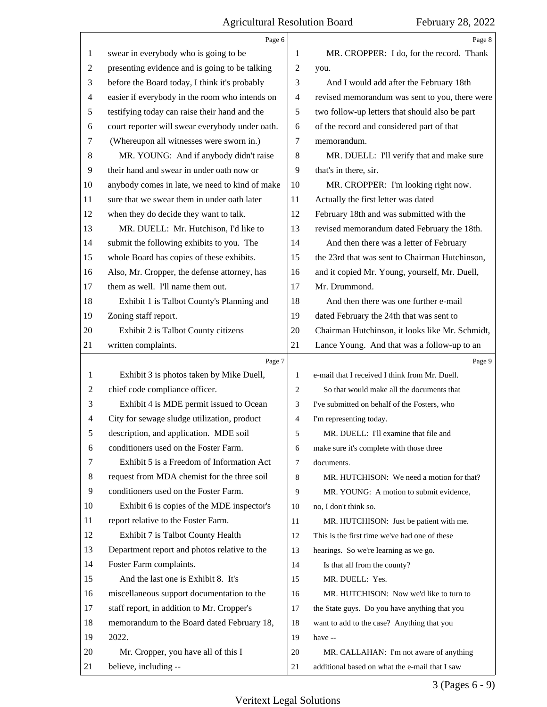|                | Page 6                                          |                | Page 8                                          |
|----------------|-------------------------------------------------|----------------|-------------------------------------------------|
| 1              | swear in everybody who is going to be           | 1              | MR. CROPPER: I do, for the record. Thank        |
| $\overline{2}$ | presenting evidence and is going to be talking  | $\overline{2}$ | you.                                            |
| 3              | before the Board today, I think it's probably   | 3              | And I would add after the February 18th         |
| 4              | easier if everybody in the room who intends on  | $\overline{4}$ | revised memorandum was sent to you, there were  |
| 5              | testifying today can raise their hand and the   | 5              | two follow-up letters that should also be part  |
| 6              | court reporter will swear everybody under oath. | 6              | of the record and considered part of that       |
| 7              | (Whereupon all witnesses were sworn in.)        | 7              | memorandum.                                     |
| 8              | MR. YOUNG: And if anybody didn't raise          | 8              | MR. DUELL: I'll verify that and make sure       |
| 9              | their hand and swear in under oath now or       | 9              | that's in there, sir.                           |
| 10             | anybody comes in late, we need to kind of make  | 10             | MR. CROPPER: I'm looking right now.             |
| 11             | sure that we swear them in under oath later     | 11             | Actually the first letter was dated             |
| 12             | when they do decide they want to talk.          | 12             | February 18th and was submitted with the        |
| 13             | MR. DUELL: Mr. Hutchison, I'd like to           | 13             | revised memorandum dated February the 18th.     |
| 14             | submit the following exhibits to you. The       | 14             | And then there was a letter of February         |
| 15             | whole Board has copies of these exhibits.       | 15             | the 23rd that was sent to Chairman Hutchinson,  |
| 16             | Also, Mr. Cropper, the defense attorney, has    | 16             | and it copied Mr. Young, yourself, Mr. Duell,   |
| 17             | them as well. I'll name them out.               | 17             | Mr. Drummond.                                   |
| 18             | Exhibit 1 is Talbot County's Planning and       | 18             | And then there was one further e-mail           |
| 19             | Zoning staff report.                            | 19             | dated February the 24th that was sent to        |
| 20             | Exhibit 2 is Talbot County citizens             | 20             | Chairman Hutchinson, it looks like Mr. Schmidt, |
| 21             | written complaints.                             | 21             | Lance Young. And that was a follow-up to an     |
|                | Page 7                                          |                | Page 9                                          |
|                |                                                 |                |                                                 |
| 1              | Exhibit 3 is photos taken by Mike Duell,        | $\mathbf{1}$   | e-mail that I received I think from Mr. Duell.  |
| $\overline{c}$ | chief code compliance officer.                  | $\overline{2}$ | So that would make all the documents that       |
| 3              | Exhibit 4 is MDE permit issued to Ocean         | 3              | I've submitted on behalf of the Fosters, who    |
| 4              | City for sewage sludge utilization, product     | $\overline{4}$ | I'm representing today.                         |
| 5              | description, and application. MDE soil          | 5              | MR. DUELL: I'll examine that file and           |
| 6              | conditioners used on the Foster Farm.           | 6              | make sure it's complete with those three        |
| 7              | Exhibit 5 is a Freedom of Information Act       | 7              | documents.                                      |
| 8              | request from MDA chemist for the three soil     | 8              | MR. HUTCHISON: We need a motion for that?       |
| 9              | conditioners used on the Foster Farm.           | 9              | MR. YOUNG: A motion to submit evidence,         |
| 10             | Exhibit 6 is copies of the MDE inspector's      | 10             | no, I don't think so.                           |
| 11             | report relative to the Foster Farm.             | 11             | MR. HUTCHISON: Just be patient with me.         |
| 12             | Exhibit 7 is Talbot County Health               | 12             | This is the first time we've had one of these   |
| 13             | Department report and photos relative to the    | 13             | hearings. So we're learning as we go.           |
| 14             | Foster Farm complaints.                         | 14             | Is that all from the county?                    |
| 15             | And the last one is Exhibit 8. It's             | 15             | MR. DUELL: Yes.                                 |
| 16             | miscellaneous support documentation to the      | 16             | MR. HUTCHISON: Now we'd like to turn to         |
| 17             | staff report, in addition to Mr. Cropper's      | 17             | the State guys. Do you have anything that you   |
| 18             | memorandum to the Board dated February 18,      | 18             | want to add to the case? Anything that you      |
| 19             | 2022.                                           | 19             | have --                                         |
| 20             | Mr. Cropper, you have all of this I             | 20             | MR. CALLAHAN: I'm not aware of anything         |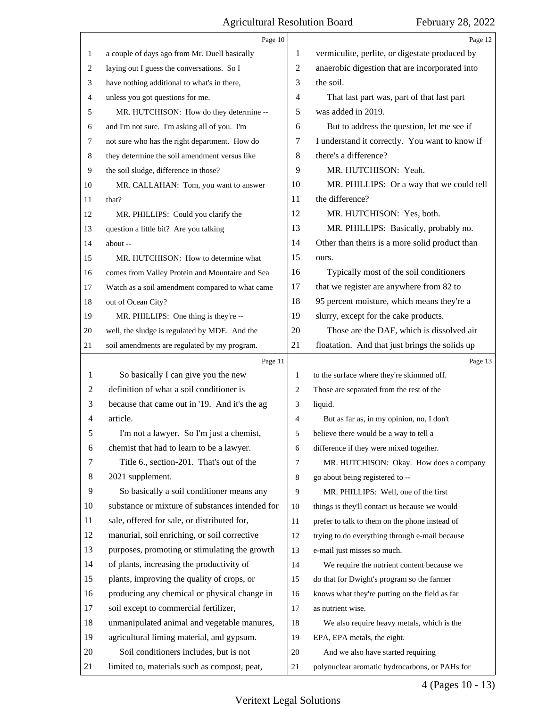|                | Page 10                                         |                | Page 12                                        |
|----------------|-------------------------------------------------|----------------|------------------------------------------------|
| 1              | a couple of days ago from Mr. Duell basically   | 1              | vermiculite, perlite, or digestate produced by |
| 2              | laying out I guess the conversations. So I      | $\overline{c}$ | anaerobic digestion that are incorporated into |
| 3              | have nothing additional to what's in there,     | 3              | the soil.                                      |
| 4              | unless you got questions for me.                | 4              | That last part was, part of that last part     |
| 5              | MR. HUTCHISON: How do they determine --         | 5              | was added in 2019.                             |
| 6              | and I'm not sure. I'm asking all of you. I'm    | 6              | But to address the question, let me see if     |
| 7              | not sure who has the right department. How do   | 7              | I understand it correctly. You want to know if |
| 8              | they determine the soil amendment versus like   | 8              | there's a difference?                          |
| 9              | the soil sludge, difference in those?           | 9              | MR. HUTCHISON: Yeah.                           |
| 10             | MR. CALLAHAN: Tom, you want to answer           | 10             | MR. PHILLIPS: Or a way that we could tell      |
| 11             | that?                                           | 11             | the difference?                                |
| 12             | MR. PHILLIPS: Could you clarify the             | 12             | MR. HUTCHISON: Yes, both.                      |
| 13             | question a little bit? Are you talking          | 13             | MR. PHILLIPS: Basically, probably no.          |
| 14             | about --                                        | 14             | Other than theirs is a more solid product than |
| 15             | MR. HUTCHISON: How to determine what            | 15             | ours.                                          |
| 16             | comes from Valley Protein and Mountaire and Sea | 16             | Typically most of the soil conditioners        |
| 17             | Watch as a soil amendment compared to what came | 17             | that we register are anywhere from 82 to       |
| 18             | out of Ocean City?                              | 18             | 95 percent moisture, which means they're a     |
| 19             | MR. PHILLIPS: One thing is they're --           | 19             | slurry, except for the cake products.          |
| 20             | well, the sludge is regulated by MDE. And the   | 20             | Those are the DAF, which is dissolved air      |
| 21             | soil amendments are regulated by my program.    | 21             | floatation. And that just brings the solids up |
|                |                                                 |                |                                                |
|                | Page 11                                         |                | Page 13                                        |
| 1              | So basically I can give you the new             | $\mathbf{1}$   | to the surface where they're skimmed off.      |
| 2              | definition of what a soil conditioner is        | $\overline{2}$ | Those are separated from the rest of the       |
| 3              | because that came out in '19. And it's the ag   | 3              | liquid.                                        |
| $\overline{4}$ | article.                                        | $\overline{4}$ | But as far as, in my opinion, no, I don't      |
| 5              | I'm not a lawyer. So I'm just a chemist,        | 5              | believe there would be a way to tell a         |
| 6              | chemist that had to learn to be a lawyer.       | 6              | difference if they were mixed together.        |
| 7              | Title 6., section-201. That's out of the        | 7              | MR. HUTCHISON: Okay. How does a company        |
| 8              | 2021 supplement.                                | 8              | go about being registered to --                |
| 9              | So basically a soil conditioner means any       | 9              | MR. PHILLIPS: Well, one of the first           |
| 10             | substance or mixture of substances intended for | 10             | things is they'll contact us because we would  |
| 11             | sale, offered for sale, or distributed for,     | 11             | prefer to talk to them on the phone instead of |
| 12             | manurial, soil enriching, or soil corrective    | 12             | trying to do everything through e-mail because |
| 13             | purposes, promoting or stimulating the growth   | 13             | e-mail just misses so much.                    |
| 14             | of plants, increasing the productivity of       | 14             | We require the nutrient content because we     |
| 15             | plants, improving the quality of crops, or      | 15             | do that for Dwight's program so the farmer     |
| 16             | producing any chemical or physical change in    | 16             | knows what they're putting on the field as far |
| 17             | soil except to commercial fertilizer,           | 17             | as nutrient wise.                              |
| 18             | unmanipulated animal and vegetable manures,     | 18             | We also require heavy metals, which is the     |
| 19             | agricultural liming material, and gypsum.       | 19             | EPA, EPA metals, the eight.                    |
| 20             | Soil conditioners includes, but is not          | 20             | And we also have started requiring             |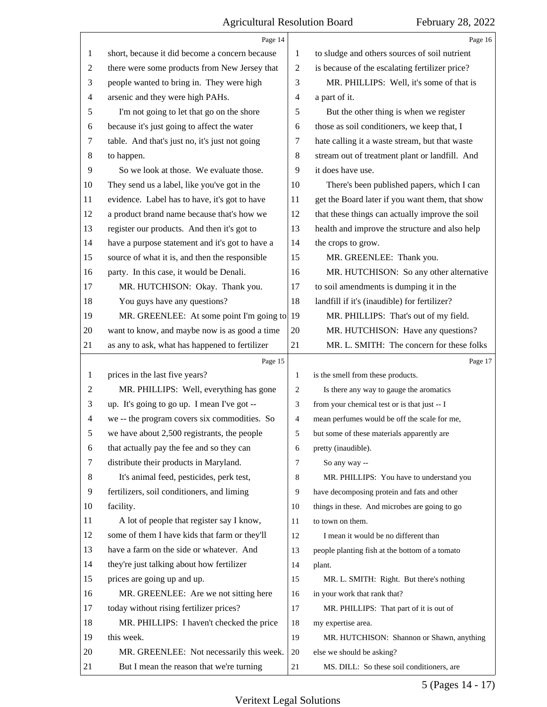|                | Page 14                                               |                | Page 16                                         |
|----------------|-------------------------------------------------------|----------------|-------------------------------------------------|
| 1              | short, because it did become a concern because        | 1              | to sludge and others sources of soil nutrient   |
| 2              | there were some products from New Jersey that         | 2              | is because of the escalating fertilizer price?  |
| 3              | people wanted to bring in. They were high             | 3              | MR. PHILLIPS: Well, it's some of that is        |
| 4              | arsenic and they were high PAHs.                      | 4              | a part of it.                                   |
| 5              | I'm not going to let that go on the shore             | 5              | But the other thing is when we register         |
| 6              | because it's just going to affect the water           | 6              | those as soil conditioners, we keep that, I     |
| 7              | table. And that's just no, it's just not going        | 7              | hate calling it a waste stream, but that waste  |
| 8              | to happen.                                            | 8              | stream out of treatment plant or landfill. And  |
| 9              | So we look at those. We evaluate those.               | 9              | it does have use.                               |
| 10             | They send us a label, like you've got in the          | 10             | There's been published papers, which I can      |
| 11             | evidence. Label has to have, it's got to have         | 11             | get the Board later if you want them, that show |
| 12             | a product brand name because that's how we            | 12             | that these things can actually improve the soil |
| 13             | register our products. And then it's got to           | 13             | health and improve the structure and also help  |
| 14             | have a purpose statement and it's got to have a       | 14             | the crops to grow.                              |
| 15             | source of what it is, and then the responsible        | 15             | MR. GREENLEE: Thank you.                        |
| 16             | party. In this case, it would be Denali.              | 16             | MR. HUTCHISON: So any other alternative         |
| 17             | MR. HUTCHISON: Okay. Thank you.                       | 17             | to soil amendments is dumping it in the         |
| 18             | You guys have any questions?                          | 18             | landfill if it's (inaudible) for fertilizer?    |
| 19             | MR. GREENLEE: At some point I'm going to $ 19\rangle$ |                | MR. PHILLIPS: That's out of my field.           |
| 20             | want to know, and maybe now is as good a time         | 20             | MR. HUTCHISON: Have any questions?              |
| 21             | as any to ask, what has happened to fertilizer        | 21             | MR. L. SMITH: The concern for these folks       |
|                | Page 15                                               |                | Page 17                                         |
|                |                                                       |                |                                                 |
| $\mathbf{1}$   | prices in the last five years?                        | $\mathbf{1}$   | is the smell from these products.               |
| 2              | MR. PHILLIPS: Well, everything has gone               | 2              | Is there any way to gauge the aromatics         |
| 3              | up. It's going to go up. I mean I've got --           | 3              | from your chemical test or is that just -- I    |
| $\overline{4}$ | we -- the program covers six commodities. So          | $\overline{4}$ | mean perfumes would be off the scale for me,    |
| 5              | we have about 2,500 registrants, the people           | 5              | but some of these materials apparently are      |
| 6              | that actually pay the fee and so they can             | 6              | pretty (inaudible).                             |
| 7              | distribute their products in Maryland.                | 7              | So any way --                                   |
| 8              | It's animal feed, pesticides, perk test,              | 8              | MR. PHILLIPS: You have to understand you        |
| 9              | fertilizers, soil conditioners, and liming            | 9              | have decomposing protein and fats and other     |
| 10             | facility.                                             | 10             | things in these. And microbes are going to go   |
| 11             | A lot of people that register say I know,             | 11             | to town on them.                                |
| 12             | some of them I have kids that farm or they'll         | 12             | I mean it would be no different than            |
| 13             | have a farm on the side or whatever. And              | 13             | people planting fish at the bottom of a tomato  |
| 14             | they're just talking about how fertilizer             | 14             | plant.                                          |
| 15             | prices are going up and up.                           | 15             | MR. L. SMITH: Right. But there's nothing        |
| 16             | MR. GREENLEE: Are we not sitting here                 | 16             | in your work that rank that?                    |
| 17             | today without rising fertilizer prices?               | 17             | MR. PHILLIPS: That part of it is out of         |
| 18             | MR. PHILLIPS: I haven't checked the price             | 18             | my expertise area.                              |
| 19             | this week.                                            | 19             | MR. HUTCHISON: Shannon or Shawn, anything       |
| 20             | MR. GREENLEE: Not necessarily this week.              | 20             | else we should be asking?                       |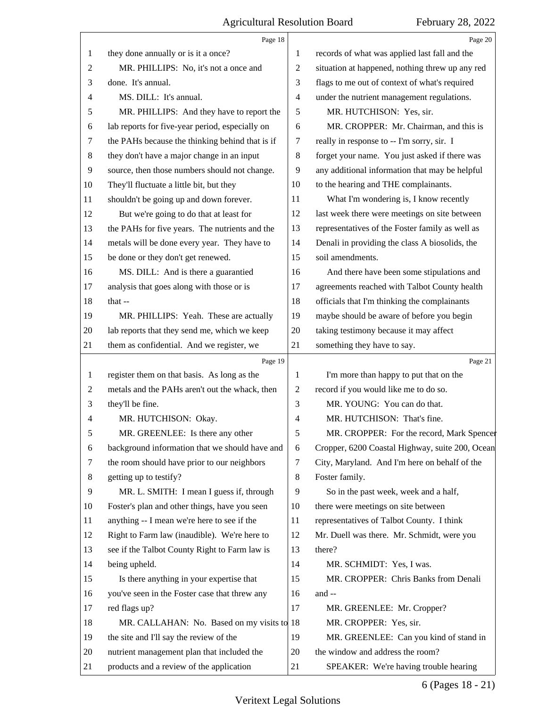|                | Page 18                                         |                | Page 20                                         |
|----------------|-------------------------------------------------|----------------|-------------------------------------------------|
| 1              | they done annually or is it a once?             | 1              | records of what was applied last fall and the   |
| $\overline{c}$ | MR. PHILLIPS: No, it's not a once and           | $\overline{2}$ | situation at happened, nothing threw up any red |
| 3              | done. It's annual.                              | 3              | flags to me out of context of what's required   |
| 4              | MS. DILL: It's annual.                          | $\overline{4}$ | under the nutrient management regulations.      |
| 5              | MR. PHILLIPS: And they have to report the       | 5              | MR. HUTCHISON: Yes, sir.                        |
| 6              | lab reports for five-year period, especially on | 6              | MR. CROPPER: Mr. Chairman, and this is          |
| 7              | the PAHs because the thinking behind that is if | $\tau$         | really in response to -- I'm sorry, sir. I      |
| $\,8\,$        | they don't have a major change in an input      | $\,8\,$        | forget your name. You just asked if there was   |
| 9              | source, then those numbers should not change.   | 9              | any additional information that may be helpful  |
| 10             | They'll fluctuate a little bit, but they        | 10             | to the hearing and THE complainants.            |
| 11             | shouldn't be going up and down forever.         | 11             | What I'm wondering is, I know recently          |
| 12             | But we're going to do that at least for         | 12             | last week there were meetings on site between   |
| 13             | the PAHs for five years. The nutrients and the  | 13             | representatives of the Foster family as well as |
| 14             | metals will be done every year. They have to    | 14             | Denali in providing the class A biosolids, the  |
| 15             | be done or they don't get renewed.              | 15             | soil amendments.                                |
| 16             | MS. DILL: And is there a guarantied             | 16             | And there have been some stipulations and       |
| 17             | analysis that goes along with those or is       | 17             | agreements reached with Talbot County health    |
| 18             | that --                                         | 18             | officials that I'm thinking the complainants    |
| 19             | MR. PHILLIPS: Yeah. These are actually          | 19             | maybe should be aware of before you begin       |
| 20             | lab reports that they send me, which we keep    | 20             | taking testimony because it may affect          |
| 21             | them as confidential. And we register, we       | 21             | something they have to say.                     |
|                | Page 19                                         |                |                                                 |
|                |                                                 |                | Page 21                                         |
| $\mathbf{1}$   | register them on that basis. As long as the     | 1              | I'm more than happy to put that on the          |
| $\overline{c}$ | metals and the PAHs aren't out the whack, then  | $\overline{c}$ | record if you would like me to do so.           |
| 3              | they'll be fine.                                | 3              | MR. YOUNG: You can do that.                     |
| $\overline{4}$ | MR. HUTCHISON: Okay.                            | $\overline{4}$ | MR. HUTCHISON: That's fine.                     |
| 5              | MR. GREENLEE: Is there any other                | 5              | MR. CROPPER: For the record, Mark Spencer       |
| 6              | background information that we should have and  | 6              | Cropper, 6200 Coastal Highway, suite 200, Ocean |
| 7              | the room should have prior to our neighbors     | 7              | City, Maryland. And I'm here on behalf of the   |
| 8              | getting up to testify?                          | 8              | Foster family.                                  |
| 9              | MR. L. SMITH: I mean I guess if, through        | 9              | So in the past week, week and a half,           |
| 10             | Foster's plan and other things, have you seen   | 10             | there were meetings on site between             |
| 11             | anything -- I mean we're here to see if the     | 11             | representatives of Talbot County. I think       |
| 12             | Right to Farm law (inaudible). We're here to    | 12             | Mr. Duell was there. Mr. Schmidt, were you      |
| 13             | see if the Talbot County Right to Farm law is   | 13             | there?                                          |
| 14             | being upheld.                                   | 14             | MR. SCHMIDT: Yes, I was.                        |
| 15             | Is there anything in your expertise that        | 15             | MR. CROPPER: Chris Banks from Denali            |
| 16             | you've seen in the Foster case that threw any   | 16             | and --                                          |
| 17             | red flags up?                                   | 17             | MR. GREENLEE: Mr. Cropper?                      |
| 18             | MR. CALLAHAN: No. Based on my visits to 18      |                | MR. CROPPER: Yes, sir.                          |
| 19             | the site and I'll say the review of the         | 19             | MR. GREENLEE: Can you kind of stand in          |
| 20             | nutrient management plan that included the      | 20             | the window and address the room?                |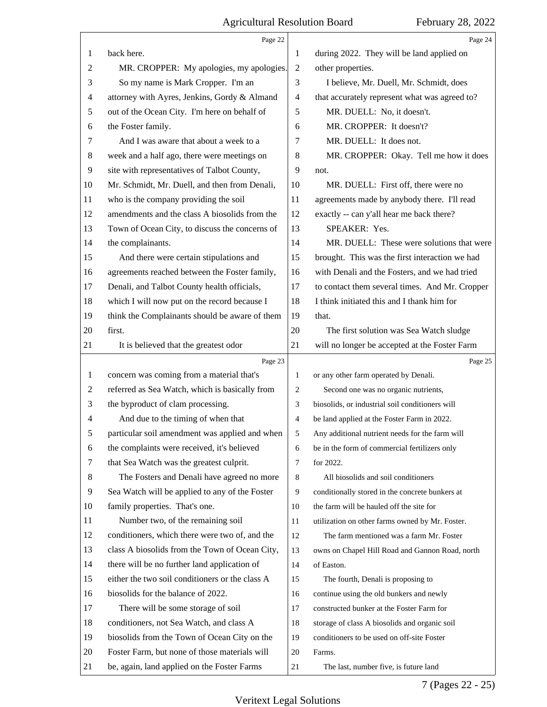|                | Page 22                                         |    | Page 24                                         |
|----------------|-------------------------------------------------|----|-------------------------------------------------|
| 1              | back here.                                      | 1  | during 2022. They will be land applied on       |
| 2              | MR. CROPPER: My apologies, my apologies.        | 2  | other properties.                               |
| 3              | So my name is Mark Cropper. I'm an              | 3  | I believe, Mr. Duell, Mr. Schmidt, does         |
| 4              | attorney with Ayres, Jenkins, Gordy & Almand    | 4  | that accurately represent what was agreed to?   |
| 5              | out of the Ocean City. I'm here on behalf of    | 5  | MR. DUELL: No, it doesn't.                      |
| 6              | the Foster family.                              | 6  | MR. CROPPER: It doesn't?                        |
| 7              | And I was aware that about a week to a          | 7  | MR. DUELL: It does not.                         |
| 8              | week and a half ago, there were meetings on     | 8  | MR. CROPPER: Okay. Tell me how it does          |
| $\overline{9}$ | site with representatives of Talbot County,     | 9  | not.                                            |
| 10             | Mr. Schmidt, Mr. Duell, and then from Denali,   | 10 | MR. DUELL: First off, there were no             |
| 11             | who is the company providing the soil           | 11 | agreements made by anybody there. I'll read     |
| 12             | amendments and the class A biosolids from the   | 12 | exactly -- can y'all hear me back there?        |
| 13             | Town of Ocean City, to discuss the concerns of  | 13 | SPEAKER: Yes.                                   |
| 14             | the complainants.                               | 14 | MR. DUELL: These were solutions that were       |
| 15             | And there were certain stipulations and         | 15 | brought. This was the first interaction we had  |
| 16             | agreements reached between the Foster family,   | 16 | with Denali and the Fosters, and we had tried   |
| 17             | Denali, and Talbot County health officials,     | 17 | to contact them several times. And Mr. Cropper  |
| 18             | which I will now put on the record because I    | 18 | I think initiated this and I thank him for      |
| 19             | think the Complainants should be aware of them  | 19 | that.                                           |
| 20             | first.                                          | 20 | The first solution was Sea Watch sludge         |
| 21             | It is believed that the greatest odor           | 21 | will no longer be accepted at the Foster Farm   |
|                |                                                 |    |                                                 |
|                | Page 23                                         |    | Page 25                                         |
| 1              | concern was coming from a material that's       | 1  | or any other farm operated by Denali.           |
| $\overline{c}$ | referred as Sea Watch, which is basically from  | 2  | Second one was no organic nutrients,            |
| 3              | the byproduct of clam processing.               | 3  | biosolids, or industrial soil conditioners will |
| 4              | And due to the timing of when that              | 4  | be land applied at the Foster Farm in 2022.     |
| 5              | particular soil amendment was applied and when  | 5  | Any additional nutrient needs for the farm will |
| 6              | the complaints were received, it's believed     | 6  | be in the form of commercial fertilizers only   |
| 7              | that Sea Watch was the greatest culprit.        | 7  | for 2022.                                       |
| 8              | The Fosters and Denali have agreed no more      | 8  | All biosolids and soil conditioners             |
| 9              | Sea Watch will be applied to any of the Foster  | 9  | conditionally stored in the concrete bunkers at |
| 10             | family properties. That's one.                  | 10 | the farm will be hauled off the site for        |
| 11             | Number two, of the remaining soil               | 11 | utilization on other farms owned by Mr. Foster. |
| 12             | conditioners, which there were two of, and the  | 12 | The farm mentioned was a farm Mr. Foster        |
| 13             | class A biosolids from the Town of Ocean City,  | 13 | owns on Chapel Hill Road and Gannon Road, north |
| 14             | there will be no further land application of    | 14 | of Easton.                                      |
| 15             | either the two soil conditioners or the class A | 15 | The fourth, Denali is proposing to              |
| 16             | biosolids for the balance of 2022.              | 16 | continue using the old bunkers and newly        |
| 17             | There will be some storage of soil              | 17 | constructed bunker at the Foster Farm for       |
| 18             | conditioners, not Sea Watch, and class A        | 18 | storage of class A biosolids and organic soil   |
| 19             | biosolids from the Town of Ocean City on the    | 19 | conditioners to be used on off-site Foster      |
| 20             | Foster Farm, but none of those materials will   | 20 | Farms.                                          |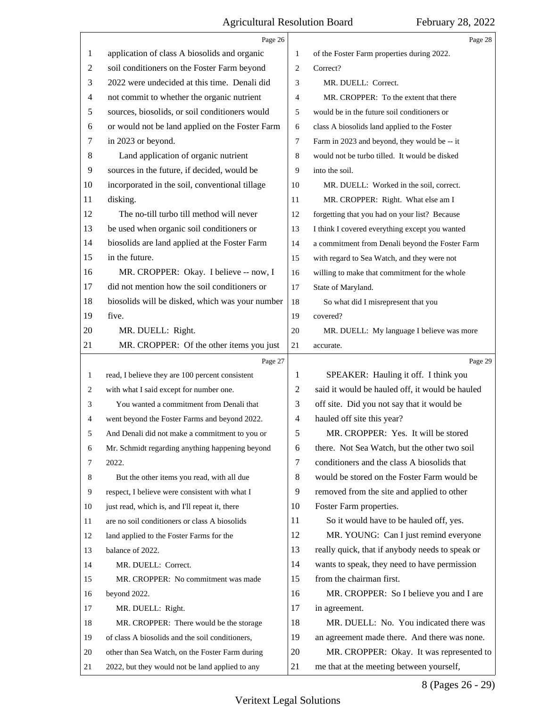$\overline{\mathsf{I}}$ 

|    | Page 26                                         |              | Page 28                                                                              |
|----|-------------------------------------------------|--------------|--------------------------------------------------------------------------------------|
| 1  | application of class A biosolids and organic    | $\mathbf{1}$ | of the Foster Farm properties during 2022.                                           |
| 2  | soil conditioners on the Foster Farm beyond     | 2            | Correct?                                                                             |
| 3  | 2022 were undecided at this time. Denali did    | 3            | MR. DUELL: Correct.                                                                  |
| 4  | not commit to whether the organic nutrient      | 4            | MR. CROPPER: To the extent that there                                                |
| 5  | sources, biosolids, or soil conditioners would  | 5            | would be in the future soil conditioners or                                          |
| 6  | or would not be land applied on the Foster Farm | 6            | class A biosolids land applied to the Foster                                         |
| 7  | in 2023 or beyond.                              | 7            | Farm in 2023 and beyond, they would be -- it                                         |
| 8  | Land application of organic nutrient            | 8            | would not be turbo tilled. It would be disked                                        |
| 9  | sources in the future, if decided, would be     | 9            | into the soil.                                                                       |
| 10 | incorporated in the soil, conventional tillage  | 10           | MR. DUELL: Worked in the soil, correct.                                              |
| 11 | disking.                                        | 11           | MR. CROPPER: Right. What else am I                                                   |
| 12 | The no-till turbo till method will never        | 12           | forgetting that you had on your list? Because                                        |
| 13 | be used when organic soil conditioners or       | 13           | I think I covered everything except you wanted                                       |
| 14 | biosolids are land applied at the Foster Farm   | 14           | a commitment from Denali beyond the Foster Farm                                      |
| 15 | in the future.                                  | 15           | with regard to Sea Watch, and they were not                                          |
| 16 | MR. CROPPER: Okay. I believe -- now, I          | 16           | willing to make that commitment for the whole                                        |
| 17 | did not mention how the soil conditioners or    | 17           | State of Maryland.                                                                   |
| 18 | biosolids will be disked, which was your number | 18           | So what did I misrepresent that you                                                  |
| 19 | five.                                           | 19           | covered?                                                                             |
| 20 | MR. DUELL: Right.                               | 20           | MR. DUELL: My language I believe was more                                            |
| 21 | MR. CROPPER: Of the other items you just        | 21           | accurate.                                                                            |
|    | Page 27                                         |              | Page 29                                                                              |
| 1  | read, I believe they are 100 percent consistent | 1            | SPEAKER: Hauling it off. I think you                                                 |
| 2  | with what I said except for number one.         | 2            | said it would be hauled off, it would be hauled                                      |
| 3  | You wanted a commitment from Denali that        | 3            | off site. Did you not say that it would be                                           |
| 4  | went beyond the Foster Farms and beyond 2022.   | 4            | hauled off site this year?                                                           |
| 5  | And Denali did not make a commitment to you or  | 5            | MR. CROPPER: Yes. It will be stored                                                  |
| 6  | Mr. Schmidt regarding anything happening beyond | 6            | there. Not Sea Watch, but the other two soil                                         |
| 7  | 2022.                                           | 7            | conditioners and the class A biosolids that                                          |
| 8  | But the other items you read, with all due      | 8            | would be stored on the Foster Farm would be                                          |
| 9  | respect, I believe were consistent with what I  | 9            | removed from the site and applied to other                                           |
| 10 | just read, which is, and I'll repeat it, there  | 10           | Foster Farm properties.                                                              |
| 11 | are no soil conditioners or class A biosolids   | 11           | So it would have to be hauled off, yes.                                              |
| 12 |                                                 |              |                                                                                      |
| 13 | land applied to the Foster Farms for the        | 12           | MR. YOUNG: Can I just remind everyone                                                |
| 14 | balance of 2022.                                | 13           | really quick, that if anybody needs to speak or                                      |
|    | MR. DUELL: Correct.                             | 14           | wants to speak, they need to have permission                                         |
| 15 | MR. CROPPER: No commitment was made             | 15           | from the chairman first.                                                             |
| 16 | beyond 2022.                                    | 16           | MR. CROPPER: So I believe you and I are                                              |
| 17 | MR. DUELL: Right.                               | 17           | in agreement.                                                                        |
| 18 | MR. CROPPER: There would be the storage         | 18           | MR. DUELL: No. You indicated there was                                               |
| 19 | of class A biosolids and the soil conditioners, | 19           | an agreement made there. And there was none.                                         |
| 20 | other than Sea Watch, on the Foster Farm during | 20<br>21     | MR. CROPPER: Okay. It was represented to<br>me that at the meeting between yourself, |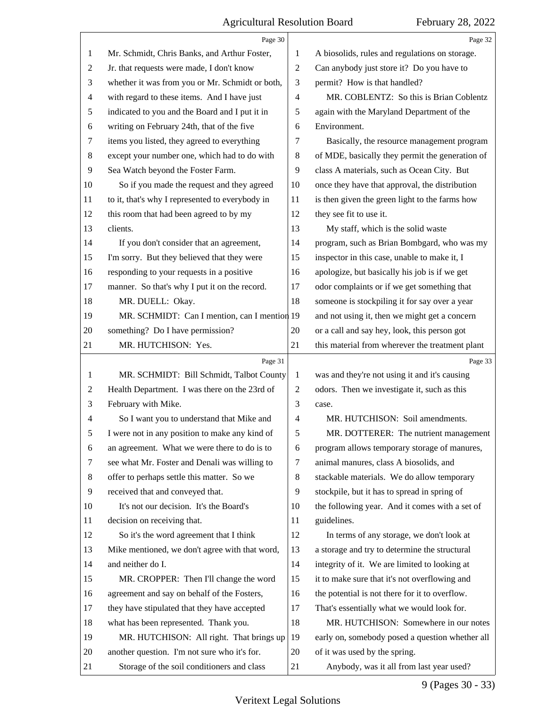|    | Page 30                                         |                | Page 32                                         |
|----|-------------------------------------------------|----------------|-------------------------------------------------|
| 1  | Mr. Schmidt, Chris Banks, and Arthur Foster,    | 1              | A biosolids, rules and regulations on storage.  |
| 2  | Jr. that requests were made, I don't know       | $\mathfrak{2}$ | Can anybody just store it? Do you have to       |
| 3  | whether it was from you or Mr. Schmidt or both, | 3              | permit? How is that handled?                    |
| 4  | with regard to these items. And I have just     | 4              | MR. COBLENTZ: So this is Brian Coblentz         |
| 5  | indicated to you and the Board and I put it in  | 5              | again with the Maryland Department of the       |
| 6  | writing on February 24th, that of the five      | 6              | Environment.                                    |
| 7  | items you listed, they agreed to everything     | 7              | Basically, the resource management program      |
| 8  | except your number one, which had to do with    | 8              | of MDE, basically they permit the generation of |
| 9  | Sea Watch beyond the Foster Farm.               | 9              | class A materials, such as Ocean City. But      |
| 10 | So if you made the request and they agreed      | 10             | once they have that approval, the distribution  |
| 11 | to it, that's why I represented to everybody in | 11             | is then given the green light to the farms how  |
| 12 | this room that had been agreed to by my         | 12             | they see fit to use it.                         |
| 13 | clients.                                        | 13             | My staff, which is the solid waste              |
| 14 | If you don't consider that an agreement,        | 14             | program, such as Brian Bombgard, who was my     |
| 15 | I'm sorry. But they believed that they were     | 15             | inspector in this case, unable to make it, I    |
| 16 | responding to your requests in a positive       | 16             | apologize, but basically his job is if we get   |
| 17 | manner. So that's why I put it on the record.   | 17             | odor complaints or if we get something that     |
| 18 | MR. DUELL: Okay.                                | 18             | someone is stockpiling it for say over a year   |
| 19 | MR. SCHMIDT: Can I mention, can I mention 19    |                | and not using it, then we might get a concern   |
| 20 | something? Do I have permission?                | 20             | or a call and say hey, look, this person got    |
| 21 | MR. HUTCHISON: Yes.                             | 21             | this material from wherever the treatment plant |
|    |                                                 |                |                                                 |
|    | Page 31                                         |                | Page 33                                         |
| 1  | MR. SCHMIDT: Bill Schmidt, Talbot County        | 1              | was and they're not using it and it's causing   |
| 2  | Health Department. I was there on the 23rd of   | $\overline{c}$ | odors. Then we investigate it, such as this     |
| 3  | February with Mike.                             | 3              | case.                                           |
| 4  | So I want you to understand that Mike and       | 4              | MR. HUTCHISON: Soil amendments.                 |
| 5  | I were not in any position to make any kind of  | 5              | MR. DOTTERER: The nutrient management           |
| 6  | an agreement. What we were there to do is to    | 6              | program allows temporary storage of manures,    |
| 7  | see what Mr. Foster and Denali was willing to   | 7              | animal manures, class A biosolids, and          |
| 8  | offer to perhaps settle this matter. So we      | 8              | stackable materials. We do allow temporary      |
| 9  | received that and conveyed that.                | 9              | stockpile, but it has to spread in spring of    |
| 10 | It's not our decision. It's the Board's         | 10             | the following year. And it comes with a set of  |
| 11 | decision on receiving that.                     | 11             | guidelines.                                     |
| 12 | So it's the word agreement that I think         | 12             | In terms of any storage, we don't look at       |
| 13 | Mike mentioned, we don't agree with that word,  | 13             | a storage and try to determine the structural   |
| 14 | and neither do I.                               | 14             | integrity of it. We are limited to looking at   |
| 15 | MR. CROPPER: Then I'll change the word          | 15             | it to make sure that it's not overflowing and   |
| 16 | agreement and say on behalf of the Fosters,     | 16             | the potential is not there for it to overflow.  |
| 17 | they have stipulated that they have accepted    | 17             | That's essentially what we would look for.      |
| 18 | what has been represented. Thank you.           | 18             | MR. HUTCHISON: Somewhere in our notes           |
| 19 | MR. HUTCHISON: All right. That brings up        | 19             | early on, somebody posed a question whether all |
| 20 | another question. I'm not sure who it's for.    | 20             | of it was used by the spring.                   |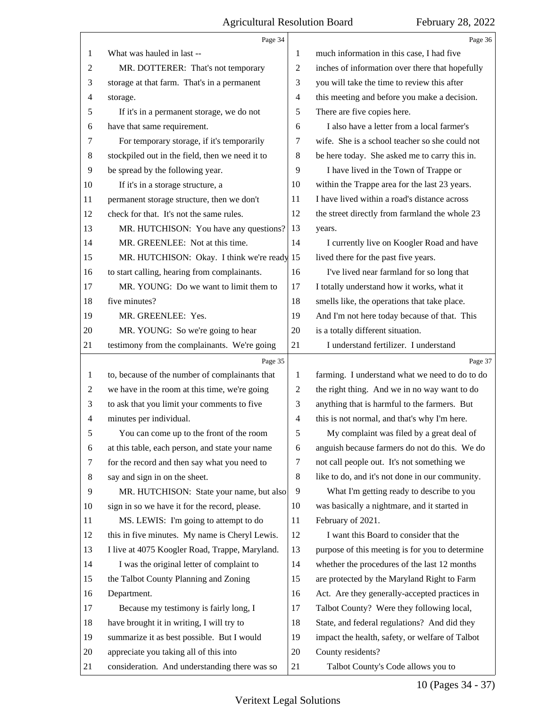|    | Page 34                                         |                | Page 36                                         |
|----|-------------------------------------------------|----------------|-------------------------------------------------|
| 1  | What was hauled in last --                      | 1              | much information in this case, I had five       |
| 2  | MR. DOTTERER: That's not temporary              | $\overline{c}$ | inches of information over there that hopefully |
| 3  | storage at that farm. That's in a permanent     | 3              | you will take the time to review this after     |
| 4  | storage.                                        | $\overline{4}$ | this meeting and before you make a decision.    |
| 5  | If it's in a permanent storage, we do not       | 5              | There are five copies here.                     |
| 6  | have that same requirement.                     | 6              | I also have a letter from a local farmer's      |
| 7  | For temporary storage, if it's temporarily      | 7              | wife. She is a school teacher so she could not  |
| 8  | stockpiled out in the field, then we need it to | 8              | be here today. She asked me to carry this in.   |
| 9  | be spread by the following year.                | 9              | I have lived in the Town of Trappe or           |
| 10 | If it's in a storage structure, a               | 10             | within the Trappe area for the last 23 years.   |
| 11 | permanent storage structure, then we don't      | 11             | I have lived within a road's distance across    |
| 12 | check for that. It's not the same rules.        | 12             | the street directly from farmland the whole 23  |
| 13 | MR. HUTCHISON: You have any questions?          | 13             | years.                                          |
| 14 | MR. GREENLEE: Not at this time.                 | 14             | I currently live on Koogler Road and have       |
| 15 | MR. HUTCHISON: Okay. I think we're ready 15     |                | lived there for the past five years.            |
| 16 | to start calling, hearing from complainants.    | 16             | I've lived near farmland for so long that       |
| 17 | MR. YOUNG: Do we want to limit them to          | 17             | I totally understand how it works, what it      |
| 18 | five minutes?                                   | 18             | smells like, the operations that take place.    |
| 19 | MR. GREENLEE: Yes.                              | 19             | And I'm not here today because of that. This    |
| 20 | MR. YOUNG: So we're going to hear               | 20             | is a totally different situation.               |
| 21 | testimony from the complainants. We're going    | 21             | I understand fertilizer. I understand           |
|    |                                                 |                |                                                 |
|    | Page 35                                         |                | Page 37                                         |
| 1  | to, because of the number of complainants that  | 1              | farming. I understand what we need to do to do  |
| 2  | we have in the room at this time, we're going   | 2              | the right thing. And we in no way want to do    |
| 3  | to ask that you limit your comments to five     | 3              | anything that is harmful to the farmers. But    |
| 4  | minutes per individual.                         | $\overline{4}$ | this is not normal, and that's why I'm here.    |
| 5  | You can come up to the front of the room        | 5              | My complaint was filed by a great deal of       |
| 6  | at this table, each person, and state your name | 6              | anguish because farmers do not do this. We do   |
| 7  | for the record and then say what you need to    | 7              | not call people out. It's not something we      |
| 8  | say and sign in on the sheet.                   | 8              | like to do, and it's not done in our community. |
| 9  | MR. HUTCHISON: State your name, but also        | 9              | What I'm getting ready to describe to you       |
| 10 | sign in so we have it for the record, please.   | 10             | was basically a nightmare, and it started in    |
| 11 | MS. LEWIS: I'm going to attempt to do           | 11             | February of 2021.                               |
| 12 | this in five minutes. My name is Cheryl Lewis.  | 12             | I want this Board to consider that the          |
| 13 | I live at 4075 Koogler Road, Trappe, Maryland.  | 13             | purpose of this meeting is for you to determine |
| 14 | I was the original letter of complaint to       | 14             | whether the procedures of the last 12 months    |
| 15 | the Talbot County Planning and Zoning           | 15             | are protected by the Maryland Right to Farm     |
| 16 | Department.                                     | 16             | Act. Are they generally-accepted practices in   |
| 17 | Because my testimony is fairly long, I          | 17             | Talbot County? Were they following local,       |
| 18 | have brought it in writing, I will try to       | 18             | State, and federal regulations? And did they    |
| 19 | summarize it as best possible. But I would      | 19             | impact the health, safety, or welfare of Talbot |
| 20 | appreciate you taking all of this into          | 20             | County residents?                               |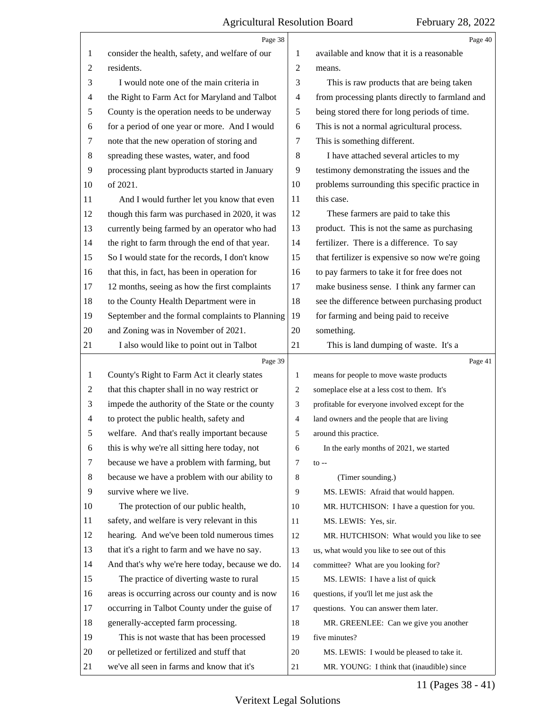|                | Page 38                                         |                | Page 40                                         |
|----------------|-------------------------------------------------|----------------|-------------------------------------------------|
| 1              | consider the health, safety, and welfare of our | 1              | available and know that it is a reasonable      |
| $\overline{c}$ | residents.                                      | 2              | means.                                          |
| 3              | I would note one of the main criteria in        | 3              | This is raw products that are being taken       |
| 4              | the Right to Farm Act for Maryland and Talbot   | 4              | from processing plants directly to farmland and |
| 5              | County is the operation needs to be underway    | 5              | being stored there for long periods of time.    |
| 6              | for a period of one year or more. And I would   | 6              | This is not a normal agricultural process.      |
| 7              | note that the new operation of storing and      | 7              | This is something different.                    |
| 8              | spreading these wastes, water, and food         | 8              | I have attached several articles to my          |
| 9              | processing plant byproducts started in January  | 9              | testimony demonstrating the issues and the      |
| 10             | of 2021.                                        | 10             | problems surrounding this specific practice in  |
| 11             | And I would further let you know that even      | 11             | this case.                                      |
| 12             | though this farm was purchased in 2020, it was  | 12             | These farmers are paid to take this             |
| 13             | currently being farmed by an operator who had   | 13             | product. This is not the same as purchasing     |
| 14             | the right to farm through the end of that year. | 14             | fertilizer. There is a difference. To say       |
| 15             | So I would state for the records, I don't know  | 15             | that fertilizer is expensive so now we're going |
| 16             | that this, in fact, has been in operation for   | 16             | to pay farmers to take it for free does not     |
| 17             | 12 months, seeing as how the first complaints   | 17             | make business sense. I think any farmer can     |
| 18             | to the County Health Department were in         | 18             | see the difference between purchasing product   |
| 19             | September and the formal complaints to Planning | 19             | for farming and being paid to receive           |
| 20             | and Zoning was in November of 2021.             | 20             | something.                                      |
| 21             | I also would like to point out in Talbot        | 21             | This is land dumping of waste. It's a           |
|                | Page 39                                         |                | Page 41                                         |
| 1              | County's Right to Farm Act it clearly states    | 1              | means for people to move waste products         |
| 2              | that this chapter shall in no way restrict or   | $\overline{2}$ | someplace else at a less cost to them. It's     |
| 3              | impede the authority of the State or the county | 3              | profitable for everyone involved except for the |
| 4              | to protect the public health, safety and        | $\overline{4}$ | land owners and the people that are living      |
| 5              | welfare. And that's really important because    | 5              | around this practice.                           |
| 6              |                                                 |                |                                                 |
|                | this is why we're all sitting here today, not   | 6              | In the early months of 2021, we started         |
| 7              | because we have a problem with farming, but     | 7              | $to --$                                         |
| 8              | because we have a problem with our ability to   | 8              | (Timer sounding.)                               |
| 9              | survive where we live.                          | 9              | MS. LEWIS: Afraid that would happen.            |
| 10             | The protection of our public health,            | 10             | MR. HUTCHISON: I have a question for you.       |
| 11             | safety, and welfare is very relevant in this    | 11             | MS. LEWIS: Yes, sir.                            |
| 12             | hearing. And we've been told numerous times     | 12             | MR. HUTCHISON: What would you like to see       |
| 13             | that it's a right to farm and we have no say.   | 13             | us, what would you like to see out of this      |
| 14             | And that's why we're here today, because we do. | 14             | committee? What are you looking for?            |
| 15             | The practice of diverting waste to rural        | 15             | MS. LEWIS: I have a list of quick               |
| 16             | areas is occurring across our county and is now | 16             | questions, if you'll let me just ask the        |
| 17             | occurring in Talbot County under the guise of   | 17             | questions. You can answer them later.           |
| 18             | generally-accepted farm processing.             | 18             | MR. GREENLEE: Can we give you another           |
| 19             | This is not waste that has been processed       | 19             | five minutes?                                   |
| 20             | or pelletized or fertilized and stuff that      | 20             | MS. LEWIS: I would be pleased to take it.       |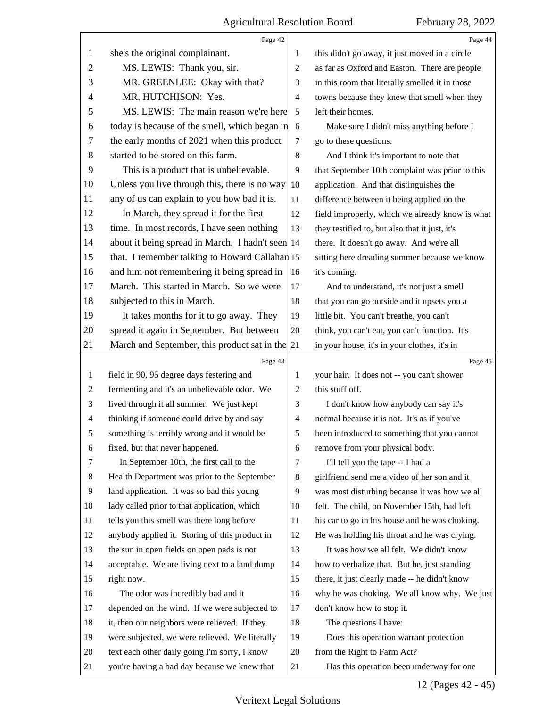|                          | Page 42                                          |                | Page 44                                         |
|--------------------------|--------------------------------------------------|----------------|-------------------------------------------------|
| 1                        | she's the original complainant.                  | 1              | this didn't go away, it just moved in a circle  |
| $\overline{2}$           | MS. LEWIS: Thank you, sir.                       | $\overline{2}$ | as far as Oxford and Easton. There are people   |
| 3                        | MR. GREENLEE: Okay with that?                    | 3              | in this room that literally smelled it in those |
| 4                        | MR. HUTCHISON: Yes.                              | $\overline{4}$ | towns because they knew that smell when they    |
| 5                        | MS. LEWIS: The main reason we're here            | 5              | left their homes.                               |
| 6                        | today is because of the smell, which began in    | 6              | Make sure I didn't miss anything before I       |
| 7                        | the early months of 2021 when this product       | 7              | go to these questions.                          |
| 8                        | started to be stored on this farm.               | $\,8\,$        | And I think it's important to note that         |
| 9                        | This is a product that is unbelievable.          | 9              | that September 10th complaint was prior to this |
| 10                       | Unless you live through this, there is no way    | 10             | application. And that distinguishes the         |
| 11                       | any of us can explain to you how bad it is.      | 11             | difference between it being applied on the      |
| 12                       | In March, they spread it for the first           | 12             | field improperly, which we already know is what |
| 13                       | time. In most records, I have seen nothing       | 13             | they testified to, but also that it just, it's  |
| 14                       | about it being spread in March. I hadn't seen 14 |                | there. It doesn't go away. And we're all        |
| 15                       | that. I remember talking to Howard Callahan 15   |                | sitting here dreading summer because we know    |
| 16                       | and him not remembering it being spread in       | 16             | it's coming.                                    |
| 17                       | March. This started in March. So we were         | 17             | And to understand, it's not just a smell        |
| 18                       | subjected to this in March.                      | 18             | that you can go outside and it upsets you a     |
| 19                       | It takes months for it to go away. They          | 19             | little bit. You can't breathe, you can't        |
| 20                       | spread it again in September. But between        | 20             | think, you can't eat, you can't function. It's  |
| 21                       | March and September, this product sat in the 21  |                | in your house, it's in your clothes, it's in    |
|                          |                                                  |                |                                                 |
|                          | Page 43                                          |                | Page 45                                         |
| 1                        | field in 90, 95 degree days festering and        | 1              | your hair. It does not -- you can't shower      |
| 2                        | fermenting and it's an unbelievable odor. We     | 2              | this stuff off.                                 |
| 3                        | lived through it all summer. We just kept        | 3              | I don't know how anybody can say it's           |
| $\overline{\mathcal{A}}$ | thinking if someone could drive by and say       | 4              | normal because it is not. It's as if you've     |
| 5                        | something is terribly wrong and it would be      | 5              | been introduced to something that you cannot    |
| 6                        | fixed, but that never happened.                  | 6              | remove from your physical body.                 |
| 7                        | In September 10th, the first call to the         | 7              | I'll tell you the tape -- I had a               |
| 8                        | Health Department was prior to the September     | 8              | girlfriend send me a video of her son and it    |
| 9                        | land application. It was so bad this young       | 9              | was most disturbing because it was how we all   |
| 10                       | lady called prior to that application, which     | 10             | felt. The child, on November 15th, had left     |
| 11                       | tells you this smell was there long before       | 11             | his car to go in his house and he was choking.  |
| 12                       | anybody applied it. Storing of this product in   | 12             | He was holding his throat and he was crying.    |
| 13                       | the sun in open fields on open pads is not       | 13             | It was how we all felt. We didn't know          |
| 14                       | acceptable. We are living next to a land dump    | 14             | how to verbalize that. But he, just standing    |
| 15                       | right now.                                       | 15             | there, it just clearly made -- he didn't know   |
| 16                       | The odor was incredibly bad and it               | 16             | why he was choking. We all know why. We just    |
| 17                       | depended on the wind. If we were subjected to    | 17             | don't know how to stop it.                      |
| 18                       | it, then our neighbors were relieved. If they    | 18             | The questions I have:                           |
| 19                       | were subjected, we were relieved. We literally   | 19             | Does this operation warrant protection          |
| 20                       | text each other daily going I'm sorry, I know    | 20             | from the Right to Farm Act?                     |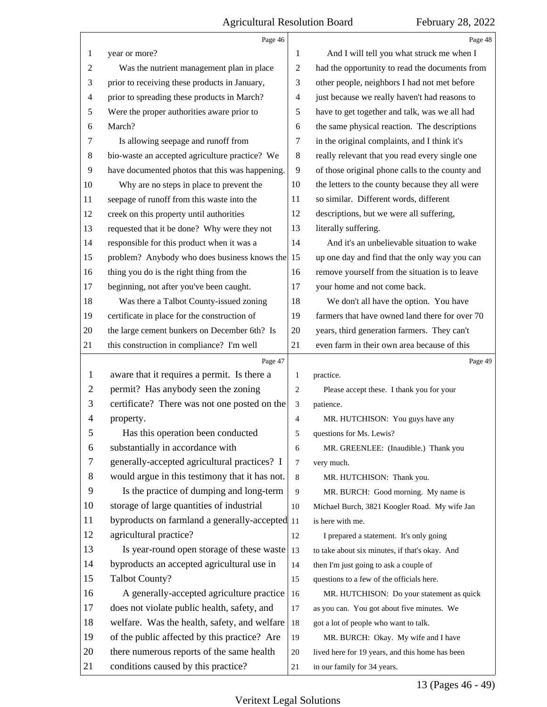|                | Page 46                                         |                | Page 48                                         |
|----------------|-------------------------------------------------|----------------|-------------------------------------------------|
| 1              | year or more?                                   | 1              | And I will tell you what struck me when I       |
| 2              | Was the nutrient management plan in place       | 2              | had the opportunity to read the documents from  |
| 3              | prior to receiving these products in January,   | 3              | other people, neighbors I had not met before    |
| 4              | prior to spreading these products in March?     | 4              | just because we really haven't had reasons to   |
| 5              | Were the proper authorities aware prior to      | 5              | have to get together and talk, was we all had   |
| 6              | March?                                          | 6              | the same physical reaction. The descriptions    |
| 7              | Is allowing seepage and runoff from             | 7              | in the original complaints, and I think it's    |
| 8              | bio-waste an accepted agriculture practice? We  | 8              | really relevant that you read every single one  |
| 9              | have documented photos that this was happening. | 9              | of those original phone calls to the county and |
| 10             | Why are no steps in place to prevent the        | 10             | the letters to the county because they all were |
| 11             | seepage of runoff from this waste into the      | 11             | so similar. Different words, different          |
| 12             | creek on this property until authorities        | 12             | descriptions, but we were all suffering,        |
| 13             | requested that it be done? Why were they not    | 13             | literally suffering.                            |
| 14             | responsible for this product when it was a      | 14             | And it's an unbelievable situation to wake      |
| 15             | problem? Anybody who does business knows the 15 |                | up one day and find that the only way you can   |
| 16             | thing you do is the right thing from the        | 16             | remove yourself from the situation is to leave  |
| 17             | beginning, not after you've been caught.        | 17             | your home and not come back.                    |
| 18             | Was there a Talbot County-issued zoning         | 18             | We don't all have the option. You have          |
| 19             | certificate in place for the construction of    | 19             | farmers that have owned land there for over 70  |
| 20             | the large cement bunkers on December 6th? Is    | 20             | years, third generation farmers. They can't     |
| 21             | this construction in compliance? I'm well       | 21             | even farm in their own area because of this     |
|                |                                                 |                |                                                 |
|                | Page 47                                         |                | Page 49                                         |
| 1              | aware that it requires a permit. Is there a     | 1              | practice.                                       |
| $\overline{c}$ | permit? Has anybody seen the zoning             | $\overline{2}$ | Please accept these. I thank you for your       |
| 3              | certificate? There was not one posted on the    | 3              | patience.                                       |
| 4              | property.                                       | $\overline{4}$ | MR. HUTCHISON: You guys have any                |
| 5              | Has this operation been conducted               | 5              | questions for Ms. Lewis?                        |
| 6              | substantially in accordance with                | 6              | MR. GREENLEE: (Inaudible.) Thank you            |
| 7              | generally-accepted agricultural practices? I    | $\tau$         | very much.                                      |
| 8              | would argue in this testimony that it has not.  | 8              | MR. HUTCHISON: Thank you.                       |
| 9              | Is the practice of dumping and long-term        | 9              | MR. BURCH: Good morning. My name is             |
| 10             | storage of large quantities of industrial       | 10             | Michael Burch, 3821 Koogler Road. My wife Jan   |
| 11             | byproducts on farmland a generally-accepted 11  |                | is here with me.                                |
| 12             | agricultural practice?                          | 12             | I prepared a statement. It's only going         |
| 13             | Is year-round open storage of these waste       | 13             | to take about six minutes, if that's okay. And  |
| 14             | byproducts an accepted agricultural use in      | 14             | then I'm just going to ask a couple of          |
| 15             | <b>Talbot County?</b>                           | 15             | questions to a few of the officials here.       |
| 16             | A generally-accepted agriculture practice       | 16             | MR. HUTCHISON: Do your statement as quick       |
| 17             | does not violate public health, safety, and     | 17             | as you can. You got about five minutes. We      |
| 18             | welfare. Was the health, safety, and welfare    | 18             | got a lot of people who want to talk.           |
| 19             | of the public affected by this practice? Are    | 19             | MR. BURCH: Okay. My wife and I have             |
| 20             | there numerous reports of the same health       | 20             | lived here for 19 years, and this home has been |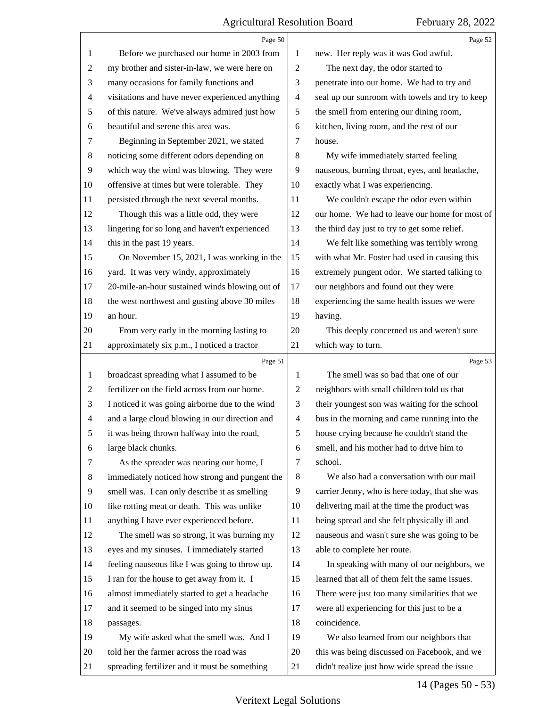|                | Page 50                                         |                | Page 52                                         |
|----------------|-------------------------------------------------|----------------|-------------------------------------------------|
| 1              | Before we purchased our home in 2003 from       | 1              | new. Her reply was it was God awful.            |
| 2              | my brother and sister-in-law, we were here on   | 2              | The next day, the odor started to               |
| 3              | many occasions for family functions and         | 3              | penetrate into our home. We had to try and      |
| 4              | visitations and have never experienced anything | $\overline{4}$ | seal up our sunroom with towels and try to keep |
| 5              | of this nature. We've always admired just how   | 5              | the smell from entering our dining room,        |
| 6              | beautiful and serene this area was.             | 6              | kitchen, living room, and the rest of our       |
| 7              | Beginning in September 2021, we stated          | 7              | house.                                          |
| 8              | noticing some different odors depending on      | $\,8\,$        | My wife immediately started feeling             |
| 9              | which way the wind was blowing. They were       | 9              | nauseous, burning throat, eyes, and headache,   |
| 10             | offensive at times but were tolerable. They     | 10             | exactly what I was experiencing.                |
| 11             | persisted through the next several months.      | 11             | We couldn't escape the odor even within         |
| 12             | Though this was a little odd, they were         | 12             | our home. We had to leave our home for most of  |
| 13             | lingering for so long and haven't experienced   | 13             | the third day just to try to get some relief.   |
| 14             | this in the past 19 years.                      | 14             | We felt like something was terribly wrong       |
| 15             | On November 15, 2021, I was working in the      | 15             | with what Mr. Foster had used in causing this   |
| 16             | yard. It was very windy, approximately          | 16             | extremely pungent odor. We started talking to   |
| 17             | 20-mile-an-hour sustained winds blowing out of  | 17             | our neighbors and found out they were           |
| 18             | the west northwest and gusting above 30 miles   | 18             | experiencing the same health issues we were     |
| 19             | an hour.                                        | 19             | having.                                         |
| 20             | From very early in the morning lasting to       | 20             | This deeply concerned us and weren't sure       |
| 21             | approximately six p.m., I noticed a tractor     | 21             | which way to turn.                              |
|                |                                                 |                |                                                 |
|                | Page 51                                         |                | Page 53                                         |
| 1              | broadcast spreading what I assumed to be        | 1              | The smell was so bad that one of our            |
| 2              | fertilizer on the field across from our home.   | 2              | neighbors with small children told us that      |
| 3              | I noticed it was going airborne due to the wind | 3              | their youngest son was waiting for the school   |
| $\overline{4}$ | and a large cloud blowing in our direction and  | $\overline{4}$ | bus in the morning and came running into the    |
| 5              | it was being thrown halfway into the road,      | 5              | house crying because he couldn't stand the      |
| 6              | large black chunks.                             | 6              | smell, and his mother had to drive him to       |
| 7              | As the spreader was nearing our home, I         | 7              | school.                                         |
| 8              | immediately noticed how strong and pungent the  | 8              | We also had a conversation with our mail        |
| 9              | smell was. I can only describe it as smelling   | 9              | carrier Jenny, who is here today, that she was  |
| 10             | like rotting meat or death. This was unlike     | 10             | delivering mail at the time the product was     |
| 11             | anything I have ever experienced before.        | 11             | being spread and she felt physically ill and    |
| 12             | The smell was so strong, it was burning my      | 12             | nauseous and wasn't sure she was going to be    |
| 13             | eyes and my sinuses. I immediately started      | 13             | able to complete her route.                     |
| 14             | feeling nauseous like I was going to throw up.  | 14             | In speaking with many of our neighbors, we      |
| 15             | I ran for the house to get away from it. I      | 15             | learned that all of them felt the same issues.  |
| 16             | almost immediately started to get a headache    | 16             | There were just too many similarities that we   |
| 17             | and it seemed to be singed into my sinus        | 17             | were all experiencing for this just to be a     |
| 18             | passages.                                       | 18             | coincidence.                                    |
| 19             | My wife asked what the smell was. And I         | 19             | We also learned from our neighbors that         |
| 20             | told her the farmer across the road was         | 20             | this was being discussed on Facebook, and we    |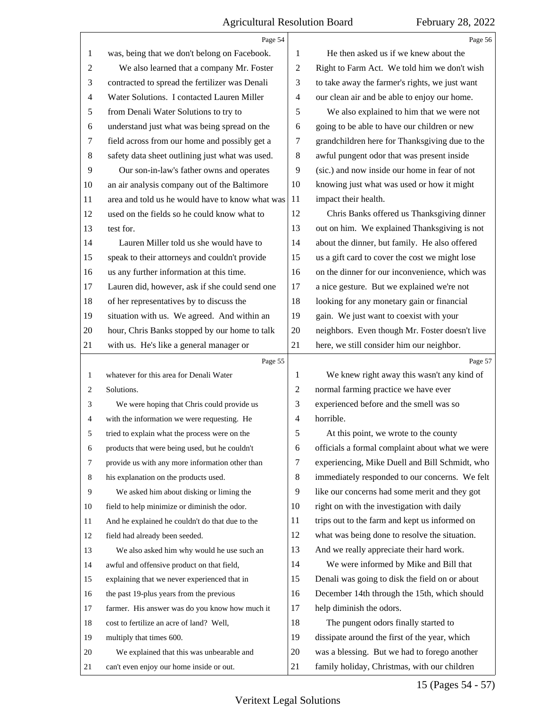4

|                | Page 54                                         |                          | Page 56                                         |
|----------------|-------------------------------------------------|--------------------------|-------------------------------------------------|
| 1              | was, being that we don't belong on Facebook.    | 1                        | He then asked us if we knew about the           |
| $\overline{c}$ | We also learned that a company Mr. Foster       | $\mathbf{2}$             | Right to Farm Act. We told him we don't wish    |
| 3              | contracted to spread the fertilizer was Denali  | 3                        | to take away the farmer's rights, we just want  |
| 4              | Water Solutions. I contacted Lauren Miller      | $\overline{\mathcal{A}}$ | our clean air and be able to enjoy our home.    |
| 5              | from Denali Water Solutions to try to           | 5                        | We also explained to him that we were not       |
| 6              | understand just what was being spread on the    | 6                        | going to be able to have our children or new    |
| 7              | field across from our home and possibly get a   | 7                        | grandchildren here for Thanksgiving due to the  |
| 8              | safety data sheet outlining just what was used. | $8\,$                    | awful pungent odor that was present inside      |
| 9              | Our son-in-law's father owns and operates       | 9                        | (sic.) and now inside our home in fear of not   |
| 10             | an air analysis company out of the Baltimore    | 10                       | knowing just what was used or how it might      |
| 11             | area and told us he would have to know what was | 11                       | impact their health.                            |
| 12             | used on the fields so he could know what to     | 12                       | Chris Banks offered us Thanksgiving dinner      |
| 13             | test for.                                       | 13                       | out on him. We explained Thanksgiving is not    |
| 14             | Lauren Miller told us she would have to         | 14                       | about the dinner, but family. He also offered   |
| 15             | speak to their attorneys and couldn't provide   | 15                       | us a gift card to cover the cost we might lose  |
| 16             | us any further information at this time.        | 16                       | on the dinner for our inconvenience, which was  |
| 17             | Lauren did, however, ask if she could send one  | 17                       | a nice gesture. But we explained we're not      |
| 18             | of her representatives by to discuss the        | 18                       | looking for any monetary gain or financial      |
| 19             | situation with us. We agreed. And within an     | 19                       | gain. We just want to coexist with your         |
| 20             | hour, Chris Banks stopped by our home to talk   | 20                       | neighbors. Even though Mr. Foster doesn't live  |
| 21             | with us. He's like a general manager or         | 21                       | here, we still consider him our neighbor.       |
|                |                                                 |                          |                                                 |
|                | Page 55                                         |                          | Page 57                                         |
| 1              | whatever for this area for Denali Water         | 1                        | We knew right away this wasn't any kind of      |
| 2              | Solutions.                                      | 2                        | normal farming practice we have ever            |
| 3              | We were hoping that Chris could provide us      | 3                        | experienced before and the smell was so         |
| 4              | with the information we were requesting. He     | $\overline{4}$           | horrible.                                       |
| 5              | tried to explain what the process were on the   | 5                        | At this point, we wrote to the county           |
| 6              | products that were being used, but he couldn't  | 6                        | officials a formal complaint about what we were |
| 7              | provide us with any more information other than | 7                        | experiencing, Mike Duell and Bill Schmidt, who  |
| 8              | his explanation on the products used.           | 8                        | immediately responded to our concerns. We felt  |
| 9              | We asked him about disking or liming the        | 9                        | like our concerns had some merit and they got   |
| 10             | field to help minimize or diminish the odor.    | 10                       | right on with the investigation with daily      |
| 11             | And he explained he couldn't do that due to the | 11                       | trips out to the farm and kept us informed on   |
| 12             | field had already been seeded.                  | 12                       | what was being done to resolve the situation.   |
| 13             | We also asked him why would he use such an      | 13                       | And we really appreciate their hard work.       |
| 14             | awful and offensive product on that field,      | 14                       | We were informed by Mike and Bill that          |
| 15             | explaining that we never experienced that in    | 15                       | Denali was going to disk the field on or about  |
| 16             | the past 19-plus years from the previous        | 16                       | December 14th through the 15th, which should    |
| 17             | farmer. His answer was do you know how much it  | 17                       | help diminish the odors.                        |
| 18             | cost to fertilize an acre of land? Well,        | 18                       | The pungent odors finally started to            |
| 19             | multiply that times 600.                        | 19                       | dissipate around the first of the year, which   |
| 20             | We explained that this was unbearable and       | 20                       | was a blessing. But we had to forego another    |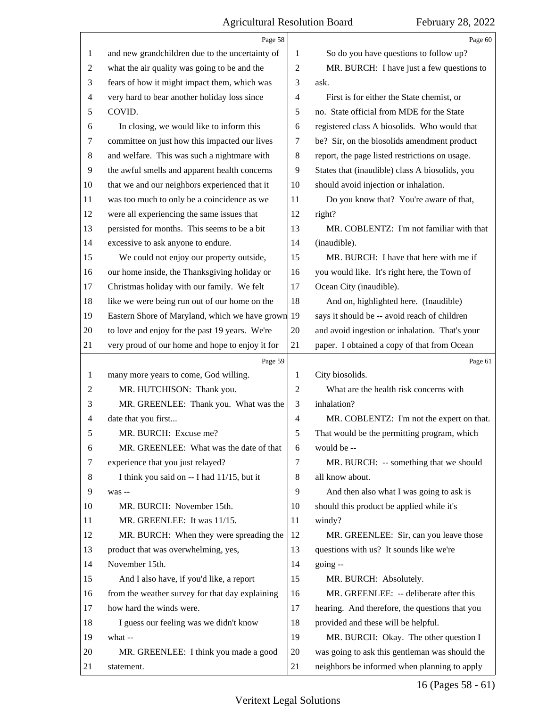|    | Page 58                                             |                | Page 60                                                                                        |
|----|-----------------------------------------------------|----------------|------------------------------------------------------------------------------------------------|
| 1  | and new grandchildren due to the uncertainty of     | 1              | So do you have questions to follow up?                                                         |
| 2  | what the air quality was going to be and the        | $\overline{2}$ | MR. BURCH: I have just a few questions to                                                      |
| 3  | fears of how it might impact them, which was        | 3              | ask.                                                                                           |
| 4  | very hard to bear another holiday loss since        | 4              | First is for either the State chemist, or                                                      |
| 5  | COVID.                                              | 5              | no. State official from MDE for the State                                                      |
| 6  | In closing, we would like to inform this            | 6              | registered class A biosolids. Who would that                                                   |
| 7  | committee on just how this impacted our lives       | 7              | be? Sir, on the biosolids amendment product                                                    |
| 8  | and welfare. This was such a nightmare with         | $\,8\,$        | report, the page listed restrictions on usage.                                                 |
| 9  | the awful smells and apparent health concerns       | 9              | States that (inaudible) class A biosolids, you                                                 |
| 10 | that we and our neighbors experienced that it       | 10             | should avoid injection or inhalation.                                                          |
| 11 | was too much to only be a coincidence as we         | 11             | Do you know that? You're aware of that,                                                        |
| 12 | were all experiencing the same issues that          | 12             | right?                                                                                         |
| 13 | persisted for months. This seems to be a bit        | 13             | MR. COBLENTZ: I'm not familiar with that                                                       |
| 14 | excessive to ask anyone to endure.                  | 14             | (inaudible).                                                                                   |
| 15 | We could not enjoy our property outside,            | 15             | MR. BURCH: I have that here with me if                                                         |
| 16 | our home inside, the Thanksgiving holiday or        | 16             | you would like. It's right here, the Town of                                                   |
| 17 | Christmas holiday with our family. We felt          | 17             | Ocean City (inaudible).                                                                        |
| 18 | like we were being run out of our home on the       | 18             | And on, highlighted here. (Inaudible)                                                          |
| 19 | Eastern Shore of Maryland, which we have grown 19   |                | says it should be -- avoid reach of children                                                   |
| 20 | to love and enjoy for the past 19 years. We're      | 20             | and avoid ingestion or inhalation. That's your                                                 |
| 21 | very proud of our home and hope to enjoy it for     | 21             | paper. I obtained a copy of that from Ocean                                                    |
|    |                                                     |                |                                                                                                |
|    | Page 59                                             |                | Page 61                                                                                        |
| 1  | many more years to come, God willing.               | 1              | City biosolids.                                                                                |
| 2  | MR. HUTCHISON: Thank you.                           | $\overline{2}$ | What are the health risk concerns with                                                         |
| 3  | MR. GREENLEE: Thank you. What was the               | 3              | inhalation?                                                                                    |
| 4  | date that you first                                 | $\overline{4}$ | MR. COBLENTZ: I'm not the expert on that.                                                      |
| 5  | MR. BURCH: Excuse me?                               | 5              | That would be the permitting program, which                                                    |
| 6  | MR. GREENLEE: What was the date of that             | 6              | would be --                                                                                    |
| 7  | experience that you just relayed?                   | 7              | MR. BURCH: -- something that we should                                                         |
| 8  | I think you said on -- I had 11/15, but it          | 8              | all know about.                                                                                |
| 9  | was --                                              | 9              | And then also what I was going to ask is                                                       |
| 10 | MR. BURCH: November 15th.                           | 10             | should this product be applied while it's                                                      |
| 11 | MR. GREENLEE: It was 11/15.                         | 11             | windy?                                                                                         |
| 12 | MR. BURCH: When they were spreading the             | 12             | MR. GREENLEE: Sir, can you leave those                                                         |
| 13 | product that was overwhelming, yes,                 | 13             | questions with us? It sounds like we're                                                        |
| 14 | November 15th.                                      | 14             | going --                                                                                       |
| 15 | And I also have, if you'd like, a report            | 15             | MR. BURCH: Absolutely.                                                                         |
| 16 | from the weather survey for that day explaining     | 16             | MR. GREENLEE: -- deliberate after this                                                         |
| 17 | how hard the winds were.                            | 17             | hearing. And therefore, the questions that you                                                 |
| 18 | I guess our feeling was we didn't know              | 18             | provided and these will be helpful.                                                            |
| 19 | what --                                             | 19             | MR. BURCH: Okay. The other question I                                                          |
| 20 | MR. GREENLEE: I think you made a good<br>statement. | 20<br>21       | was going to ask this gentleman was should the<br>neighbors be informed when planning to apply |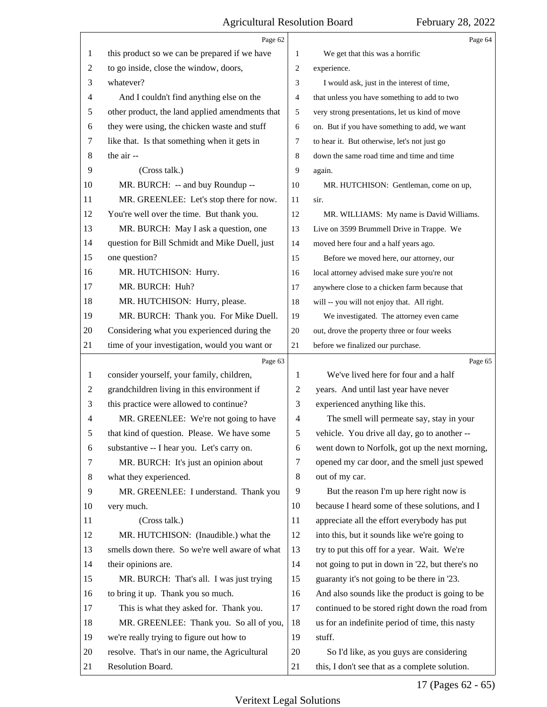|                | Page 62                                         |                | Page 64                                         |
|----------------|-------------------------------------------------|----------------|-------------------------------------------------|
| 1              | this product so we can be prepared if we have   | 1              | We get that this was a horrific                 |
| $\overline{c}$ | to go inside, close the window, doors,          | 2              | experience.                                     |
| 3              | whatever?                                       | 3              | I would ask, just in the interest of time,      |
| 4              | And I couldn't find anything else on the        | $\overline{4}$ | that unless you have something to add to two    |
| 5              | other product, the land applied amendments that | 5              | very strong presentations, let us kind of move  |
| 6              | they were using, the chicken waste and stuff    | 6              | on. But if you have something to add, we want   |
| 7              | like that. Is that something when it gets in    | 7              | to hear it. But otherwise, let's not just go    |
| 8              | the air --                                      | 8              | down the same road time and time and time       |
| 9              | (Cross talk.)                                   | 9              | again.                                          |
| 10             | MR. BURCH: -- and buy Roundup --                | 10             | MR. HUTCHISON: Gentleman, come on up,           |
| 11             | MR. GREENLEE: Let's stop there for now.         | 11             | sir.                                            |
| 12             | You're well over the time. But thank you.       | 12             | MR. WILLIAMS: My name is David Williams.        |
| 13             | MR. BURCH: May I ask a question, one            | 13             | Live on 3599 Brummell Drive in Trappe. We       |
| 14             | question for Bill Schmidt and Mike Duell, just  | 14             | moved here four and a half years ago.           |
| 15             | one question?                                   | 15             | Before we moved here, our attorney, our         |
| 16             | MR. HUTCHISON: Hurry.                           | 16             | local attorney advised make sure you're not     |
| 17             | MR. BURCH: Huh?                                 | 17             | anywhere close to a chicken farm because that   |
| 18             | MR. HUTCHISON: Hurry, please.                   | 18             | will -- you will not enjoy that. All right.     |
| 19             | MR. BURCH: Thank you. For Mike Duell.           | 19             | We investigated. The attorney even came         |
| 20             | Considering what you experienced during the     | 20             | out, drove the property three or four weeks     |
| 21             | time of your investigation, would you want or   | 21             | before we finalized our purchase.               |
|                |                                                 |                |                                                 |
|                | Page 63                                         |                | Page 65                                         |
| 1              | consider yourself, your family, children,       | 1              | We've lived here for four and a half            |
| 2              | grandchildren living in this environment if     | $\overline{2}$ | years. And until last year have never           |
| 3              | this practice were allowed to continue?         | 3              | experienced anything like this.                 |
| 4              | MR. GREENLEE: We're not going to have           | $\overline{4}$ | The smell will permeate say, stay in your       |
| 5              | that kind of question. Please. We have some     | 5              | vehicle. You drive all day, go to another --    |
| 6              | substantive -- I hear you. Let's carry on.      | 6              | went down to Norfolk, got up the next morning,  |
| 7              | MR. BURCH: It's just an opinion about           | 7              | opened my car door, and the smell just spewed   |
| 8              | what they experienced.                          | 8              | out of my car.                                  |
| 9              | MR. GREENLEE: I understand. Thank you           | 9              | But the reason I'm up here right now is         |
| 10             | very much.                                      | 10             | because I heard some of these solutions, and I  |
| 11             | (Cross talk.)                                   | 11             | appreciate all the effort everybody has put     |
| 12             | MR. HUTCHISON: (Inaudible.) what the            | 12             | into this, but it sounds like we're going to    |
| 13             | smells down there. So we're well aware of what  | 13             | try to put this off for a year. Wait. We're     |
| 14             | their opinions are.                             | 14             | not going to put in down in '22, but there's no |
| 15             | MR. BURCH: That's all. I was just trying        | 15             | guaranty it's not going to be there in '23.     |
| 16             | to bring it up. Thank you so much.              | 16             | And also sounds like the product is going to be |
| 17             | This is what they asked for. Thank you.         | 17             | continued to be stored right down the road from |
| 18             | MR. GREENLEE: Thank you. So all of you,         | 18             | us for an indefinite period of time, this nasty |
| 19             | we're really trying to figure out how to        | 19             | stuff.                                          |
| 20             | resolve. That's in our name, the Agricultural   | 20             | So I'd like, as you guys are considering        |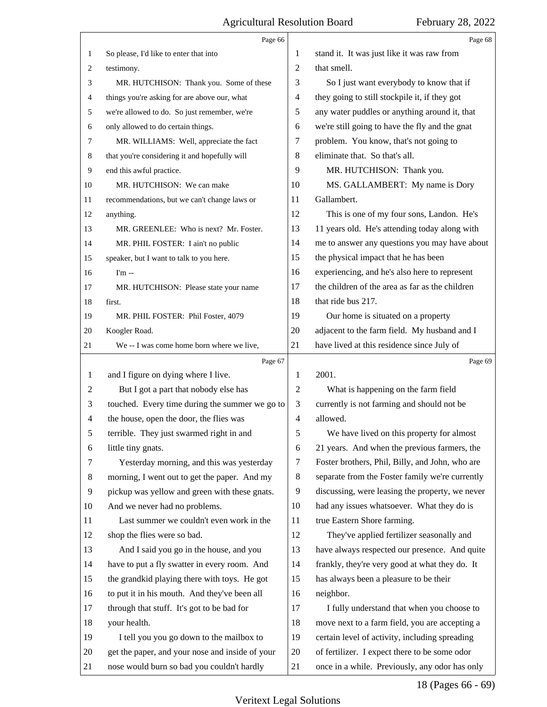|              | Page 66                                                                                     |                | Page 68                                                                                         |
|--------------|---------------------------------------------------------------------------------------------|----------------|-------------------------------------------------------------------------------------------------|
| $\mathbf{1}$ | So please, I'd like to enter that into                                                      | 1              | stand it. It was just like it was raw from                                                      |
| 2            | testimony.                                                                                  | $\overline{2}$ | that smell.                                                                                     |
| 3            | MR. HUTCHISON: Thank you. Some of these                                                     | 3              | So I just want everybody to know that if                                                        |
| 4            | things you're asking for are above our, what                                                | 4              | they going to still stockpile it, if they got                                                   |
| 5            | we're allowed to do. So just remember, we're                                                | 5              | any water puddles or anything around it, that                                                   |
| 6            | only allowed to do certain things.                                                          | 6              | we're still going to have the fly and the gnat                                                  |
| 7            | MR. WILLIAMS: Well, appreciate the fact                                                     | 7              | problem. You know, that's not going to                                                          |
| 8            | that you're considering it and hopefully will                                               | 8              | eliminate that. So that's all.                                                                  |
| 9            | end this awful practice.                                                                    | 9              | MR. HUTCHISON: Thank you.                                                                       |
| 10           | MR. HUTCHISON: We can make                                                                  | 10             | MS. GALLAMBERT: My name is Dory                                                                 |
| 11           | recommendations, but we can't change laws or                                                | 11             | Gallambert.                                                                                     |
| 12           | anything.                                                                                   | 12             | This is one of my four sons, Landon. He's                                                       |
| 13           | MR. GREENLEE: Who is next? Mr. Foster.                                                      | 13             | 11 years old. He's attending today along with                                                   |
| 14           | MR. PHIL FOSTER: I ain't no public                                                          | 14             | me to answer any questions you may have about                                                   |
| 15           | speaker, but I want to talk to you here.                                                    | 15             | the physical impact that he has been                                                            |
| 16           | $Im -$                                                                                      | 16             | experiencing, and he's also here to represent                                                   |
| 17           | MR. HUTCHISON: Please state your name                                                       | 17             | the children of the area as far as the children                                                 |
| 18           | first.                                                                                      | 18             | that ride bus 217.                                                                              |
| 19           | MR. PHIL FOSTER: Phil Foster, 4079                                                          | 19             | Our home is situated on a property                                                              |
| 20           | Koogler Road.                                                                               | 20             | adjacent to the farm field. My husband and I                                                    |
| 21           | We -- I was come home born where we live,                                                   | 21             | have lived at this residence since July of                                                      |
|              |                                                                                             |                |                                                                                                 |
|              | Page 67                                                                                     |                | Page 69                                                                                         |
| 1            | and I figure on dying where I live.                                                         | 1              | 2001.                                                                                           |
| 2            | But I got a part that nobody else has                                                       | $\overline{2}$ | What is happening on the farm field                                                             |
| 3            | touched. Every time during the summer we go to                                              | 3              | currently is not farming and should not be                                                      |
| 4            | the house, open the door, the flies was                                                     | $\overline{4}$ | allowed.                                                                                        |
| 5            | terrible. They just swarmed right in and                                                    | 5              | We have lived on this property for almost                                                       |
| 6            | little tiny gnats.                                                                          | 6              | 21 years. And when the previous farmers, the                                                    |
| 7            | Yesterday morning, and this was yesterday                                                   | 7              | Foster brothers, Phil, Billy, and John, who are                                                 |
| 8            | morning, I went out to get the paper. And my                                                | 8              | separate from the Foster family we're currently                                                 |
| 9            | pickup was yellow and green with these gnats.                                               | 9              | discussing, were leasing the property, we never                                                 |
| 10           | And we never had no problems.                                                               | 10             | had any issues whatsoever. What they do is                                                      |
| 11           | Last summer we couldn't even work in the                                                    | 11             |                                                                                                 |
| 12           |                                                                                             | 12             | true Eastern Shore farming.                                                                     |
| 13           | shop the flies were so bad.                                                                 | 13             | They've applied fertilizer seasonally and                                                       |
| 14           | And I said you go in the house, and you                                                     | 14             | have always respected our presence. And quite                                                   |
| 15           | have to put a fly swatter in every room. And                                                | 15             | frankly, they're very good at what they do. It                                                  |
| 16           | the grandkid playing there with toys. He got                                                | 16             | has always been a pleasure to be their                                                          |
| 17           | to put it in his mouth. And they've been all                                                | 17             | neighbor.<br>I fully understand that when you choose to                                         |
| 18           | through that stuff. It's got to be bad for                                                  | 18             |                                                                                                 |
| 19           | your health.                                                                                | 19             | move next to a farm field, you are accepting a                                                  |
| 20           | I tell you you go down to the mailbox to<br>get the paper, and your nose and inside of your | 20             | certain level of activity, including spreading<br>of fertilizer. I expect there to be some odor |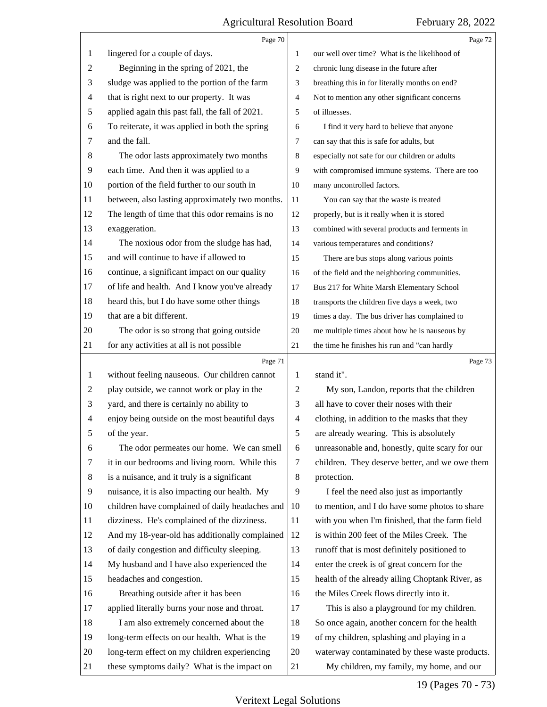|                | Page $70\,$                                     |                | Page 72                                         |
|----------------|-------------------------------------------------|----------------|-------------------------------------------------|
| 1              | lingered for a couple of days.                  | 1              | our well over time? What is the likelihood of   |
| $\overline{2}$ | Beginning in the spring of 2021, the            | 2              | chronic lung disease in the future after        |
| 3              | sludge was applied to the portion of the farm   | 3              | breathing this in for literally months on end?  |
| $\overline{4}$ | that is right next to our property. It was      | $\overline{4}$ | Not to mention any other significant concerns   |
| 5              | applied again this past fall, the fall of 2021. | 5              | of illnesses.                                   |
| 6              | To reiterate, it was applied in both the spring | 6              | I find it very hard to believe that anyone      |
| 7              | and the fall.                                   | 7              | can say that this is safe for adults, but       |
| $8\phantom{1}$ | The odor lasts approximately two months         | 8              | especially not safe for our children or adults  |
| $\overline{9}$ | each time. And then it was applied to a         | 9              | with compromised immune systems. There are too  |
| 10             | portion of the field further to our south in    | 10             | many uncontrolled factors.                      |
| 11             | between, also lasting approximately two months. | 11             | You can say that the waste is treated           |
| 12             | The length of time that this odor remains is no | 12             | properly, but is it really when it is stored    |
| 13             | exaggeration.                                   | 13             | combined with several products and ferments in  |
| 14             | The noxious odor from the sludge has had,       | 14             | various temperatures and conditions?            |
| 15             | and will continue to have if allowed to         | 15             | There are bus stops along various points        |
| 16             | continue, a significant impact on our quality   | 16             | of the field and the neighboring communities.   |
| 17             | of life and health. And I know you've already   | 17             | Bus 217 for White Marsh Elementary School       |
| 18             | heard this, but I do have some other things     | 18             | transports the children five days a week, two   |
| 19             | that are a bit different.                       | 19             | times a day. The bus driver has complained to   |
| 20             | The odor is so strong that going outside        | 20             | me multiple times about how he is nauseous by   |
| 21             | for any activities at all is not possible       | 21             | the time he finishes his run and "can hardly    |
|                |                                                 |                |                                                 |
|                | Page 71                                         |                | Page 73                                         |
| 1              | without feeling nauseous. Our children cannot   | 1              | stand it".                                      |
| $\overline{c}$ | play outside, we cannot work or play in the     | 2              | My son, Landon, reports that the children       |
| 3              | yard, and there is certainly no ability to      | 3              | all have to cover their noses with their        |
| 4              | enjoy being outside on the most beautiful days  | $\overline{4}$ | clothing, in addition to the masks that they    |
| 5              | of the year.                                    | 5              | are already wearing. This is absolutely         |
| 6              | The odor permeates our home. We can smell       | 6              | unreasonable and, honestly, quite scary for our |
| 7              | it in our bedrooms and living room. While this  | 7              | children. They deserve better, and we owe them  |
| 8              | is a nuisance, and it truly is a significant    | 8              | protection.                                     |
| 9              | nuisance, it is also impacting our health. My   | 9              | I feel the need also just as importantly        |
| 10             | children have complained of daily headaches and | 10             | to mention, and I do have some photos to share  |
| 11             | dizziness. He's complained of the dizziness.    | 11             | with you when I'm finished, that the farm field |
| 12             | And my 18-year-old has additionally complained  | 12             | is within 200 feet of the Miles Creek. The      |
| 13             | of daily congestion and difficulty sleeping.    | 13             | runoff that is most definitely positioned to    |
| 14             | My husband and I have also experienced the      | 14             | enter the creek is of great concern for the     |
| 15             | headaches and congestion.                       | 15             | health of the already ailing Choptank River, as |
| 16             | Breathing outside after it has been             | 16             | the Miles Creek flows directly into it.         |
| 17             | applied literally burns your nose and throat.   | 17             | This is also a playground for my children.      |
| 18             | I am also extremely concerned about the         | 18             | So once again, another concern for the health   |
| 19             | long-term effects on our health. What is the    | 19             | of my children, splashing and playing in a      |
| 20             | long-term effect on my children experiencing    | 20             | waterway contaminated by these waste products.  |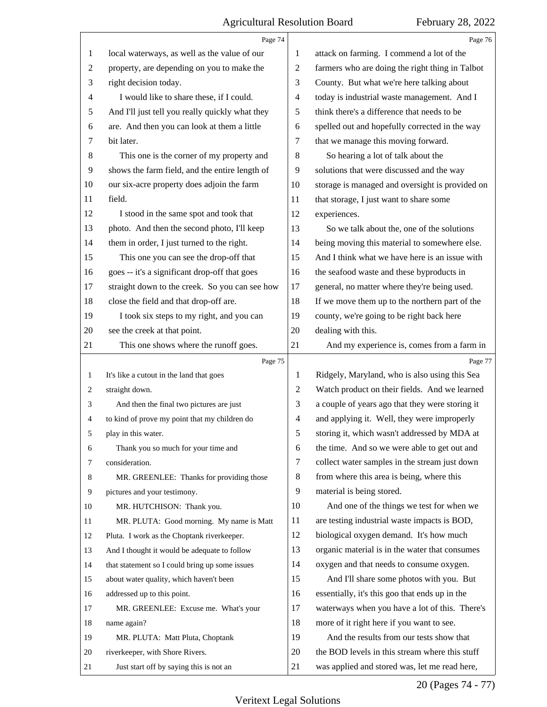|                | Page 74                                         |                | Page 76                                         |
|----------------|-------------------------------------------------|----------------|-------------------------------------------------|
| 1              | local waterways, as well as the value of our    | 1              | attack on farming. I commend a lot of the       |
| $\overline{2}$ | property, are depending on you to make the      | $\overline{2}$ | farmers who are doing the right thing in Talbot |
| 3              | right decision today.                           | 3              | County. But what we're here talking about       |
| 4              | I would like to share these, if I could.        | $\overline{4}$ | today is industrial waste management. And I     |
| 5              | And I'll just tell you really quickly what they | 5              | think there's a difference that needs to be     |
| 6              | are. And then you can look at them a little     | 6              | spelled out and hopefully corrected in the way  |
| 7              | bit later.                                      | 7              | that we manage this moving forward.             |
| $\,8$          | This one is the corner of my property and       | 8              | So hearing a lot of talk about the              |
| 9              | shows the farm field, and the entire length of  | 9              | solutions that were discussed and the way       |
| 10             | our six-acre property does adjoin the farm      | 10             | storage is managed and oversight is provided on |
| 11             | field.                                          | 11             | that storage, I just want to share some         |
| 12             | I stood in the same spot and took that          | 12             | experiences.                                    |
| 13             | photo. And then the second photo, I'll keep     | 13             | So we talk about the, one of the solutions      |
| 14             | them in order, I just turned to the right.      | 14             | being moving this material to somewhere else.   |
| 15             | This one you can see the drop-off that          | 15             | And I think what we have here is an issue with  |
| 16             | goes -- it's a significant drop-off that goes   | 16             | the seafood waste and these byproducts in       |
| 17             | straight down to the creek. So you can see how  | 17             | general, no matter where they're being used.    |
| 18             | close the field and that drop-off are.          | 18             | If we move them up to the northern part of the  |
| 19             | I took six steps to my right, and you can       | 19             | county, we're going to be right back here       |
| 20             | see the creek at that point.                    | 20             | dealing with this.                              |
| 21             | This one shows where the runoff goes.           | 21             | And my experience is, comes from a farm in      |
|                |                                                 |                |                                                 |
|                | Page 75                                         |                | Page 77                                         |
| 1              | It's like a cutout in the land that goes        | 1              | Ridgely, Maryland, who is also using this Sea   |
| 2              | straight down.                                  | 2              | Watch product on their fields. And we learned   |
| 3              | And then the final two pictures are just        | 3              | a couple of years ago that they were storing it |
| 4              | to kind of prove my point that my children do   | 4              | and applying it. Well, they were improperly     |
| 5              | play in this water.                             | 5              | storing it, which wasn't addressed by MDA at    |
| 6              | Thank you so much for your time and             | 6              | the time. And so we were able to get out and    |
| 7              | consideration.                                  | 7              | collect water samples in the stream just down   |
| 8              | MR. GREENLEE: Thanks for providing those        | 8              | from where this area is being, where this       |
| 9              | pictures and your testimony.                    | 9              | material is being stored.                       |
| 10             | MR. HUTCHISON: Thank you.                       | 10             | And one of the things we test for when we       |
| 11             | MR. PLUTA: Good morning. My name is Matt        | 11             | are testing industrial waste impacts is BOD,    |
| 12             | Pluta. I work as the Choptank riverkeeper.      | 12             | biological oxygen demand. It's how much         |
| 13             | And I thought it would be adequate to follow    | 13             | organic material is in the water that consumes  |
| 14             | that statement so I could bring up some issues  | 14             | oxygen and that needs to consume oxygen.        |
| 15             | about water quality, which haven't been         | 15             | And I'll share some photos with you. But        |
| 16             | addressed up to this point.                     | 16             | essentially, it's this goo that ends up in the  |
| 17             | MR. GREENLEE: Excuse me. What's your            | 17             | waterways when you have a lot of this. There's  |
| 18             | name again?                                     | 18             | more of it right here if you want to see.       |
| 19             | MR. PLUTA: Matt Pluta, Choptank                 | 19             | And the results from our tests show that        |
| 20             | riverkeeper, with Shore Rivers.                 | 20             | the BOD levels in this stream where this stuff  |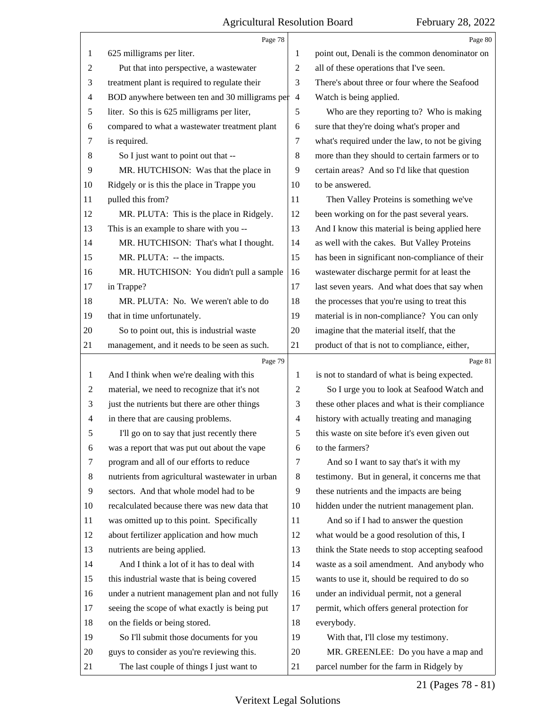|                          | Page 78                                         |                          | Page 80                                         |
|--------------------------|-------------------------------------------------|--------------------------|-------------------------------------------------|
| 1                        | 625 milligrams per liter.                       | 1                        | point out, Denali is the common denominator on  |
| $\overline{c}$           | Put that into perspective, a wastewater         | 2                        | all of these operations that I've seen.         |
| 3                        | treatment plant is required to regulate their   | 3                        | There's about three or four where the Seafood   |
| 4                        | BOD anywhere between ten and 30 milligrams per  | $\overline{4}$           | Watch is being applied.                         |
| 5                        | liter. So this is 625 milligrams per liter,     | 5                        | Who are they reporting to? Who is making        |
| 6                        | compared to what a wastewater treatment plant   | 6                        | sure that they're doing what's proper and       |
| 7                        | is required.                                    | 7                        | what's required under the law, to not be giving |
| 8                        | So I just want to point out that --             | $\,8$                    | more than they should to certain farmers or to  |
| 9                        | MR. HUTCHISON: Was that the place in            | 9                        | certain areas? And so I'd like that question    |
| 10                       | Ridgely or is this the place in Trappe you      | 10                       | to be answered.                                 |
| 11                       | pulled this from?                               | 11                       | Then Valley Proteins is something we've         |
| 12                       | MR. PLUTA: This is the place in Ridgely.        | 12                       | been working on for the past several years.     |
| 13                       | This is an example to share with you --         | 13                       | And I know this material is being applied here  |
| 14                       | MR. HUTCHISON: That's what I thought.           | 14                       | as well with the cakes. But Valley Proteins     |
| 15                       | MR. PLUTA: -- the impacts.                      | 15                       | has been in significant non-compliance of their |
| 16                       | MR. HUTCHISON: You didn't pull a sample         | 16                       | wastewater discharge permit for at least the    |
| 17                       | in Trappe?                                      | 17                       | last seven years. And what does that say when   |
| 18                       | MR. PLUTA: No. We weren't able to do            | 18                       | the processes that you're using to treat this   |
| 19                       | that in time unfortunately.                     | 19                       | material is in non-compliance? You can only     |
| 20                       | So to point out, this is industrial waste       | 20                       | imagine that the material itself, that the      |
| 21                       | management, and it needs to be seen as such.    | 21                       | product of that is not to compliance, either,   |
|                          |                                                 |                          |                                                 |
|                          | Page 79                                         |                          | Page 81                                         |
| 1                        | And I think when we're dealing with this        | 1                        | is not to standard of what is being expected.   |
| $\overline{c}$           | material, we need to recognize that it's not    | 2                        | So I urge you to look at Seafood Watch and      |
| 3                        | just the nutrients but there are other things   | 3                        | these other places and what is their compliance |
| $\overline{\mathcal{A}}$ | in there that are causing problems.             | $\overline{\mathcal{A}}$ | history with actually treating and managing     |
| 5                        | I'll go on to say that just recently there      | 5                        | this waste on site before it's even given out   |
| 6                        | was a report that was put out about the vape    | 6                        | to the farmers?                                 |
| 7                        | program and all of our efforts to reduce        | 7                        | And so I want to say that's it with my          |
| 8                        | nutrients from agricultural wastewater in urban | 8                        | testimony. But in general, it concerns me that  |
| 9                        | sectors. And that whole model had to be         | 9                        | these nutrients and the impacts are being       |
| 10                       | recalculated because there was new data that    | 10                       | hidden under the nutrient management plan.      |
| 11                       | was omitted up to this point. Specifically      | 11                       | And so if I had to answer the question          |
| 12                       | about fertilizer application and how much       | 12                       | what would be a good resolution of this, I      |
| 13                       | nutrients are being applied.                    | 13                       | think the State needs to stop accepting seafood |
| 14                       | And I think a lot of it has to deal with        | 14                       | waste as a soil amendment. And anybody who      |
| 15                       | this industrial waste that is being covered     | 15                       | wants to use it, should be required to do so    |
| 16                       | under a nutrient management plan and not fully  | 16                       | under an individual permit, not a general       |
| 17                       | seeing the scope of what exactly is being put   | 17                       | permit, which offers general protection for     |
| 18                       | on the fields or being stored.                  | 18                       | everybody.                                      |
| 19                       | So I'll submit those documents for you          | 19                       | With that, I'll close my testimony.             |
| 20                       | guys to consider as you're reviewing this.      | 20                       | MR. GREENLEE: Do you have a map and             |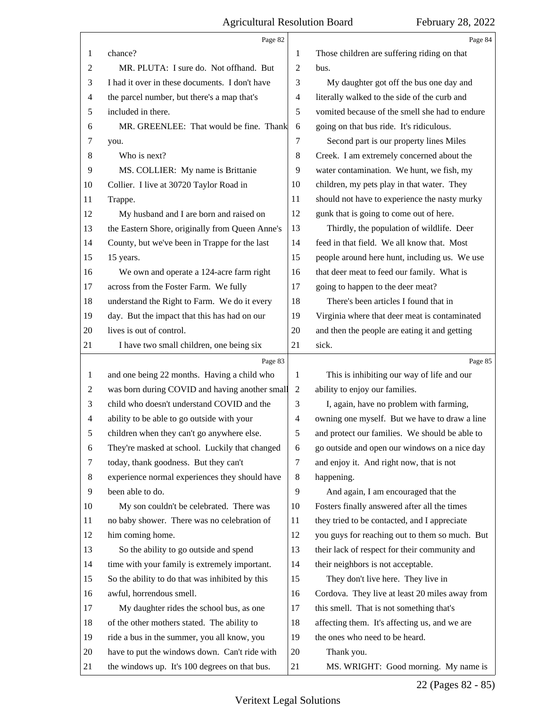|                | Page 82                                         |                | Page 84                                        |
|----------------|-------------------------------------------------|----------------|------------------------------------------------|
| 1              | chance?                                         | 1              | Those children are suffering riding on that    |
| $\overline{c}$ | MR. PLUTA: I sure do. Not offhand. But          | 2              | bus.                                           |
| 3              | I had it over in these documents. I don't have  | 3              | My daughter got off the bus one day and        |
| $\overline{4}$ | the parcel number, but there's a map that's     | 4              | literally walked to the side of the curb and   |
| 5              | included in there.                              | 5              | vomited because of the smell she had to endure |
| 6              | MR. GREENLEE: That would be fine. Thank         | 6              | going on that bus ride. It's ridiculous.       |
| 7              | you.                                            | 7              | Second part is our property lines Miles        |
| 8              | Who is next?                                    | 8              | Creek. I am extremely concerned about the      |
| 9              | MS. COLLIER: My name is Brittanie               | 9              | water contamination. We hunt, we fish, my      |
| 10             | Collier. I live at 30720 Taylor Road in         | 10             | children, my pets play in that water. They     |
| 11             | Trappe.                                         | 11             | should not have to experience the nasty murky  |
| 12             | My husband and I are born and raised on         | 12             | gunk that is going to come out of here.        |
| 13             | the Eastern Shore, originally from Queen Anne's | 13             | Thirdly, the population of wildlife. Deer      |
| 14             | County, but we've been in Trappe for the last   | 14             | feed in that field. We all know that. Most     |
| 15             | 15 years.                                       | 15             | people around here hunt, including us. We use  |
| 16             | We own and operate a 124-acre farm right        | 16             | that deer meat to feed our family. What is     |
| 17             | across from the Foster Farm. We fully           | 17             | going to happen to the deer meat?              |
| 18             | understand the Right to Farm. We do it every    | 18             | There's been articles I found that in          |
| 19             | day. But the impact that this has had on our    | 19             | Virginia where that deer meat is contaminated  |
| 20             | lives is out of control.                        | 20             | and then the people are eating it and getting  |
| 21             | I have two small children, one being six        | 21             | sick.                                          |
|                |                                                 |                |                                                |
|                | Page 83                                         |                | Page 85                                        |
| 1              | and one being 22 months. Having a child who     | 1              | This is inhibiting our way of life and our     |
| 2              | was born during COVID and having another small  | 2              | ability to enjoy our families.                 |
| 3              | child who doesn't understand COVID and the      | 3              | I, again, have no problem with farming,        |
| $\overline{4}$ | ability to be able to go outside with your      | $\overline{4}$ | owning one myself. But we have to draw a line  |
| 5              | children when they can't go anywhere else.      | 5              | and protect our families. We should be able to |
| 6              | They're masked at school. Luckily that changed  | 6              | go outside and open our windows on a nice day  |
| 7              | today, thank goodness. But they can't           | 7              | and enjoy it. And right now, that is not       |
| 8              | experience normal experiences they should have  | 8              | happening.                                     |
| 9              | been able to do.                                | 9              | And again, I am encouraged that the            |
| 10             | My son couldn't be celebrated. There was        | 10             | Fosters finally answered after all the times   |
| 11             | no baby shower. There was no celebration of     | 11             | they tried to be contacted, and I appreciate   |
| 12             | him coming home.                                | 12             | you guys for reaching out to them so much. But |
| 13             | So the ability to go outside and spend          | 13             | their lack of respect for their community and  |
| 14             | time with your family is extremely important.   | 14             | their neighbors is not acceptable.             |
| 15             | So the ability to do that was inhibited by this | 15             | They don't live here. They live in             |
| 16             | awful, horrendous smell.                        | 16             | Cordova. They live at least 20 miles away from |
| 17             | My daughter rides the school bus, as one        | 17             | this smell. That is not something that's       |
| 18             | of the other mothers stated. The ability to     | 18             | affecting them. It's affecting us, and we are  |
| 19             | ride a bus in the summer, you all know, you     | 19             | the ones who need to be heard.                 |
| 20             | have to put the windows down. Can't ride with   | 20             | Thank you.                                     |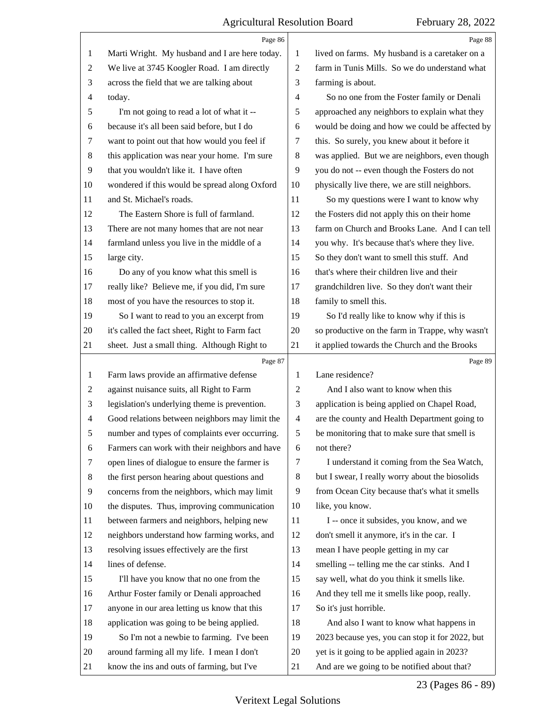|                | Page 86                                        |                | Page 88                                         |
|----------------|------------------------------------------------|----------------|-------------------------------------------------|
| 1              | Marti Wright. My husband and I are here today. | 1              | lived on farms. My husband is a caretaker on a  |
| 2              | We live at 3745 Koogler Road. I am directly    | $\overline{c}$ | farm in Tunis Mills. So we do understand what   |
| 3              | across the field that we are talking about     | 3              | farming is about.                               |
| 4              | today.                                         | 4              | So no one from the Foster family or Denali      |
| 5              | I'm not going to read a lot of what it --      | 5              | approached any neighbors to explain what they   |
| 6              | because it's all been said before, but I do    | 6              | would be doing and how we could be affected by  |
| 7              | want to point out that how would you feel if   | 7              | this. So surely, you knew about it before it    |
| 8              | this application was near your home. I'm sure  | 8              | was applied. But we are neighbors, even though  |
| 9              | that you wouldn't like it. I have often        | 9              | you do not -- even though the Fosters do not    |
| 10             | wondered if this would be spread along Oxford  | 10             | physically live there, we are still neighbors.  |
| 11             | and St. Michael's roads.                       | 11             | So my questions were I want to know why         |
| 12             | The Eastern Shore is full of farmland.         | 12             | the Fosters did not apply this on their home    |
| 13             | There are not many homes that are not near     | 13             | farm on Church and Brooks Lane. And I can tell  |
| 14             | farmland unless you live in the middle of a    | 14             | you why. It's because that's where they live.   |
| 15             | large city.                                    | 15             | So they don't want to smell this stuff. And     |
| 16             | Do any of you know what this smell is          | 16             | that's where their children live and their      |
| 17             | really like? Believe me, if you did, I'm sure  | 17             | grandchildren live. So they don't want their    |
| 18             | most of you have the resources to stop it.     | 18             | family to smell this.                           |
| 19             | So I want to read to you an excerpt from       | 19             | So I'd really like to know why if this is       |
| 20             | it's called the fact sheet, Right to Farm fact | 20             | so productive on the farm in Trappe, why wasn't |
| 21             | sheet. Just a small thing. Although Right to   | 21             | it applied towards the Church and the Brooks    |
|                | Page 87                                        |                | Page 89                                         |
|                |                                                |                |                                                 |
| 1              | Farm laws provide an affirmative defense       | 1              | Lane residence?                                 |
| 2              | against nuisance suits, all Right to Farm      | 2              | And I also want to know when this               |
| 3              | legislation's underlying theme is prevention.  | 3              | application is being applied on Chapel Road,    |
| 4              | Good relations between neighbors may limit the | $\overline{4}$ | are the county and Health Department going to   |
| 5              | number and types of complaints ever occurring. | 5              | be monitoring that to make sure that smell is   |
| 6              | Farmers can work with their neighbors and have | 6              | not there?                                      |
| 7              | open lines of dialogue to ensure the farmer is | 7              | I understand it coming from the Sea Watch,      |
| 8              | the first person hearing about questions and   | 8              | but I swear, I really worry about the biosolids |
| $\overline{9}$ | concerns from the neighbors, which may limit   | 9              | from Ocean City because that's what it smells   |
| 10             | the disputes. Thus, improving communication    | 10             | like, you know.                                 |
| 11             | between farmers and neighbors, helping new     | 11             | I -- once it subsides, you know, and we         |
| 12             | neighbors understand how farming works, and    | 12             | don't smell it anymore, it's in the car. I      |
| 13             | resolving issues effectively are the first     | 13             | mean I have people getting in my car            |
| 14             | lines of defense.                              | 14             | smelling -- telling me the car stinks. And I    |
| 15             | I'll have you know that no one from the        | 15             | say well, what do you think it smells like.     |
| 16             | Arthur Foster family or Denali approached      | 16             | And they tell me it smells like poop, really.   |
| 17             | anyone in our area letting us know that this   | 17             | So it's just horrible.                          |
| 18             | application was going to be being applied.     | 18             | And also I want to know what happens in         |
| 19             | So I'm not a newbie to farming. I've been      | 19             | 2023 because yes, you can stop it for 2022, but |
| 20             | around farming all my life. I mean I don't     | 20             | yet is it going to be applied again in 2023?    |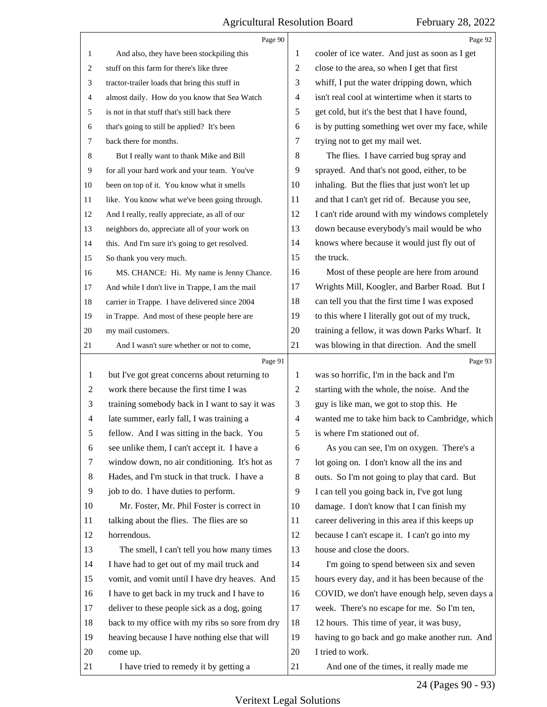|                | Page 90                                         |                | Page 92                                         |
|----------------|-------------------------------------------------|----------------|-------------------------------------------------|
| $\mathbf{1}$   | And also, they have been stockpiling this       | 1              | cooler of ice water. And just as soon as I get  |
| 2              | stuff on this farm for there's like three       | 2              | close to the area, so when I get that first     |
| 3              | tractor-trailer loads that bring this stuff in  | 3              | whiff, I put the water dripping down, which     |
| 4              | almost daily. How do you know that Sea Watch    | $\overline{4}$ | isn't real cool at wintertime when it starts to |
| 5              | is not in that stuff that's still back there    | 5              | get cold, but it's the best that I have found,  |
| 6              | that's going to still be applied? It's been     | 6              | is by putting something wet over my face, while |
| 7              | back there for months.                          | 7              | trying not to get my mail wet.                  |
| 8              | But I really want to thank Mike and Bill        | 8              | The flies. I have carried bug spray and         |
| 9              | for all your hard work and your team. You've    | 9              | sprayed. And that's not good, either, to be     |
| 10             | been on top of it. You know what it smells      | 10             | inhaling. But the flies that just won't let up  |
| 11             | like. You know what we've been going through.   | 11             | and that I can't get rid of. Because you see,   |
| 12             | And I really, really appreciate, as all of our  | 12             | I can't ride around with my windows completely  |
| 13             | neighbors do, appreciate all of your work on    | 13             | down because everybody's mail would be who      |
| 14             | this. And I'm sure it's going to get resolved.  | 14             | knows where because it would just fly out of    |
| 15             | So thank you very much.                         | 15             | the truck.                                      |
| 16             | MS. CHANCE: Hi. My name is Jenny Chance.        | 16             | Most of these people are here from around       |
| 17             | And while I don't live in Trappe, I am the mail | 17             | Wrights Mill, Koogler, and Barber Road. But I   |
| 18             | carrier in Trappe. I have delivered since 2004  | 18             | can tell you that the first time I was exposed  |
| 19             | in Trappe. And most of these people here are    | 19             | to this where I literally got out of my truck,  |
| 20             | my mail customers.                              | 20             | training a fellow, it was down Parks Wharf. It  |
| 21             | And I wasn't sure whether or not to come,       | 21             | was blowing in that direction. And the smell    |
|                |                                                 |                |                                                 |
|                | Page 91                                         |                | Page 93                                         |
| 1              | but I've got great concerns about returning to  | 1              | was so horrific, I'm in the back and I'm        |
| $\overline{2}$ | work there because the first time I was         | $\overline{2}$ | starting with the whole, the noise. And the     |
| 3              | training somebody back in I want to say it was  | 3              | guy is like man, we got to stop this. He        |
| $\overline{4}$ | late summer, early fall, I was training a       | $\overline{4}$ | wanted me to take him back to Cambridge, which  |
| 5              | fellow. And I was sitting in the back. You      | 5              | is where I'm stationed out of.                  |
| 6              | see unlike them, I can't accept it. I have a    | 6              | As you can see, I'm on oxygen. There's a        |
| 7              | window down, no air conditioning. It's hot as   | 7              | lot going on. I don't know all the ins and      |
| 8              | Hades, and I'm stuck in that truck. I have a    | 8              | outs. So I'm not going to play that card. But   |
| 9              | job to do. I have duties to perform.            | 9              | I can tell you going back in, I've got lung     |
| 10             | Mr. Foster, Mr. Phil Foster is correct in       | 10             | damage. I don't know that I can finish my       |
| 11             | talking about the flies. The flies are so       | 11             | career delivering in this area if this keeps up |
| 12             | horrendous.                                     | 12             | because I can't escape it. I can't go into my   |
| 13             | The smell, I can't tell you how many times      | 13             | house and close the doors.                      |
| 14             | I have had to get out of my mail truck and      | 14             | I'm going to spend between six and seven        |
| 15             | vomit, and vomit until I have dry heaves. And   | 15             | hours every day, and it has been because of the |
| 16             | I have to get back in my truck and I have to    | 16             | COVID, we don't have enough help, seven days a  |
| 17             | deliver to these people sick as a dog, going    | 17             | week. There's no escape for me. So I'm ten,     |
| 18             | back to my office with my ribs so sore from dry | 18             | 12 hours. This time of year, it was busy,       |
| 19             | heaving because I have nothing else that will   | 19             | having to go back and go make another run. And  |
| 20             | come up.                                        | 20             | I tried to work.                                |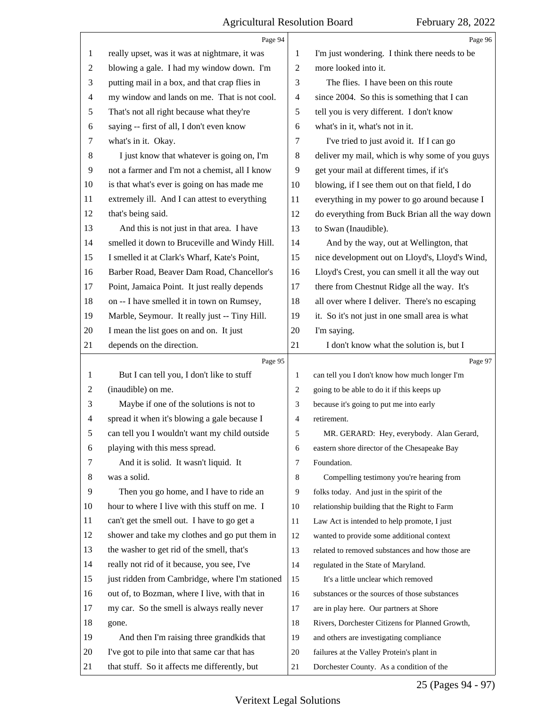|                | Page 94                                         |                | Page 96                                         |
|----------------|-------------------------------------------------|----------------|-------------------------------------------------|
| $\mathbf{1}$   | really upset, was it was at nightmare, it was   | 1              | I'm just wondering. I think there needs to be   |
| $\overline{2}$ | blowing a gale. I had my window down. I'm       | $\overline{2}$ | more looked into it.                            |
| 3              | putting mail in a box, and that crap flies in   | 3              | The flies. I have been on this route            |
| 4              | my window and lands on me. That is not cool.    | 4              | since 2004. So this is something that I can     |
| 5              | That's not all right because what they're       | 5              | tell you is very different. I don't know        |
| 6              | saying -- first of all, I don't even know       | 6              | what's in it, what's not in it.                 |
| 7              | what's in it. Okay.                             | 7              | I've tried to just avoid it. If I can go        |
| $8\,$          | I just know that whatever is going on, I'm      | 8              | deliver my mail, which is why some of you guys  |
| $\overline{9}$ | not a farmer and I'm not a chemist, all I know  | 9              | get your mail at different times, if it's       |
| 10             | is that what's ever is going on has made me     | 10             | blowing, if I see them out on that field, I do  |
| 11             | extremely ill. And I can attest to everything   | 11             | everything in my power to go around because I   |
| 12             | that's being said.                              | 12             | do everything from Buck Brian all the way down  |
| 13             | And this is not just in that area. I have       | 13             | to Swan (Inaudible).                            |
| 14             | smelled it down to Bruceville and Windy Hill.   | 14             | And by the way, out at Wellington, that         |
| 15             | I smelled it at Clark's Wharf, Kate's Point,    | 15             | nice development out on Lloyd's, Lloyd's Wind,  |
| 16             | Barber Road, Beaver Dam Road, Chancellor's      | 16             | Lloyd's Crest, you can smell it all the way out |
| 17             | Point, Jamaica Point. It just really depends    | 17             | there from Chestnut Ridge all the way. It's     |
| 18             | on -- I have smelled it in town on Rumsey,      | 18             | all over where I deliver. There's no escaping   |
| 19             | Marble, Seymour. It really just -- Tiny Hill.   | 19             | it. So it's not just in one small area is what  |
| 20             | I mean the list goes on and on. It just         | $20\,$         | I'm saying.                                     |
| 21             | depends on the direction.                       | 21             | I don't know what the solution is, but I        |
|                | Page 95                                         |                | Page 97                                         |
| 1              | But I can tell you, I don't like to stuff       | $\mathbf{1}$   | can tell you I don't know how much longer I'm   |
| 2              | (inaudible) on me.                              | 2              | going to be able to do it if this keeps up      |
| 3              | Maybe if one of the solutions is not to         | 3              | because it's going to put me into early         |
| 4              | spread it when it's blowing a gale because I    | $\overline{4}$ | retirement.                                     |
| 5              | can tell you I wouldn't want my child outside   | 5              | MR. GERARD: Hey, everybody. Alan Gerard,        |
| 6              | playing with this mess spread.                  | 6              | eastern shore director of the Chesapeake Bay    |
| 7              | And it is solid. It wasn't liquid. It           | 7              | Foundation.                                     |
| 8              | was a solid.                                    | 8              | Compelling testimony you're hearing from        |
| 9              | Then you go home, and I have to ride an         | 9              | folks today. And just in the spirit of the      |
| 10             |                                                 |                |                                                 |
| 11             | hour to where I live with this stuff on me. I   | 10             | relationship building that the Right to Farm    |
|                | can't get the smell out. I have to go get a     | 11             | Law Act is intended to help promote, I just     |
| 12             | shower and take my clothes and go put them in   | 12             | wanted to provide some additional context       |
| 13             | the washer to get rid of the smell, that's      | 13             | related to removed substances and how those are |
| 14             | really not rid of it because, you see, I've     | 14             | regulated in the State of Maryland.             |
| 15             | just ridden from Cambridge, where I'm stationed | 15             | It's a little unclear which removed             |
| 16             | out of, to Bozman, where I live, with that in   | 16             | substances or the sources of those substances   |
| 17             | my car. So the smell is always really never     | 17             | are in play here. Our partners at Shore         |
| 18             | gone.                                           | 18             | Rivers, Dorchester Citizens for Planned Growth, |
| 19             | And then I'm raising three grandkids that       | 19             | and others are investigating compliance         |
| 20             | I've got to pile into that same car that has    | 20             | failures at the Valley Protein's plant in       |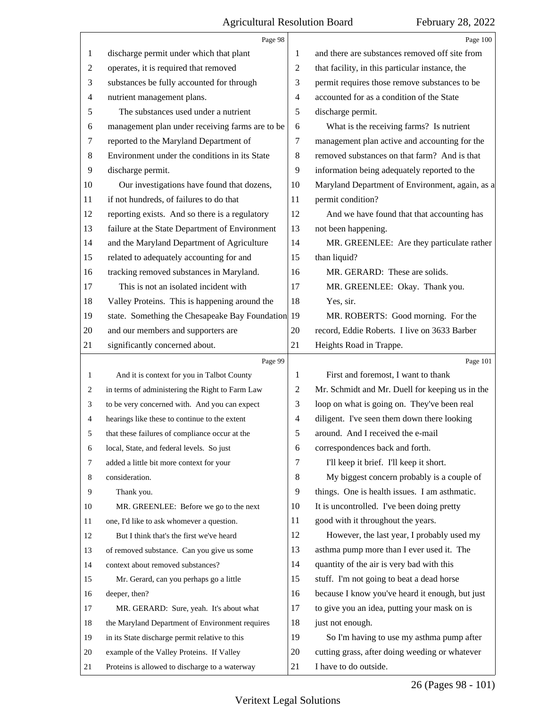|                | Page 98                                           |    | Page 100                                        |
|----------------|---------------------------------------------------|----|-------------------------------------------------|
| 1              | discharge permit under which that plant           | 1  | and there are substances removed off site from  |
| $\overline{c}$ | operates, it is required that removed             | 2  | that facility, in this particular instance, the |
| 3              | substances be fully accounted for through         | 3  | permit requires those remove substances to be   |
| $\overline{4}$ | nutrient management plans.                        | 4  | accounted for as a condition of the State       |
| 5              | The substances used under a nutrient              | 5  | discharge permit.                               |
| 6              | management plan under receiving farms are to be   | 6  | What is the receiving farms? Is nutrient        |
| $\tau$         | reported to the Maryland Department of            | 7  | management plan active and accounting for the   |
| 8              | Environment under the conditions in its State     | 8  | removed substances on that farm? And is that    |
| 9              | discharge permit.                                 | 9  | information being adequately reported to the    |
| 10             | Our investigations have found that dozens,        | 10 | Maryland Department of Environment, again, as a |
| 11             | if not hundreds, of failures to do that           | 11 | permit condition?                               |
| 12             | reporting exists. And so there is a regulatory    | 12 | And we have found that that accounting has      |
| 13             | failure at the State Department of Environment    | 13 | not been happening.                             |
| 14             | and the Maryland Department of Agriculture        | 14 | MR. GREENLEE: Are they particulate rather       |
| 15             | related to adequately accounting for and          | 15 | than liquid?                                    |
| 16             | tracking removed substances in Maryland.          | 16 | MR. GERARD: These are solids.                   |
| 17             | This is not an isolated incident with             | 17 | MR. GREENLEE: Okay. Thank you.                  |
| 18             | Valley Proteins. This is happening around the     | 18 | Yes, sir.                                       |
| 19             | state. Something the Chesapeake Bay Foundation 19 |    | MR. ROBERTS: Good morning. For the              |
| 20             | and our members and supporters are                | 20 | record, Eddie Roberts. I live on 3633 Barber    |
| 21             | significantly concerned about.                    | 21 | Heights Road in Trappe.                         |
|                | Page 99                                           |    | Page 101                                        |
| $\mathbf{1}$   | And it is context for you in Talbot County        | 1  | First and foremost, I want to thank             |
| 2              | in terms of administering the Right to Farm Law   | 2  | Mr. Schmidt and Mr. Duell for keeping us in the |
| 3              | to be very concerned with. And you can expect     | 3  | loop on what is going on. They've been real     |
| 4              | hearings like these to continue to the extent     | 4  | diligent. I've seen them down there looking     |
| 5              | that these failures of compliance occur at the    | 5  | around. And I received the e-mail               |
| 6              | local, State, and federal levels. So just         | 6  |                                                 |
| 7              |                                                   |    | correspondences back and forth.                 |
| 8              | added a little bit more context for your          | 7  | I'll keep it brief. I'll keep it short.         |
|                | consideration.                                    | 8  | My biggest concern probably is a couple of      |
| 9              | Thank you.                                        | 9  | things. One is health issues. I am asthmatic.   |
| 10             | MR. GREENLEE: Before we go to the next            | 10 | It is uncontrolled. I've been doing pretty      |
| 11             | one, I'd like to ask whomever a question.         | 11 | good with it throughout the years.              |
| 12             | But I think that's the first we've heard          | 12 | However, the last year, I probably used my      |
| 13             | of removed substance. Can you give us some        | 13 | asthma pump more than I ever used it. The       |
| 14             | context about removed substances?                 | 14 | quantity of the air is very bad with this       |
| 15             | Mr. Gerard, can you perhaps go a little           | 15 | stuff. I'm not going to beat a dead horse       |
| 16             | deeper, then?                                     | 16 | because I know you've heard it enough, but just |
| 17             | MR. GERARD: Sure, yeah. It's about what           | 17 | to give you an idea, putting your mask on is    |
| 18             | the Maryland Department of Environment requires   | 18 | just not enough.                                |
| 19             | in its State discharge permit relative to this    | 19 | So I'm having to use my asthma pump after       |
| 20             | example of the Valley Proteins. If Valley         | 20 | cutting grass, after doing weeding or whatever  |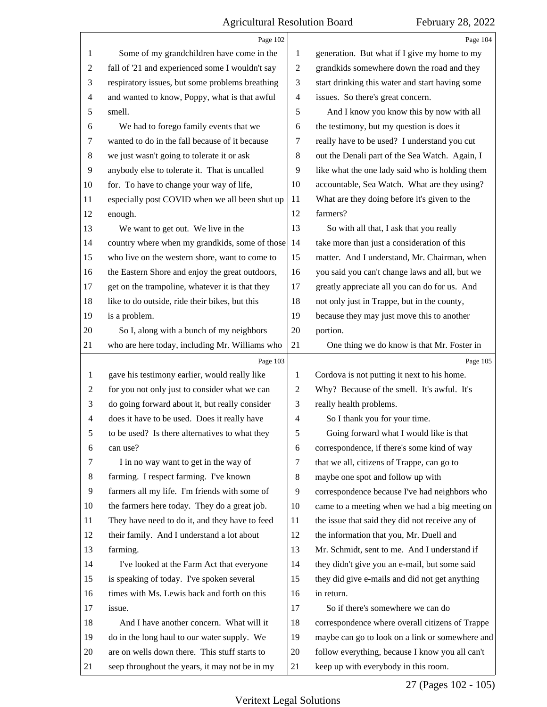|                | Page 102                                        |                | Page 104                                        |
|----------------|-------------------------------------------------|----------------|-------------------------------------------------|
| 1              | Some of my grandchildren have come in the       | 1              | generation. But what if I give my home to my    |
| $\overline{c}$ | fall of '21 and experienced some I wouldn't say | $\sqrt{2}$     | grandkids somewhere down the road and they      |
| 3              | respiratory issues, but some problems breathing | 3              | start drinking this water and start having some |
| 4              | and wanted to know, Poppy, what is that awful   | $\overline{4}$ | issues. So there's great concern.               |
| 5              | smell.                                          | 5              | And I know you know this by now with all        |
| 6              | We had to forego family events that we          | 6              | the testimony, but my question is does it       |
| 7              | wanted to do in the fall because of it because  | 7              | really have to be used? I understand you cut    |
| 8              | we just wasn't going to tolerate it or ask      | 8              | out the Denali part of the Sea Watch. Again, I  |
| 9              | anybody else to tolerate it. That is uncalled   | 9              | like what the one lady said who is holding them |
| 10             | for. To have to change your way of life,        | 10             | accountable, Sea Watch. What are they using?    |
| 11             | especially post COVID when we all been shut up  | 11             | What are they doing before it's given to the    |
| 12             | enough.                                         | 12             | farmers?                                        |
| 13             | We want to get out. We live in the              | 13             | So with all that, I ask that you really         |
| 14             | country where when my grandkids, some of those  | 14             | take more than just a consideration of this     |
| 15             | who live on the western shore, want to come to  | 15             | matter. And I understand, Mr. Chairman, when    |
| 16             | the Eastern Shore and enjoy the great outdoors, | 16             | you said you can't change laws and all, but we  |
| 17             | get on the trampoline, whatever it is that they | 17             | greatly appreciate all you can do for us. And   |
| 18             | like to do outside, ride their bikes, but this  | 18             | not only just in Trappe, but in the county,     |
| 19             | is a problem.                                   | 19             | because they may just move this to another      |
| 20             | So I, along with a bunch of my neighbors        | 20             | portion.                                        |
| 21             | who are here today, including Mr. Williams who  | 21             | One thing we do know is that Mr. Foster in      |
|                |                                                 |                |                                                 |
|                | Page 103                                        |                | Page 105                                        |
| $\mathbf{1}$   | gave his testimony earlier, would really like   | 1              | Cordova is not putting it next to his home.     |
| 2              | for you not only just to consider what we can   | $\overline{c}$ | Why? Because of the smell. It's awful. It's     |
| 3              | do going forward about it, but really consider  | 3              | really health problems.                         |
| $\overline{4}$ | does it have to be used. Does it really have    | $\overline{4}$ | So I thank you for your time.                   |
| 5              | to be used? Is there alternatives to what they  | 5              | Going forward what I would like is that         |
| 6              | can use?                                        | 6              | correspondence, if there's some kind of way     |
| 7              | I in no way want to get in the way of           | 7              | that we all, citizens of Trappe, can go to      |
| 8              | farming. I respect farming. I've known          | 8              | maybe one spot and follow up with               |
| 9              | farmers all my life. I'm friends with some of   | 9              | correspondence because I've had neighbors who   |
| 10             | the farmers here today. They do a great job.    | 10             | came to a meeting when we had a big meeting on  |
| 11             | They have need to do it, and they have to feed  | 11             | the issue that said they did not receive any of |
| 12             | their family. And I understand a lot about      | 12             | the information that you, Mr. Duell and         |
| 13             | farming.                                        | 13             | Mr. Schmidt, sent to me. And I understand if    |
| 14             | I've looked at the Farm Act that everyone       | 14             | they didn't give you an e-mail, but some said   |
| 15             | is speaking of today. I've spoken several       | 15             | they did give e-mails and did not get anything  |
| 16             | times with Ms. Lewis back and forth on this     | 16             | in return.                                      |
| 17             | issue.                                          | 17             | So if there's somewhere we can do               |
| 18             | And I have another concern. What will it        | 18             | correspondence where overall citizens of Trappe |
| 19             | do in the long haul to our water supply. We     | 19             | maybe can go to look on a link or somewhere and |
| 20             | are on wells down there. This stuff starts to   | 20             | follow everything, because I know you all can't |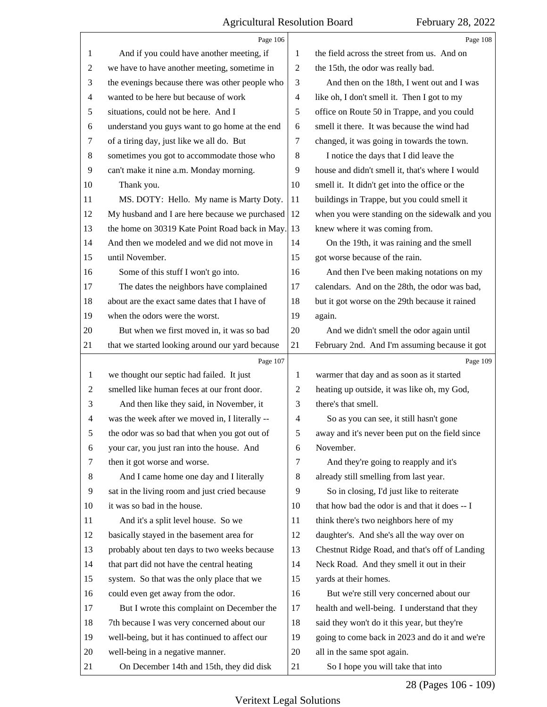|                          | Page 106                                        |                | Page 108                                        |
|--------------------------|-------------------------------------------------|----------------|-------------------------------------------------|
| 1                        | And if you could have another meeting, if       | 1              | the field across the street from us. And on     |
| $\overline{c}$           | we have to have another meeting, sometime in    | $\overline{2}$ | the 15th, the odor was really bad.              |
| 3                        | the evenings because there was other people who | 3              | And then on the 18th, I went out and I was      |
| $\overline{4}$           | wanted to be here but because of work           | 4              | like oh, I don't smell it. Then I got to my     |
| 5                        | situations, could not be here. And I            | 5              | office on Route 50 in Trappe, and you could     |
| 6                        | understand you guys want to go home at the end  | 6              | smell it there. It was because the wind had     |
| 7                        | of a tiring day, just like we all do. But       | 7              | changed, it was going in towards the town.      |
| 8                        | sometimes you got to accommodate those who      | $\,8\,$        | I notice the days that I did leave the          |
| $\overline{9}$           | can't make it nine a.m. Monday morning.         | 9              | house and didn't smell it, that's where I would |
| 10                       | Thank you.                                      | 10             | smell it. It didn't get into the office or the  |
| 11                       | MS. DOTY: Hello. My name is Marty Doty.         | 11             | buildings in Trappe, but you could smell it     |
| 12                       | My husband and I are here because we purchased  | 12             | when you were standing on the sidewalk and you  |
| 13                       | the home on 30319 Kate Point Road back in May.  | 13             | knew where it was coming from.                  |
| 14                       | And then we modeled and we did not move in      | 14             | On the 19th, it was raining and the smell       |
| 15                       | until November.                                 | 15             | got worse because of the rain.                  |
| 16                       | Some of this stuff I won't go into.             | 16             | And then I've been making notations on my       |
| 17                       | The dates the neighbors have complained         | 17             | calendars. And on the 28th, the odor was bad,   |
| 18                       | about are the exact same dates that I have of   | 18             | but it got worse on the 29th because it rained  |
| 19                       | when the odors were the worst.                  | 19             | again.                                          |
| 20                       | But when we first moved in, it was so bad       | 20             | And we didn't smell the odor again until        |
| 21                       | that we started looking around our yard because | 21             | February 2nd. And I'm assuming because it got   |
|                          |                                                 |                |                                                 |
|                          | Page 107                                        |                | Page 109                                        |
| 1                        | we thought our septic had failed. It just       | 1              | warmer that day and as soon as it started       |
| $\overline{c}$           | smelled like human feces at our front door.     | $\overline{c}$ | heating up outside, it was like oh, my God,     |
| 3                        | And then like they said, in November, it        | 3              | there's that smell.                             |
| $\overline{\mathcal{A}}$ | was the week after we moved in, I literally --  | $\overline{4}$ | So as you can see, it still hasn't gone         |
| 5                        | the odor was so bad that when you got out of    | 5              | away and it's never been put on the field since |
| 6                        | your car, you just ran into the house. And      | 6              | November.                                       |
| 7                        | then it got worse and worse.                    | $\tau$         | And they're going to reapply and it's           |
| 8                        | And I came home one day and I literally         | 8              | already still smelling from last year.          |
| 9                        | sat in the living room and just cried because   | 9              | So in closing, I'd just like to reiterate       |
| 10                       | it was so bad in the house.                     | 10             | that how bad the odor is and that it does -- I  |
| 11                       | And it's a split level house. So we             | 11             | think there's two neighbors here of my          |
| 12                       | basically stayed in the basement area for       | 12             | daughter's. And she's all the way over on       |
| 13                       | probably about ten days to two weeks because    | 13             | Chestnut Ridge Road, and that's off of Landing  |
| 14                       | that part did not have the central heating      | 14             | Neck Road. And they smell it out in their       |
| 15                       | system. So that was the only place that we      | 15             | yards at their homes.                           |
| 16                       | could even get away from the odor.              | 16             | But we're still very concerned about our        |
| 17                       | But I wrote this complaint on December the      | 17             | health and well-being. I understand that they   |
| 18                       | 7th because I was very concerned about our      | 18             | said they won't do it this year, but they're    |
| 19                       | well-being, but it has continued to affect our  | 19             | going to come back in 2023 and do it and we're  |
| 20                       | well-being in a negative manner.                | 20             | all in the same spot again.                     |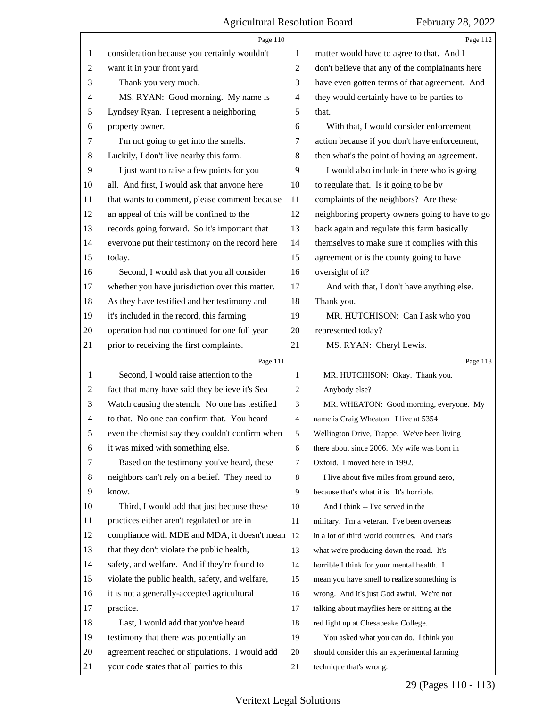|                | Page 110                                        |                | Page 112                                        |
|----------------|-------------------------------------------------|----------------|-------------------------------------------------|
| 1              | consideration because you certainly wouldn't    | 1              | matter would have to agree to that. And I       |
| 2              | want it in your front yard.                     | $\overline{c}$ | don't believe that any of the complainants here |
| 3              | Thank you very much.                            | 3              | have even gotten terms of that agreement. And   |
| 4              | MS. RYAN: Good morning. My name is              | $\overline{4}$ | they would certainly have to be parties to      |
| 5              | Lyndsey Ryan. I represent a neighboring         | 5              | that.                                           |
| 6              | property owner.                                 | 6              | With that, I would consider enforcement         |
| 7              | I'm not going to get into the smells.           | 7              | action because if you don't have enforcement,   |
| 8              | Luckily, I don't live nearby this farm.         | 8              | then what's the point of having an agreement.   |
| 9              | I just want to raise a few points for you       | 9              | I would also include in there who is going      |
| 10             | all. And first, I would ask that anyone here    | 10             | to regulate that. Is it going to be by          |
| 11             | that wants to comment, please comment because   | 11             | complaints of the neighbors? Are these          |
| 12             | an appeal of this will be confined to the       | 12             | neighboring property owners going to have to go |
| 13             | records going forward. So it's important that   | 13             | back again and regulate this farm basically     |
| 14             | everyone put their testimony on the record here | 14             | themselves to make sure it complies with this   |
| 15             | today.                                          | 15             | agreement or is the county going to have        |
| 16             | Second, I would ask that you all consider       | 16             | oversight of it?                                |
| 17             | whether you have jurisdiction over this matter. | 17             | And with that, I don't have anything else.      |
| 18             | As they have testified and her testimony and    | 18             | Thank you.                                      |
| 19             | it's included in the record, this farming       | 19             | MR. HUTCHISON: Can I ask who you                |
| 20             | operation had not continued for one full year   | 20             | represented today?                              |
| 21             | prior to receiving the first complaints.        | 21             | MS. RYAN: Cheryl Lewis.                         |
|                |                                                 |                |                                                 |
|                | Page 111                                        |                | Page 113                                        |
| 1              | Second, I would raise attention to the          | 1              | MR. HUTCHISON: Okay. Thank you.                 |
| 2              | fact that many have said they believe it's Sea  | $\overline{c}$ | Anybody else?                                   |
| 3              | Watch causing the stench. No one has testified  | 3              | MR. WHEATON: Good morning, everyone. My         |
| $\overline{4}$ | to that. No one can confirm that. You heard     | $\overline{4}$ | name is Craig Wheaton. I live at 5354           |
| 5              | even the chemist say they couldn't confirm when | 5 <sup>5</sup> | Wellington Drive, Trappe. We've been living     |
| 6              | it was mixed with something else.               | 6              | there about since 2006. My wife was born in     |
| 7              | Based on the testimony you've heard, these      | 7              | Oxford. I moved here in 1992.                   |
| 8              | neighbors can't rely on a belief. They need to  | 8              | I live about five miles from ground zero,       |
| 9              | know.                                           | 9              | because that's what it is. It's horrible.       |
| 10             | Third, I would add that just because these      | 10             | And I think -- I've served in the               |
| 11             | practices either aren't regulated or are in     | 11             | military. I'm a veteran. I've been overseas     |
| 12             | compliance with MDE and MDA, it doesn't mean    | 12             | in a lot of third world countries. And that's   |
| 13             | that they don't violate the public health,      | 13             | what we're producing down the road. It's        |
| 14             | safety, and welfare. And if they're found to    | 14             | horrible I think for your mental health. I      |
| 15             | violate the public health, safety, and welfare, | 15             | mean you have smell to realize something is     |
| 16             | it is not a generally-accepted agricultural     | 16             | wrong. And it's just God awful. We're not       |
| 17             | practice.                                       | 17             | talking about mayflies here or sitting at the   |
| 18             | Last, I would add that you've heard             | 18             | red light up at Chesapeake College.             |
| 19             | testimony that there was potentially an         | 19             | You asked what you can do. I think you          |
| 20             | agreement reached or stipulations. I would add  | 20             | should consider this an experimental farming    |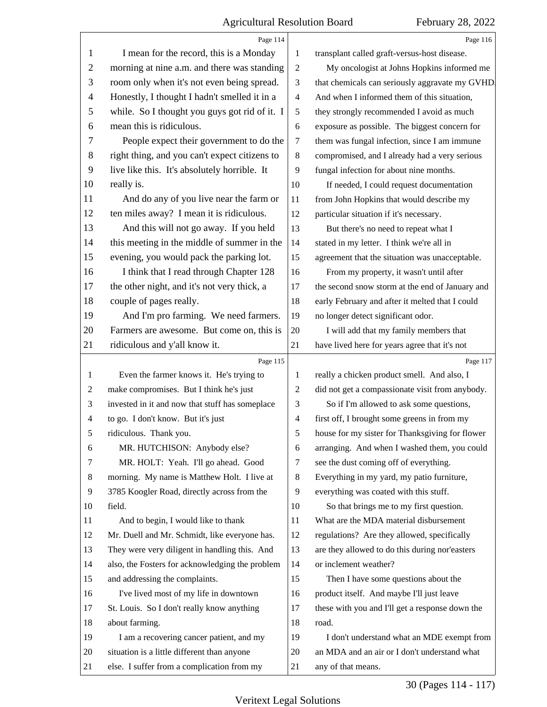|                | Page 114                                        |                | Page 116                                        |
|----------------|-------------------------------------------------|----------------|-------------------------------------------------|
| 1              | I mean for the record, this is a Monday         | 1              | transplant called graft-versus-host disease.    |
| $\overline{2}$ | morning at nine a.m. and there was standing     | $\overline{c}$ | My oncologist at Johns Hopkins informed me      |
| 3              | room only when it's not even being spread.      | 3              | that chemicals can seriously aggravate my GVHD. |
| $\overline{4}$ | Honestly, I thought I hadn't smelled it in a    | $\overline{4}$ | And when I informed them of this situation,     |
| 5              | while. So I thought you guys got rid of it. I   | 5              | they strongly recommended I avoid as much       |
| 6              | mean this is ridiculous.                        | 6              | exposure as possible. The biggest concern for   |
| 7              | People expect their government to do the        | 7              | them was fungal infection, since I am immune    |
| 8              | right thing, and you can't expect citizens to   | $\,8\,$        | compromised, and I already had a very serious   |
| 9              | live like this. It's absolutely horrible. It    | 9              | fungal infection for about nine months.         |
| 10             | really is.                                      | 10             | If needed, I could request documentation        |
| 11             | And do any of you live near the farm or         | 11             | from John Hopkins that would describe my        |
| 12             | ten miles away? I mean it is ridiculous.        | 12             | particular situation if it's necessary.         |
| 13             | And this will not go away. If you held          | 13             | But there's no need to repeat what I            |
| 14             | this meeting in the middle of summer in the     | 14             | stated in my letter. I think we're all in       |
| 15             | evening, you would pack the parking lot.        | 15             | agreement that the situation was unacceptable.  |
| 16             | I think that I read through Chapter 128         | 16             | From my property, it wasn't until after         |
| 17             | the other night, and it's not very thick, a     | 17             | the second snow storm at the end of January and |
| 18             | couple of pages really.                         | 18             | early February and after it melted that I could |
| 19             | And I'm pro farming. We need farmers.           | 19             | no longer detect significant odor.              |
| 20             | Farmers are awesome. But come on, this is       | 20             | I will add that my family members that          |
| 21             | ridiculous and y'all know it.                   | 21             | have lived here for years agree that it's not   |
|                |                                                 |                |                                                 |
|                | Page 115                                        |                | Page 117                                        |
| 1              | Even the farmer knows it. He's trying to        | 1              | really a chicken product smell. And also, I     |
| 2              | make compromises. But I think he's just         | $\overline{c}$ | did not get a compassionate visit from anybody. |
| 3              | invested in it and now that stuff has someplace | 3              | So if I'm allowed to ask some questions,        |
| $\overline{4}$ | to go. I don't know. But it's just              | $\overline{4}$ | first off, I brought some greens in from my     |
| 5              | ridiculous. Thank you.                          | 5              | house for my sister for Thanksgiving for flower |
| 6              | MR. HUTCHISON: Anybody else?                    | 6              | arranging. And when I washed them, you could    |
| 7              | MR. HOLT: Yeah. I'll go ahead. Good             | 7              | see the dust coming off of everything.          |
| 8              | morning. My name is Matthew Holt. I live at     | 8              | Everything in my yard, my patio furniture,      |
| 9              | 3785 Koogler Road, directly across from the     | 9              | everything was coated with this stuff.          |
| 10             | field.                                          | 10             | So that brings me to my first question.         |
| 11             | And to begin, I would like to thank             | 11             | What are the MDA material disbursement          |
| 12             | Mr. Duell and Mr. Schmidt, like everyone has.   | 12             | regulations? Are they allowed, specifically     |
| 13             | They were very diligent in handling this. And   | 13             | are they allowed to do this during nor'easters  |
| 14             | also, the Fosters for acknowledging the problem | 14             | or inclement weather?                           |
| 15             | and addressing the complaints.                  | 15             | Then I have some questions about the            |
| 16             | I've lived most of my life in downtown          | 16             | product itself. And maybe I'll just leave       |
| 17             | St. Louis. So I don't really know anything      | 17             | these with you and I'll get a response down the |
| 18             | about farming.                                  | 18             | road.                                           |
| 19             | I am a recovering cancer patient, and my        | 19             | I don't understand what an MDE exempt from      |
| 20             | situation is a little different than anyone     | 20             | an MDA and an air or I don't understand what    |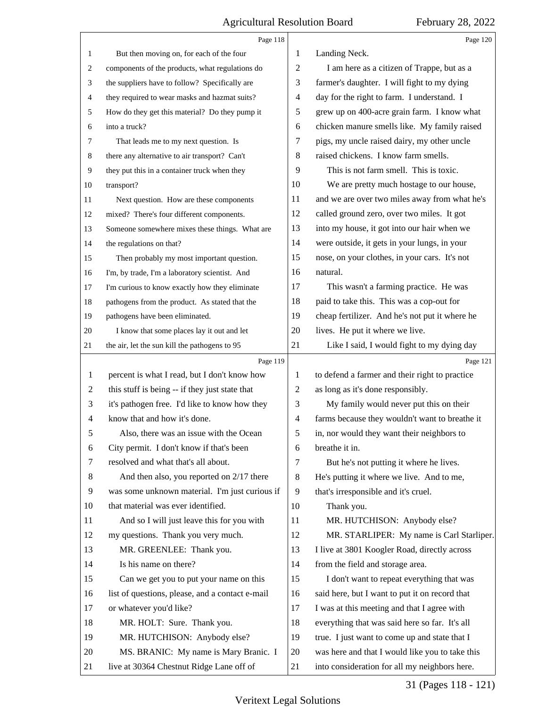|              | Page 118                                        |                | Page 120                                        |
|--------------|-------------------------------------------------|----------------|-------------------------------------------------|
| $\mathbf{1}$ | But then moving on, for each of the four        | 1              | Landing Neck.                                   |
| 2            | components of the products, what regulations do | 2              | I am here as a citizen of Trappe, but as a      |
| 3            | the suppliers have to follow? Specifically are  | 3              | farmer's daughter. I will fight to my dying     |
| 4            | they required to wear masks and hazmat suits?   | 4              | day for the right to farm. I understand. I      |
| 5            | How do they get this material? Do they pump it  | 5              | grew up on 400-acre grain farm. I know what     |
| 6            | into a truck?                                   | 6              | chicken manure smells like. My family raised    |
| 7            | That leads me to my next question. Is           | 7              | pigs, my uncle raised dairy, my other uncle     |
| 8            | there any alternative to air transport? Can't   | 8              | raised chickens. I know farm smells.            |
| 9            | they put this in a container truck when they    | 9              | This is not farm smell. This is toxic.          |
| 10           | transport?                                      | 10             | We are pretty much hostage to our house,        |
| 11           | Next question. How are these components         | 11             | and we are over two miles away from what he's   |
| 12           | mixed? There's four different components.       | 12             | called ground zero, over two miles. It got      |
| 13           | Someone somewhere mixes these things. What are  | 13             | into my house, it got into our hair when we     |
| 14           | the regulations on that?                        | 14             | were outside, it gets in your lungs, in your    |
| 15           | Then probably my most important question.       | 15             | nose, on your clothes, in your cars. It's not   |
| 16           | I'm, by trade, I'm a laboratory scientist. And  | 16             | natural.                                        |
| 17           | I'm curious to know exactly how they eliminate  | 17             | This wasn't a farming practice. He was          |
| 18           | pathogens from the product. As stated that the  | 18             | paid to take this. This was a cop-out for       |
| 19           | pathogens have been eliminated.                 | 19             | cheap fertilizer. And he's not put it where he  |
| 20           | I know that some places lay it out and let      | 20             | lives. He put it where we live.                 |
| 21           | the air, let the sun kill the pathogens to 95   | 21             | Like I said, I would fight to my dying day      |
|              | Page 119                                        |                | Page 121                                        |
| 1            | percent is what I read, but I don't know how    | 1              | to defend a farmer and their right to practice  |
| 2            | this stuff is being -- if they just state that  | 2              | as long as it's done responsibly.               |
| 3            | it's pathogen free. I'd like to know how they   | 3              |                                                 |
| 4            |                                                 |                | My family would never put this on their         |
|              | know that and how it's done.                    | $\overline{4}$ | farms because they wouldn't want to breathe it  |
| 5            | Also, there was an issue with the Ocean         | 5              | in, nor would they want their neighbors to      |
| 6            | City permit. I don't know if that's been        | 6              | breathe it in.                                  |
| 7            | resolved and what that's all about.             | 7              | But he's not putting it where he lives.         |
| 8            | And then also, you reported on 2/17 there       | 8              | He's putting it where we live. And to me,       |
| 9            | was some unknown material. I'm just curious if  | 9              | that's irresponsible and it's cruel.            |
| 10           | that material was ever identified.              | 10             | Thank you.                                      |
| 11           | And so I will just leave this for you with      | 11             | MR. HUTCHISON: Anybody else?                    |
| 12           | my questions. Thank you very much.              | 12             | MR. STARLIPER: My name is Carl Starliper.       |
| 13           | MR. GREENLEE: Thank you.                        | 13             | I live at 3801 Koogler Road, directly across    |
| 14           | Is his name on there?                           | 14             | from the field and storage area.                |
| 15           | Can we get you to put your name on this         | 15             | I don't want to repeat everything that was      |
| 16           | list of questions, please, and a contact e-mail | 16             | said here, but I want to put it on record that  |
| 17           | or whatever you'd like?                         | 17             | I was at this meeting and that I agree with     |
| 18           | MR. HOLT: Sure. Thank you.                      | 18             | everything that was said here so far. It's all  |
| 19           | MR. HUTCHISON: Anybody else?                    | 19             | true. I just want to come up and state that I   |
| 20           | MS. BRANIC: My name is Mary Branic. I           | 20             | was here and that I would like you to take this |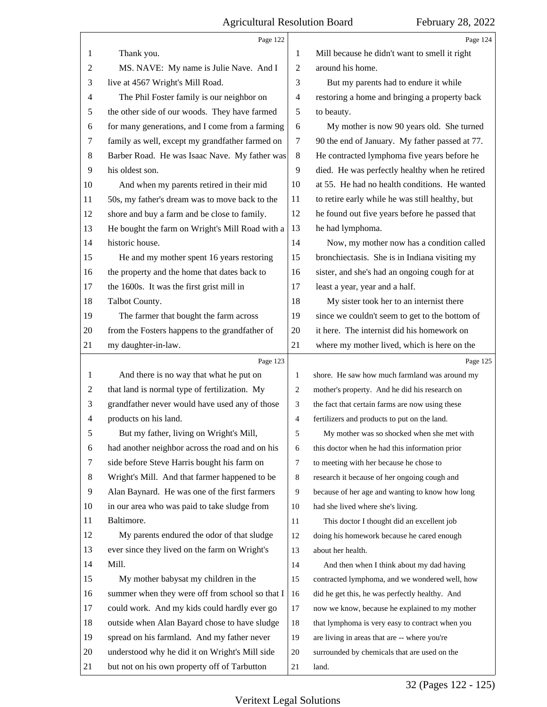|                | Page 122                                        |                | Page 124                                        |
|----------------|-------------------------------------------------|----------------|-------------------------------------------------|
| 1              | Thank you.                                      | 1              | Mill because he didn't want to smell it right   |
| $\overline{c}$ | MS. NAVE: My name is Julie Nave. And I          | $\overline{2}$ | around his home.                                |
| 3              | live at 4567 Wright's Mill Road.                | 3              | But my parents had to endure it while           |
| 4              | The Phil Foster family is our neighbor on       | $\overline{4}$ | restoring a home and bringing a property back   |
| 5              | the other side of our woods. They have farmed   | 5              | to beauty.                                      |
| 6              | for many generations, and I come from a farming | 6              | My mother is now 90 years old. She turned       |
| 7              | family as well, except my grandfather farmed on | $\tau$         | 90 the end of January. My father passed at 77.  |
| 8              | Barber Road. He was Isaac Nave. My father was   | 8              | He contracted lymphoma five years before he     |
| 9              | his oldest son.                                 | 9              | died. He was perfectly healthy when he retired  |
| 10             | And when my parents retired in their mid        | 10             | at 55. He had no health conditions. He wanted   |
| 11             | 50s, my father's dream was to move back to the  | 11             | to retire early while he was still healthy, but |
| 12             | shore and buy a farm and be close to family.    | 12             | he found out five years before he passed that   |
| 13             | He bought the farm on Wright's Mill Road with a | 13             | he had lymphoma.                                |
| 14             | historic house.                                 | 14             | Now, my mother now has a condition called       |
| 15             | He and my mother spent 16 years restoring       | 15             | bronchiectasis. She is in Indiana visiting my   |
| 16             | the property and the home that dates back to    | 16             | sister, and she's had an ongoing cough for at   |
| 17             | the 1600s. It was the first grist mill in       | 17             | least a year, year and a half.                  |
| 18             | Talbot County.                                  | 18             | My sister took her to an internist there        |
| 19             | The farmer that bought the farm across          | 19             | since we couldn't seem to get to the bottom of  |
| 20             | from the Fosters happens to the grandfather of  | 20             | it here. The internist did his homework on      |
| 21             | my daughter-in-law.                             | 21             | where my mother lived, which is here on the     |
|                |                                                 |                |                                                 |
|                | Page 123                                        |                | Page 125                                        |
| 1              | And there is no way that what he put on         | 1              | shore. He saw how much farmland was around my   |
| 2              | that land is normal type of fertilization. My   | 2              | mother's property. And he did his research on   |
| 3              | grandfather never would have used any of those  | 3              | the fact that certain farms are now using these |
| 4              | products on his land.                           | 4              | fertilizers and products to put on the land.    |
| 5              | But my father, living on Wright's Mill,         | 5              | My mother was so shocked when she met with      |
| 6              | had another neighbor across the road and on his | 6              | this doctor when he had this information prior  |
| 7              | side before Steve Harris bought his farm on     | $\tau$         | to meeting with her because he chose to         |
| 8              | Wright's Mill. And that farmer happened to be   | 8              | research it because of her ongoing cough and    |
| 9              | Alan Baynard. He was one of the first farmers   | 9              | because of her age and wanting to know how long |
| 10             | in our area who was paid to take sludge from    | 10             | had she lived where she's living.               |
| 11             | Baltimore.                                      | 11             | This doctor I thought did an excellent job      |
| 12             | My parents endured the odor of that sludge      | 12             | doing his homework because he cared enough      |
| 13             | ever since they lived on the farm on Wright's   | 13             | about her health.                               |
| 14             | Mill.                                           | 14             | And then when I think about my dad having       |
| 15             | My mother babysat my children in the            | 15             | contracted lymphoma, and we wondered well, how  |
| 16             | summer when they were off from school so that I | 16             | did he get this, he was perfectly healthy. And  |
| 17             | could work. And my kids could hardly ever go    | 17             | now we know, because he explained to my mother  |
| 18             | outside when Alan Bayard chose to have sludge   | 18             | that lymphoma is very easy to contract when you |
| 19             | spread on his farmland. And my father never     | 19             | are living in areas that are -- where you're    |
| 20             | understood why he did it on Wright's Mill side  | 20             | surrounded by chemicals that are used on the    |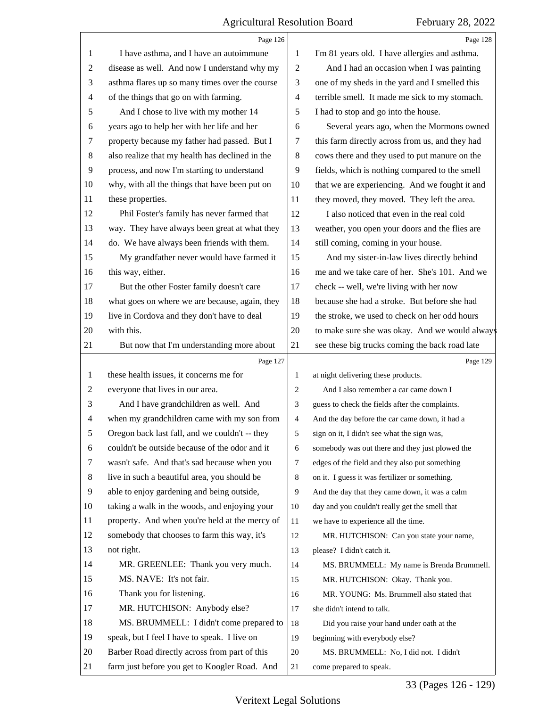|                | Page 126                                        |                | Page 128                                        |
|----------------|-------------------------------------------------|----------------|-------------------------------------------------|
| 1              | I have asthma, and I have an autoimmune         | 1              | I'm 81 years old. I have allergies and asthma.  |
| $\overline{c}$ | disease as well. And now I understand why my    | $\overline{2}$ | And I had an occasion when I was painting       |
| 3              | asthma flares up so many times over the course  | 3              | one of my sheds in the yard and I smelled this  |
| $\overline{4}$ | of the things that go on with farming.          | 4              | terrible smell. It made me sick to my stomach.  |
| 5              | And I chose to live with my mother 14           | 5              | I had to stop and go into the house.            |
| 6              | years ago to help her with her life and her     | 6              | Several years ago, when the Mormons owned       |
| 7              | property because my father had passed. But I    | 7              | this farm directly across from us, and they had |
| 8              | also realize that my health has declined in the | 8              | cows there and they used to put manure on the   |
| 9              | process, and now I'm starting to understand     | 9              | fields, which is nothing compared to the smell  |
| 10             | why, with all the things that have been put on  | 10             | that we are experiencing. And we fought it and  |
| 11             | these properties.                               | 11             | they moved, they moved. They left the area.     |
| 12             | Phil Foster's family has never farmed that      | 12             | I also noticed that even in the real cold       |
| 13             | way. They have always been great at what they   | 13             | weather, you open your doors and the flies are  |
| 14             | do. We have always been friends with them.      | 14             | still coming, coming in your house.             |
| 15             | My grandfather never would have farmed it       | 15             | And my sister-in-law lives directly behind      |
| 16             | this way, either.                               | 16             | me and we take care of her. She's 101. And we   |
| 17             | But the other Foster family doesn't care        | 17             | check -- well, we're living with her now        |
| 18             | what goes on where we are because, again, they  | 18             | because she had a stroke. But before she had    |
| 19             | live in Cordova and they don't have to deal     | 19             | the stroke, we used to check on her odd hours   |
| 20             | with this.                                      | 20             | to make sure she was okay. And we would always  |
| 21             | But now that I'm understanding more about       | 21             | see these big trucks coming the back road late  |
|                | Page 127                                        |                | Page 129                                        |
|                |                                                 |                |                                                 |
| 1              | these health issues, it concerns me for         | 1              | at night delivering these products.             |
| $\overline{c}$ | everyone that lives in our area.                | 2              | And I also remember a car came down I           |
| 3              | And I have grandchildren as well. And           | 3              | guess to check the fields after the complaints. |
| $\overline{4}$ | when my grandchildren came with my son from     | $\overline{4}$ | And the day before the car came down, it had a  |
| 5              | Oregon back last fall, and we couldn't -- they  | 5              | sign on it, I didn't see what the sign was,     |
| 6              | couldn't be outside because of the odor and it  | 6              | somebody was out there and they just plowed the |
| 7              | wasn't safe. And that's sad because when you    | 7              | edges of the field and they also put something  |
| 8              | live in such a beautiful area, you should be    | 8              | on it. I guess it was fertilizer or something.  |
| 9              | able to enjoy gardening and being outside,      | 9              | And the day that they came down, it was a calm  |
| 10             | taking a walk in the woods, and enjoying your   | 10             | day and you couldn't really get the smell that  |
| 11             | property. And when you're held at the mercy of  | 11             | we have to experience all the time.             |
| 12             | somebody that chooses to farm this way, it's    | 12             | MR. HUTCHISON: Can you state your name,         |
| 13             | not right.                                      | 13             | please? I didn't catch it.                      |
| 14             | MR. GREENLEE: Thank you very much.              | 14             | MS. BRUMMELL: My name is Brenda Brummell.       |
| 15             | MS. NAVE: It's not fair.                        | 15             | MR. HUTCHISON: Okay. Thank you.                 |
| 16             | Thank you for listening.                        | 16             | MR. YOUNG: Ms. Brummell also stated that        |
| 17             | MR. HUTCHISON: Anybody else?                    | 17             | she didn't intend to talk.                      |
| 18             | MS. BRUMMELL: I didn't come prepared to         | 18             | Did you raise your hand under oath at the       |
| 19             | speak, but I feel I have to speak. I live on    | 19             | beginning with everybody else?                  |
| 20             | Barber Road directly across from part of this   | 20             | MS. BRUMMELL: No, I did not. I didn't           |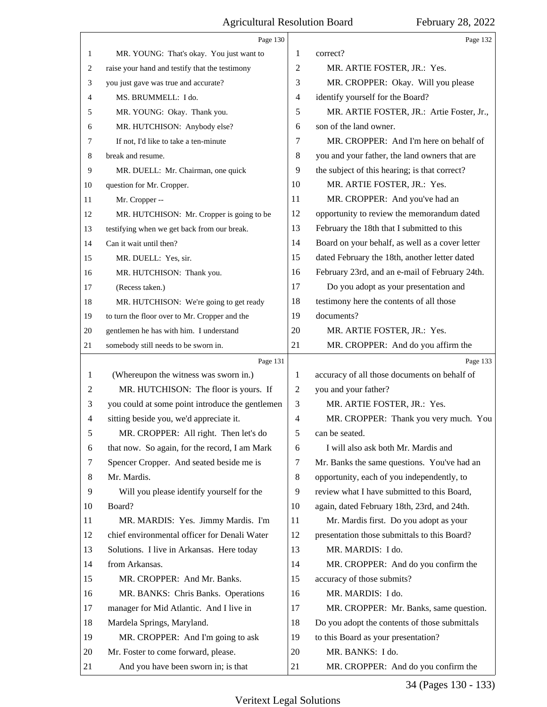|                | Page 130                                        |                | Page 132                                        |
|----------------|-------------------------------------------------|----------------|-------------------------------------------------|
| $\mathbf{1}$   | MR. YOUNG: That's okay. You just want to        | 1              | correct?                                        |
| 2              | raise your hand and testify that the testimony  | $\overline{2}$ | MR. ARTIE FOSTER, JR.: Yes.                     |
| 3              | you just gave was true and accurate?            | 3              | MR. CROPPER: Okay. Will you please              |
| 4              | MS. BRUMMELL: I do.                             | 4              | identify yourself for the Board?                |
| 5              | MR. YOUNG: Okay. Thank you.                     | 5              | MR. ARTIE FOSTER, JR.: Artie Foster, Jr.,       |
| 6              | MR. HUTCHISON: Anybody else?                    | 6              | son of the land owner.                          |
| 7              | If not, I'd like to take a ten-minute           | 7              | MR. CROPPER: And I'm here on behalf of          |
| 8              | break and resume.                               | 8              | you and your father, the land owners that are   |
| 9              | MR. DUELL: Mr. Chairman, one quick              | 9              | the subject of this hearing; is that correct?   |
| 10             | question for Mr. Cropper.                       | 10             | MR. ARTIE FOSTER, JR.: Yes.                     |
| 11             | Mr. Cropper --                                  | 11             | MR. CROPPER: And you've had an                  |
| 12             | MR. HUTCHISON: Mr. Cropper is going to be       | 12             | opportunity to review the memorandum dated      |
| 13             | testifying when we get back from our break.     | 13             | February the 18th that I submitted to this      |
| 14             | Can it wait until then?                         | 14             | Board on your behalf, as well as a cover letter |
| 15             | MR. DUELL: Yes, sir.                            | 15             | dated February the 18th, another letter dated   |
| 16             | MR. HUTCHISON: Thank you.                       | 16             | February 23rd, and an e-mail of February 24th.  |
| 17             | (Recess taken.)                                 | 17             | Do you adopt as your presentation and           |
| 18             | MR. HUTCHISON: We're going to get ready         | 18             | testimony here the contents of all those        |
| 19             | to turn the floor over to Mr. Cropper and the   | 19             | documents?                                      |
| 20             | gentlemen he has with him. I understand         | 20             | MR. ARTIE FOSTER, JR.: Yes.                     |
| 21             | somebody still needs to be sworn in.            | 21             | MR. CROPPER: And do you affirm the              |
|                |                                                 |                |                                                 |
|                | Page 131                                        |                | Page 133                                        |
| 1              | (Whereupon the witness was sworn in.)           | 1              | accuracy of all those documents on behalf of    |
| $\overline{c}$ | MR. HUTCHISON: The floor is yours. If           | 2              | you and your father?                            |
| 3              | you could at some point introduce the gentlemen | 3              | MR. ARTIE FOSTER, JR.: Yes.                     |
| 4              | sitting beside you, we'd appreciate it.         | 4              | MR. CROPPER: Thank you very much. You           |
| 5              | MR. CROPPER: All right. Then let's do           | 5              | can be seated.                                  |
| 6              | that now. So again, for the record, I am Mark   | 6              | I will also ask both Mr. Mardis and             |
| 7              | Spencer Cropper. And seated beside me is        | 7              | Mr. Banks the same questions. You've had an     |
| 8              | Mr. Mardis.                                     | 8              | opportunity, each of you independently, to      |
| 9              | Will you please identify yourself for the       | 9              | review what I have submitted to this Board,     |
| 10             | Board?                                          | 10             | again, dated February 18th, 23rd, and 24th.     |
| 11             | MR. MARDIS: Yes. Jimmy Mardis. I'm              | 11             | Mr. Mardis first. Do you adopt as your          |
| 12             | chief environmental officer for Denali Water    | 12             | presentation those submittals to this Board?    |
| 13             | Solutions. I live in Arkansas. Here today       | 13             | MR. MARDIS: I do.                               |
| 14             | from Arkansas.                                  | 14             | MR. CROPPER: And do you confirm the             |
| 15             | MR. CROPPER: And Mr. Banks.                     | 15             | accuracy of those submits?                      |
| 16             | MR. BANKS: Chris Banks. Operations              | 16             | MR. MARDIS: I do.                               |
| 17             | manager for Mid Atlantic. And I live in         | 17             | MR. CROPPER: Mr. Banks, same question.          |
| 18             | Mardela Springs, Maryland.                      | 18             | Do you adopt the contents of those submittals   |
| 19             | MR. CROPPER: And I'm going to ask               | 19             | to this Board as your presentation?             |
| 20             | Mr. Foster to come forward, please.             | 20             | MR. BANKS: I do.                                |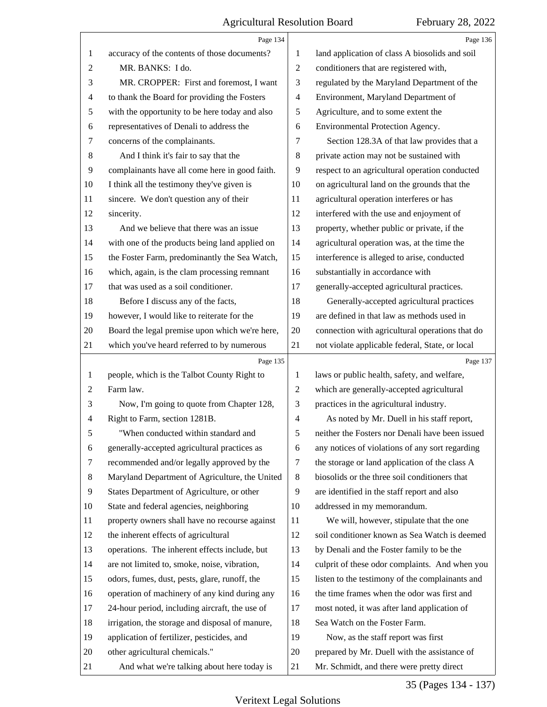|                          | Page 134                                        |                | Page 136                                        |
|--------------------------|-------------------------------------------------|----------------|-------------------------------------------------|
| 1                        | accuracy of the contents of those documents?    | 1              | land application of class A biosolids and soil  |
| 2                        | MR. BANKS: I do.                                | $\overline{2}$ | conditioners that are registered with,          |
| 3                        | MR. CROPPER: First and foremost, I want         | 3              | regulated by the Maryland Department of the     |
| $\overline{\mathcal{A}}$ | to thank the Board for providing the Fosters    | $\overline{4}$ | Environment, Maryland Department of             |
| 5                        | with the opportunity to be here today and also  | 5              | Agriculture, and to some extent the             |
| 6                        | representatives of Denali to address the        | 6              | Environmental Protection Agency.                |
| $\tau$                   | concerns of the complainants.                   | 7              | Section 128.3A of that law provides that a      |
| $8\,$                    | And I think it's fair to say that the           | 8              | private action may not be sustained with        |
| 9                        | complainants have all come here in good faith.  | 9              | respect to an agricultural operation conducted  |
| 10                       | I think all the testimony they've given is      | 10             | on agricultural land on the grounds that the    |
| 11                       | sincere. We don't question any of their         | 11             | agricultural operation interferes or has        |
| 12                       | sincerity.                                      | 12             | interfered with the use and enjoyment of        |
| 13                       | And we believe that there was an issue          | 13             | property, whether public or private, if the     |
| 14                       | with one of the products being land applied on  | 14             | agricultural operation was, at the time the     |
| 15                       | the Foster Farm, predominantly the Sea Watch,   | 15             | interference is alleged to arise, conducted     |
| 16                       | which, again, is the clam processing remnant    | 16             | substantially in accordance with                |
| 17                       | that was used as a soil conditioner.            | 17             | generally-accepted agricultural practices.      |
| 18                       | Before I discuss any of the facts,              | 18             | Generally-accepted agricultural practices       |
| 19                       | however, I would like to reiterate for the      | 19             | are defined in that law as methods used in      |
| 20                       | Board the legal premise upon which we're here,  | 20             | connection with agricultural operations that do |
| 21                       | which you've heard referred to by numerous      | 21             | not violate applicable federal, State, or local |
|                          |                                                 |                |                                                 |
|                          | Page 135                                        |                | Page 137                                        |
| $\mathbf{1}$             | people, which is the Talbot County Right to     | 1              | laws or public health, safety, and welfare,     |
| 2                        | Farm law.                                       | $\overline{c}$ | which are generally-accepted agricultural       |
| 3                        | Now, I'm going to quote from Chapter 128,       | 3              | practices in the agricultural industry.         |
| $\overline{4}$           | Right to Farm, section 1281B.                   | $\overline{4}$ | As noted by Mr. Duell in his staff report,      |
| 5                        | "When conducted within standard and             | 5              | neither the Fosters nor Denali have been issued |
| 6                        | generally-accepted agricultural practices as    | 6              | any notices of violations of any sort regarding |
| 7                        | recommended and/or legally approved by the      | 7              | the storage or land application of the class A  |
| 8                        | Maryland Department of Agriculture, the United  | 8              | biosolids or the three soil conditioners that   |
| 9                        | States Department of Agriculture, or other      | 9              | are identified in the staff report and also     |
| 10                       | State and federal agencies, neighboring         | 10             | addressed in my memorandum.                     |
| 11                       | property owners shall have no recourse against  | 11             | We will, however, stipulate that the one        |
| 12                       | the inherent effects of agricultural            | 12             | soil conditioner known as Sea Watch is deemed   |
| 13                       | operations. The inherent effects include, but   | 13             | by Denali and the Foster family to be the       |
| 14                       | are not limited to, smoke, noise, vibration,    | 14             | culprit of these odor complaints. And when you  |
| 15                       | odors, fumes, dust, pests, glare, runoff, the   | 15             | listen to the testimony of the complainants and |
| 16                       | operation of machinery of any kind during any   | 16             | the time frames when the odor was first and     |
| 17                       | 24-hour period, including aircraft, the use of  | 17             | most noted, it was after land application of    |
| 18                       | irrigation, the storage and disposal of manure, | 18             | Sea Watch on the Foster Farm.                   |
| 19                       | application of fertilizer, pesticides, and      | 19             | Now, as the staff report was first              |
| 20                       | other agricultural chemicals."                  | 20             | prepared by Mr. Duell with the assistance of    |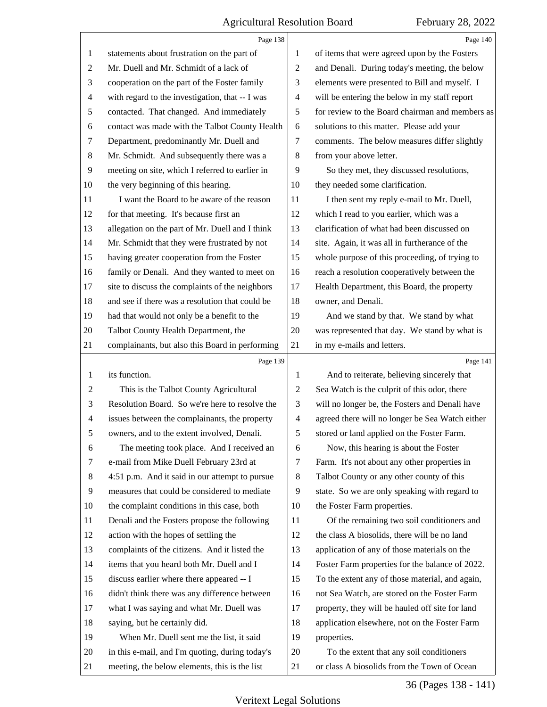|                | Page 138                                        |                          | Page 140                                        |
|----------------|-------------------------------------------------|--------------------------|-------------------------------------------------|
| $\mathbf{1}$   | statements about frustration on the part of     | 1                        | of items that were agreed upon by the Fosters   |
| $\overline{c}$ | Mr. Duell and Mr. Schmidt of a lack of          | $\sqrt{2}$               | and Denali. During today's meeting, the below   |
| 3              | cooperation on the part of the Foster family    | 3                        | elements were presented to Bill and myself. I   |
| 4              | with regard to the investigation, that -- I was | $\overline{\mathcal{A}}$ | will be entering the below in my staff report   |
| 5              | contacted. That changed. And immediately        | $\sqrt{5}$               | for review to the Board chairman and members as |
| 6              | contact was made with the Talbot County Health  | 6                        | solutions to this matter. Please add your       |
| 7              | Department, predominantly Mr. Duell and         | 7                        | comments. The below measures differ slightly    |
| 8              | Mr. Schmidt. And subsequently there was a       | 8                        | from your above letter.                         |
| $\overline{9}$ | meeting on site, which I referred to earlier in | 9                        | So they met, they discussed resolutions,        |
| 10             | the very beginning of this hearing.             | 10                       | they needed some clarification.                 |
| 11             | I want the Board to be aware of the reason      | 11                       | I then sent my reply e-mail to Mr. Duell,       |
| 12             | for that meeting. It's because first an         | 12                       | which I read to you earlier, which was a        |
| 13             | allegation on the part of Mr. Duell and I think | 13                       | clarification of what had been discussed on     |
| 14             | Mr. Schmidt that they were frustrated by not    | 14                       | site. Again, it was all in furtherance of the   |
| 15             | having greater cooperation from the Foster      | 15                       | whole purpose of this proceeding, of trying to  |
| 16             | family or Denali. And they wanted to meet on    | 16                       | reach a resolution cooperatively between the    |
| 17             | site to discuss the complaints of the neighbors | 17                       | Health Department, this Board, the property     |
| 18             | and see if there was a resolution that could be | 18                       | owner, and Denali.                              |
| 19             | had that would not only be a benefit to the     | 19                       | And we stand by that. We stand by what          |
| 20             | Talbot County Health Department, the            | $20\,$                   | was represented that day. We stand by what is   |
| 21             | complainants, but also this Board in performing | 21                       | in my e-mails and letters.                      |
|                | Page 139                                        |                          | Page 141                                        |
| $\mathbf{1}$   | its function.                                   | 1                        | And to reiterate, believing sincerely that      |
| $\overline{2}$ | This is the Talbot County Agricultural          | $\overline{c}$           | Sea Watch is the culprit of this odor, there    |
| 3              | Resolution Board. So we're here to resolve the  | 3                        | will no longer be, the Fosters and Denali have  |
| $\overline{4}$ | issues between the complainants, the property   | $\overline{\mathcal{A}}$ | agreed there will no longer be Sea Watch either |
| 5              | owners, and to the extent involved, Denali.     | 5                        | stored or land applied on the Foster Farm.      |
| 6              | The meeting took place. And I received an       |                          |                                                 |
| 7              |                                                 | 6                        | Now, this hearing is about the Foster           |
|                | e-mail from Mike Duell February 23rd at         | 7                        | Farm. It's not about any other properties in    |
| 8              | 4:51 p.m. And it said in our attempt to pursue  | 8                        | Talbot County or any other county of this       |
| 9              | measures that could be considered to mediate    | 9                        | state. So we are only speaking with regard to   |
| 10             | the complaint conditions in this case, both     | 10                       | the Foster Farm properties.                     |
| 11             | Denali and the Fosters propose the following    | 11                       | Of the remaining two soil conditioners and      |
| 12             | action with the hopes of settling the           | 12                       | the class A biosolids, there will be no land    |
| 13             | complaints of the citizens. And it listed the   | 13                       | application of any of those materials on the    |
| 14             | items that you heard both Mr. Duell and I       | 14                       | Foster Farm properties for the balance of 2022. |
| 15             | discuss earlier where there appeared -- I       | 15                       | To the extent any of those material, and again, |
| 16             | didn't think there was any difference between   | 16                       | not Sea Watch, are stored on the Foster Farm    |
| 17             | what I was saying and what Mr. Duell was        | 17                       | property, they will be hauled off site for land |
| 18             | saying, but he certainly did.                   | 18                       | application elsewhere, not on the Foster Farm   |
| 19             | When Mr. Duell sent me the list, it said        | 19                       | properties.                                     |
| 20             | in this e-mail, and I'm quoting, during today's | 20                       | To the extent that any soil conditioners        |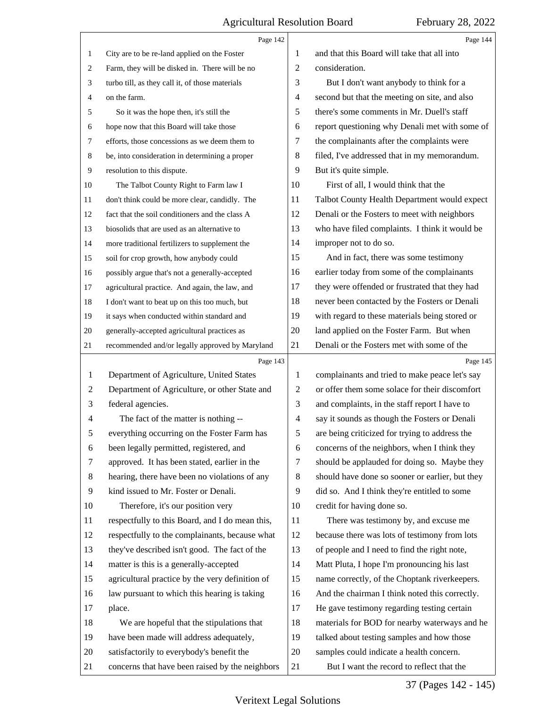<span id="page-36-0"></span>

|                | Page 142                                        |                          | Page 144                                        |
|----------------|-------------------------------------------------|--------------------------|-------------------------------------------------|
| $\mathbf{1}$   | City are to be re-land applied on the Foster    | 1                        | and that this Board will take that all into     |
| $\mathbf{2}$   | Farm, they will be disked in. There will be no  | $\overline{2}$           | consideration.                                  |
| 3              | turbo till, as they call it, of those materials | 3                        | But I don't want anybody to think for a         |
| $\overline{4}$ | on the farm.                                    | 4                        | second but that the meeting on site, and also   |
| 5              | So it was the hope then, it's still the         | 5                        | there's some comments in Mr. Duell's staff      |
| 6              | hope now that this Board will take those        | 6                        | report questioning why Denali met with some of  |
| $\tau$         | efforts, those concessions as we deem them to   | 7                        | the complainants after the complaints were      |
| 8              | be, into consideration in determining a proper  | 8                        | filed, I've addressed that in my memorandum.    |
| 9              | resolution to this dispute.                     | 9                        | But it's quite simple.                          |
| 10             | The Talbot County Right to Farm law I           | 10                       | First of all, I would think that the            |
| 11             | don't think could be more clear, candidly. The  | 11                       | Talbot County Health Department would expect    |
| 12             | fact that the soil conditioners and the class A | 12                       | Denali or the Fosters to meet with neighbors    |
| 13             | biosolids that are used as an alternative to    | 13                       | who have filed complaints. I think it would be  |
| 14             | more traditional fertilizers to supplement the  | 14                       | improper not to do so.                          |
| 15             | soil for crop growth, how anybody could         | 15                       | And in fact, there was some testimony           |
| 16             | possibly argue that's not a generally-accepted  | 16                       | earlier today from some of the complainants     |
| 17             | agricultural practice. And again, the law, and  | 17                       | they were offended or frustrated that they had  |
| 18             | I don't want to beat up on this too much, but   | 18                       | never been contacted by the Fosters or Denali   |
| 19             | it says when conducted within standard and      | 19                       | with regard to these materials being stored or  |
| 20             | generally-accepted agricultural practices as    | 20                       | land applied on the Foster Farm. But when       |
| 21             | recommended and/or legally approved by Maryland | 21                       | Denali or the Fosters met with some of the      |
|                |                                                 |                          |                                                 |
|                | Page 143                                        |                          | Page 145                                        |
| $\mathbf{1}$   | Department of Agriculture, United States        | 1                        | complainants and tried to make peace let's say  |
| 2              | Department of Agriculture, or other State and   | $\overline{c}$           | or offer them some solace for their discomfort  |
| 3              | federal agencies.                               | 3                        | and complaints, in the staff report I have to   |
| 4              | The fact of the matter is nothing --            | $\overline{\mathcal{A}}$ | say it sounds as though the Fosters or Denali   |
|                | everything occurring on the Foster Farm has     | 5                        | are being criticized for trying to address the  |
| 6              | been legally permitted, registered, and         | 6                        | concerns of the neighbors, when I think they    |
| 7              | approved. It has been stated, earlier in the    | 7                        | should be applauded for doing so. Maybe they    |
| 8              | hearing, there have been no violations of any   | $\,8\,$                  | should have done so sooner or earlier, but they |
| 9              | kind issued to Mr. Foster or Denali.            | 9                        | did so. And I think they're entitled to some    |
| 10             | Therefore, it's our position very               | 10                       | credit for having done so.                      |
| 11             | respectfully to this Board, and I do mean this, | 11                       | There was testimony by, and excuse me           |
| 12             | respectfully to the complainants, because what  | 12                       | because there was lots of testimony from lots   |
| 13             | they've described isn't good. The fact of the   | 13                       | of people and I need to find the right note,    |
| 14             | matter is this is a generally-accepted          | 14                       | Matt Pluta, I hope I'm pronouncing his last     |
| 15             | agricultural practice by the very definition of | 15                       | name correctly, of the Choptank riverkeepers.   |
| 16             | law pursuant to which this hearing is taking    | 16                       | And the chairman I think noted this correctly.  |
| 17             | place.                                          | 17                       | He gave testimony regarding testing certain     |
| 18             | We are hopeful that the stipulations that       | 18                       | materials for BOD for nearby waterways and he   |
| 19             | have been made will address adequately,         | 19                       | talked about testing samples and how those      |
| 20             | satisfactorily to everybody's benefit the       | 20                       | samples could indicate a health concern.        |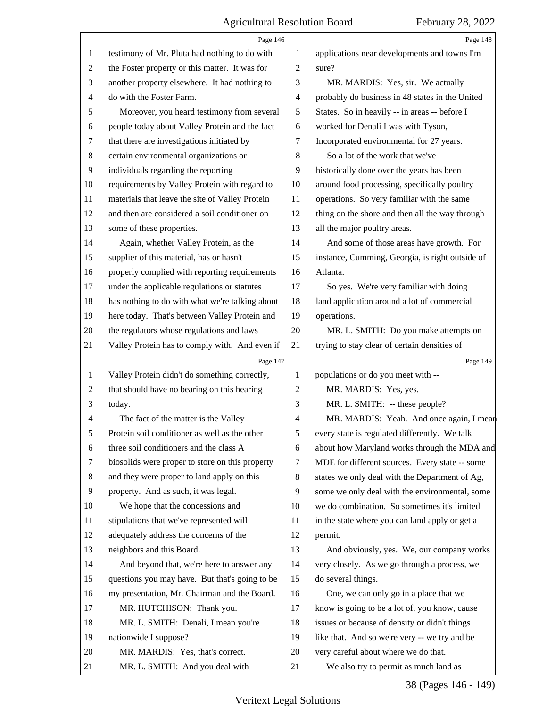<span id="page-37-0"></span>

|                | Page 146                                        |                | Page 148                                        |
|----------------|-------------------------------------------------|----------------|-------------------------------------------------|
| 1              | testimony of Mr. Pluta had nothing to do with   | 1              | applications near developments and towns I'm    |
| $\overline{c}$ | the Foster property or this matter. It was for  | $\overline{2}$ | sure?                                           |
| 3              | another property elsewhere. It had nothing to   | 3              | MR. MARDIS: Yes, sir. We actually               |
| 4              | do with the Foster Farm.                        | $\overline{4}$ | probably do business in 48 states in the United |
| 5              | Moreover, you heard testimony from several      | 5              | States. So in heavily -- in areas -- before I   |
| 6              | people today about Valley Protein and the fact  | 6              | worked for Denali I was with Tyson,             |
| 7              | that there are investigations initiated by      | 7              | Incorporated environmental for 27 years.        |
| 8              | certain environmental organizations or          | 8              | So a lot of the work that we've                 |
| 9              | individuals regarding the reporting             | 9              | historically done over the years has been       |
| 10             | requirements by Valley Protein with regard to   | 10             | around food processing, specifically poultry    |
| 11             | materials that leave the site of Valley Protein | 11             | operations. So very familiar with the same      |
| 12             | and then are considered a soil conditioner on   | 12             | thing on the shore and then all the way through |
| 13             | some of these properties.                       | 13             | all the major poultry areas.                    |
| 14             | Again, whether Valley Protein, as the           | 14             | And some of those areas have growth. For        |
| 15             | supplier of this material, has or hasn't        | 15             | instance, Cumming, Georgia, is right outside of |
| 16             | properly complied with reporting requirements   | 16             | Atlanta.                                        |
| 17             | under the applicable regulations or statutes    | 17             | So yes. We're very familiar with doing          |
| 18             | has nothing to do with what we're talking about | 18             | land application around a lot of commercial     |
| 19             | here today. That's between Valley Protein and   | 19             | operations.                                     |
| 20             | the regulators whose regulations and laws       | 20             | MR. L. SMITH: Do you make attempts on           |
| 21             | Valley Protein has to comply with. And even if  | 21             | trying to stay clear of certain densities of    |
|                | Page 147                                        |                | Page 149                                        |
| 1              | Valley Protein didn't do something correctly,   | 1              | populations or do you meet with --              |
| 2              | that should have no bearing on this hearing     | $\overline{c}$ | MR. MARDIS: Yes, yes.                           |
|                |                                                 |                |                                                 |
| 3              | today.                                          | 3              | MR. L. SMITH: -- these people?                  |
| 4              | The fact of the matter is the Valley            | 4              | MR. MARDIS: Yeah. And once again, I mean        |
| 5              | Protein soil conditioner as well as the other   | 5              | every state is regulated differently. We talk   |
| 6              | three soil conditioners and the class A         | 6              | about how Maryland works through the MDA and    |
| 7              | biosolids were proper to store on this property | 7              | MDE for different sources. Every state -- some  |
| 8              | and they were proper to land apply on this      | 8              | states we only deal with the Department of Ag,  |
| 9              | property. And as such, it was legal.            | 9              | some we only deal with the environmental, some  |
| 10             | We hope that the concessions and                | 10             | we do combination. So sometimes it's limited    |
| 11             | stipulations that we've represented will        | 11             | in the state where you can land apply or get a  |
| 12             | adequately address the concerns of the          | 12             | permit.                                         |
| 13             | neighbors and this Board.                       | 13             | And obviously, yes. We, our company works       |
| 14             | And beyond that, we're here to answer any       | 14             | very closely. As we go through a process, we    |
| 15             | questions you may have. But that's going to be  | 15             | do several things.                              |
| 16             | my presentation, Mr. Chairman and the Board.    | 16             | One, we can only go in a place that we          |
| 17             | MR. HUTCHISON: Thank you.                       | 17             | know is going to be a lot of, you know, cause   |
| 18             | MR. L. SMITH: Denali, I mean you're             | 18             | issues or because of density or didn't things   |
| 19             | nationwide I suppose?                           | 19             | like that. And so we're very -- we try and be   |
| 20             | MR. MARDIS: Yes, that's correct.                | 20             | very careful about where we do that.            |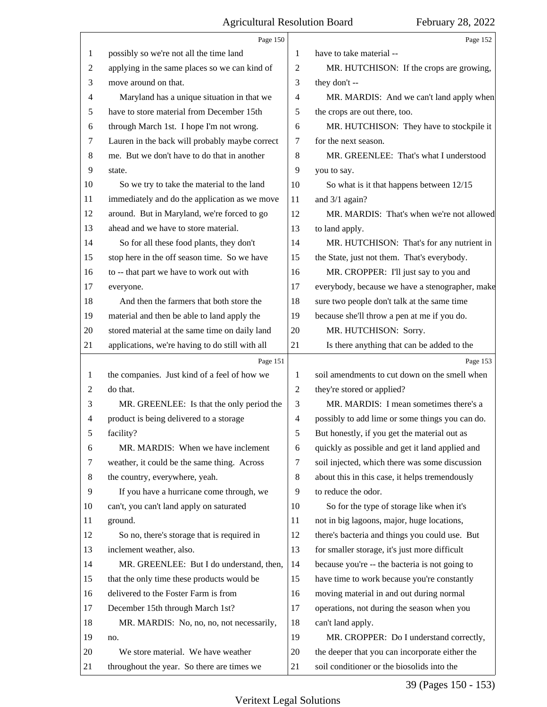<span id="page-38-0"></span>

|    | Page 150                                        |                | Page 152                                        |
|----|-------------------------------------------------|----------------|-------------------------------------------------|
| 1  | possibly so we're not all the time land         | 1              | have to take material --                        |
| 2  | applying in the same places so we can kind of   | 2              | MR. HUTCHISON: If the crops are growing,        |
| 3  | move around on that.                            | 3              | they don't --                                   |
| 4  | Maryland has a unique situation in that we      | 4              | MR. MARDIS: And we can't land apply when        |
| 5  | have to store material from December 15th       | 5              | the crops are out there, too.                   |
| 6  | through March 1st. I hope I'm not wrong.        | 6              | MR. HUTCHISON: They have to stockpile it        |
| 7  | Lauren in the back will probably maybe correct  | 7              | for the next season.                            |
| 8  | me. But we don't have to do that in another     | 8              | MR. GREENLEE: That's what I understood          |
| 9  | state.                                          | 9              | you to say.                                     |
| 10 | So we try to take the material to the land      | 10             | So what is it that happens between 12/15        |
| 11 | immediately and do the application as we move   | 11             | and $3/1$ again?                                |
| 12 | around. But in Maryland, we're forced to go     | 12             | MR. MARDIS: That's when we're not allowed       |
| 13 | ahead and we have to store material.            | 13             | to land apply.                                  |
| 14 | So for all these food plants, they don't        | 14             | MR. HUTCHISON: That's for any nutrient in       |
| 15 | stop here in the off season time. So we have    | 15             | the State, just not them. That's everybody.     |
| 16 | to -- that part we have to work out with        | 16             | MR. CROPPER: I'll just say to you and           |
| 17 | everyone.                                       | 17             | everybody, because we have a stenographer, make |
| 18 | And then the farmers that both store the        | 18             | sure two people don't talk at the same time     |
| 19 | material and then be able to land apply the     | 19             | because she'll throw a pen at me if you do.     |
| 20 | stored material at the same time on daily land  | 20             | MR. HUTCHISON: Sorry.                           |
| 21 | applications, we're having to do still with all | 21             | Is there anything that can be added to the      |
|    | Page 151                                        |                | Page 153                                        |
| 1  | the companies. Just kind of a feel of how we    | 1              | soil amendments to cut down on the smell when   |
| 2  | do that.                                        | $\overline{2}$ | they're stored or applied?                      |
| 3  | MR. GREENLEE: Is that the only period the       | 3              | MR. MARDIS: I mean sometimes there's a          |
| 4  | product is being delivered to a storage         | 4              | possibly to add lime or some things you can do. |
| 5  | facility?                                       | 5              | But honestly, if you get the material out as    |
| 6  | MR. MARDIS: When we have inclement              | 6              | quickly as possible and get it land applied and |
| 7  | weather, it could be the same thing. Across     | 7              | soil injected, which there was some discussion  |
| 8  | the country, everywhere, yeah.                  | 8              | about this in this case, it helps tremendously  |
| 9  | If you have a hurricane come through, we        | 9              | to reduce the odor.                             |
| 10 | can't, you can't land apply on saturated        | 10             | So for the type of storage like when it's       |
| 11 | ground.                                         | 11             | not in big lagoons, major, huge locations,      |
| 12 | So no, there's storage that is required in      | 12             | there's bacteria and things you could use. But  |
| 13 | inclement weather, also.                        | 13             | for smaller storage, it's just more difficult   |
| 14 | MR. GREENLEE: But I do understand, then,        | 14             | because you're -- the bacteria is not going to  |
| 15 | that the only time these products would be      | 15             | have time to work because you're constantly     |
| 16 | delivered to the Foster Farm is from            | 16             | moving material in and out during normal        |
| 17 | December 15th through March 1st?                | 17             | operations, not during the season when you      |
| 18 | MR. MARDIS: No, no, no, not necessarily,        | 18             | can't land apply.                               |
| 19 | no.                                             | 19             | MR. CROPPER: Do I understand correctly,         |
| 20 | We store material. We have weather              | 20             | the deeper that you can incorporate either the  |
| 21 | throughout the year. So there are times we      | 21             | soil conditioner or the biosolids into the      |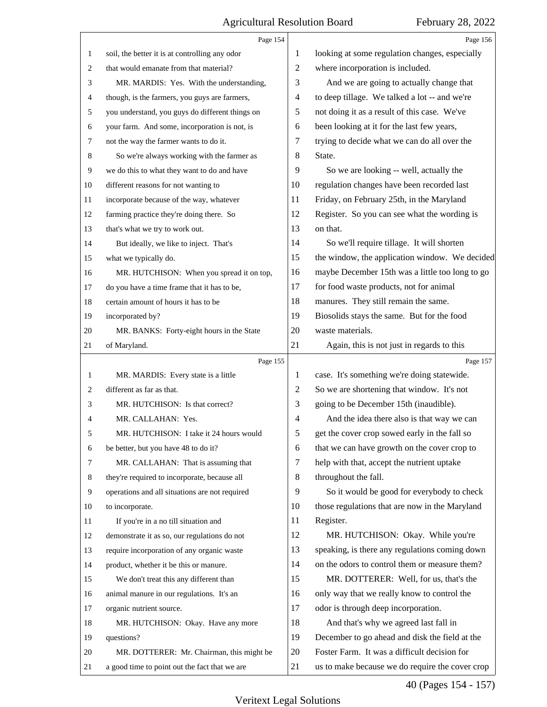<span id="page-39-0"></span>

|                | Page 154                                        |                | Page 156                                        |
|----------------|-------------------------------------------------|----------------|-------------------------------------------------|
| 1              | soil, the better it is at controlling any odor  | 1              | looking at some regulation changes, especially  |
| $\overline{2}$ | that would emanate from that material?          | $\overline{2}$ | where incorporation is included.                |
| 3              | MR. MARDIS: Yes. With the understanding,        | 3              | And we are going to actually change that        |
| 4              | though, is the farmers, you guys are farmers,   | 4              | to deep tillage. We talked a lot -- and we're   |
| 5              | you understand, you guys do different things on | 5              | not doing it as a result of this case. We've    |
| 6              | your farm. And some, incorporation is not, is   | 6              | been looking at it for the last few years,      |
| 7              | not the way the farmer wants to do it.          | 7              | trying to decide what we can do all over the    |
| 8              | So we're always working with the farmer as      | 8              | State.                                          |
| 9              | we do this to what they want to do and have     | 9              | So we are looking -- well, actually the         |
| 10             | different reasons for not wanting to            | 10             | regulation changes have been recorded last      |
| 11             | incorporate because of the way, whatever        | 11             | Friday, on February 25th, in the Maryland       |
| 12             | farming practice they're doing there. So        | 12             | Register. So you can see what the wording is    |
| 13             | that's what we try to work out.                 | 13             | on that.                                        |
| 14             | But ideally, we like to inject. That's          | 14             | So we'll require tillage. It will shorten       |
| 15             | what we typically do.                           | 15             | the window, the application window. We decided  |
| 16             | MR. HUTCHISON: When you spread it on top,       | 16             | maybe December 15th was a little too long to go |
| 17             | do you have a time frame that it has to be,     | 17             | for food waste products, not for animal         |
| 18             | certain amount of hours it has to be            | 18             | manures. They still remain the same.            |
| 19             | incorporated by?                                | 19             | Biosolids stays the same. But for the food      |
| 20             | MR. BANKS: Forty-eight hours in the State       | 20             | waste materials.                                |
| 21             | of Maryland.                                    | 21             | Again, this is not just in regards to this      |
|                |                                                 |                |                                                 |
|                | Page 155                                        |                | Page 157                                        |
| 1              | MR. MARDIS: Every state is a little             | 1              | case. It's something we're doing statewide.     |
| $\overline{c}$ | different as far as that.                       | $\overline{2}$ | So we are shortening that window. It's not      |
| 3              | MR. HUTCHISON: Is that correct?                 | 3              | going to be December 15th (inaudible).          |
| 4              | MR. CALLAHAN: Yes.                              | $\overline{4}$ | And the idea there also is that way we can      |
| 5              | MR. HUTCHISON: I take it 24 hours would         | 5              | get the cover crop sowed early in the fall so   |
| 6              | be better, but you have 48 to do it?            | 6              | that we can have growth on the cover crop to    |
| 7              | MR. CALLAHAN: That is assuming that             | 7              | help with that, accept the nutrient uptake      |
| 8              | they're required to incorporate, because all    | 8              | throughout the fall.                            |
| 9              | operations and all situations are not required  | 9              | So it would be good for everybody to check      |
| 10             | to incorporate.                                 | 10             | those regulations that are now in the Maryland  |
| 11             | If you're in a no till situation and            | 11             | Register.                                       |
| 12             | demonstrate it as so, our regulations do not    | 12             | MR. HUTCHISON: Okay. While you're               |
| 13             | require incorporation of any organic waste      | 13             | speaking, is there any regulations coming down  |
| 14             | product, whether it be this or manure.          | 14             | on the odors to control them or measure them?   |
| 15             | We don't treat this any different than          | 15             | MR. DOTTERER: Well, for us, that's the          |
| 16             | animal manure in our regulations. It's an       | 16             | only way that we really know to control the     |
| 17             | organic nutrient source.                        | 17             | odor is through deep incorporation.             |
| 18             | MR. HUTCHISON: Okay. Have any more              | 18             | And that's why we agreed last fall in           |
| 19             | questions?                                      | 19             | December to go ahead and disk the field at the  |
| 20             | MR. DOTTERER: Mr. Chairman, this might be       | 20             | Foster Farm. It was a difficult decision for    |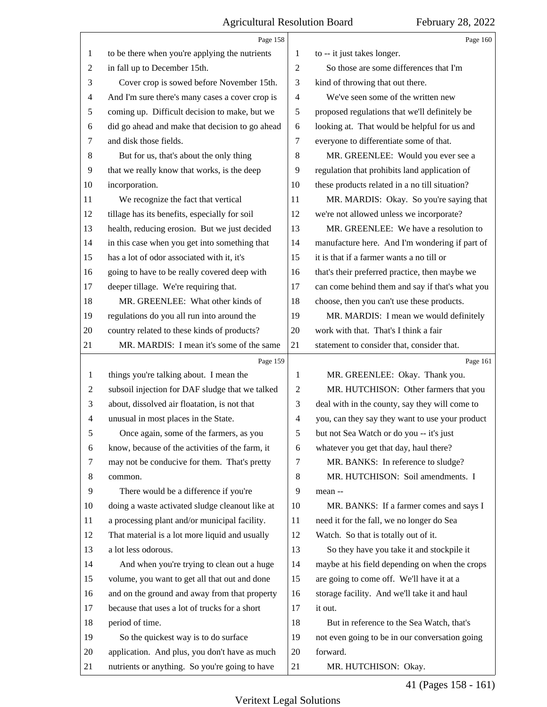<span id="page-40-0"></span>

|                | Page 158                                        |                | Page 160                                        |
|----------------|-------------------------------------------------|----------------|-------------------------------------------------|
| 1              | to be there when you're applying the nutrients  | 1              | to -- it just takes longer.                     |
| 2              | in fall up to December 15th.                    | $\overline{2}$ | So those are some differences that I'm          |
| 3              | Cover crop is sowed before November 15th.       | 3              | kind of throwing that out there.                |
| 4              | And I'm sure there's many cases a cover crop is | $\overline{4}$ | We've seen some of the written new              |
| 5              | coming up. Difficult decision to make, but we   | 5              | proposed regulations that we'll definitely be   |
| 6              | did go ahead and make that decision to go ahead | 6              | looking at. That would be helpful for us and    |
| 7              | and disk those fields.                          | 7              | everyone to differentiate some of that.         |
| 8              | But for us, that's about the only thing         | 8              | MR. GREENLEE: Would you ever see a              |
| 9              | that we really know that works, is the deep     | 9              | regulation that prohibits land application of   |
| 10             | incorporation.                                  | 10             | these products related in a no till situation?  |
| 11             | We recognize the fact that vertical             | 11             | MR. MARDIS: Okay. So you're saying that         |
| 12             | tillage has its benefits, especially for soil   | 12             | we're not allowed unless we incorporate?        |
| 13             | health, reducing erosion. But we just decided   | 13             | MR. GREENLEE: We have a resolution to           |
| 14             | in this case when you get into something that   | 14             | manufacture here. And I'm wondering if part of  |
| 15             | has a lot of odor associated with it, it's      | 15             | it is that if a farmer wants a no till or       |
| 16             | going to have to be really covered deep with    | 16             | that's their preferred practice, then maybe we  |
| 17             | deeper tillage. We're requiring that.           | 17             | can come behind them and say if that's what you |
| 18             | MR. GREENLEE: What other kinds of               | 18             | choose, then you can't use these products.      |
| 19             | regulations do you all run into around the      | 19             | MR. MARDIS: I mean we would definitely          |
| 20             | country related to these kinds of products?     | 20             | work with that. That's I think a fair           |
| 21             | MR. MARDIS: I mean it's some of the same        | 21             | statement to consider that, consider that.      |
|                |                                                 |                |                                                 |
|                | Page 159                                        |                | Page 161                                        |
| 1              | things you're talking about. I mean the         | 1              | MR. GREENLEE: Okay. Thank you.                  |
| $\overline{c}$ | subsoil injection for DAF sludge that we talked | 2              | MR. HUTCHISON: Other farmers that you           |
| 3              | about, dissolved air floatation, is not that    | 3              | deal with in the county, say they will come to  |
| 4              | unusual in most places in the State.            | 4              | you, can they say they want to use your product |
| 5              | Once again, some of the farmers, as you         | 5              | but not Sea Watch or do you -- it's just        |
| 6              | know, because of the activities of the farm, it | 6              | whatever you get that day, haul there?          |
| 7              | may not be conducive for them. That's pretty    | 7              | MR. BANKS: In reference to sludge?              |
| 8              | common.                                         | 8              | MR. HUTCHISON: Soil amendments. I               |
| 9              | There would be a difference if you're           | 9              | mean --                                         |
| 10             | doing a waste activated sludge cleanout like at | 10             | MR. BANKS: If a farmer comes and says I         |
| 11             | a processing plant and/or municipal facility.   | 11             | need it for the fall, we no longer do Sea       |
| 12             | That material is a lot more liquid and usually  | 12             | Watch. So that is totally out of it.            |
| 13             | a lot less odorous.                             | 13             | So they have you take it and stockpile it       |
| 14             | And when you're trying to clean out a huge      | 14             | maybe at his field depending on when the crops  |
| 15             | volume, you want to get all that out and done   | 15             | are going to come off. We'll have it at a       |
| 16             | and on the ground and away from that property   | 16             | storage facility. And we'll take it and haul    |
| 17             | because that uses a lot of trucks for a short   | 17             | it out.                                         |
| 18             | period of time.                                 | 18             | But in reference to the Sea Watch, that's       |
| 19             | So the quickest way is to do surface            | 19             | not even going to be in our conversation going  |
| 20             | application. And plus, you don't have as much   | 20             | forward.                                        |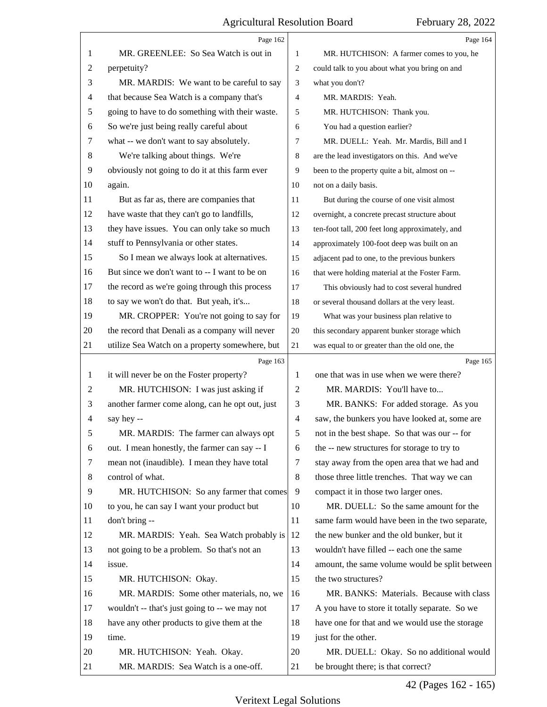<span id="page-41-0"></span>

|    | Page 162                                        |                | Page 164                                        |
|----|-------------------------------------------------|----------------|-------------------------------------------------|
| 1  | MR. GREENLEE: So Sea Watch is out in            | 1              | MR. HUTCHISON: A farmer comes to you, he        |
| 2  | perpetuity?                                     | $\overline{c}$ | could talk to you about what you bring on and   |
| 3  | MR. MARDIS: We want to be careful to say        | 3              | what you don't?                                 |
| 4  | that because Sea Watch is a company that's      | $\overline{4}$ | MR. MARDIS: Yeah.                               |
| 5  | going to have to do something with their waste. | 5              | MR. HUTCHISON: Thank you.                       |
| 6  | So we're just being really careful about        | 6              | You had a question earlier?                     |
| 7  | what -- we don't want to say absolutely.        | 7              | MR. DUELL: Yeah. Mr. Mardis, Bill and I         |
| 8  | We're talking about things. We're               | 8              | are the lead investigators on this. And we've   |
| 9  | obviously not going to do it at this farm ever  | 9              | been to the property quite a bit, almost on --  |
| 10 | again.                                          | 10             | not on a daily basis.                           |
| 11 | But as far as, there are companies that         | 11             | But during the course of one visit almost       |
| 12 | have waste that they can't go to landfills,     | 12             | overnight, a concrete precast structure about   |
| 13 | they have issues. You can only take so much     | 13             | ten-foot tall, 200 feet long approximately, and |
| 14 | stuff to Pennsylvania or other states.          | 14             | approximately 100-foot deep was built on an     |
| 15 | So I mean we always look at alternatives.       | 15             | adjacent pad to one, to the previous bunkers    |
| 16 | But since we don't want to -- I want to be on   | 16             | that were holding material at the Foster Farm.  |
| 17 | the record as we're going through this process  | 17             | This obviously had to cost several hundred      |
| 18 | to say we won't do that. But yeah, it's         | 18             | or several thousand dollars at the very least.  |
| 19 | MR. CROPPER: You're not going to say for        | 19             | What was your business plan relative to         |
| 20 | the record that Denali as a company will never  | 20             | this secondary apparent bunker storage which    |
| 21 | utilize Sea Watch on a property somewhere, but  | 21             | was equal to or greater than the old one, the   |
|    |                                                 |                |                                                 |
|    | Page 163                                        |                | Page 165                                        |
| 1  | it will never be on the Foster property?        | 1              | one that was in use when we were there?         |
| 2  | MR. HUTCHISON: I was just asking if             | 2              | MR. MARDIS: You'll have to                      |
| 3  | another farmer come along, can he opt out, just | 3              | MR. BANKS: For added storage. As you            |
| 4  | say hey --                                      | $\overline{4}$ | saw, the bunkers you have looked at, some are   |
| 5  | MR. MARDIS: The farmer can always opt           | 5              | not in the best shape. So that was our -- for   |
| 6  | out. I mean honestly, the farmer can say -- I   | 6              | the -- new structures for storage to try to     |
| 7  | mean not (inaudible). I mean they have total    | 7              | stay away from the open area that we had and    |
| 8  | control of what.                                | 8              | those three little trenches. That way we can    |
| 9  | MR. HUTCHISON: So any farmer that comes         | 9              | compact it in those two larger ones.            |
| 10 | to you, he can say I want your product but      | 10             | MR. DUELL: So the same amount for the           |
| 11 | don't bring --                                  | 11             | same farm would have been in the two separate,  |
| 12 | MR. MARDIS: Yeah. Sea Watch probably is         | 12             | the new bunker and the old bunker, but it       |
| 13 | not going to be a problem. So that's not an     | 13             | wouldn't have filled -- each one the same       |
| 14 | issue.                                          | 14             | amount, the same volume would be split between  |
| 15 | MR. HUTCHISON: Okay.                            | 15             | the two structures?                             |
| 16 | MR. MARDIS: Some other materials, no, we        | 16             | MR. BANKS: Materials. Because with class        |
| 17 | wouldn't -- that's just going to -- we may not  | 17             | A you have to store it totally separate. So we  |
| 18 | have any other products to give them at the     | 18             | have one for that and we would use the storage  |
| 19 | time.                                           | 19             | just for the other.                             |
| 20 | MR. HUTCHISON: Yeah. Okay.                      | 20             | MR. DUELL: Okay. So no additional would         |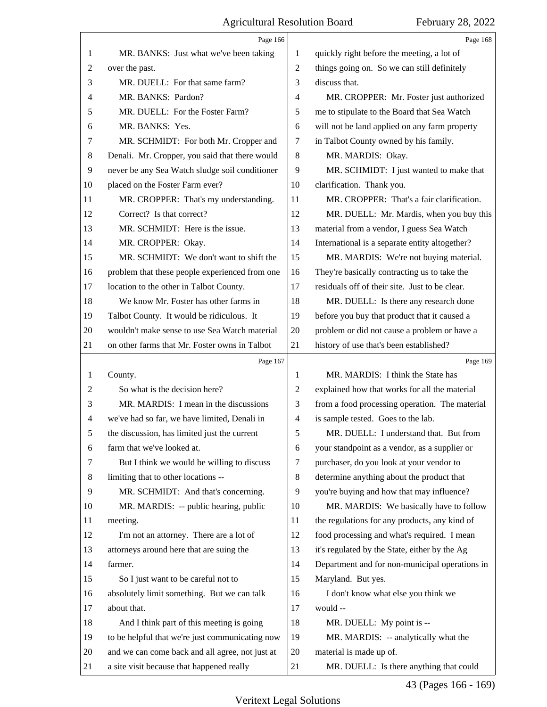<span id="page-42-0"></span>

|                | Page 166                                        |                | Page 168                                       |
|----------------|-------------------------------------------------|----------------|------------------------------------------------|
| 1              | MR. BANKS: Just what we've been taking          | 1              | quickly right before the meeting, a lot of     |
| $\overline{2}$ | over the past.                                  | $\overline{2}$ | things going on. So we can still definitely    |
| 3              | MR. DUELL: For that same farm?                  | 3              | discuss that.                                  |
| 4              | MR. BANKS: Pardon?                              | 4              | MR. CROPPER: Mr. Foster just authorized        |
| 5              | MR. DUELL: For the Foster Farm?                 | 5              | me to stipulate to the Board that Sea Watch    |
| 6              | MR. BANKS: Yes.                                 | 6              | will not be land applied on any farm property  |
| 7              | MR. SCHMIDT: For both Mr. Cropper and           | 7              | in Talbot County owned by his family.          |
| 8              | Denali. Mr. Cropper, you said that there would  | 8              | MR. MARDIS: Okay.                              |
| 9              | never be any Sea Watch sludge soil conditioner  | 9              | MR. SCHMIDT: I just wanted to make that        |
| 10             | placed on the Foster Farm ever?                 | 10             | clarification. Thank you.                      |
| 11             | MR. CROPPER: That's my understanding.           | 11             | MR. CROPPER: That's a fair clarification.      |
| 12             | Correct? Is that correct?                       | 12             | MR. DUELL: Mr. Mardis, when you buy this       |
| 13             | MR. SCHMIDT: Here is the issue.                 | 13             | material from a vendor, I guess Sea Watch      |
| 14             | MR. CROPPER: Okay.                              | 14             | International is a separate entity altogether? |
| 15             | MR. SCHMIDT: We don't want to shift the         | 15             | MR. MARDIS: We're not buying material.         |
| 16             | problem that these people experienced from one  | 16             | They're basically contracting us to take the   |
| 17             | location to the other in Talbot County.         | 17             | residuals off of their site. Just to be clear. |
| 18             | We know Mr. Foster has other farms in           | 18             | MR. DUELL: Is there any research done          |
| 19             | Talbot County. It would be ridiculous. It       | 19             | before you buy that product that it caused a   |
| 20             | wouldn't make sense to use Sea Watch material   | 20             | problem or did not cause a problem or have a   |
| 21             | on other farms that Mr. Foster owns in Talbot   | 21             | history of use that's been established?        |
|                |                                                 |                |                                                |
|                | Page 167                                        |                | Page 169                                       |
| 1              | County.                                         | 1              | MR. MARDIS: I think the State has              |
| $\overline{2}$ | So what is the decision here?                   | $\overline{2}$ | explained how that works for all the material  |
| 3              | MR. MARDIS: I mean in the discussions           | 3              | from a food processing operation. The material |
| 4              | we've had so far, we have limited, Denali in    | $\overline{4}$ | is sample tested. Goes to the lab.             |
| 5              | the discussion, has limited just the current    | 5              | MR. DUELL: I understand that. But from         |
| 6              | farm that we've looked at.                      | 6              | your standpoint as a vendor, as a supplier or  |
| 7              | But I think we would be willing to discuss      | 7              | purchaser, do you look at your vendor to       |
| 8              | limiting that to other locations --             | 8              | determine anything about the product that      |
| 9              | MR. SCHMIDT: And that's concerning.             | 9              | you're buying and how that may influence?      |
| 10             | MR. MARDIS: -- public hearing, public           | 10             | MR. MARDIS: We basically have to follow        |
| 11             | meeting.                                        | 11             | the regulations for any products, any kind of  |
| 12             | I'm not an attorney. There are a lot of         | 12             | food processing and what's required. I mean    |
| 13             | attorneys around here that are suing the        | 13             | it's regulated by the State, either by the Ag  |
| 14             | farmer.                                         | 14             | Department and for non-municipal operations in |
| 15             | So I just want to be careful not to             | 15             | Maryland. But yes.                             |
| 16             | absolutely limit something. But we can talk     | 16             | I don't know what else you think we            |
| 17             | about that.                                     | 17             | would --                                       |
| 18             | And I think part of this meeting is going       | 18             | MR. DUELL: My point is --                      |
| 19             | to be helpful that we're just communicating now | 19             | MR. MARDIS: -- analytically what the           |
| 20             | and we can come back and all agree, not just at | 20             | material is made up of.                        |

43 (Pages 166 - 169)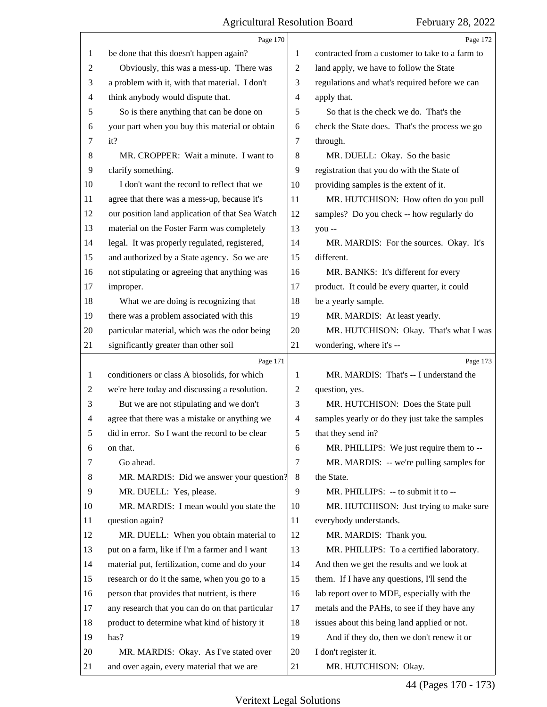<span id="page-43-0"></span>

|                | Page 170                                        |                | Page 172                                        |
|----------------|-------------------------------------------------|----------------|-------------------------------------------------|
| 1              | be done that this doesn't happen again?         | 1              | contracted from a customer to take to a farm to |
| 2              | Obviously, this was a mess-up. There was        | $\overline{c}$ | land apply, we have to follow the State         |
| 3              | a problem with it, with that material. I don't  | 3              | regulations and what's required before we can   |
| 4              | think anybody would dispute that.               | 4              | apply that.                                     |
| 5              | So is there anything that can be done on        | 5              | So that is the check we do. That's the          |
| 6              | your part when you buy this material or obtain  | 6              | check the State does. That's the process we go  |
| 7              | it?                                             | 7              | through.                                        |
| 8              | MR. CROPPER: Wait a minute. I want to           | 8              | MR. DUELL: Okay. So the basic                   |
| 9              | clarify something.                              | 9              | registration that you do with the State of      |
| 10             | I don't want the record to reflect that we      | 10             | providing samples is the extent of it.          |
| 11             | agree that there was a mess-up, because it's    | 11             | MR. HUTCHISON: How often do you pull            |
| 12             | our position land application of that Sea Watch | 12             | samples? Do you check -- how regularly do       |
| 13             | material on the Foster Farm was completely      | 13             | you --                                          |
| 14             | legal. It was properly regulated, registered,   | 14             | MR. MARDIS: For the sources. Okay. It's         |
| 15             | and authorized by a State agency. So we are     | 15             | different.                                      |
| 16             | not stipulating or agreeing that anything was   | 16             | MR. BANKS: It's different for every             |
| 17             | improper.                                       | 17             | product. It could be every quarter, it could    |
| 18             | What we are doing is recognizing that           | 18             | be a yearly sample.                             |
| 19             | there was a problem associated with this        | 19             | MR. MARDIS: At least yearly.                    |
| 20             | particular material, which was the odor being   | 20             | MR. HUTCHISON: Okay. That's what I was          |
| 21             | significantly greater than other soil           | 21             | wondering, where it's --                        |
|                | Page 171                                        |                | Page 173                                        |
| 1              | conditioners or class A biosolids, for which    | 1              | MR. MARDIS: That's -- I understand the          |
| $\overline{c}$ | we're here today and discussing a resolution.   | $\overline{2}$ | question, yes.                                  |
| 3              | But we are not stipulating and we don't         | 3              | MR. HUTCHISON: Does the State pull              |
| 4              |                                                 |                |                                                 |
|                | agree that there was a mistake or anything we   | $\overline{4}$ | samples yearly or do they just take the samples |
| 5              | did in error. So I want the record to be clear  | 5              | that they send in?                              |
| 6              | on that.                                        | 6              | MR. PHILLIPS: We just require them to --        |
| 7              | Go ahead.                                       | $\overline{7}$ | MR. MARDIS: -- we're pulling samples for        |
| 8              | MR. MARDIS: Did we answer your question?        | 8              | the State.                                      |
| 9              | MR. DUELL: Yes, please.                         | 9              | MR. PHILLIPS: -- to submit it to --             |
| 10             | MR. MARDIS: I mean would you state the          | 10             | MR. HUTCHISON: Just trying to make sure         |
| 11             | question again?                                 | 11             | everybody understands.                          |
| 12             | MR. DUELL: When you obtain material to          | 12             | MR. MARDIS: Thank you.                          |
| 13             | put on a farm, like if I'm a farmer and I want  | 13             | MR. PHILLIPS: To a certified laboratory.        |
| 14             | material put, fertilization, come and do your   | 14             | And then we get the results and we look at      |
| 15             | research or do it the same, when you go to a    | 15             | them. If I have any questions, I'll send the    |
| 16             | person that provides that nutrient, is there    | 16             | lab report over to MDE, especially with the     |
| 17             | any research that you can do on that particular | 17             | metals and the PAHs, to see if they have any    |
| 18             | product to determine what kind of history it    | 18             | issues about this being land applied or not.    |
| 19             | has?                                            | 19             | And if they do, then we don't renew it or       |
| 20             | MR. MARDIS: Okay. As I've stated over           | 20             | I don't register it.                            |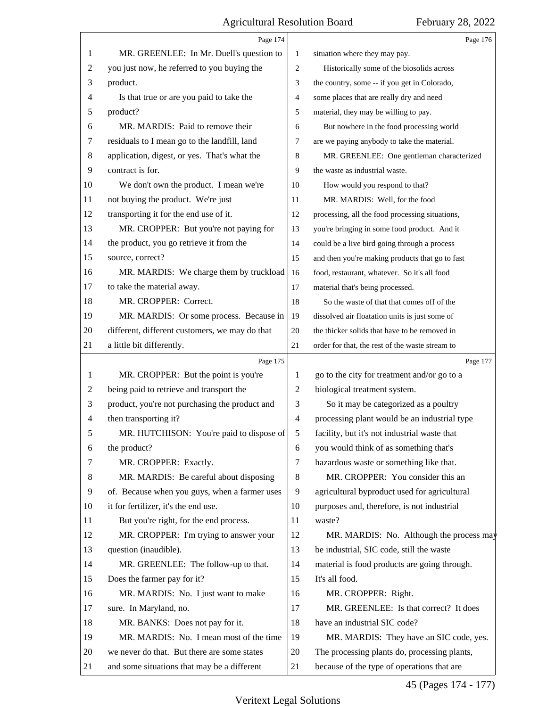<span id="page-44-0"></span>

|         | Page 174                                       |                | Page 176                                        |
|---------|------------------------------------------------|----------------|-------------------------------------------------|
| 1       | MR. GREENLEE: In Mr. Duell's question to       | 1              | situation where they may pay.                   |
| 2       | you just now, he referred to you buying the    | $\overline{2}$ | Historically some of the biosolids across       |
| 3       | product.                                       | 3              | the country, some -- if you get in Colorado,    |
| 4       | Is that true or are you paid to take the       | $\overline{4}$ | some places that are really dry and need        |
| 5       | product?                                       | 5              | material, they may be willing to pay.           |
| 6       | MR. MARDIS: Paid to remove their               | 6              | But nowhere in the food processing world        |
| 7       | residuals to I mean go to the landfill, land   | 7              | are we paying anybody to take the material.     |
| $\,8\,$ | application, digest, or yes. That's what the   | 8              | MR. GREENLEE: One gentleman characterized       |
| 9       | contract is for.                               | 9              | the waste as industrial waste.                  |
| 10      | We don't own the product. I mean we're         | 10             | How would you respond to that?                  |
| 11      | not buying the product. We're just             | 11             | MR. MARDIS: Well, for the food                  |
| 12      | transporting it for the end use of it.         | 12             | processing, all the food processing situations, |
| 13      | MR. CROPPER: But you're not paying for         | 13             | you're bringing in some food product. And it    |
| 14      | the product, you go retrieve it from the       | 14             | could be a live bird going through a process    |
| 15      | source, correct?                               | 15             | and then you're making products that go to fast |
| 16      | MR. MARDIS: We charge them by truckload        | 16             | food, restaurant, whatever. So it's all food    |
| 17      | to take the material away.                     | 17             | material that's being processed.                |
| 18      | MR. CROPPER: Correct.                          | 18             | So the waste of that that comes off of the      |
| 19      | MR. MARDIS: Or some process. Because in        | 19             | dissolved air floatation units is just some of  |
| 20      | different, different customers, we may do that | 20             | the thicker solids that have to be removed in   |
| 21      | a little bit differently.                      | 21             | order for that, the rest of the waste stream to |
|         | Page 175                                       |                | Page 177                                        |
| 1       | MR. CROPPER: But the point is you're           | 1              | go to the city for treatment and/or go to a     |
| 2       | being paid to retrieve and transport the       | $\overline{2}$ | biological treatment system.                    |
| 3       | product, you're not purchasing the product and | 3              | So it may be categorized as a poultry           |
| 4       | then transporting it?                          | $\overline{4}$ | processing plant would be an industrial type    |
| 5       | MR. HUTCHISON: You're paid to dispose of       | 5              | facility, but it's not industrial waste that    |
| 6       | the product?                                   | 6              | you would think of as something that's          |
| 7       | MR. CROPPER: Exactly.                          | 7              | hazardous waste or something like that.         |
| 8       | MR. MARDIS: Be careful about disposing         | 8              | MR. CROPPER: You consider this an               |
| 9       | of. Because when you guys, when a farmer uses  | 9              | agricultural byproduct used for agricultural    |
| 10      | it for fertilizer, it's the end use.           | 10             | purposes and, therefore, is not industrial      |
| 11      | But you're right, for the end process.         | 11             | waste?                                          |
| 12      | MR. CROPPER: I'm trying to answer your         | 12             | MR. MARDIS: No. Although the process may        |
| 13      | question (inaudible).                          | 13             | be industrial, SIC code, still the waste        |
| 14      | MR. GREENLEE: The follow-up to that.           | 14             | material is food products are going through.    |
| 15      | Does the farmer pay for it?                    | 15             | It's all food.                                  |
| 16      | MR. MARDIS: No. I just want to make            | 16             | MR. CROPPER: Right.                             |
| 17      | sure. In Maryland, no.                         | 17             | MR. GREENLEE: Is that correct? It does          |
| 18      |                                                |                |                                                 |
|         | MR. BANKS: Does not pay for it.                | 18             | have an industrial SIC code?                    |
| 19      | MR. MARDIS: No. I mean most of the time        | 19             | MR. MARDIS: They have an SIC code, yes.         |
| 20      | we never do that. But there are some states    | 20             | The processing plants do, processing plants,    |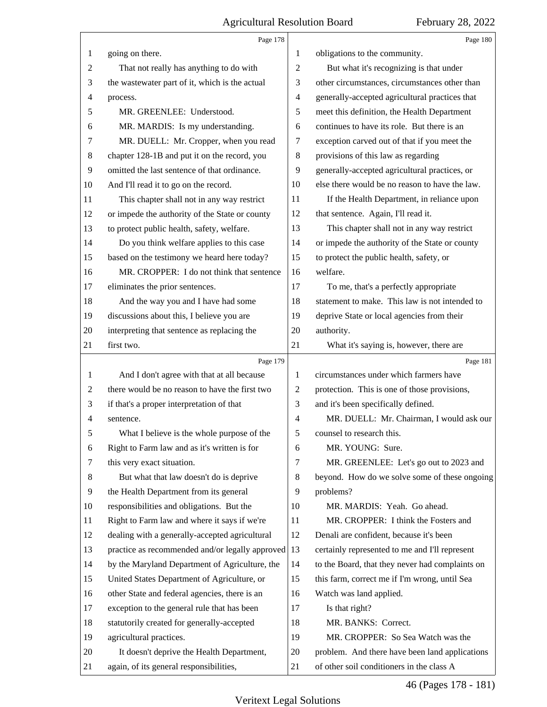<span id="page-45-0"></span>

|                | Page 178                                        |                | Page 180                                        |
|----------------|-------------------------------------------------|----------------|-------------------------------------------------|
| 1              | going on there.                                 | 1              | obligations to the community.                   |
| $\overline{2}$ | That not really has anything to do with         | $\mathfrak{2}$ | But what it's recognizing is that under         |
| 3              | the wastewater part of it, which is the actual  | 3              | other circumstances, circumstances other than   |
| $\overline{4}$ | process.                                        | $\overline{4}$ | generally-accepted agricultural practices that  |
| 5              | MR. GREENLEE: Understood.                       | 5              | meet this definition, the Health Department     |
| 6              | MR. MARDIS: Is my understanding.                | 6              | continues to have its role. But there is an     |
| 7              | MR. DUELL: Mr. Cropper, when you read           | 7              | exception carved out of that if you meet the    |
| 8              | chapter 128-1B and put it on the record, you    | 8              | provisions of this law as regarding             |
| 9              | omitted the last sentence of that ordinance.    | 9              | generally-accepted agricultural practices, or   |
| 10             | And I'll read it to go on the record.           | 10             | else there would be no reason to have the law.  |
| 11             | This chapter shall not in any way restrict      | 11             | If the Health Department, in reliance upon      |
| 12             | or impede the authority of the State or county  | 12             | that sentence. Again, I'll read it.             |
| 13             | to protect public health, safety, welfare.      | 13             | This chapter shall not in any way restrict      |
| 14             | Do you think welfare applies to this case       | 14             | or impede the authority of the State or county  |
| 15             | based on the testimony we heard here today?     | 15             | to protect the public health, safety, or        |
| 16             | MR. CROPPER: I do not think that sentence       | 16             | welfare.                                        |
| 17             | eliminates the prior sentences.                 | 17             | To me, that's a perfectly appropriate           |
| 18             | And the way you and I have had some             | 18             | statement to make. This law is not intended to  |
| 19             | discussions about this, I believe you are       | 19             | deprive State or local agencies from their      |
| 20             | interpreting that sentence as replacing the     | 20             | authority.                                      |
| 21             | first two.                                      | 21             | What it's saying is, however, there are         |
|                |                                                 |                |                                                 |
|                | Page 179                                        |                | Page 181                                        |
| 1              | And I don't agree with that at all because      | 1              | circumstances under which farmers have          |
| 2              | there would be no reason to have the first two  | 2              | protection. This is one of those provisions,    |
| 3              | if that's a proper interpretation of that       | 3              | and it's been specifically defined.             |
| $\overline{4}$ | sentence.                                       | $\overline{4}$ | MR. DUELL: Mr. Chairman, I would ask our        |
| 5              | What I believe is the whole purpose of the      | 5              | counsel to research this.                       |
| 6              | Right to Farm law and as it's written is for    | 6              | MR. YOUNG: Sure.                                |
| 7              | this very exact situation.                      | 7              | MR. GREENLEE: Let's go out to 2023 and          |
| 8              | But what that law doesn't do is deprive         | 8              | beyond. How do we solve some of these ongoing   |
| 9              | the Health Department from its general          | 9              | problems?                                       |
| 10             | responsibilities and obligations. But the       | 10             | MR. MARDIS: Yeah. Go ahead.                     |
| 11             | Right to Farm law and where it says if we're    | 11             | MR. CROPPER: I think the Fosters and            |
| 12             | dealing with a generally-accepted agricultural  | 12             | Denali are confident, because it's been         |
| 13             | practice as recommended and/or legally approved | 13             | certainly represented to me and I'll represent  |
| 14             | by the Maryland Department of Agriculture, the  | 14             | to the Board, that they never had complaints on |
| 15             | United States Department of Agriculture, or     | 15             | this farm, correct me if I'm wrong, until Sea   |
| 16             | other State and federal agencies, there is an   | 16             | Watch was land applied.                         |
| 17             | exception to the general rule that has been     | 17             | Is that right?                                  |
| 18             | statutorily created for generally-accepted      | 18             | MR. BANKS: Correct.                             |
| 19             | agricultural practices.                         | 19             | MR. CROPPER: So Sea Watch was the               |
| 20             | It doesn't deprive the Health Department,       | 20             | problem. And there have been land applications  |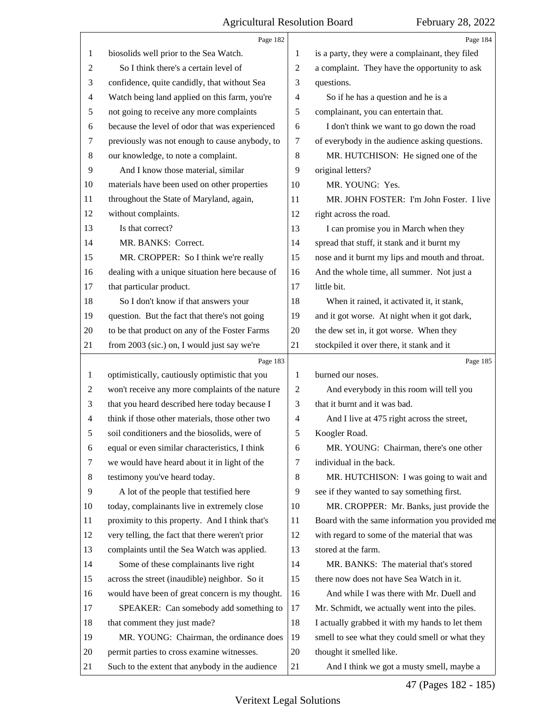<span id="page-46-0"></span>

|                          | Page 182                                        |                | Page 184                                        |
|--------------------------|-------------------------------------------------|----------------|-------------------------------------------------|
| 1                        | biosolids well prior to the Sea Watch.          | 1              | is a party, they were a complainant, they filed |
| 2                        | So I think there's a certain level of           | $\overline{2}$ | a complaint. They have the opportunity to ask   |
| 3                        | confidence, quite candidly, that without Sea    | 3              | questions.                                      |
| $\overline{\mathcal{A}}$ | Watch being land applied on this farm, you're   | 4              | So if he has a question and he is a             |
| 5                        | not going to receive any more complaints        | 5              | complainant, you can entertain that.            |
| 6                        | because the level of odor that was experienced  | 6              | I don't think we want to go down the road       |
| 7                        | previously was not enough to cause anybody, to  | 7              | of everybody in the audience asking questions.  |
| 8                        | our knowledge, to note a complaint.             | $\,8\,$        | MR. HUTCHISON: He signed one of the             |
| 9                        | And I know those material, similar              | 9              | original letters?                               |
| 10                       | materials have been used on other properties    | 10             | MR. YOUNG: Yes.                                 |
| 11                       | throughout the State of Maryland, again,        | 11             | MR. JOHN FOSTER: I'm John Foster. I live        |
| 12                       | without complaints.                             | 12             | right across the road.                          |
| 13                       | Is that correct?                                | 13             | I can promise you in March when they            |
| 14                       | MR. BANKS: Correct.                             | 14             | spread that stuff, it stank and it burnt my     |
| 15                       | MR. CROPPER: So I think we're really            | 15             | nose and it burnt my lips and mouth and throat. |
| 16                       | dealing with a unique situation here because of | 16             | And the whole time, all summer. Not just a      |
| 17                       | that particular product.                        | 17             | little bit.                                     |
| 18                       | So I don't know if that answers your            | 18             | When it rained, it activated it, it stank,      |
| 19                       | question. But the fact that there's not going   | 19             | and it got worse. At night when it got dark,    |
| 20                       | to be that product on any of the Foster Farms   | 20             | the dew set in, it got worse. When they         |
| 21                       | from 2003 (sic.) on, I would just say we're     | 21             | stockpiled it over there, it stank and it       |
|                          | Page 183                                        |                | Page 185                                        |
|                          |                                                 |                |                                                 |
| 1                        | optimistically, cautiously optimistic that you  | 1              | burned our noses.                               |
| 2                        | won't receive any more complaints of the nature | 2              | And everybody in this room will tell you        |
| 3                        | that you heard described here today because I   | 3              | that it burnt and it was bad.                   |
| 4                        | think if those other materials, those other two | 4              | And I live at 475 right across the street,      |
| 5                        | soil conditioners and the biosolids, were of    | 5              | Koogler Road.                                   |
| 6                        | equal or even similar characteristics, I think  | 6              | MR. YOUNG: Chairman, there's one other          |
| 7                        | we would have heard about it in light of the    | 7              | individual in the back.                         |
| 8                        | testimony you've heard today.                   | 8              | MR. HUTCHISON: I was going to wait and          |
| 9                        | A lot of the people that testified here         | 9              | see if they wanted to say something first.      |
| 10                       | today, complainants live in extremely close     | 10             | MR. CROPPER: Mr. Banks, just provide the        |
| 11                       | proximity to this property. And I think that's  | 11             | Board with the same information you provided me |
| 12                       | very telling, the fact that there weren't prior | 12             | with regard to some of the material that was    |
| 13                       | complaints until the Sea Watch was applied.     | 13             | stored at the farm.                             |
| 14                       | Some of these complainants live right           | 14             | MR. BANKS: The material that's stored           |
| 15                       | across the street (inaudible) neighbor. So it   | 15             | there now does not have Sea Watch in it.        |
| 16                       | would have been of great concern is my thought. | 16             | And while I was there with Mr. Duell and        |
| 17                       | SPEAKER: Can somebody add something to          | 17             | Mr. Schmidt, we actually went into the piles.   |
| 18                       | that comment they just made?                    | 18             | I actually grabbed it with my hands to let them |
| 19                       | MR. YOUNG: Chairman, the ordinance does         | 19             | smell to see what they could smell or what they |
| 20                       | permit parties to cross examine witnesses.      | 20             | thought it smelled like.                        |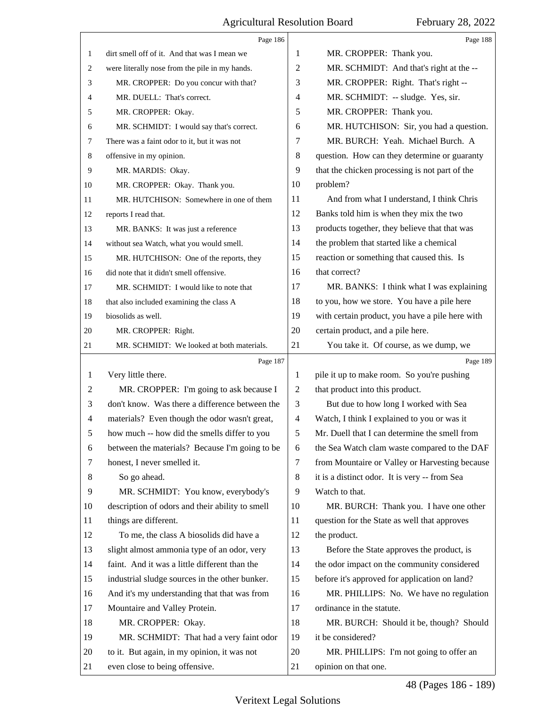<span id="page-47-0"></span>

|                | Page 186                                        |                | Page 188                                        |
|----------------|-------------------------------------------------|----------------|-------------------------------------------------|
| $\mathbf{1}$   | dirt smell off of it. And that was I mean we    | 1              | MR. CROPPER: Thank you.                         |
| 2              | were literally nose from the pile in my hands.  | $\sqrt{2}$     | MR. SCHMIDT: And that's right at the --         |
| 3              | MR. CROPPER: Do you concur with that?           | 3              | MR. CROPPER: Right. That's right --             |
| 4              | MR. DUELL: That's correct.                      | 4              | MR. SCHMIDT: -- sludge. Yes, sir.               |
| 5              | MR. CROPPER: Okay.                              | 5              | MR. CROPPER: Thank you.                         |
| 6              | MR. SCHMIDT: I would say that's correct.        | 6              | MR. HUTCHISON: Sir, you had a question.         |
| $\tau$         | There was a faint odor to it, but it was not    | 7              | MR. BURCH: Yeah. Michael Burch. A               |
| 8              | offensive in my opinion.                        | 8              | question. How can they determine or guaranty    |
| 9              | MR. MARDIS: Okay.                               | 9              | that the chicken processing is not part of the  |
| 10             | MR. CROPPER: Okay. Thank you.                   | 10             | problem?                                        |
| 11             | MR. HUTCHISON: Somewhere in one of them         | 11             | And from what I understand, I think Chris       |
| 12             | reports I read that.                            | 12             | Banks told him is when they mix the two         |
| 13             | MR. BANKS: It was just a reference              | 13             | products together, they believe that that was   |
| 14             | without sea Watch, what you would smell.        | 14             | the problem that started like a chemical        |
| 15             | MR. HUTCHISON: One of the reports, they         | 15             | reaction or something that caused this. Is      |
| 16             | did note that it didn't smell offensive.        | 16             | that correct?                                   |
| 17             | MR. SCHMIDT: I would like to note that          | 17             | MR. BANKS: I think what I was explaining        |
| 18             | that also included examining the class A        | 18             | to you, how we store. You have a pile here      |
| 19             | biosolids as well.                              | 19             | with certain product, you have a pile here with |
| 20             | MR. CROPPER: Right.                             | 20             | certain product, and a pile here.               |
| 21             | MR. SCHMIDT: We looked at both materials.       | 21             | You take it. Of course, as we dump, we          |
|                |                                                 |                |                                                 |
|                | Page 187                                        |                | Page 189                                        |
| 1              | Very little there.                              | 1              | pile it up to make room. So you're pushing      |
| 2              | MR. CROPPER: I'm going to ask because I         | $\overline{c}$ | that product into this product.                 |
| 3              | don't know. Was there a difference between the  | 3              | But due to how long I worked with Sea           |
| $\overline{4}$ | materials? Even though the odor wasn't great,   | $\overline{4}$ | Watch, I think I explained to you or was it     |
| 5              | how much -- how did the smells differ to you    | 5              | Mr. Duell that I can determine the smell from   |
| 6              | between the materials? Because I'm going to be  | 6              | the Sea Watch clam waste compared to the DAF    |
| 7              | honest, I never smelled it.                     | 7              | from Mountaire or Valley or Harvesting because  |
| 8              | So go ahead.                                    | $\,8\,$        | it is a distinct odor. It is very -- from Sea   |
| 9              | MR. SCHMIDT: You know, everybody's              | 9              | Watch to that.                                  |
| 10             | description of odors and their ability to smell | 10             | MR. BURCH: Thank you. I have one other          |
| 11             | things are different.                           | 11             | question for the State as well that approves    |
| 12             | To me, the class A biosolids did have a         | 12             | the product.                                    |
| 13             | slight almost ammonia type of an odor, very     | 13             | Before the State approves the product, is       |
| 14             | faint. And it was a little different than the   | 14             | the odor impact on the community considered     |
| 15             | industrial sludge sources in the other bunker.  | 15             | before it's approved for application on land?   |
| 16             | And it's my understanding that that was from    | 16             | MR. PHILLIPS: No. We have no regulation         |
| 17             | Mountaire and Valley Protein.                   | 17             | ordinance in the statute.                       |
| 18             | MR. CROPPER: Okay.                              | 18             | MR. BURCH: Should it be, though? Should         |
| 19             | MR. SCHMIDT: That had a very faint odor         | 19             | it be considered?                               |
| 20             | to it. But again, in my opinion, it was not     | 20             | MR. PHILLIPS: I'm not going to offer an         |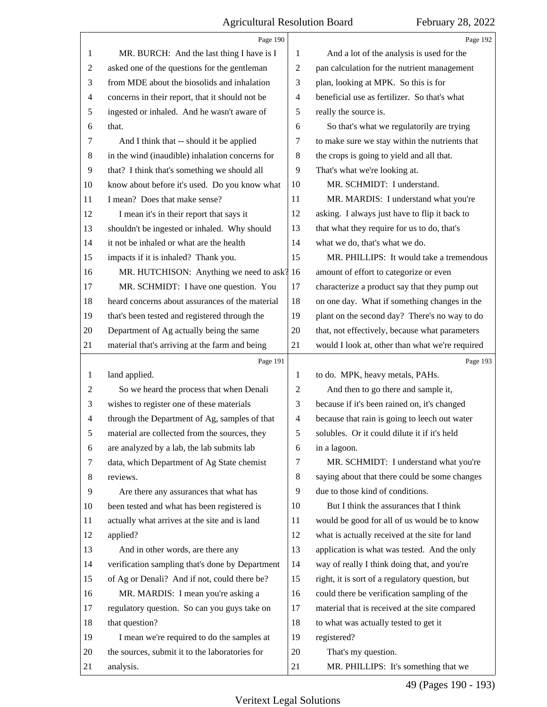<span id="page-48-0"></span>

|                | Page 190                                        |                | Page 192                                        |
|----------------|-------------------------------------------------|----------------|-------------------------------------------------|
| 1              | MR. BURCH: And the last thing I have is I       | 1              | And a lot of the analysis is used for the       |
| $\overline{c}$ | asked one of the questions for the gentleman    | $\overline{2}$ | pan calculation for the nutrient management     |
| 3              | from MDE about the biosolids and inhalation     | 3              | plan, looking at MPK. So this is for            |
| 4              | concerns in their report, that it should not be | $\overline{4}$ | beneficial use as fertilizer. So that's what    |
| 5              | ingested or inhaled. And he wasn't aware of     | 5              | really the source is.                           |
| 6              | that.                                           | 6              | So that's what we regulatorily are trying       |
| 7              | And I think that -- should it be applied        | 7              | to make sure we stay within the nutrients that  |
| 8              | in the wind (inaudible) inhalation concerns for | 8              | the crops is going to yield and all that.       |
| 9              | that? I think that's something we should all    | 9              | That's what we're looking at.                   |
| 10             | know about before it's used. Do you know what   | 10             | MR. SCHMIDT: I understand.                      |
| 11             | I mean? Does that make sense?                   | 11             | MR. MARDIS: I understand what you're            |
| 12             | I mean it's in their report that says it        | 12             | asking. I always just have to flip it back to   |
| 13             | shouldn't be ingested or inhaled. Why should    | 13             | that what they require for us to do, that's     |
| 14             | it not be inhaled or what are the health        | 14             | what we do, that's what we do.                  |
| 15             | impacts if it is inhaled? Thank you.            | 15             | MR. PHILLIPS: It would take a tremendous        |
| 16             | MR. HUTCHISON: Anything we need to ask? 16      |                | amount of effort to categorize or even          |
| 17             | MR. SCHMIDT: I have one question. You           | 17             | characterize a product say that they pump out   |
| 18             | heard concerns about assurances of the material | 18             | on one day. What if something changes in the    |
| 19             | that's been tested and registered through the   | 19             | plant on the second day? There's no way to do   |
| 20             | Department of Ag actually being the same        | 20             | that, not effectively, because what parameters  |
| 21             | material that's arriving at the farm and being  | 21             | would I look at, other than what we're required |
|                |                                                 |                |                                                 |
|                | Page 191                                        |                | Page 193                                        |
| 1              | land applied.                                   | 1              | to do. MPK, heavy metals, PAHs.                 |
| $\overline{c}$ | So we heard the process that when Denali        | $\overline{2}$ | And then to go there and sample it,             |
| 3              | wishes to register one of these materials       | 3              | because if it's been rained on, it's changed    |
| $\overline{4}$ | through the Department of Ag, samples of that   | $\overline{4}$ | because that rain is going to leech out water   |
| 5              | material are collected from the sources, they   | 5              | solubles. Or it could dilute it if it's held    |
| 6              | are analyzed by a lab, the lab submits lab      | 6              | in a lagoon.                                    |
| 7              | data, which Department of Ag State chemist      | 7              | MR. SCHMIDT: I understand what you're           |
| 8              | reviews.                                        | 8              | saying about that there could be some changes   |
| 9              | Are there any assurances that what has          | 9              | due to those kind of conditions.                |
| 10             | been tested and what has been registered is     | 10             | But I think the assurances that I think         |
| 11             | actually what arrives at the site and is land   | 11             | would be good for all of us would be to know    |
| 12             | applied?                                        | 12             | what is actually received at the site for land  |
| 13             | And in other words, are there any               | 13             | application is what was tested. And the only    |
| 14             | verification sampling that's done by Department | 14             | way of really I think doing that, and you're    |
| 15             | of Ag or Denali? And if not, could there be?    | 15             | right, it is sort of a regulatory question, but |
| 16             | MR. MARDIS: I mean you're asking a              | 16             | could there be verification sampling of the     |
| 17             | regulatory question. So can you guys take on    | 17             | material that is received at the site compared  |
| 18             | that question?                                  | 18             | to what was actually tested to get it           |
| 19             | I mean we're required to do the samples at      | 19             | registered?                                     |
| 20             | the sources, submit it to the laboratories for  | 20             | That's my question.                             |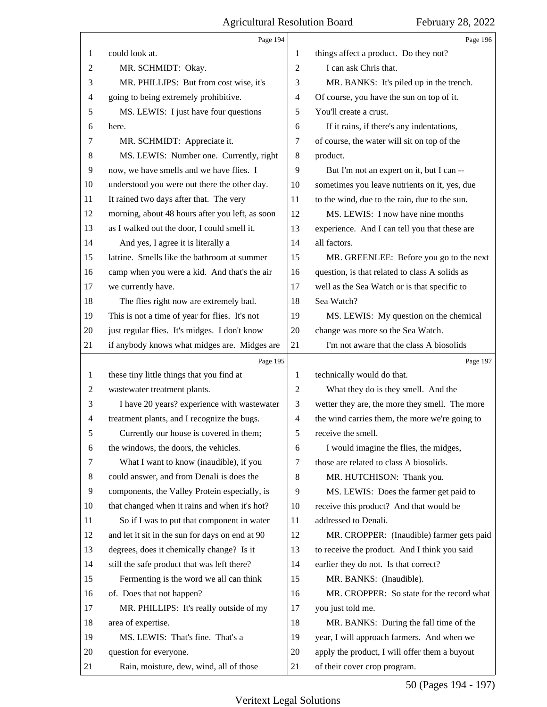<span id="page-49-0"></span>

|                | Page 194                                        |                | Page 196                                       |
|----------------|-------------------------------------------------|----------------|------------------------------------------------|
| 1              | could look at.                                  | 1              | things affect a product. Do they not?          |
| 2              | MR. SCHMIDT: Okay.                              | 2              | I can ask Chris that.                          |
| 3              | MR. PHILLIPS: But from cost wise, it's          | 3              | MR. BANKS: It's piled up in the trench.        |
| 4              | going to being extremely prohibitive.           | 4              | Of course, you have the sun on top of it.      |
| 5              | MS. LEWIS: I just have four questions           | 5              | You'll create a crust.                         |
| 6              | here.                                           | 6              | If it rains, if there's any indentations,      |
| 7              | MR. SCHMIDT: Appreciate it.                     | 7              | of course, the water will sit on top of the    |
| 8              | MS. LEWIS: Number one. Currently, right         | 8              | product.                                       |
| 9              | now, we have smells and we have flies. I        | 9              | But I'm not an expert on it, but I can --      |
| 10             | understood you were out there the other day.    | 10             | sometimes you leave nutrients on it, yes, due  |
| 11             | It rained two days after that. The very         | 11             | to the wind, due to the rain, due to the sun.  |
| 12             | morning, about 48 hours after you left, as soon | 12             | MS. LEWIS: I now have nine months              |
| 13             | as I walked out the door, I could smell it.     | 13             | experience. And I can tell you that these are  |
| 14             | And yes, I agree it is literally a              | 14             | all factors.                                   |
| 15             | latrine. Smells like the bathroom at summer     | 15             | MR. GREENLEE: Before you go to the next        |
| 16             | camp when you were a kid. And that's the air    | 16             | question, is that related to class A solids as |
| 17             | we currently have.                              | 17             | well as the Sea Watch or is that specific to   |
| 18             | The flies right now are extremely bad.          | 18             | Sea Watch?                                     |
| 19             | This is not a time of year for flies. It's not  | 19             | MS. LEWIS: My question on the chemical         |
| 20             | just regular flies. It's midges. I don't know   | 20             | change was more so the Sea Watch.              |
| 21             | if anybody knows what midges are. Midges are    | 21             | I'm not aware that the class A biosolids       |
|                |                                                 |                |                                                |
|                | Page 195                                        |                | Page 197                                       |
| $\mathbf{1}$   | these tiny little things that you find at       | 1              | technically would do that.                     |
| $\overline{c}$ | wastewater treatment plants.                    | $\overline{2}$ | What they do is they smell. And the            |
| 3              | I have 20 years? experience with wastewater     | 3              | wetter they are, the more they smell. The more |
| 4              | treatment plants, and I recognize the bugs.     | 4              | the wind carries them, the more we're going to |
| 5              | Currently our house is covered in them;         | 5              | receive the smell.                             |
| 6              | the windows, the doors, the vehicles.           | 6              | I would imagine the flies, the midges,         |
| 7              | What I want to know (inaudible), if you         | 7              | those are related to class A biosolids.        |
| 8              | could answer, and from Denali is does the       | 8              | MR. HUTCHISON: Thank you.                      |
| 9              | components, the Valley Protein especially, is   | 9              | MS. LEWIS: Does the farmer get paid to         |
| 10             | that changed when it rains and when it's hot?   | 10             | receive this product? And that would be        |
| 11             | So if I was to put that component in water      | 11             | addressed to Denali.                           |
| 12             | and let it sit in the sun for days on end at 90 | 12             | MR. CROPPER: (Inaudible) farmer gets paid      |
| 13             | degrees, does it chemically change? Is it       | 13             | to receive the product. And I think you said   |
| 14             | still the safe product that was left there?     | 14             | earlier they do not. Is that correct?          |
| 15             | Fermenting is the word we all can think         | 15             | MR. BANKS: (Inaudible).                        |
| 16             | of. Does that not happen?                       | 16             | MR. CROPPER: So state for the record what      |
| 17             | MR. PHILLIPS: It's really outside of my         | 17             | you just told me.                              |
| 18             | area of expertise.                              | 18             | MR. BANKS: During the fall time of the         |
| 19             | MS. LEWIS: That's fine. That's a                | 19             | year, I will approach farmers. And when we     |
| 20             | question for everyone.                          | 20             | apply the product, I will offer them a buyout  |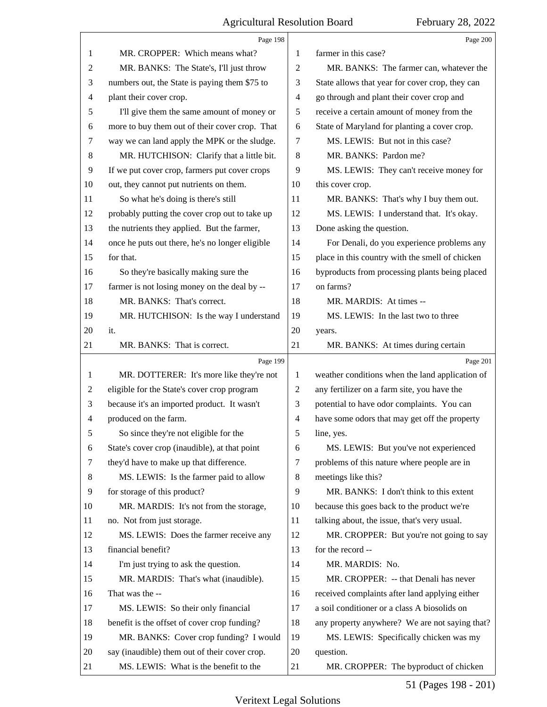<span id="page-50-0"></span>

|                | Page 198                                        |                          | Page 200                                        |
|----------------|-------------------------------------------------|--------------------------|-------------------------------------------------|
| 1              | MR. CROPPER: Which means what?                  | 1                        | farmer in this case?                            |
| $\overline{c}$ | MR. BANKS: The State's, I'll just throw         | $\mathbf{2}$             | MR. BANKS: The farmer can, whatever the         |
| 3              | numbers out, the State is paying them \$75 to   | 3                        | State allows that year for cover crop, they can |
| 4              | plant their cover crop.                         | $\overline{\mathcal{A}}$ | go through and plant their cover crop and       |
| 5              | I'll give them the same amount of money or      | $\sqrt{5}$               | receive a certain amount of money from the      |
| 6              | more to buy them out of their cover crop. That  | 6                        | State of Maryland for planting a cover crop.    |
| 7              | way we can land apply the MPK or the sludge.    | 7                        | MS. LEWIS: But not in this case?                |
| 8              | MR. HUTCHISON: Clarify that a little bit.       | $\,8\,$                  | MR. BANKS: Pardon me?                           |
| 9              | If we put cover crop, farmers put cover crops   | 9                        | MS. LEWIS: They can't receive money for         |
| 10             | out, they cannot put nutrients on them.         | 10                       | this cover crop.                                |
| 11             | So what he's doing is there's still             | 11                       | MR. BANKS: That's why I buy them out.           |
| 12             | probably putting the cover crop out to take up  | 12                       | MS. LEWIS: I understand that. It's okay.        |
| 13             | the nutrients they applied. But the farmer,     | 13                       | Done asking the question.                       |
| 14             | once he puts out there, he's no longer eligible | 14                       | For Denali, do you experience problems any      |
| 15             | for that.                                       | 15                       | place in this country with the smell of chicken |
| 16             | So they're basically making sure the            | 16                       | byproducts from processing plants being placed  |
| 17             | farmer is not losing money on the deal by --    | 17                       | on farms?                                       |
| 18             | MR. BANKS: That's correct.                      | 18                       | MR. MARDIS: At times --                         |
| 19             | MR. HUTCHISON: Is the way I understand          | 19                       | MS. LEWIS: In the last two to three             |
| 20             | it.                                             | 20                       | years.                                          |
| 21             | MR. BANKS: That is correct.                     | 21                       | MR. BANKS: At times during certain              |
|                |                                                 |                          |                                                 |
|                | Page 199                                        |                          | Page 201                                        |
| 1              | MR. DOTTERER: It's more like they're not        | 1                        | weather conditions when the land application of |
| 2              | eligible for the State's cover crop program     | $\overline{c}$           | any fertilizer on a farm site, you have the     |
| 3              | because it's an imported product. It wasn't     | 3                        | potential to have odor complaints. You can      |
| 4              | produced on the farm.                           | $\overline{\mathcal{A}}$ | have some odors that may get off the property   |
| 5              | So since they're not eligible for the           | 5                        | line, yes.                                      |
| 6              | State's cover crop (inaudible), at that point   | 6                        | MS. LEWIS: But you've not experienced           |
| 7              | they'd have to make up that difference.         | 7                        | problems of this nature where people are in     |
| 8              | MS. LEWIS: Is the farmer paid to allow          | $\,8\,$                  | meetings like this?                             |
| 9              | for storage of this product?                    | 9                        | MR. BANKS: I don't think to this extent         |
| 10             | MR. MARDIS: It's not from the storage,          | 10                       | because this goes back to the product we're     |
| 11             | no. Not from just storage.                      | 11                       | talking about, the issue, that's very usual.    |
| 12             | MS. LEWIS: Does the farmer receive any          | 12                       | MR. CROPPER: But you're not going to say        |
| 13             | financial benefit?                              | 13                       | for the record --                               |
| 14             | I'm just trying to ask the question.            | 14                       | MR. MARDIS: No.                                 |
| 15             | MR. MARDIS: That's what (inaudible).            | 15                       | MR. CROPPER: -- that Denali has never           |
| 16             | That was the --                                 | 16                       | received complaints after land applying either  |
| 17             | MS. LEWIS: So their only financial              | 17                       | a soil conditioner or a class A biosolids on    |
| 18             | benefit is the offset of cover crop funding?    | 18                       | any property anywhere? We are not saying that?  |
| 19             | MR. BANKS: Cover crop funding? I would          | 19                       | MS. LEWIS: Specifically chicken was my          |
| 20             | say (inaudible) them out of their cover crop.   | 20                       | question.                                       |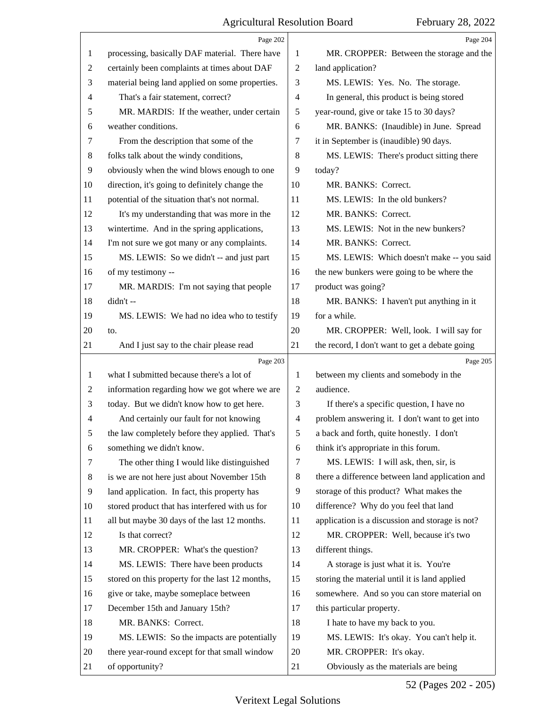<span id="page-51-0"></span>

|                | Page 202                                        |                | Page 204                                        |
|----------------|-------------------------------------------------|----------------|-------------------------------------------------|
| 1              | processing, basically DAF material. There have  | 1              | MR. CROPPER: Between the storage and the        |
| 2              | certainly been complaints at times about DAF    | $\overline{2}$ | land application?                               |
| 3              | material being land applied on some properties. | 3              | MS. LEWIS: Yes. No. The storage.                |
| 4              | That's a fair statement, correct?               | 4              | In general, this product is being stored        |
| 5              | MR. MARDIS: If the weather, under certain       | 5              | year-round, give or take 15 to 30 days?         |
| 6              | weather conditions.                             | 6              | MR. BANKS: (Inaudible) in June. Spread          |
| 7              | From the description that some of the           | 7              | it in September is (inaudible) 90 days.         |
| 8              | folks talk about the windy conditions,          | 8              | MS. LEWIS: There's product sitting there        |
| $\overline{9}$ | obviously when the wind blows enough to one     | 9              | today?                                          |
| 10             | direction, it's going to definitely change the  | 10             | MR. BANKS: Correct.                             |
| 11             | potential of the situation that's not normal.   | 11             | MS. LEWIS: In the old bunkers?                  |
| 12             | It's my understanding that was more in the      | 12             | MR. BANKS: Correct.                             |
| 13             | wintertime. And in the spring applications,     | 13             | MS. LEWIS: Not in the new bunkers?              |
| 14             | I'm not sure we got many or any complaints.     | 14             | MR. BANKS: Correct.                             |
| 15             | MS. LEWIS: So we didn't -- and just part        | 15             | MS. LEWIS: Which doesn't make -- you said       |
| 16             | of my testimony --                              | 16             | the new bunkers were going to be where the      |
| 17             | MR. MARDIS: I'm not saying that people          | 17             | product was going?                              |
| 18             | didn't --                                       | 18             | MR. BANKS: I haven't put anything in it         |
| 19             | MS. LEWIS: We had no idea who to testify        | 19             | for a while.                                    |
| 20             | to.                                             | 20             | MR. CROPPER: Well, look. I will say for         |
| 21             | And I just say to the chair please read         | 21             | the record, I don't want to get a debate going  |
|                |                                                 |                |                                                 |
|                | Page 203                                        |                | Page 205                                        |
| 1              | what I submitted because there's a lot of       | 1              | between my clients and somebody in the          |
| 2              | information regarding how we got where we are   | $\overline{2}$ | audience.                                       |
| 3              | today. But we didn't know how to get here.      | 3              | If there's a specific question, I have no       |
| 4              | And certainly our fault for not knowing         | 4              | problem answering it. I don't want to get into  |
| 5              | the law completely before they applied. That's  | 5              | a back and forth, quite honestly. I don't       |
| 6              | something we didn't know.                       | 6              | think it's appropriate in this forum.           |
| 7              | The other thing I would like distinguished      | 7              | MS. LEWIS: I will ask, then, sir, is            |
| 8              | is we are not here just about November 15th     | 8              | there a difference between land application and |
| $\overline{9}$ | land application. In fact, this property has    | 9              | storage of this product? What makes the         |
| 10             | stored product that has interfered with us for  | 10             | difference? Why do you feel that land           |
| 11             | all but maybe 30 days of the last 12 months.    | 11             | application is a discussion and storage is not? |
| 12             | Is that correct?                                | 12             | MR. CROPPER: Well, because it's two             |
| 13             | MR. CROPPER: What's the question?               | 13             | different things.                               |
| 14             | MS. LEWIS: There have been products             | 14             | A storage is just what it is. You're            |
| 15             | stored on this property for the last 12 months, | 15             | storing the material until it is land applied   |
| 16             | give or take, maybe someplace between           | 16             | somewhere. And so you can store material on     |
| 17             | December 15th and January 15th?                 | 17             | this particular property.                       |
| 18             | MR. BANKS: Correct.                             | 18             | I hate to have my back to you.                  |
| 19             | MS. LEWIS: So the impacts are potentially       | 19             | MS. LEWIS: It's okay. You can't help it.        |
| 20             | there year-round except for that small window   | 20             | MR. CROPPER: It's okay.                         |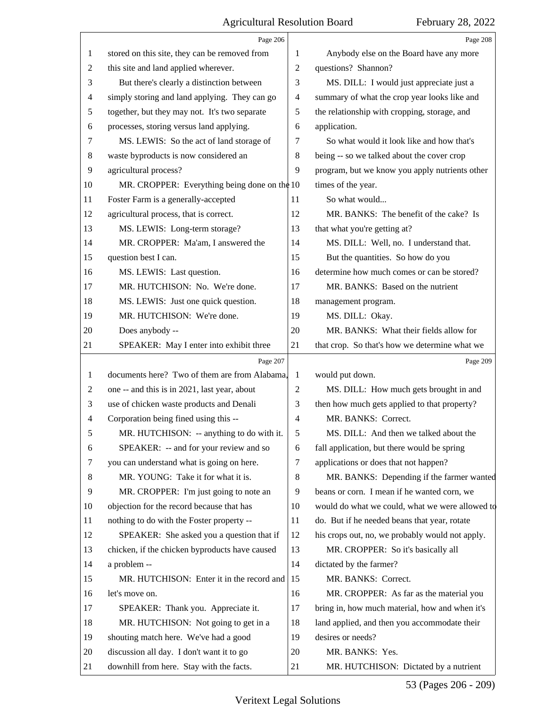<span id="page-52-0"></span> $\Gamma$ 

|                | Page 206                                       |                | Page 208                                        |
|----------------|------------------------------------------------|----------------|-------------------------------------------------|
| 1              | stored on this site, they can be removed from  | 1              | Anybody else on the Board have any more         |
| $\overline{c}$ | this site and land applied wherever.           | $\overline{2}$ | questions? Shannon?                             |
| 3              | But there's clearly a distinction between      | 3              | MS. DILL: I would just appreciate just a        |
| 4              | simply storing and land applying. They can go  | 4              | summary of what the crop year looks like and    |
| 5              | together, but they may not. It's two separate  | 5              | the relationship with cropping, storage, and    |
| 6              | processes, storing versus land applying.       | 6              | application.                                    |
| 7              | MS. LEWIS: So the act of land storage of       | 7              | So what would it look like and how that's       |
| 8              | waste byproducts is now considered an          | 8              | being -- so we talked about the cover crop      |
| 9              | agricultural process?                          | 9              | program, but we know you apply nutrients other  |
| 10             | MR. CROPPER: Everything being done on the $10$ |                | times of the year.                              |
| 11             | Foster Farm is a generally-accepted            | 11             | So what would                                   |
| 12             | agricultural process, that is correct.         | 12             | MR. BANKS: The benefit of the cake? Is          |
| 13             | MS. LEWIS: Long-term storage?                  | 13             | that what you're getting at?                    |
| 14             | MR. CROPPER: Ma'am, I answered the             | 14             | MS. DILL: Well, no. I understand that.          |
| 15             | question best I can.                           | 15             | But the quantities. So how do you               |
| 16             | MS. LEWIS: Last question.                      | 16             | determine how much comes or can be stored?      |
| 17             | MR. HUTCHISON: No. We're done.                 | 17             | MR. BANKS: Based on the nutrient                |
| 18             | MS. LEWIS: Just one quick question.            | 18             | management program.                             |
| 19             | MR. HUTCHISON: We're done.                     | 19             | MS. DILL: Okay.                                 |
| 20             | Does anybody --                                | 20             | MR. BANKS: What their fields allow for          |
| 21             | SPEAKER: May I enter into exhibit three        | 21             | that crop. So that's how we determine what we   |
|                | Page 207                                       |                | Page 209                                        |
|                |                                                |                |                                                 |
| 1              | documents here? Two of them are from Alabama,  | 1              | would put down.                                 |
| 2              | one -- and this is in 2021, last year, about   | $\mathfrak{2}$ | MS. DILL: How much gets brought in and          |
| 3              | use of chicken waste products and Denali       | 3              | then how much gets applied to that property?    |
| $\overline{4}$ | Corporation being fined using this --          | $\overline{4}$ | MR. BANKS: Correct.                             |
| 5              | MR. HUTCHISON: -- anything to do with it.      | 5              | MS. DILL: And then we talked about the          |
| 6              | SPEAKER: -- and for your review and so         | 6              | fall application, but there would be spring     |
| 7              | you can understand what is going on here.      | 7              | applications or does that not happen?           |
| 8              | MR. YOUNG: Take it for what it is.             | 8              | MR. BANKS: Depending if the farmer wanted       |
| 9              | MR. CROPPER: I'm just going to note an         | 9              | beans or corn. I mean if he wanted corn, we     |
| 10             | objection for the record because that has      | 10             | would do what we could, what we were allowed to |
| 11             | nothing to do with the Foster property --      | 11             | do. But if he needed beans that year, rotate    |
| 12             | SPEAKER: She asked you a question that if      | 12             | his crops out, no, we probably would not apply. |
| 13             | chicken, if the chicken byproducts have caused | 13             | MR. CROPPER: So it's basically all              |
| 14             | a problem --                                   | 14             | dictated by the farmer?                         |
| 15             | MR. HUTCHISON: Enter it in the record and      | 15             | MR. BANKS: Correct.                             |
| 16             | let's move on.                                 | 16             | MR. CROPPER: As far as the material you         |
| 17             | SPEAKER: Thank you. Appreciate it.             | 17             | bring in, how much material, how and when it's  |
| 18             | MR. HUTCHISON: Not going to get in a           | 18             | land applied, and then you accommodate their    |
| 19             | shouting match here. We've had a good          | 19             | desires or needs?                               |
| 20             | discussion all day. I don't want it to go      | 20             | MR. BANKS: Yes.                                 |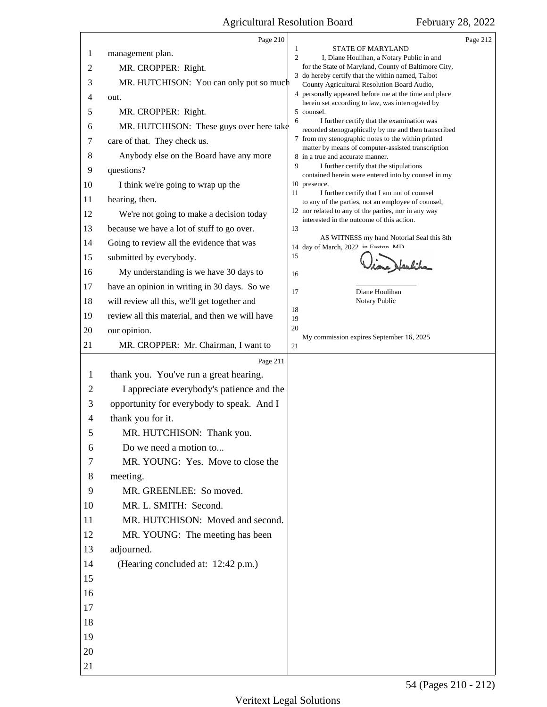<span id="page-53-0"></span>

|                | Page 210                                        |                                                                                                           | Page 212 |
|----------------|-------------------------------------------------|-----------------------------------------------------------------------------------------------------------|----------|
| 1              | management plan.                                | STATE OF MARYLAND<br>1<br>$\overline{c}$<br>I, Diane Houlihan, a Notary Public in and                     |          |
| $\overline{2}$ | MR. CROPPER: Right.                             | for the State of Maryland, County of Baltimore City,                                                      |          |
| 3              | MR. HUTCHISON: You can only put so much         | 3 do hereby certify that the within named, Talbot<br>County Agricultural Resolution Board Audio,          |          |
| 4              | out.                                            | 4 personally appeared before me at the time and place<br>herein set according to law, was interrogated by |          |
| 5              | MR. CROPPER: Right.                             | 5 counsel.                                                                                                |          |
| 6              | MR. HUTCHISON: These guys over here take        | I further certify that the examination was<br>6<br>recorded stenographically by me and then transcribed   |          |
| 7              | care of that. They check us.                    | 7 from my stenographic notes to the within printed                                                        |          |
| 8              | Anybody else on the Board have any more         | matter by means of computer-assisted transcription<br>8 in a true and accurate manner.                    |          |
| 9              | questions?                                      | 9<br>I further certify that the stipulations<br>contained herein were entered into by counsel in my       |          |
| 10             | I think we're going to wrap up the              | 10 presence.                                                                                              |          |
| 11             | hearing, then.                                  | 11<br>I further certify that I am not of counsel<br>to any of the parties, not an employee of counsel,    |          |
| 12             | We're not going to make a decision today        | 12 nor related to any of the parties, nor in any way<br>interested in the outcome of this action.         |          |
| 13             | because we have a lot of stuff to go over.      | 13                                                                                                        |          |
| 14             | Going to review all the evidence that was       | AS WITNESS my hand Notorial Seal this 8th<br>14 day of March, 2022 in Faston MD                           |          |
| 15             | submitted by everybody.                         | 15                                                                                                        |          |
| 16             | My understanding is we have 30 days to          | 16                                                                                                        |          |
| 17             | have an opinion in writing in 30 days. So we    | Diane Houlihan<br>17                                                                                      |          |
| 18             | will review all this, we'll get together and    | Notary Public                                                                                             |          |
| 19             | review all this material, and then we will have | 18<br>19                                                                                                  |          |
| 20             | our opinion.                                    | 20                                                                                                        |          |
| 21             | MR. CROPPER: Mr. Chairman, I want to            | My commission expires September 16, 2025<br>21                                                            |          |
|                | Page 211                                        |                                                                                                           |          |
| $\mathbf{1}$   |                                                 |                                                                                                           |          |
|                | thank you. You've run a great hearing.          |                                                                                                           |          |
| $\overline{2}$ | I appreciate everybody's patience and the       |                                                                                                           |          |
| 3              | opportunity for everybody to speak. And I       |                                                                                                           |          |
| 4              | thank you for it.                               |                                                                                                           |          |
|                | MR. HUTCHISON: Thank you.                       |                                                                                                           |          |
| 6              | Do we need a motion to                          |                                                                                                           |          |
| $\tau$         | MR. YOUNG: Yes. Move to close the               |                                                                                                           |          |
| 8              | meeting.                                        |                                                                                                           |          |
| 9              | MR. GREENLEE: So moved.                         |                                                                                                           |          |
| 10             | MR. L. SMITH: Second.                           |                                                                                                           |          |
| 11             | MR. HUTCHISON: Moved and second.                |                                                                                                           |          |
| 12             | MR. YOUNG: The meeting has been                 |                                                                                                           |          |
| 13             | adjourned.                                      |                                                                                                           |          |
| 14             | (Hearing concluded at: 12:42 p.m.)              |                                                                                                           |          |
| 15             |                                                 |                                                                                                           |          |
| 16             |                                                 |                                                                                                           |          |
| 17             |                                                 |                                                                                                           |          |
| 18             |                                                 |                                                                                                           |          |
| 19             |                                                 |                                                                                                           |          |
| 20             |                                                 |                                                                                                           |          |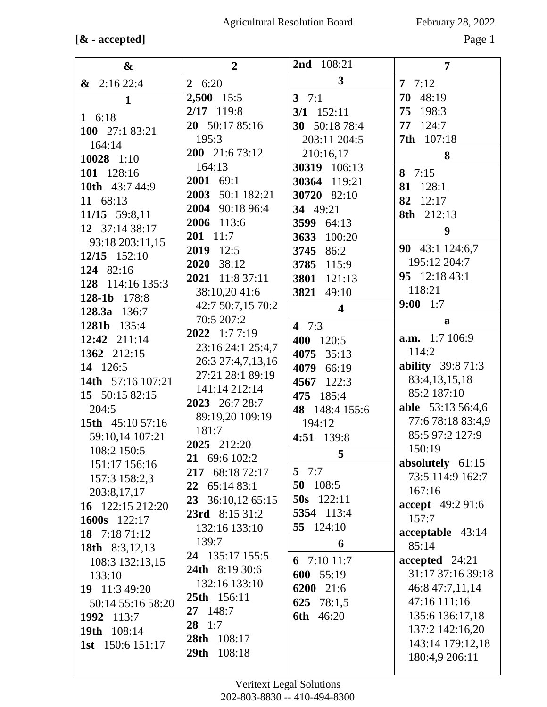## **[& - accepted]** Page 1

| &                       | $\overline{2}$        | 108:21<br>2 <sub>nd</sub> | $\overline{7}$                  |
|-------------------------|-----------------------|---------------------------|---------------------------------|
| $\&$ 2:16 22:4          | 26:20                 | $\mathbf{3}$              | 7.7:12                          |
| $\mathbf{1}$            | 2,500 15:5            | 3 $7:1$                   | 70 48:19                        |
| 1 6:18                  | $2/17$ 119:8          | $3/1$ 152:11              | 75 198:3                        |
| 100 27:1 83:21          | 20 50:17 85:16        | 30 50:18 78:4             | 77 124:7                        |
| 164:14                  | 195:3                 | 203:11 204:5              | 7th 107:18                      |
| 10028 1:10              | 200 21:6 73:12        | 210:16,17                 | 8                               |
| 101 128:16              | 164:13                | 30319 106:13              | 8 $7:15$                        |
| 10th 43:7 44:9          | 2001 69:1             | 30364 119:21              | 81 128:1                        |
| 11 68:13                | 2003 50:1 182:21      | 30720 82:10               | 82<br>12:17                     |
| 11/15 59:8,11           | 2004 90:18 96:4       | 34 49:21                  | 8th 212:13                      |
| 12 37:14 38:17          | 2006 113:6            | 3599 64:13                | 9                               |
| 93:18 203:11,15         | 201 11:7              | 3633<br>100:20            |                                 |
| $12/15$ $152:10$        | 2019 12:5             | 3745 86:2                 | 90 43:1 124:6,7                 |
| 124 82:16               | 2020 38:12            | 3785 115:9                | 195:12 204:7                    |
| 128 114:16 135:3        | 2021 11:8 37:11       | 3801<br>121:13            | 95 12:18 43:1                   |
| 128-1b 178:8            | 38:10,20 41:6         | 3821<br>49:10             | 118:21                          |
| 128.3a<br>136:7         | 42:7 50:7,15 70:2     | $\overline{\mathbf{4}}$   | $9:00 \quad 1:7$                |
| 1281b 135:4             | 70:5 207:2            | 4 $7:3$                   | a                               |
| 12:42 211:14            | 2022 1:77:19          | 400 120:5                 | <b>a.m.</b> 1:7 106:9           |
| 1362 212:15             | 23:16 24:1 25:4,7     | 4075<br>35:13             | 114:2                           |
| 14 126:5                | 26:3 27:4,7,13,16     | 4079 66:19                | <b>ability</b> 39:8 71:3        |
| 14th 57:16 107:21       | 27:21 28:1 89:19      | 4567 122:3                | 83:4,13,15,18                   |
| 15 50:15 82:15          | 141:14 212:14         | 475 185:4                 | 85:2 187:10                     |
| 204:5                   | 2023 26:7 28:7        | 48 148:4 155:6            | able 53:13 56:4,6               |
| 15th 45:10 57:16        | 89:19,20 109:19       | 194:12                    | 77:6 78:18 83:4,9               |
| 59:10,14 107:21         | 181:7<br>2025 212:20  | 4:51 139:8                | 85:5 97:2 127:9                 |
| 108:2 150:5             | 21 69:6 102:2         | 5                         | 150:19                          |
| 151:17 156:16           | 217 68:18 72:17       | 5 $7:7$                   | absolutely 61:15                |
| 157:3 158:2,3           | 22 65:14 83:1         | 50 108:5                  | 73:5 114:9 162:7                |
| 203:8,17,17             | 23 36:10,12 65:15     | 50s 122:11                | 167:16                          |
| 16 122:15 212:20        | 23rd 8:15 31:2        | 5354 113:4                | accept 49:2 91:6                |
| 1600s 122:17            | 132:16 133:10         | 55 124:10                 | 157:7                           |
| 18 $7:1871:12$          | 139:7                 | 6                         | acceptable 43:14                |
| <b>18th</b> 8:3,12,13   | 24 135:17 155:5       |                           | 85:14                           |
| 108:3 132:13,15         | <b>24th</b> 8:19 30:6 | 6 $7:1011:7$              | accepted 24:21                  |
| 133:10                  | 132:16 133:10         | 600 55:19                 | 31:17 37:16 39:18               |
| 19 11:3 49:20           | 25th 156:11           | 6200 21:6                 | 46:8 47:7,11,14<br>47:16 111:16 |
| 50:14 55:16 58:20       | 27 148:7              | 625 78:1,5                | 135:6 136:17,18                 |
| 1992 113:7              | $28 \t1:7$            | <b>6th</b> 46:20          | 137:2 142:16,20                 |
| 19th 108:14             | 28th 108:17           |                           | 143:14 179:12,18                |
| <b>1st</b> 150:6 151:17 | 29th 108:18           |                           | 180:4,9 206:11                  |
|                         |                       |                           |                                 |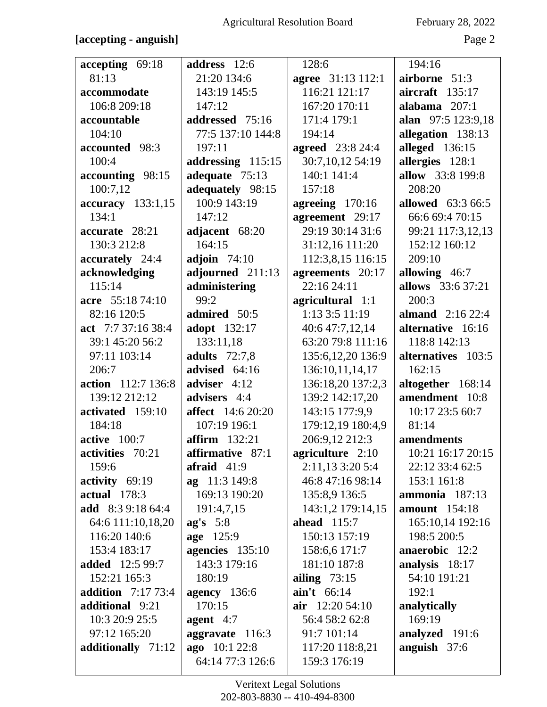## February 28, 2022

### [accepting - anguish]

Page 2

| accepting 69:18           | address 12:6                                                             | 128:6                   | 194:16                   |
|---------------------------|--------------------------------------------------------------------------|-------------------------|--------------------------|
| 81:13                     | 21:20 134:6                                                              | agree 31:13 112:1       | airborne 51:3            |
| accommodate               | 143:19 145:5                                                             | 116:21 121:17           | aircraft 135:17          |
| 106:8 209:18              | 147:12                                                                   | 167:20 170:11           | alabama 207:1            |
| accountable               | addressed 75:16                                                          | 171:4 179:1             | alan 97:5 123:9,18       |
| 104:10                    | 77:5 137:10 144:8                                                        | 194:14                  | allegation 138:13        |
| accounted 98:3            | 197:11                                                                   | <b>agreed</b> 23:8 24:4 | alleged 136:15           |
| 100:4                     | addressing 115:15                                                        | 30:7,10,12 54:19        | allergies 128:1          |
| accounting 98:15          | adequate 75:13                                                           | 140:1 141:4             | allow 33:8 199:8         |
| 100:7,12                  | adequately 98:15                                                         | 157:18                  | 208:20                   |
| accuracy 133:1,15         | 100:9 143:19                                                             | agreeing $170:16$       | <b>allowed</b> 63:3 66:5 |
| 134:1                     | 147:12                                                                   | agreement 29:17         | 66:6 69:4 70:15          |
| accurate 28:21            | adjacent 68:20                                                           | 29:19 30:14 31:6        | 99:21 117:3,12,13        |
| 130:3 212:8               | 164:15                                                                   | 31:12,16 111:20         | 152:12 160:12            |
| accurately 24:4           | adjoin $74:10$                                                           | 112:3,8,15 116:15       | 209:10                   |
| acknowledging             | adjourned 211:13                                                         | agreements 20:17        | allowing 46:7            |
| 115:14                    | administering                                                            | 22:1624:11              | allows 33:6 37:21        |
| acre 55:18 74:10          | 99:2                                                                     | agricultural 1:1        | 200:3                    |
| 82:16 120:5               | admired 50:5                                                             | 1:13 3:5 11:19          | almand $2:1622:4$        |
| act 7:7 37:16 38:4        | adopt 132:17                                                             | 40:6 47:7,12,14         | alternative 16:16        |
| 39:1 45:20 56:2           | 133:11,18                                                                | 63:20 79:8 111:16       | 118:8 142:13             |
| 97:11 103:14              | <b>adults</b> 72:7,8                                                     | 135:6, 12, 20 136:9     | alternatives 103:5       |
| 206:7                     | advised 64:16                                                            | 136:10,11,14,17         | 162:15                   |
| action 112:7 136:8        | adviser 4:12                                                             | 136:18,20 137:2,3       | altogether 168:14        |
| 139:12 212:12             | advisers 4:4                                                             | 139:2 142:17,20         | amendment 10:8           |
| activated 159:10          | <b>affect</b> 14:6 20:20                                                 | 143:15 177:9,9          | 10:17 23:5 60:7          |
| 184:18                    | 107:19 196:1                                                             | 179:12,19 180:4,9       | 81:14                    |
| active 100:7              | <b>affirm</b> 132:21                                                     | 206:9,12 212:3          | amendments               |
| activities 70:21          | affirmative 87:1                                                         | agriculture 2:10        | 10:21 16:17 20:15        |
| 159:6                     | $\textbf{a} \textbf{f} \textbf{r} \textbf{a} \textbf{i} \textbf{d}$ 41:9 | 2:11,13 3:20 5:4        | 22:12 33:4 62:5          |
| activity $69:19$          | ag 11:3 149:8                                                            | 46:8 47:16 98:14        | 153:1 161:8              |
| actual $178:3$            | 169:13 190:20                                                            | 135:8,9 136:5           | ammonia 187:13           |
| <b>add</b> 8:3 9:18 64:4  | 191:4,7,15                                                               | 143:1,2 179:14,15       | <b>amount</b> 154:18     |
| 64:6 111:10,18,20         | $ag's \quad 5:8$                                                         | ahead $115:7$           | 165:10,14 192:16         |
| 116:20 140:6              | age 125:9                                                                | 150:13 157:19           | 198:5 200:5              |
| 153:4 183:17              | agencies 135:10                                                          | 158:6,6 171:7           | anaerobic 12:2           |
| <b>added</b> 12:5 99:7    | 143:3 179:16                                                             | 181:10 187:8            | analysis 18:17           |
| 152:21 165:3              | 180:19                                                                   | ailing $73:15$          | 54:10 191:21             |
| <b>addition</b> 7:17 73:4 | agency $136:6$                                                           | aint 66:14              | 192:1                    |
| additional 9:21           | 170:15                                                                   | $air$ 12:20 54:10       | analytically             |
| 10:3 20:9 25:5            | agent $4:7$                                                              | 56:4 58:2 62:8          | 169:19                   |
| 97:12 165:20              | aggravate 116:3                                                          | 91:7 101:14             | analyzed 191:6           |
| additionally 71:12        | ago 10:1 22:8                                                            | 117:20 118:8,21         | anguish $37:6$           |
|                           | 64:14 77:3 126:6                                                         | 159:3 176:19            |                          |
|                           |                                                                          |                         |                          |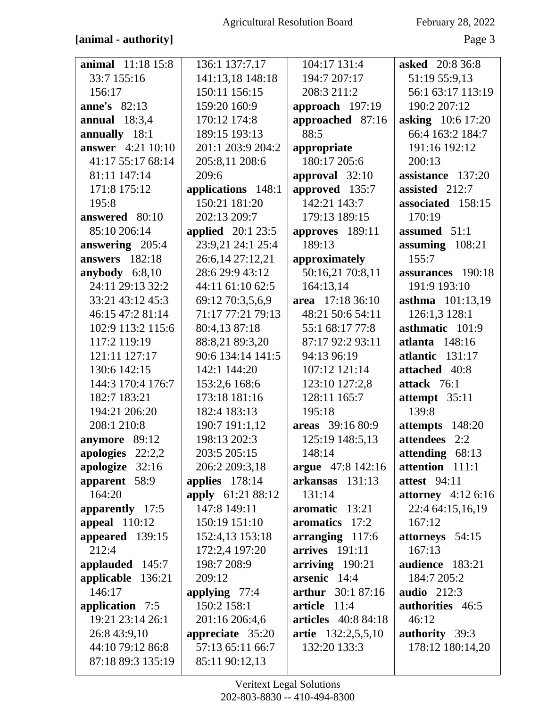## [animal - authority]

February 28, 2022

Page 3

| <b>animal</b> 11:18 15:8 | 136:1 137:7,17      | 104:17 131:4               | <b>asked</b> 20:8 36:8 |
|--------------------------|---------------------|----------------------------|------------------------|
| 33:7 155:16              | 141:13,18 148:18    | 194:7 207:17               | 51:19 55:9,13          |
| 156:17                   | 150:11 156:15       | 208:3 211:2                | 56:1 63:17 113:19      |
| <b>anne's</b> 82:13      | 159:20 160:9        | approach 197:19            | 190:2 207:12           |
| annual $18:3,4$          | 170:12 174:8        | approached 87:16           | asking 10:6 17:20      |
| annually 18:1            | 189:15 193:13       | 88:5                       | 66:4 163:2 184:7       |
| <b>answer</b> 4:21 10:10 | 201:1 203:9 204:2   | appropriate                | 191:16 192:12          |
| 41:17 55:17 68:14        | 205:8,11 208:6      | 180:17 205:6               | 200:13                 |
| 81:11 147:14             | 209:6               | approval 32:10             | assistance 137:20      |
| 171:8 175:12             | applications 148:1  | approved 135:7             | assisted 212:7         |
| 195:8                    | 150:21 181:20       | 142:21 143:7               | associated 158:15      |
| answered 80:10           | 202:13 209:7        | 179:13 189:15              | 170:19                 |
| 85:10 206:14             | applied $20:1$ 23:5 | approves 189:11            | assumed 51:1           |
| answering 205:4          | 23:9,21 24:1 25:4   | 189:13                     | assuming 108:21        |
| <b>answers</b> 182:18    | 26:6,14 27:12,21    | approximately              | 155:7                  |
| anybody $6:8,10$         | 28:6 29:9 43:12     | 50:16,21 70:8,11           | assurances 190:18      |
| 24:11 29:13 32:2         | 44:11 61:10 62:5    | 164:13,14                  | 191:9 193:10           |
| 33:21 43:12 45:3         | 69:12 70:3,5,6,9    | area 17:18 36:10           | asthma 101:13,19       |
| 46:15 47:2 81:14         | 71:17 77:21 79:13   | 48:21 50:6 54:11           | 126:1,3 128:1          |
| 102:9 113:2 115:6        | 80:4,13 87:18       | 55:1 68:17 77:8            | asthmatic 101:9        |
| 117:2 119:19             | 88:8,21 89:3,20     | 87:17 92:2 93:11           | atlanta 148:16         |
| 121:11 127:17            | 90:6 134:14 141:5   | 94:13 96:19                | atlantic 131:17        |
| 130:6 142:15             | 142:1 144:20        | 107:12 121:14              | attached 40:8          |
| 144:3 170:4 176:7        | 153:2,6 168:6       | 123:10 127:2,8             | attack 76:1            |
| 182:7 183:21             | 173:18 181:16       | 128:11 165:7               | attempt 35:11          |
| 194:21 206:20            | 182:4 183:13        | 195:18                     | 139:8                  |
| 208:1 210:8              | 190:7 191:1,12      | areas 39:16 80:9           | attempts 148:20        |
| anymore 89:12            | 198:13 202:3        | 125:19 148:5,13            | attendees 2:2          |
| apologies 22:2,2         | 203:5 205:15        | 148:14                     | attending 68:13        |
| apologize 32:16          | 206:2 209:3,18      | argue 47:8 142:16          | attention 111:1        |
| apparent 58:9            | applies $178:14$    | arkansas 131:13            | <b>attest</b> 94:11    |
| 164:20                   | apply 61:21 88:12   | 131:14                     | attorney $4:126:16$    |
| apparently 17:5          | 147:8 149:11        | aromatic 13:21             | 22:4 64:15,16,19       |
| appeal $110:12$          | 150:19 151:10       | aromatics 17:2             | 167:12                 |
| appeared 139:15          | 152:4,13 153:18     | arranging 117:6            | attorneys 54:15        |
| 212:4                    | 172:2,4 197:20      | $arrives$ 191:11           | 167:13                 |
| applauded 145:7          | 198:7 208:9         | $arriving$ 190:21          | audience 183:21        |
| applicable 136:21        | 209:12              | arsenic 14:4               | 184:7 205:2            |
| 146:17                   | applying $77:4$     | arthur 30:1 87:16          | <b>audio</b> 212:3     |
| application 7:5          | 150:2 158:1         | article<br>11:4            | authorities 46:5       |
| 19:21 23:14 26:1         | 201:16 206:4,6      | <b>articles</b> 40:8 84:18 | 46:12                  |
| 26:8 43:9,10             | appreciate 35:20    | artie 132:2,5,5,10         | authority 39:3         |
| 44:10 79:12 86:8         | 57:13 65:11 66:7    | 132:20 133:3               | 178:12 180:14,20       |
| 87:18 89:3 135:19        | 85:11 90:12,13      |                            |                        |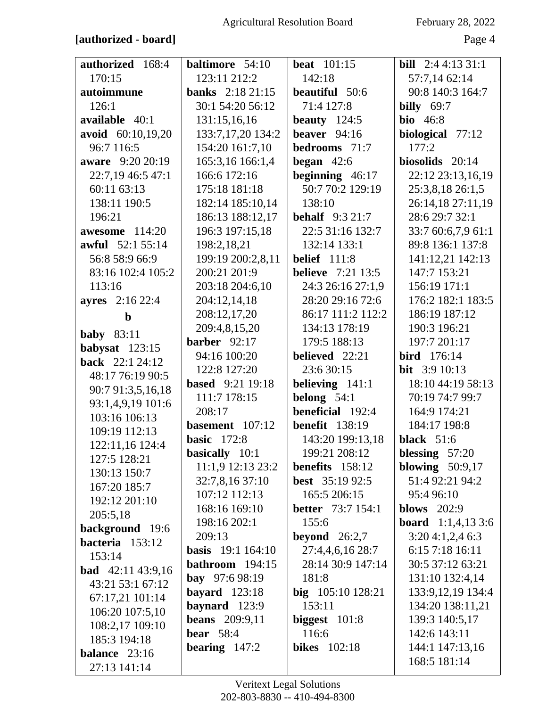### [authorized - board]

February 28, 2022

Page 4

| authorized 168:4         | baltimore 54:10            | <b>beat</b> 101:15       | <b>bill</b> $2:44:1331:1$   |
|--------------------------|----------------------------|--------------------------|-----------------------------|
| 170:15                   | 123:11 212:2               | 142:18                   | 57:7,14 62:14               |
| autoimmune               | <b>banks</b> $2:18\ 21:15$ | <b>beautiful</b> 50:6    | 90:8 140:3 164:7            |
| 126:1                    | 30:1 54:20 56:12           | 71:4 127:8               | billy $69:7$                |
| available 40:1           | 131:15,16,16               | beauty $124:5$           | <b>bio</b> 46:8             |
| avoid 60:10,19,20        | 133:7,17,20 134:2          | beaver $94:16$           | biological 77:12            |
| 96:7 116:5               | 154:20 161:7,10            | bedrooms 71:7            | 177:2                       |
| aware 9:20 20:19         | 165:3,16 166:1,4           | began $42:6$             | biosolids 20:14             |
| 22:7,19 46:5 47:1        | 166:6 172:16               | beginning $46:17$        | 22:12 23:13,16,19           |
| 60:11 63:13              | 175:18 181:18              | 50:7 70:2 129:19         | 25:3,8,18 26:1,5            |
| 138:11 190:5             | 182:14 185:10,14           | 138:10                   | 26:14,18 27:11,19           |
| 196:21                   | 186:13 188:12,17           | <b>behalf</b> 9:3 21:7   | 28:6 29:7 32:1              |
| awesome 114:20           | 196:3 197:15,18            | 22:5 31:16 132:7         | 33:7 60:6,7,9 61:1          |
| <b>awful</b> 52:1 55:14  | 198:2,18,21                | 132:14 133:1             | 89:8 136:1 137:8            |
| 56:8 58:9 66:9           | 199:19 200:2,8,11          | <b>belief</b> 111:8      | 141:12,21 142:13            |
| 83:16 102:4 105:2        | 200:21 201:9               | <b>believe</b> 7:21 13:5 | 147:7 153:21                |
| 113:16                   | 203:18 204:6,10            | 24:3 26:16 27:1,9        | 156:19 171:1                |
| <b>ayres</b> 2:16 22:4   | 204:12,14,18               | 28:20 29:16 72:6         | 176:2 182:1 183:5           |
| $\mathbf b$              | 208:12,17,20               | 86:17 111:2 112:2        | 186:19 187:12               |
| <b>baby</b> 83:11        | 209:4,8,15,20              | 134:13 178:19            | 190:3 196:21                |
| babysat $123:15$         | barber $92:17$             | 179:5 188:13             | 197:7 201:17                |
| <b>back</b> 22:1 24:12   | 94:16 100:20               | believed 22:21           | <b>bird</b> 176:14          |
| 48:17 76:19 90:5         | 122:8 127:20               | 23:6 30:15               | <b>bit</b> 3:9 10:13        |
| 90:7 91:3,5,16,18        | <b>based</b> 9:21 19:18    | believing 141:1          | 18:10 44:19 58:13           |
| 93:1,4,9,19 101:6        | 111:7 178:15               | belong $54:1$            | 70:19 74:7 99:7             |
| 103:16 106:13            | 208:17                     | <b>beneficial</b> 192:4  | 164:9 174:21                |
| 109:19 112:13            | basement 107:12            | <b>benefit</b> 138:19    | 184:17 198:8                |
| 122:11,16 124:4          | <b>basic</b> 172:8         | 143:20 199:13,18         | <b>black</b> 51:6           |
| 127:5 128:21             | <b>basically</b> 10:1      | 199:21 208:12            | blessing $57:20$            |
| 130:13 150:7             | 11:1,9 12:13 23:2          | benefits 158:12          | blowing $50:9,17$           |
| 167:20 185:7             | 32:7,8,16 37:10            | <b>best</b> $35:1992:5$  | 51:4 92:21 94:2             |
| 192:12 201:10            | 107:12 112:13              | 165:5 206:15             | 95:4 96:10                  |
| 205:5,18                 | 168:16 169:10              | <b>better</b> 73:7 154:1 | blows $202:9$               |
| background 19:6          | 198:16 202:1               | 155:6                    | <b>board</b> $1:1,4,13,3:6$ |
| bacteria 153:12          | 209:13                     | beyond $26:2,7$          | 3:204:1,2,46:3              |
| 153:14                   | <b>basis</b> 19:1 164:10   | 27:4,4,6,16 28:7         | 6:15 7:18 16:11             |
| <b>bad</b> 42:11 43:9,16 | bathroom 194:15            | 28:14 30:9 147:14        | 30:5 37:12 63:21            |
| 43:21 53:1 67:12         | bay 97:6 98:19             | 181:8                    | 131:10 132:4,14             |
| 67:17,21 101:14          | bayard $123:18$            | big 105:10 128:21        | 133:9, 12, 19 134:4         |
| 106:20 107:5,10          | baynard 123:9              | 153:11                   | 134:20 138:11,21            |
| 108:2,17 109:10          | <b>beans</b> 209:9,11      | biggest $101:8$          | 139:3 140:5,17              |
| 185:3 194:18             | bear $58:4$                | 116:6                    | 142:6 143:11                |
| balance 23:16            | bearing $147:2$            | <b>bikes</b> 102:18      | 144:1 147:13,16             |
| 27:13 141:14             |                            |                          | 168:5 181:14                |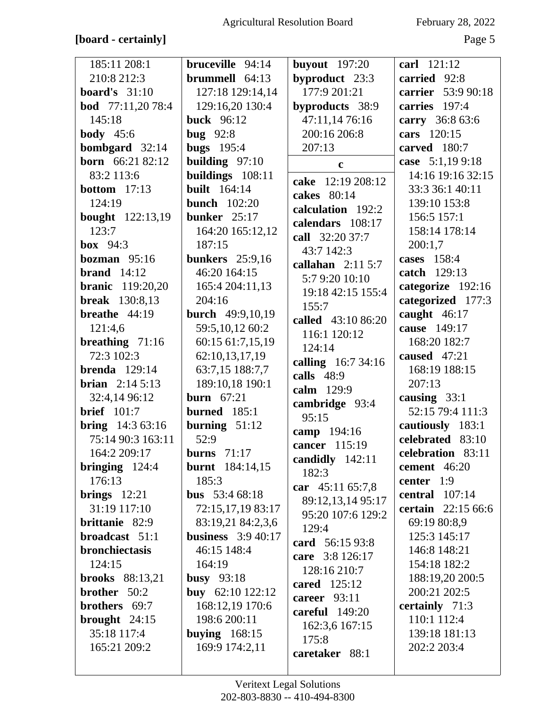## **[board - certainly]** Page 5

| 185:11 208:1             | bruceville 94:14        | buyout $197:20$    | carl 121:12               |
|--------------------------|-------------------------|--------------------|---------------------------|
| 210:8 212:3              | brummell 64:13          | byproduct 23:3     | carried 92:8              |
| <b>board's</b> 31:10     | 127:18 129:14,14        | 177:9 201:21       | carrier 53:9 90:18        |
| <b>bod</b> 77:11,20 78:4 | 129:16,20 130:4         | byproducts 38:9    | carries 197:4             |
| 145:18                   | <b>buck</b> 96:12       | 47:11,14 76:16     | carry 36:8 63:6           |
| <b>body</b> $45:6$       | bug $92:8$              | 200:16 206:8       | cars 120:15               |
| <b>bombgard</b> $32:14$  | bugs $195:4$            | 207:13             | carved 180:7              |
| <b>born</b> 66:21 82:12  | building $97:10$        | $\mathbf c$        | case 5:1,199:18           |
| 83:2 113:6               | buildings 108:11        |                    | 14:16 19:16 32:15         |
| <b>bottom</b> 17:13      | <b>built</b> 164:14     | cake 12:19 208:12  | 33:3 36:1 40:11           |
| 124:19                   | <b>bunch</b> 102:20     | cakes 80:14        | 139:10 153:8              |
| <b>bought</b> 122:13,19  | bunker 25:17            | calculation 192:2  | 156:5 157:1               |
| 123:7                    | 164:20 165:12,12        | calendars 108:17   | 158:14 178:14             |
| box $94:3$               | 187:15                  | call 32:20 37:7    | 200:1,7                   |
| bozman $95:16$           | <b>bunkers</b> 25:9,16  | 43:7 142:3         | cases 158:4               |
| <b>brand</b> $14:12$     | 46:20 164:15            | callahan $2:115:7$ | catch 129:13              |
| <b>branic</b> 119:20,20  | 165:4 204:11,13         | 5:7 9:20 10:10     | categorize 192:16         |
| <b>break</b> 130:8,13    | 204:16                  | 19:18 42:15 155:4  | categorized 177:3         |
| breathe $44:19$          | <b>burch</b> 49:9,10,19 | 155:7              | caught 46:17              |
| 121:4,6                  | 59:5,10,12 60:2         | called 43:10 86:20 | cause 149:17              |
| breathing $71:16$        | 60:15 61:7,15,19        | 116:1 120:12       | 168:20 182:7              |
| 72:3 102:3               | 62:10,13,17,19          | 124:14             | caused 47:21              |
| <b>brenda</b> $129:14$   |                         | calling 16:7 34:16 | 168:19 188:15             |
|                          | 63:7,15 188:7,7         | calls $48:9$       |                           |
| <b>brian</b> $2:145:13$  | 189:10,18 190:1         | calm 129:9         | 207:13                    |
| 32:4,14 96:12            | <b>burn</b> 67:21       | cambridge 93:4     | causing 33:1              |
| <b>brief</b> 101:7       | burned $185:1$          | 95:15              | 52:15 79:4 111:3          |
| <b>bring</b> $14:363:16$ | burning $51:12$         | camp 194:16        | cautiously 183:1          |
| 75:14 90:3 163:11        | 52:9                    | cancer 115:19      | celebrated 83:10          |
| 164:2 209:17             | <b>burns</b> 71:17      | candidly 142:11    | celebration 83:11         |
| bringing 124:4           | <b>burnt</b> 184:14,15  | 182:3              | cement 46:20              |
| 176:13                   | 185:3                   | car 45:11 65:7,8   | center $1:9$              |
| brings $12:21$           | <b>bus</b> 53:4 68:18   | 89:12,13,14 95:17  | central $107:14$          |
| 31:19 117:10             | 72:15,17,19 83:17       | 95:20 107:6 129:2  | <b>certain</b> 22:15 66:6 |
| brittanie 82:9           | 83:19,21 84:2,3,6       | 129:4              | 69:19 80:8,9              |
| broadcast 51:1           | business $3:940:17$     | card 56:15 93:8    | 125:3 145:17              |
| bronchiectasis           | 46:15 148:4             | care 3:8 126:17    | 146:8 148:21              |
| 124:15                   | 164:19                  | 128:16 210:7       | 154:18 182:2              |
| <b>brooks</b> 88:13,21   | busy $93:18$            | cared 125:12       | 188:19,20 200:5           |
| brother 50:2             | buy 62:10 122:12        | career $93:11$     | 200:21 202:5              |
| brothers 69:7            | 168:12,19 170:6         | careful $149:20$   | certainly 71:3            |
| brought $24:15$          | 198:6 200:11            | 162:3,6 167:15     | 110:1 112:4               |
| 35:18 117:4              | buying $168:15$         | 175:8              | 139:18 181:13             |
| 165:21 209:2             | 169:9 174:2,11          | caretaker 88:1     | 202:2 203:4               |
|                          |                         |                    |                           |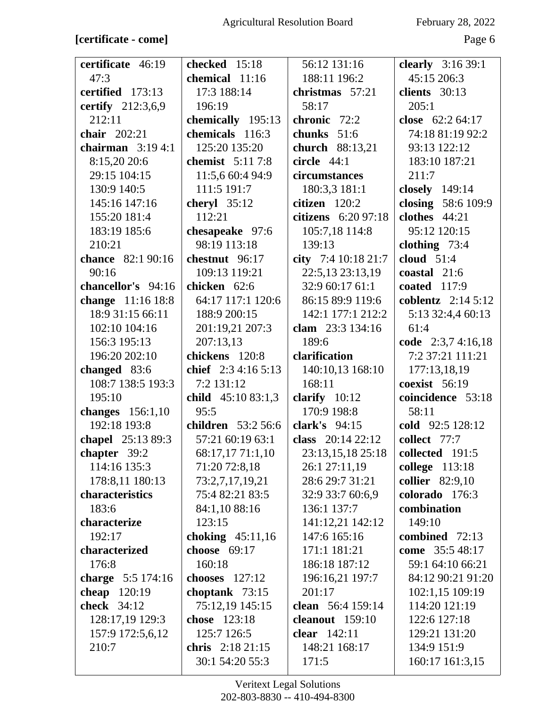## **[certificate - come]** Page 6

| certificate 46:19  | checked 15:18             | 56:12 131:16           | clearly 3:16 39:1   |
|--------------------|---------------------------|------------------------|---------------------|
| 47:3               | chemical 11:16            | 188:11 196:2           | 45:15 206:3         |
| certified 173:13   | 17:3 188:14               | christmas 57:21        | clients 30:13       |
| certify 212:3,6,9  | 196:19                    | 58:17                  | 205:1               |
| 212:11             | chemically 195:13         | chronic 72:2           | close $62:264:17$   |
| chair $202:21$     | chemicals 116:3           | chunks 51:6            | 74:18 81:19 92:2    |
| chairman $3:194:1$ | 125:20 135:20             | <b>church</b> 88:13,21 | 93:13 122:12        |
| 8:15,20 20:6       | chemist 5:11 7:8          | circle $44:1$          | 183:10 187:21       |
| 29:15 104:15       | 11:5,6 60:4 94:9          | circumstances          | 211:7               |
| 130:9 140:5        | 111:5 191:7               | 180:3,3 181:1          | closely 149:14      |
| 145:16 147:16      | cheryl $35:12$            | citizen 120:2          | closing 58:6 109:9  |
| 155:20 181:4       | 112:21                    | citizens 6:20 97:18    | clothes 44:21       |
| 183:19 185:6       | chesapeake 97:6           | 105:7,18 114:8         | 95:12 120:15        |
| 210:21             | 98:19 113:18              | 139:13                 | clothing $73:4$     |
| chance 82:1 90:16  | chestnut 96:17            | city 7:4 10:18 21:7    | cloud $51:4$        |
| 90:16              | 109:13 119:21             | 22:5,13 23:13,19       | coastal $21:6$      |
| chancellor's 94:16 | chicken 62:6              | 32:9 60:17 61:1        | coated $117:9$      |
| change 11:16 18:8  | 64:17 117:1 120:6         | 86:15 89:9 119:6       | coblentz $2:145:12$ |
| 18:9 31:15 66:11   | 188:9 200:15              | 142:1 177:1 212:2      | 5:13 32:4,4 60:13   |
| 102:10 104:16      | 201:19,21 207:3           | clam 23:3 134:16       | 61:4                |
| 156:3 195:13       | 207:13,13                 | 189:6                  | code 2:3,7 4:16,18  |
| 196:20 202:10      | chickens 120:8            | clarification          | 7:2 37:21 111:21    |
| changed 83:6       | chief $2:34:165:13$       | 140:10,13 168:10       | 177:13,18,19        |
| 108:7 138:5 193:3  | 7:2 131:12                | 168:11                 | coexist $56:19$     |
| 195:10             | child $45:1083:1,3$       | clarify $10:12$        | coincidence 53:18   |
| changes $156:1,10$ | 95:5                      | 170:9 198:8            | 58:11               |
| 192:18 193:8       | <b>children</b> 53:2 56:6 | clark's $94:15$        | cold 92:5 128:12    |
| chapel 25:13 89:3  | 57:21 60:19 63:1          | class $20:1422:12$     | collect 77:7        |
| chapter 39:2       | 68:17,17 71:1,10          | 23:13,15,18 25:18      | collected $191:5$   |
| 114:16 135:3       | 71:20 72:8,18             | 26:1 27:11,19          | college 113:18      |
| 178:8,11 180:13    | 73:2,7,17,19,21           | 28:6 29:7 31:21        | collier 82:9,10     |
| characteristics    | 75:4 82:21 83:5           | 32:9 33:7 60:6,9       | colorado 176:3      |
| 183:6              | 84:1,10 88:16             | 136:1 137:7            | combination         |
| characterize       | 123:15                    | 141:12,21 142:12       | 149:10              |
| 192:17             | choking $45:11,16$        | 147:6 165:16           | combined 72:13      |
| characterized      | choose 69:17              | 171:1 181:21           | come 35:5 48:17     |
| 176:8              | 160:18                    | 186:18 187:12          | 59:1 64:10 66:21    |
| charge 5:5 174:16  | chooses $127:12$          | 196:16,21 197:7        | 84:12 90:21 91:20   |
| cheap 120:19       | choptank $73:15$          | 201:17                 | 102:1,15 109:19     |
| <b>check</b> 34:12 | 75:12,19 145:15           | clean 56:4 159:14      | 114:20 121:19       |
| 128:17,19 129:3    | chose 123:18              | cleanout 159:10        | 122:6 127:18        |
| 157:9 172:5,6,12   | 125:7 126:5               | clear 142:11           | 129:21 131:20       |
| 210:7              | chris $2:18\,21:15$       | 148:21 168:17          | 134:9 151:9         |
|                    | 30:1 54:20 55:3           | 171:5                  | 160:17 161:3,15     |
|                    |                           |                        |                     |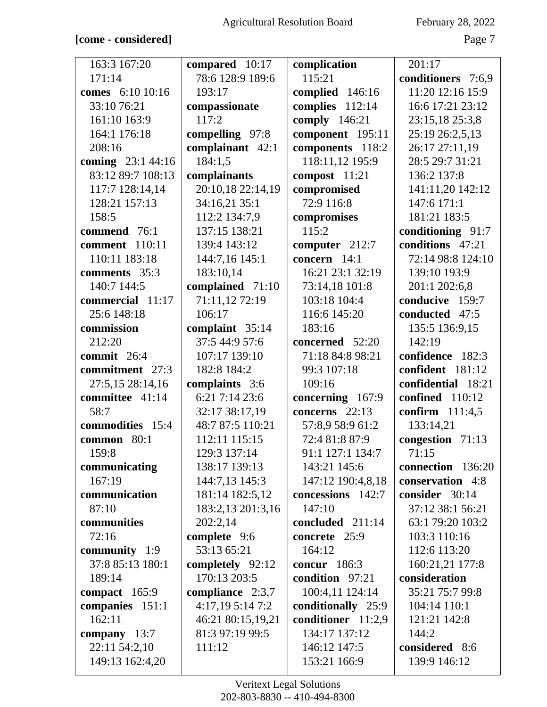### **[come - considered]** Page 7

| 163:3 167:20      | compared 10:17    | complication       | 201:17             |
|-------------------|-------------------|--------------------|--------------------|
| 171:14            | 78:6 128:9 189:6  | 115:21             | conditioners 7:6,9 |
| comes 6:10 10:16  | 193:17            | complied 146:16    | 11:20 12:16 15:9   |
| 33:10 76:21       | compassionate     | complies 112:14    | 16:6 17:21 23:12   |
| 161:10 163:9      | 117:2             | comply 146:21      | 23:15,18 25:3,8    |
| 164:1 176:18      | compelling 97:8   | component 195:11   | 25:19 26:2,5,13    |
| 208:16            | complainant 42:1  | components 118:2   | 26:17 27:11,19     |
| coming 23:1 44:16 | 184:1,5           | 118:11,12 195:9    | 28:5 29:7 31:21    |
| 83:12 89:7 108:13 | complainants      | compost 11:21      | 136:2 137:8        |
| 117:7 128:14,14   | 20:10,18 22:14,19 | compromised        | 141:11,20 142:12   |
| 128:21 157:13     | 34:16,21 35:1     | 72:9 116:8         | 147:6 171:1        |
| 158:5             | 112:2 134:7,9     | compromises        | 181:21 183:5       |
| commend 76:1      | 137:15 138:21     | 115:2              | conditioning 91:7  |
| comment 110:11    | 139:4 143:12      | computer 212:7     | conditions 47:21   |
| 110:11 183:18     | 144:7,16 145:1    | concern $14:1$     | 72:14 98:8 124:10  |
| comments 35:3     | 183:10,14         | 16:21 23:1 32:19   | 139:10 193:9       |
| 140:7 144:5       | complained 71:10  | 73:14,18 101:8     | 201:1 202:6,8      |
| commercial 11:17  | 71:11,12 72:19    | 103:18 104:4       | conducive 159:7    |
| 25:6 148:18       | 106:17            | 116:6 145:20       | conducted 47:5     |
| commission        | complaint 35:14   | 183:16             | 135:5 136:9,15     |
| 212:20            | 37:5 44:9 57:6    | concerned 52:20    | 142:19             |
| commit 26:4       | 107:17 139:10     | 71:18 84:8 98:21   | confidence 182:3   |
| commitment 27:3   | 182:8 184:2       | 99:3 107:18        | confident 181:12   |
| 27:5,15 28:14,16  | complaints 3:6    | 109:16             | confidential 18:21 |
| committee 41:14   | 6:21 7:14 23:6    | concerning 167:9   | confined 110:12    |
| 58:7              | 32:17 38:17,19    | concerns 22:13     | confirm 111:4,5    |
| commodities 15:4  | 48:7 87:5 110:21  | 57:8,9 58:9 61:2   | 133:14,21          |
| common 80:1       | 112:11 115:15     | 72:4 81:8 87:9     | congestion 71:13   |
| 159:8             | 129:3 137:14      | 91:1 127:1 134:7   | 71:15              |
| communicating     | 138:17 139:13     | 143:21 145:6       | connection 136:20  |
| 167:19            | 144:7,13 145:3    | 147:12 190:4,8,18  | conservation 4:8   |
| communication     | 181:14 182:5,12   | concessions 142:7  | consider 30:14     |
| 87:10             | 183:2,13 201:3,16 | 147:10             | 37:12 38:1 56:21   |
| communities       | 202:2,14          | concluded 211:14   | 63:1 79:20 103:2   |
| 72:16             | complete 9:6      | concrete 25:9      | 103:3 110:16       |
| community 1:9     | 53:13 65:21       | 164:12             | 112:6 113:20       |
| 37:8 85:13 180:1  | completely 92:12  | concur $186:3$     | 160:21,21 177:8    |
| 189:14            | 170:13 203:5      | condition 97:21    | consideration      |
| compact $165:9$   | compliance 2:3,7  | 100:4,11 124:14    | 35:21 75:7 99:8    |
| companies 151:1   | 4:17,19 5:14 7:2  | conditionally 25:9 | 104:14 110:1       |
| 162:11            | 46:21 80:15,19,21 | conditioner 11:2,9 | 121:21 142:8       |
| company 13:7      | 81:3 97:19 99:5   | 134:17 137:12      | 144:2              |
| 22:11 54:2,10     | 111:12            | 146:12 147:5       | considered 8:6     |
| 149:13 162:4,20   |                   | 153:21 166:9       | 139:9 146:12       |
|                   |                   |                    |                    |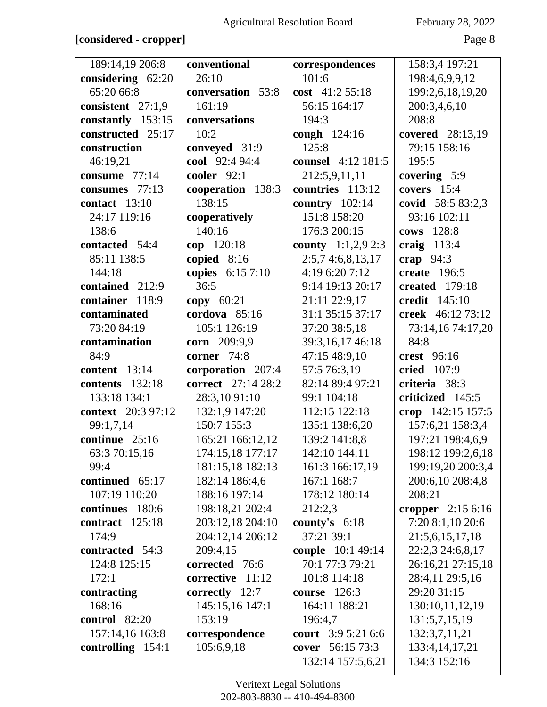### **[considered - cropper]** Page 8

| 189:14,19 206:8           | conventional       | correspondences      | 158:3,4 197:21        |
|---------------------------|--------------------|----------------------|-----------------------|
| considering 62:20         | 26:10              | 101:6                | 198:4,6,9,9,12        |
| 65:20 66:8                | conversation 53:8  | cost 41:2 55:18      | 199:2,6,18,19,20      |
| consistent 27:1,9         | 161:19             | 56:15 164:17         | 200:3,4,6,10          |
| constantly 153:15         | conversations      | 194:3                | 208:8                 |
| constructed 25:17         | 10:2               | cough 124:16         | covered 28:13,19      |
| construction              | conveyed 31:9      | 125:8                | 79:15 158:16          |
| 46:19,21                  | cool 92:4 94:4     | counsel 4:12 181:5   | 195:5                 |
| consume 77:14             | cooler 92:1        | 212:5,9,11,11        | covering 5:9          |
| consumes 77:13            | cooperation 138:3  | countries 113:12     | covers $15:4$         |
| contact $13:10$           | 138:15             | country $102:14$     | covid 58:5 83:2,3     |
| 24:17 119:16              | cooperatively      | 151:8 158:20         | 93:16 102:11          |
| 138:6                     | 140:16             | 176:3 200:15         | cows 128:8            |
| contacted 54:4            | cop 120:18         | county $1:1,2,9$ 2:3 | craig $113:4$         |
| 85:11 138:5               | copied 8:16        | 2:5,74:6,8,13,17     | crap $94:3$           |
| 144:18                    | copies 6:15 7:10   | 4:19 6:20 7:12       | create $196:5$        |
| contained 212:9           | 36:5               | 9:14 19:13 20:17     | <b>created</b> 179:18 |
| container 118:9           | copy $60:21$       | 21:11 22:9,17        | credit 145:10         |
| contaminated              | cordova 85:16      | 31:1 35:15 37:17     | creek 46:12 73:12     |
| 73:20 84:19               | 105:1 126:19       | 37:20 38:5,18        | 73:14,16 74:17,20     |
| contamination             | corn 209:9,9       | 39:3,16,17 46:18     | 84:8                  |
| 84:9                      | corner 74:8        | 47:15 48:9,10        | crest 96:16           |
| <b>content</b> 13:14      | corporation 207:4  | 57:5 76:3,19         | <b>cried</b> 107:9    |
| contents 132:18           | correct 27:14 28:2 | 82:14 89:4 97:21     | criteria 38:3         |
| 133:18 134:1              | 28:3,10 91:10      | 99:1 104:18          | criticized 145:5      |
| <b>context</b> 20:3 97:12 | 132:1,9 147:20     | 112:15 122:18        | crop 142:15 157:5     |
| 99:1,7,14                 | 150:7 155:3        | 135:1 138:6,20       | 157:6,21 158:3,4      |
| continue 25:16            | 165:21 166:12,12   | 139:2 141:8,8        | 197:21 198:4,6,9      |
| 63:3 70:15,16             | 174:15,18 177:17   | 142:10 144:11        | 198:12 199:2,6,18     |
| 99:4                      | 181:15,18 182:13   | 161:3 166:17,19      | 199:19,20 200:3,4     |
| continued 65:17           | 182:14 186:4,6     | 167:1 168:7          | 200:6,10 208:4,8      |
| 107:19 110:20             | 188:16 197:14      | 178:12 180:14        | 208:21                |
| continues 180:6           | 198:18,21 202:4    | 212:2,3              | cropper $2:156:16$    |
| contract 125:18           | 203:12,18 204:10   | county's $6:18$      | 7:20 8:1,10 20:6      |
| 174:9                     | 204:12,14 206:12   | 37:21 39:1           | 21:5,6,15,17,18       |
| contracted 54:3           | 209:4,15           | couple 10:1 49:14    | 22:2,3 24:6,8,17      |
| 124:8 125:15              | corrected 76:6     | 70:1 77:3 79:21      | 26:16,21 27:15,18     |
| 172:1                     | corrective 11:12   | 101:8 114:18         | 28:4,11 29:5,16       |
| contracting               | correctly 12:7     | course $126:3$       | 29:20 31:15           |
| 168:16                    | 145:15,16 147:1    | 164:11 188:21        | 130:10,11,12,19       |
| control 82:20             | 153:19             | 196:4,7              | 131:5,7,15,19         |
| 157:14,16 163:8           | correspondence     | court 3:9 5:21 6:6   | 132:3,7,11,21         |
| controlling 154:1         | 105:6,9,18         | cover 56:15 73:3     | 133:4, 14, 17, 21     |
|                           |                    |                      |                       |
|                           |                    | 132:14 157:5,6,21    | 134:3 152:16          |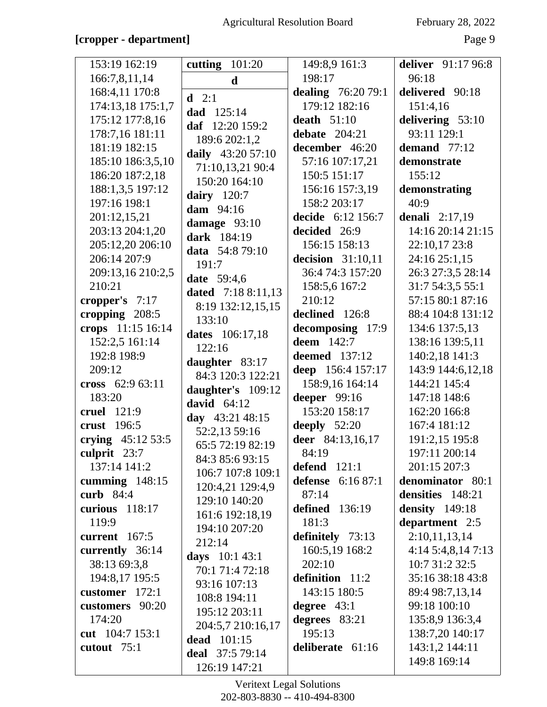## [cropper - department]

| February 28, 2022 |  |  |
|-------------------|--|--|
|-------------------|--|--|

Page 9

| 153:19 162:19      | cutting $101:20$          | 149:8,9 161:3         | deliver 91:17 96:8      |
|--------------------|---------------------------|-----------------------|-------------------------|
| 166:7,8,11,14      | $\mathbf d$               | 198:17                | 96:18                   |
| 168:4,11 170:8     | $d = 2:1$                 | dealing 76:20 79:1    | delivered 90:18         |
| 174:13,18 175:1,7  | dad 125:14                | 179:12 182:16         | 151:4,16                |
| 175:12 177:8,16    | daf 12:20 159:2           | death $51:10$         | delivering 53:10        |
| 178:7,16 181:11    | 189:6 202:1,2             | debate $204:21$       | 93:11 129:1             |
| 181:19 182:15      | daily 43:20 57:10         | december 46:20        | demand 77:12            |
| 185:10 186:3,5,10  | 71:10,13,21 90:4          | 57:16 107:17,21       | demonstrate             |
| 186:20 187:2,18    | 150:20 164:10             | 150:5 151:17          | 155:12                  |
| 188:1,3,5 197:12   |                           | 156:16 157:3,19       | demonstrating           |
| 197:16 198:1       | dairy $120:7$             | 158:2 203:17          | 40:9                    |
| 201:12,15,21       | dam 94:16                 | decide 6:12 156:7     | <b>denali</b> $2:17,19$ |
| 203:13 204:1,20    | damage $93:10$            | decided 26:9          | 14:16 20:14 21:15       |
| 205:12,20 206:10   | dark 184:19               | 156:15 158:13         | 22:10,17 23:8           |
| 206:14 207:9       | data 54:8 79:10           | decision $31:10,11$   | 24:16 25:1,15           |
| 209:13,16 210:2,5  | 191:7                     | 36:4 74:3 157:20      | 26:3 27:3,5 28:14       |
| 210:21             | date 59:4,6               | 158:5,6 167:2         | 31:7 54:3,5 55:1        |
| cropper's $7:17$   | <b>dated</b> 7:18 8:11,13 | 210:12                | 57:15 80:1 87:16        |
| cropping 208:5     | 8:19 132:12,15,15         | declined 126:8        | 88:4 104:8 131:12       |
| crops 11:15 16:14  | 133:10                    | decomposing 17:9      | 134:6 137:5,13          |
| 152:2,5 161:14     | dates 106:17,18           | <b>deem</b> 142:7     | 138:16 139:5,11         |
| 192:8 198:9        | 122:16                    | <b>deemed</b> 137:12  | 140:2,18 141:3          |
| 209:12             | daughter 83:17            | deep 156:4 157:17     | 143:9 144:6,12,18       |
| cross 62:9 63:11   | 84:3 120:3 122:21         | 158:9,16 164:14       | 144:21 145:4            |
| 183:20             | daughter's 109:12         | deeper 99:16          | 147:18 148:6            |
| cruel 121:9        | david $64:12$             | 153:20 158:17         | 162:20 166:8            |
| crust 196:5        | day 43:21 48:15           |                       | 167:4 181:12            |
|                    | 52:2,13 59:16             | deeply $52:20$        |                         |
| crying $45:1253:5$ | 65:5 72:19 82:19          | deer 84:13,16,17      | 191:2,15 195:8          |
| culprit $23:7$     | 84:3 85:6 93:15           | 84:19                 | 197:11 200:14           |
| 137:14 141:2       | 106:7 107:8 109:1         | defend $121:1$        | 201:15 207:3            |
| cumming $148:15$   | 120:4,21 129:4,9          | defense 6:16 87:1     | denominator 80:1        |
| curb 84:4          | 129:10 140:20             | 87:14                 | densities 148:21        |
| curious $118:17$   | 161:6 192:18,19           | <b>defined</b> 136:19 | <b>density</b> 149:18   |
| 119:9              | 194:10 207:20             | 181:3                 | department 2:5          |
| current $167:5$    | 212:14                    | definitely 73:13      | 2:10,11,13,14           |
| currently 36:14    | days 10:1 43:1            | 160:5,19 168:2        | 4:145:4,8,147:13        |
| 38:13 69:3,8       | 70:1 71:4 72:18           | 202:10                | 10:7 31:2 32:5          |
| 194:8,17 195:5     | 93:16 107:13              | definition 11:2       | 35:16 38:18 43:8        |
| customer $172:1$   | 108:8 194:11              | 143:15 180:5          | 89:4 98:7,13,14         |
| customers 90:20    | 195:12 203:11             | degree $43:1$         | 99:18 100:10            |
| 174:20             | 204:5,7 210:16,17         | degrees 83:21         | 135:8,9 136:3,4         |
| cut 104:7 153:1    | dead 101:15               | 195:13                | 138:7,20 140:17         |
| cutout 75:1        | deal 37:5 79:14           | deliberate 61:16      | 143:1,2 144:11          |
|                    | 126:19 147:21             |                       | 149:8 169:14            |
|                    |                           |                       |                         |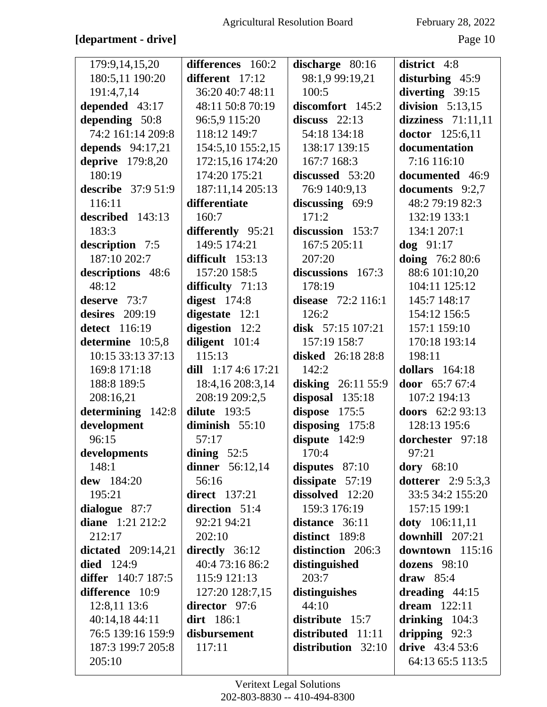## [department - drive]

February 28, 2022

Page 10

| 179:9,14,15,20            | differences 160:2      | discharge 80:16    | district 4:8               |
|---------------------------|------------------------|--------------------|----------------------------|
| 180:5,11 190:20           | different 17:12        | 98:1,9 99:19,21    | disturbing 45:9            |
| 191:4,7,14                | 36:20 40:7 48:11       | 100:5              | diverting 39:15            |
| depended 43:17            | 48:11 50:8 70:19       | discomfort 145:2   | division $5:13,15$         |
| depending 50:8            | 96:5,9 115:20          | discuss $22:13$    | dizziness $71:11,11$       |
| 74:2 161:14 209:8         | 118:12 149:7           | 54:18 134:18       | doctor 125:6,11            |
| depends 94:17,21          | 154:5,10 155:2,15      | 138:17 139:15      | documentation              |
| <b>deprive</b> 179:8,20   | 172:15,16 174:20       | 167:7 168:3        | 7:16 116:10                |
| 180:19                    | 174:20 175:21          | discussed 53:20    | documented 46:9            |
| <b>describe</b> 37:9 51:9 | 187:11,14 205:13       | 76:9 140:9,13      | documents 9:2,7            |
| 116:11                    | differentiate          | discussing 69:9    | 48:2 79:19 82:3            |
| described 143:13          | 160:7                  | 171:2              | 132:19 133:1               |
| 183:3                     | differently 95:21      | discussion 153:7   | 134:1 207:1                |
| description 7:5           | 149:5 174:21           | 167:5 205:11       | $dog$ 91:17                |
| 187:10 202:7              | difficult 153:13       | 207:20             | doing 76:2 80:6            |
| descriptions 48:6         | 157:20 158:5           | discussions 167:3  | 88:6 101:10,20             |
| 48:12                     | difficulty $71:13$     | 178:19             | 104:11 125:12              |
| deserve 73:7              | digest $174:8$         | disease 72:2 116:1 | 145:7 148:17               |
| desires $209:19$          | digestate 12:1         | 126:2              | 154:12 156:5               |
| detect 116:19             | digestion 12:2         | disk $57:15107:21$ | 157:1 159:10               |
| determine 10:5,8          | diligent 101:4         | 157:19 158:7       | 170:18 193:14              |
| 10:15 33:13 37:13         | 115:13                 | disked 26:18 28:8  | 198:11                     |
| 169:8 171:18              | dill $1:174:617:21$    | 142:2              | dollars $164:18$           |
| 188:8 189:5               | 18:4,16 208:3,14       | disking 26:11 55:9 | door 65:7 67:4             |
| 208:16,21                 | 208:19 209:2,5         | disposal 135:18    | 107:2 194:13               |
| determining 142:8         | dilute $193:5$         | dispose 175:5      | doors 62:2 93:13           |
| development               | diminish $55:10$       | disposing 175:8    | 128:13 195:6               |
| 96:15                     | 57:17                  | dispute 142:9      | dorchester 97:18           |
| developments              | dining $52:5$          | 170:4              | 97:21                      |
| 148:1                     | <b>dinner</b> 56:12,14 | disputes $87:10$   | dory $68:10$               |
| dew 184:20                | 56:16                  | dissipate $57:19$  | <b>dotterer</b> $2:95:3,3$ |
| 195:21                    | <b>direct</b> 137:21   | dissolved 12:20    | 33:5 34:2 155:20           |
| dialogue 87:7             | direction 51:4         | 159:3 176:19       | 157:15 199:1               |
| diane $1:21\,212:2$       | 92:21 94:21            | distance 36:11     | <b>doty</b> $106:11,11$    |
| 212:17                    | 202:10                 | distinct 189:8     | downhill 207:21            |
| dictated $209:14,21$      | directly 36:12         | distinction 206:3  | downtown 115:16            |
| <b>died</b> 124:9         | 40:4 73:16 86:2        | distinguished      | dozens $98:10$             |
| differ 140:7 187:5        | 115:9 121:13           | 203:7              | draw $85:4$                |
| difference 10:9           | 127:20 128:7,15        | distinguishes      | dreading $44:15$           |
| 12:8,11 13:6              | director 97:6          | 44:10              | dream $122:11$             |
| 40:14,18 44:11            | dirt 186:1             | distribute 15:7    | drinking $104:3$           |
| 76:5 139:16 159:9         | disbursement           | distributed 11:11  | dripping $92:3$            |
| 187:3 199:7 205:8         | 117:11                 | distribution 32:10 | drive $43:453:6$           |
| 205:10                    |                        |                    | 64:13 65:5 113:5           |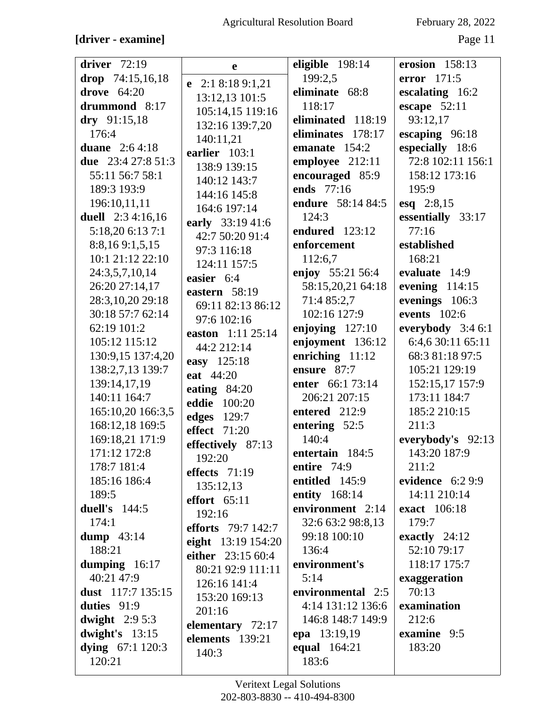## [driver - examine]

February 28, 2022

Page 11

| driver $72:19$           | e                         | eligible 198:14       | erosion 158:13      |
|--------------------------|---------------------------|-----------------------|---------------------|
| drop $74:15,16,18$       | e 2:1 8:18 9:1,21         | 199:2,5               | error $171:5$       |
| drove $64:20$            | 13:12,13 101:5            | eliminate 68:8        | escalating 16:2     |
| drummond 8:17            | 105:14,15 119:16          | 118:17                | escape $52:11$      |
| dry 91:15,18             | 132:16 139:7,20           | eliminated 118:19     | 93:12,17            |
| 176:4                    | 140:11,21                 | eliminates 178:17     | escaping 96:18      |
| duane $2:64:18$          | earlier 103:1             | emanate 154:2         | especially 18:6     |
| due 23:4 27:8 51:3       | 138:9 139:15              | employee 212:11       | 72:8 102:11 156:1   |
| 55:11 56:7 58:1          | 140:12 143:7              | encouraged 85:9       | 158:12 173:16       |
| 189:3 193:9              | 144:16 145:8              | ends 77:16            | 195:9               |
| 196:10,11,11             | 164:6 197:14              | endure 58:14 84:5     | $esq$ 2:8,15        |
| <b>duell</b> 2:3 4:16,16 | early 33:19 41:6          | 124:3                 | essentially 33:17   |
| 5:18,20 6:13 7:1         | 42:7 50:20 91:4           | <b>endured</b> 123:12 | 77:16               |
| 8:8,169:1,5,15           | 97:3 116:18               | enforcement           | established         |
| 10:1 21:12 22:10         | 124:11 157:5              | 112:6,7               | 168:21              |
| 24:3,5,7,10,14           | easier 6:4                | enjoy 55:21 56:4      | evaluate 14:9       |
| 26:20 27:14,17           | eastern 58:19             | 58:15,20,21 64:18     | evening $114:15$    |
| 28:3,10,20 29:18         | 69:11 82:13 86:12         | 71:4 85:2,7           | evenings 106:3      |
| 30:18 57:7 62:14         | 97:6 102:16               | 102:16 127:9          | events $102:6$      |
| 62:19 101:2              | easton 1:11 25:14         | enjoying $127:10$     | everybody $3:46:1$  |
| 105:12 115:12            | 44:2 212:14               | enjoyment 136:12      | 6:4,6 30:11 65:11   |
| 130:9,15 137:4,20        | easy 125:18               | enriching $11:12$     | 68:3 81:18 97:5     |
| 138:2,7,13 139:7         | eat 44:20                 | ensure 87:7           | 105:21 129:19       |
| 139:14,17,19             | eating $84:20$            | enter 66:1 73:14      | 152:15,17 157:9     |
| 140:11 164:7             | <b>eddie</b> 100:20       | 206:21 207:15         | 173:11 184:7        |
| 165:10,20 166:3,5        | <b>edges</b> 129:7        | entered 212:9         | 185:2 210:15        |
| 168:12,18 169:5          | <b>effect</b> 71:20       | entering 52:5         | 211:3               |
| 169:18,21 171:9          | effectively 87:13         | 140:4                 | everybody's 92:13   |
| 171:12 172:8             | 192:20                    | entertain 184:5       | 143:20 187:9        |
| 178:7 181:4              | effects $71:19$           | entire 74:9           | 211:2               |
| 185:16 186:4             | 135:12,13                 | entitled 145:9        | evidence $6:29:9$   |
| 189:5                    | effort $65:11$            | <b>entity</b> 168:14  | 14:11 210:14        |
| <b>duell's</b> 144:5     | 192:16                    | environment 2:14      | <b>exact</b> 106:18 |
| 174:1                    | <b>efforts</b> 79:7 142:7 | 32:6 63:2 98:8,13     | 179:7               |
| dump $43:14$             | eight 13:19 154:20        | 99:18 100:10          | exactly $24:12$     |
| 188:21                   | either 23:15 60:4         | 136:4                 | 52:10 79:17         |
| dumping 16:17            | 80:21 92:9 111:11         | environment's         | 118:17 175:7        |
| 40:21 47:9               | 126:16 141:4              | 5:14                  | exaggeration        |
| dust $117:7$ 135:15      | 153:20 169:13             | environmental 2:5     | 70:13               |
| duties 91:9              | 201:16                    | 4:14 131:12 136:6     | examination         |
| dwight $2:95:3$          | elementary 72:17          | 146:8 148:7 149:9     | 212:6               |
| dwight's 13:15           | elements 139:21           | epa 13:19,19          | examine 9:5         |
| dying $67:1120:3$        | 140:3                     | <b>equal</b> 164:21   | 183:20              |
| 120:21                   |                           | 183:6                 |                     |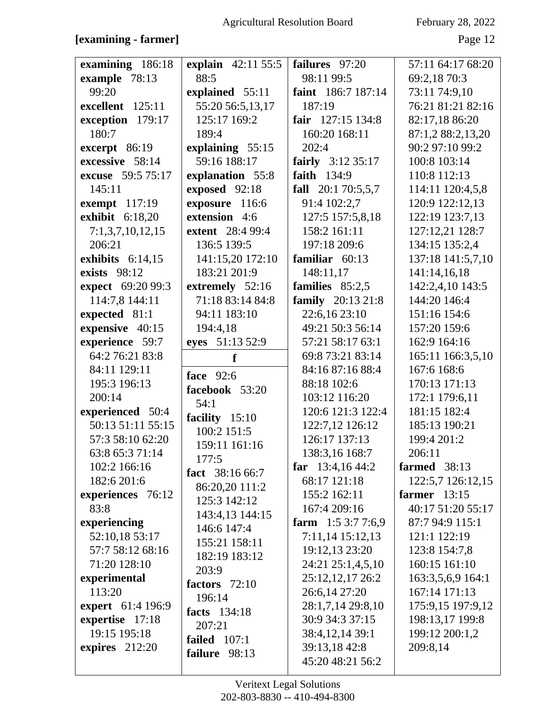| examining 186:18<br>example 78:13<br>99:20<br>excellent 125:11<br>exception 179:17<br>180:7<br>excerpt $86:19$<br>excessive 58:14<br>excuse 59:5 75:17<br>145:11<br>exempt $117:19$<br>exhibit 6:18,20<br>7:1,3,7,10,12,15<br>206:21<br>exhibits $6:14,15$<br>exists 98:12<br>expect 69:20 99:3<br>114:7,8 144:11<br>expected 81:1<br>expensive 40:15<br>experience 59:7<br>64:2 76:21 83:8<br>84:11 129:11<br>195:3 196:13<br>200:14 | explain 42:11 55:5<br>88:5<br>explained 55:11<br>55:20 56:5,13,17<br>125:17 169:2<br>189:4<br>explaining 55:15<br>59:16 188:17<br>explanation 55:8<br>exposed 92:18<br>exposure 116:6<br>extension 4:6<br><b>extent</b> 28:4 99:4<br>136:5 139:5<br>141:15,20 172:10<br>183:21 201:9<br>extremely 52:16<br>71:18 83:14 84:8<br>94:11 183:10<br>194:4,18<br>eyes 51:13 52:9<br>f<br>face 92:6<br>facebook 53:20 | failures 97:20<br>98:11 99:5<br>faint 186:7 187:14<br>187:19<br>fair $127:15$ 134:8<br>160:20 168:11<br>202:4<br>fairly 3:12 35:17<br>faith 134:9<br>fall $20:170:5,5,7$<br>91:4 102:2,7<br>127:5 157:5,8,18<br>158:2 161:11<br>197:18 209:6<br>familiar $60:13$<br>148:11,17<br>families 85:2,5<br>family 20:13 21:8<br>22:6,16 23:10<br>49:21 50:3 56:14<br>57:21 58:17 63:1<br>69:8 73:21 83:14<br>84:16 87:16 88:4<br>88:18 102:6<br>103:12 116:20 | 57:11 64:17 68:20<br>69:2,18 70:3<br>73:11 74:9,10<br>76:21 81:21 82:16<br>82:17,18 86:20<br>87:1,2 88:2,13,20<br>90:2 97:10 99:2<br>100:8 103:14<br>110:8 112:13<br>114:11 120:4,5,8<br>120:9 122:12,13<br>122:19 123:7,13<br>127:12,21 128:7<br>134:15 135:2,4<br>137:18 141:5,7,10<br>141:14,16,18<br>142:2,4,10 143:5<br>144:20 146:4<br>151:16 154:6<br>157:20 159:6<br>162:9 164:16<br>165:11 166:3,5,10<br>167:6 168:6<br>170:13 171:13<br>172:1 179:6,11 |
|---------------------------------------------------------------------------------------------------------------------------------------------------------------------------------------------------------------------------------------------------------------------------------------------------------------------------------------------------------------------------------------------------------------------------------------|----------------------------------------------------------------------------------------------------------------------------------------------------------------------------------------------------------------------------------------------------------------------------------------------------------------------------------------------------------------------------------------------------------------|--------------------------------------------------------------------------------------------------------------------------------------------------------------------------------------------------------------------------------------------------------------------------------------------------------------------------------------------------------------------------------------------------------------------------------------------------------|------------------------------------------------------------------------------------------------------------------------------------------------------------------------------------------------------------------------------------------------------------------------------------------------------------------------------------------------------------------------------------------------------------------------------------------------------------------|
| 63:8 65:3 71:14<br>102:2 166:16<br>182:6 201:6<br>experiences 76:12<br>83:8<br>experiencing<br>52:10,18 53:17<br>57:7 58:12 68:16<br>71:20 128:10<br>experimental<br>113:20<br>expert 61:4 196:9<br>expertise 17:18<br>19:15 195:18<br>expires $212:20$                                                                                                                                                                               | 159:11 161:16<br>177:5<br>fact 38:16 66:7<br>86:20,20 111:2<br>125:3 142:12<br>143:4,13 144:15<br>146:6 147:4<br>155:21 158:11<br>182:19 183:12<br>203:9<br>factors $72:10$<br>196:14<br><b>facts</b> 134:18<br>207:21<br>failed $107:1$<br>failure 98:13                                                                                                                                                      | 138:3,16 168:7<br>far $13:4,1644:2$<br>68:17 121:18<br>155:2 162:11<br>167:4 209:16<br>farm $1:53:77:6,9$<br>7:11,14 15:12,13<br>19:12,13 23:20<br>24:21 25:1,4,5,10<br>25:12,12,17 26:2<br>26:6,14 27:20<br>28:1,7,14 29:8,10<br>30:9 34:3 37:15<br>38:4, 12, 14 39:1<br>39:13,18 42:8<br>45:20 48:21 56:2                                                                                                                                            | 206:11<br>farmed $38:13$<br>122:5,7 126:12,15<br>farmer $13:15$<br>40:17 51:20 55:17<br>87:7 94:9 115:1<br>121:1 122:19<br>123:8 154:7,8<br>160:15 161:10<br>163:3,5,6,9 164:1<br>167:14 171:13<br>175:9,15 197:9,12<br>198:13,17 199:8<br>199:12 200:1,2<br>209:8,14                                                                                                                                                                                            |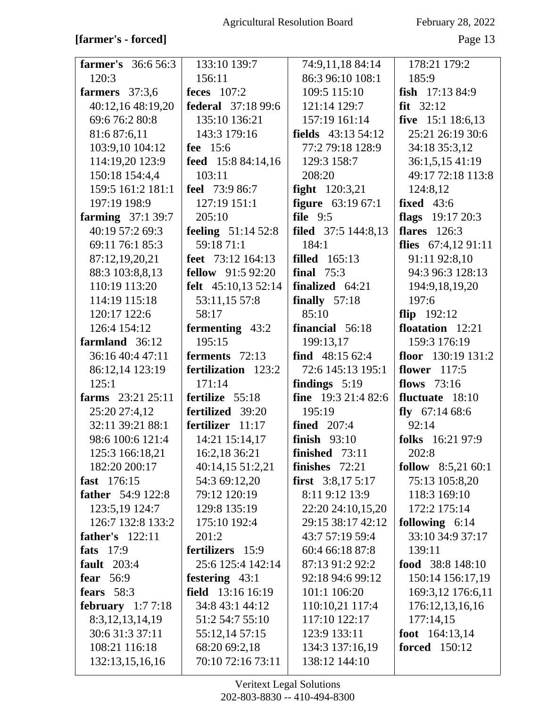## [farmer's - forced]

February 28, 2022

| <b>farmer's</b> 36:6 56:3 | 133:10 139:7               | 74:9,11,18 84:14             | 178:21 179:2         |
|---------------------------|----------------------------|------------------------------|----------------------|
| 120:3                     | 156:11                     | 86:3 96:10 108:1             | 185:9                |
| farmers $37:3,6$          | feces $107:2$              | 109:5 115:10                 | fish $17:1384:9$     |
| 40:12,16 48:19,20         | <b>federal</b> 37:18 99:6  | 121:14 129:7                 | $fit$ 32:12          |
| 69:6 76:2 80:8            | 135:10 136:21              | 157:19 161:14                | five 15:1 18:6,13    |
| 81:6 87:6,11              | 143:3 179:16               | fields 43:13 54:12           | 25:21 26:19 30:6     |
| 103:9,10 104:12           | fee 15:6                   | 77:2 79:18 128:9             | 34:18 35:3,12        |
| 114:19,20 123:9           | feed $15:884:14,16$        | 129:3 158:7                  | 36:1,5,15 41:19      |
| 150:18 154:4,4            | 103:11                     | 208:20                       | 49:17 72:18 113:8    |
| 159:5 161:2 181:1         | <b>feel</b> 73:9 86:7      | <b>fight</b> 120:3,21        | 124:8,12             |
| 197:19 198:9              | 127:19 151:1               | figure 63:19 67:1            | fixed $43:6$         |
| <b>farming</b> 37:1 39:7  | 205:10                     | file $9:5$                   | flags $19:1720:3$    |
| 40:19 57:2 69:3           | <b>feeling</b> $51:1452:8$ | <b>filed</b> $37:5$ 144:8,13 | flares $126:3$       |
| 69:11 76:1 85:3           | 59:18 71:1                 | 184:1                        | flies $67:4,1291:11$ |
| 87:12,19,20,21            | feet 73:12 164:13          | <b>filled</b> 165:13         | 91:11 92:8,10        |
| 88:3 103:8,8,13           | <b>fellow</b> 91:5 92:20   | final $75:3$                 | 94:3 96:3 128:13     |
| 110:19 113:20             | felt $45:10,1352:14$       | finalized 64:21              | 194:9, 18, 19, 20    |
| 114:19 115:18             | 53:11,15 57:8              | finally $57:18$              | 197:6                |
| 120:17 122:6              | 58:17                      | 85:10                        | flip $192:12$        |
| 126:4 154:12              | fermenting 43:2            | financial 56:18              | floatation 12:21     |
| farmland 36:12            | 195:15                     | 199:13,17                    | 159:3 176:19         |
| 36:16 40:4 47:11          | ferments 72:13             | find $48:1562:4$             | floor $130:19131:2$  |
| 86:12,14 123:19           | fertilization 123:2        | 72:6 145:13 195:1            | flower $117:5$       |
| 125:1                     | 171:14                     | findings $5:19$              | flows $73:16$        |
| farms $23:21\,25:11$      | fertilize 55:18            | <b>fine</b> $19:321:482:6$   | fluctuate 18:10      |
| 25:20 27:4,12             | fertilized 39:20           | 195:19                       | fly $67:1468:6$      |
| 32:11 39:21 88:1          | fertilizer 11:17           | <b>fined</b> 207:4           | 92:14                |
| 98:6 100:6 121:4          | 14:21 15:14,17             | finish 93:10                 | folks 16:21 97:9     |
| 125:3 166:18,21           | 16:2,18 36:21              | finished 73:11               | 202:8                |
| 182:20 200:17             | 40:14,15 51:2,21           | finishes $72:21$             | follow $8:5,21,60:1$ |
| fast 176:15               | 54:3 69:12,20              | <b>first</b> $3:8,175:17$    | 75:13 105:8,20       |
| <b>father</b> 54:9 122:8  | 79:12 120:19               | 8:11 9:12 13:9               | 118:3 169:10         |
| 123:5,19 124:7            | 129:8 135:19               | 22:20 24:10,15,20            | 172:2 175:14         |
| 126:7 132:8 133:2         | 175:10 192:4               | 29:15 38:17 42:12            | following $6:14$     |
| father's $122:11$         | 201:2                      | 43:7 57:19 59:4              | 33:10 34:9 37:17     |
| fats 17:9                 | fertilizers 15:9           | 60:4 66:18 87:8              | 139:11               |
| <b>fault</b> 203:4        | 25:6 125:4 142:14          | 87:13 91:2 92:2              | food 38:8 148:10     |
| fear $56:9$               | festering 43:1             | 92:18 94:6 99:12             | 150:14 156:17,19     |
| fears $58:3$              | field 13:16 16:19          | 101:1 106:20                 | 169:3,12 176:6,11    |
| february $1:77:18$        | 34:8 43:1 44:12            | 110:10,21 117:4              | 176:12,13,16,16      |
| 8:3, 12, 13, 14, 19       | 51:2 54:7 55:10            | 117:10 122:17                | 177:14,15            |
| 30:6 31:3 37:11           | 55:12,14 57:15             | 123:9 133:11                 | foot $164:13,14$     |
| 108:21 116:18             | 68:20 69:2,18              | 134:3 137:16,19              | <b>forced</b> 150:12 |
|                           |                            |                              |                      |
| 132:13,15,16,16           | 70:10 72:16 73:11          | 138:12 144:10                |                      |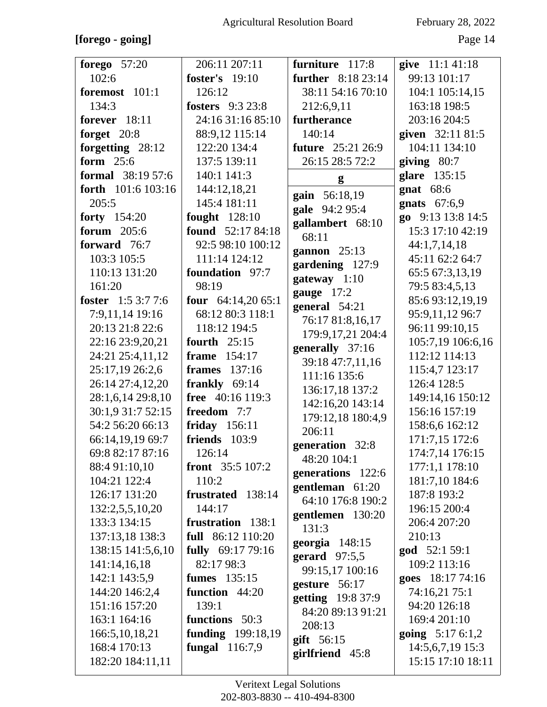### [forego - going]

Page 14

| forego $57:20$              | 206:11 207:11                   | furniture 117:8           | give 11:1 41:18               |
|-----------------------------|---------------------------------|---------------------------|-------------------------------|
| 102:6                       | <b>foster's</b> 19:10           | <b>further</b> 8:18 23:14 | 99:13 101:17                  |
| foremost 101:1              | 126:12                          | 38:11 54:16 70:10         | 104:1 105:14,15               |
| 134:3                       | <b>fosters</b> 9:3 23:8         | 212:6,9,11                | 163:18 198:5                  |
| forever 18:11               | 24:16 31:16 85:10               | furtherance               | 203:16 204:5                  |
| forget $20:8$               | 88:9,12 115:14                  | 140:14                    | given 32:11 81:5              |
| forgetting 28:12            | 122:20 134:4                    | <b>future</b> 25:21 26:9  | 104:11 134:10                 |
| form 25:6                   | 137:5 139:11                    | 26:15 28:5 72:2           | giving $80:7$                 |
| <b>formal</b> $38:1957:6$   | 140:1 141:3                     |                           | glare 135:15                  |
| <b>forth</b> $101:6 103:16$ | 144:12,18,21                    | g                         | gnat $68:6$                   |
| 205:5                       | 145:4 181:11                    | gain 56:18,19             | gnats $67:6,9$                |
| forty $154:20$              | fought $128:10$                 | gale 94:2 95:4            | go 9:13 13:8 14:5             |
| <b>forum</b> 205:6          | found $52:1784:18$              | gallambert 68:10          | 15:3 17:10 42:19              |
| forward 76:7                | 92:5 98:10 100:12               | 68:11                     | 44:1,7,14,18                  |
| 103:3 105:5                 | 111:14 124:12                   | gannon 25:13              | 45:11 62:2 64:7               |
| 110:13 131:20               | foundation 97:7                 | gardening 127:9           | 65:5 67:3,13,19               |
| 161:20                      | 98:19                           | gateway 1:10              | 79:5 83:4,5,13                |
| foster $1:53:77:6$          | four $64:14,2065:1$             | gauge 17:2                | 85:693:12,19,19               |
| 7:9,11,14 19:16             | 68:12 80:3 118:1                | general 54:21             | 95:9,11,12 96:7               |
| 20:13 21:8 22:6             | 118:12 194:5                    | 76:17 81:8,16,17          | 96:11 99:10,15                |
| 22:16 23:9,20,21            | fourth $25:15$                  | 179:9,17,21 204:4         | 105:7,19 106:6,16             |
| 24:21 25:4,11,12            | frame $154:17$                  | generally 37:16           | 112:12 114:13                 |
| 25:17,19 26:2,6             | <b>frames</b> 137:16            | 39:18 47:7,11,16          | 115:4,7 123:17                |
| 26:14 27:4,12,20            | frankly $69:14$                 | 111:16 135:6              | 126:4 128:5                   |
| 28:1,6,14 29:8,10           | free 40:16 119:3                | 136:17,18 137:2           | 149:14,16 150:12              |
| 30:1,9 31:7 52:15           | freedom 7:7                     | 142:16,20 143:14          | 156:16 157:19                 |
| 54:2 56:20 66:13            | friday 156:11                   | 179:12,18 180:4,9         | 158:6,6 162:12                |
| 66:14,19,19 69:7            | friends 103:9                   | 206:11                    | 171:7,15 172:6                |
| 69:8 82:17 87:16            | 126:14                          | generation 32:8           | 174:7,14 176:15               |
| 88:4 91:10,10               | <b>front</b> $35:5 107:2$       | 48:20 104:1               | 177:1,1 178:10                |
| 104:21 122:4                | 110:2                           | generations 122:6         | 181:7,10 184:6                |
| 126:17 131:20               | frustrated 138:14               | gentleman 61:20           | 187:8 193:2                   |
| 132:2,5,5,10,20             | 144:17                          | 64:10 176:8 190:2         | 196:15 200:4                  |
| 133:3 134:15                | frustration 138:1               | gentlemen 130:20          | 206:4 207:20                  |
| 137:13,18 138:3             | full 86:12 110:20               | 131:3                     | 210:13                        |
| 138:15 141:5,6,10           |                                 | georgia $148:15$          |                               |
|                             | fully 69:17 79:16<br>82:17 98:3 | gerard $97:5,5$           | god 52:1 59:1<br>109:2 113:16 |
| 141:14,16,18                | <b>fumes</b> 135:15             | 99:15,17 100:16           |                               |
| 142:1 143:5,9               |                                 | gesture 56:17             | goes 18:17 74:16              |
| 144:20 146:2,4              | function 44:20                  | getting 19:8 37:9         | 74:16,21 75:1                 |
| 151:16 157:20               | 139:1                           | 84:20 89:13 91:21         | 94:20 126:18                  |
| 163:1 164:16                | functions 50:3                  | 208:13                    | 169:4 201:10                  |
| 166:5, 10, 18, 21           | <b>funding</b> 199:18,19        | $g$ ift 56:15             | <b>going</b> $5:176:1,2$      |
| 168:4 170:13                | fungal $116:7,9$                | girlfriend 45:8           | 14:5,6,7,19 15:3              |
| 182:20 184:11,11            |                                 |                           | 15:15 17:10 18:11             |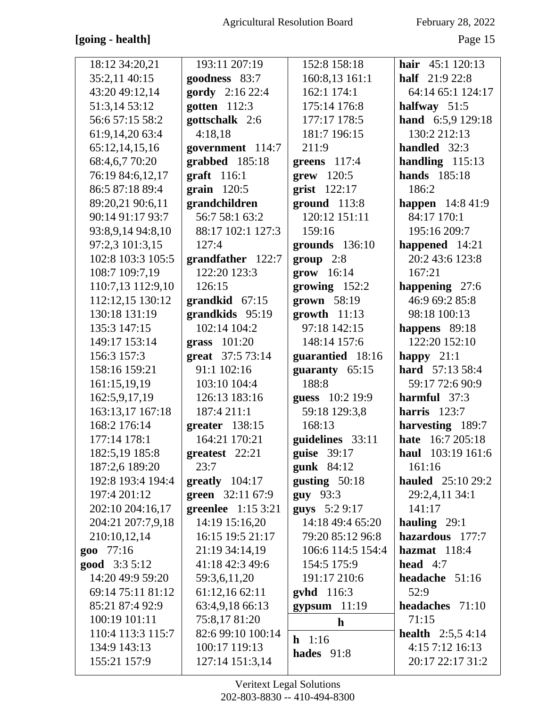## [going - health]

February 28, 2022

Page 15

| 18:12 34:20,21        | 193:11 207:19                | 152:8 158:18          | hair $45:1 120:13$         |
|-----------------------|------------------------------|-----------------------|----------------------------|
| 35:2,11 40:15         | goodness 83:7                | 160:8,13 161:1        | <b>half</b> 21:9 22:8      |
| 43:20 49:12,14        | gordy 2:16 22:4              | 162:1 174:1           | 64:14 65:1 124:17          |
| 51:3,14 53:12         | gotten $112:3$               | 175:14 176:8          | halfway $51:5$             |
| 56:6 57:15 58:2       | gottschalk 2:6               | 177:17 178:5          | hand 6:5,9 129:18          |
| 61:9,14,20 63:4       | 4:18,18                      | 181:7 196:15          | 130:2 212:13               |
| 65:12,14,15,16        | government 114:7             | 211:9                 | handled 32:3               |
| 68:4,6,7 70:20        | grabbed 185:18               | greens 117:4          | handling $115:13$          |
| 76:19 84:6,12,17      | graff 116:1                  | $\textbf{grew}$ 120:5 | <b>hands</b> 185:18        |
| 86:5 87:18 89:4       | grain $120:5$                | grist 122:17          | 186:2                      |
| 89:20,21 90:6,11      | grandchildren                | $ground$ 113:8        | <b>happen</b> 14:8 41:9    |
| 90:14 91:17 93:7      | 56:7 58:1 63:2               | 120:12 151:11         | 84:17 170:1                |
| 93:8,9,14 94:8,10     | 88:17 102:1 127:3            | 159:16                | 195:16 209:7               |
| 97:2,3 101:3,15       | 127:4                        | grounds 136:10        | happened 14:21             |
| 102:8 103:3 105:5     | grandfather 122:7            | group 2:8             | 20:2 43:6 123:8            |
| 108:7 109:7,19        | 122:20 123:3                 | grow 16:14            | 167:21                     |
| 110:7,13 112:9,10     | 126:15                       | growing $152:2$       | happening 27:6             |
| 112:12,15 130:12      | grandkid 67:15               | grown 58:19           | 46:9 69:2 85:8             |
| 130:18 131:19         | grandkids 95:19              | $growth$ 11:13        | 98:18 100:13               |
| 135:3 147:15          | 102:14 104:2                 | 97:18 142:15          | happens 89:18              |
| 149:17 153:14         | grass 101:20                 | 148:14 157:6          | 122:20 152:10              |
| 156:3 157:3           | great 37:5 73:14             | guarantied 18:16      | happy $21:1$               |
| 158:16 159:21         | 91:1 102:16                  | guaranty 65:15        | hard 57:13 58:4            |
| 161:15,19,19          | 103:10 104:4                 | 188:8                 | 59:17 72:6 90:9            |
| 162:5,9,17,19         | 126:13 183:16                | guess 10:2 19:9       | harmful 37:3               |
| 163:13,17 167:18      | 187:4 211:1                  | 59:18 129:3,8         | harris $123:7$             |
| 168:2 176:14          | greater 138:15               | 168:13                | harvesting 189:7           |
| 177:14 178:1          | 164:21 170:21                | guidelines 33:11      | hate 16:7 205:18           |
| 182:5,19 185:8        | greatest 22:21               | guise 39:17           | haul 103:19 161:6          |
| 187:2,6 189:20        | 23:7                         | gunk $84:12$          | 161:16                     |
| 192:8 193:4 194:4     | $greatly 104:17$             | gusting $50:18$       | <b>hauled</b> 25:10 29:2   |
| 197:4 201:12          | green 32:11 67:9             | <b>guy</b> 93:3       | 29:2,4,11 34:1             |
| 202:10 204:16,17      | <b>greenlee</b> $1:15\,3:21$ | guys 5:2 9:17         | 141:17                     |
| 204:21 207:7,9,18     | 14:19 15:16,20               | 14:18 49:4 65:20      | hauling $29:1$             |
| 210:10,12,14          | 16:15 19:5 21:17             | 79:20 85:12 96:8      | hazardous 177:7            |
| goo 77:16             | 21:19 34:14,19               | 106:6 114:5 154:4     | hazmat $118:4$             |
| <b>good</b> $3:35:12$ | 41:18 42:3 49:6              | 154:5 175:9           | head $4:7$                 |
| 14:20 49:9 59:20      | 59:3,6,11,20                 | 191:17 210:6          | headache $51:16$           |
| 69:14 75:11 81:12     | 61:12,16 62:11               | <b>gyhd</b> 116:3     | 52:9                       |
| 85:21 87:4 92:9       | 63:4,9,18 66:13              | gypsum 11:19          | headaches 71:10            |
| 100:19 101:11         | 75:8,17 81:20                | $\mathbf{h}$          | 71:15                      |
| 110:4 113:3 115:7     | 82:6 99:10 100:14            | $h$ 1:16              | <b>health</b> $2:5,5,4:14$ |
| 134:9 143:13          | 100:17 119:13                | hades $91:8$          | 4:157:1216:13              |
| 155:21 157:9          | 127:14 151:3,14              |                       | 20:17 22:17 31:2           |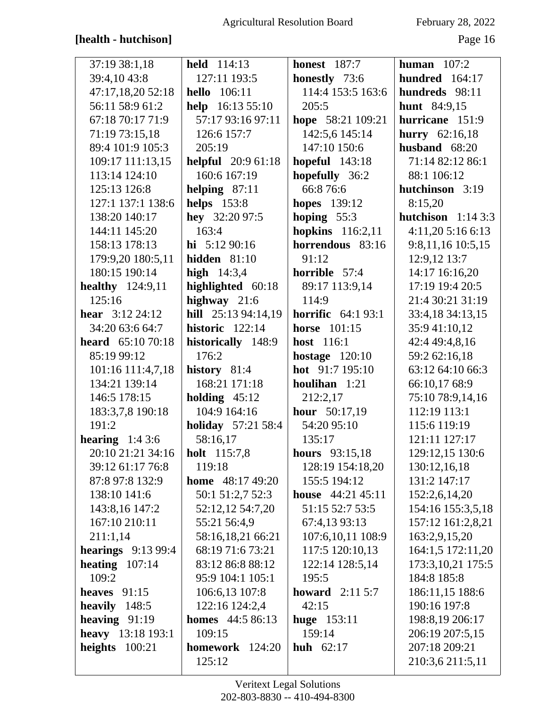## [health - hutchison]

February 28, 2022

| 37:19 38:1,18             | <b>held</b> 114:13        | <b>honest</b> 187:7       | human $107:2$         |
|---------------------------|---------------------------|---------------------------|-----------------------|
| 39:4,1043:8               | 127:11 193:5              | honestly 73:6             | hundred 164:17        |
| 47:17,18,20 52:18         | <b>hello</b> 106:11       | 114:4 153:5 163:6         | hundreds 98:11        |
| 56:11 58:9 61:2           | help 16:13 55:10          | 205:5                     | hunt 84:9,15          |
| 67:18 70:17 71:9          | 57:17 93:16 97:11         | hope 58:21 109:21         | hurricane 151:9       |
| 71:19 73:15,18            | 126:6 157:7               | 142:5,6 145:14            | <b>hurry</b> 62:16,18 |
| 89:4 101:9 105:3          | 205:19                    | 147:10 150:6              | husband $68:20$       |
| 109:17 111:13,15          | <b>helpful</b> 20:9 61:18 | <b>hopeful</b> 143:18     | 71:14 82:12 86:1      |
| 113:14 124:10             | 160:6 167:19              | hopefully 36:2            | 88:1 106:12           |
| 125:13 126:8              | helping $87:11$           | 66:8 76:6                 | hutchinson 3:19       |
| 127:1 137:1 138:6         | <b>helps</b> 153:8        | <b>hopes</b> 139:12       | 8:15,20               |
| 138:20 140:17             | hey 32:20 97:5            | hoping $55:3$             | hutchison $1:143:3$   |
| 144:11 145:20             | 163:4                     | hopkins $116:2,11$        | 4:11,205:166:13       |
| 158:13 178:13             | hi $5:1290:16$            | horrendous 83:16          | 9:8,11,16 10:5,15     |
| 179:9,20 180:5,11         | hidden $81:10$            | 91:12                     | 12:9,12 13:7          |
| 180:15 190:14             | <b>high</b> $14:3,4$      | horrible 57:4             | 14:17 16:16,20        |
| healthy $124:9,11$        | highlighted 60:18         | 89:17 113:9,14            | 17:19 19:4 20:5       |
| 125:16                    | highway $21:6$            | 114:9                     | 21:4 30:21 31:19      |
| <b>hear</b> $3:12\,24:12$ | hill 25:13 94:14,19       | <b>horrific</b> 64:1 93:1 | 33:4,18 34:13,15      |
| 34:20 63:6 64:7           | historic $122:14$         | <b>horse</b> 101:15       | 35:9 41:10,12         |
| <b>heard</b> $65:1070:18$ | historically 148:9        | host 116:1                | 42:4 49:4,8,16        |
| 85:19 99:12               | 176:2                     | hostage $120:10$          | 59:2 62:16,18         |
| 101:16 111:4,7,18         | history $81:4$            | hot 91:7 195:10           | 63:12 64:10 66:3      |
| 134:21 139:14             | 168:21 171:18             | houlihan 1:21             | 66:10,17 68:9         |
| 146:5 178:15              | holding $45:12$           | 212:2,17                  | 75:10 78:9,14,16      |
| 183:3,7,8 190:18          | 104:9 164:16              | <b>hour</b> $50:17,19$    | 112:19 113:1          |
| 191:2                     | <b>holiday</b> 57:21 58:4 | 54:20 95:10               | 115:6 119:19          |
| hearing $1:43:6$          | 58:16,17                  | 135:17                    | 121:11 127:17         |
| 20:10 21:21 34:16         | <b>holt</b> 115:7,8       | hours 93:15,18            | 129:12,15 130:6       |
| 39:12 61:17 76:8          | 119:18                    | 128:19 154:18,20          | 130:12,16,18          |
| 87:8 97:8 132:9           | <b>home</b> $48:1749:20$  | 155:5 194:12              | 131:2 147:17          |
| 138:10 141:6              | 50:1 51:2,7 52:3          | house $44:21\,45:11$      | 152:2,6,14,20         |
| 143:8,16 147:2            | 52:12,12 54:7,20          | 51:15 52:7 53:5           | 154:16 155:3,5,18     |
| 167:10 210:11             | 55:21 56:4,9              | 67:4,13 93:13             | 157:12 161:2,8,21     |
| 211:1,14                  | 58:16,18,21 66:21         | 107:6,10,11 108:9         | 163:2,9,15,20         |
| hearings $9:1399:4$       | 68:19 71:6 73:21          | 117:5 120:10,13           | 164:1,5 172:11,20     |
| heating $107:14$          | 83:12 86:8 88:12          | 122:14 128:5,14           | 173:3, 10, 21 175:5   |
| 109:2                     | 95:9 104:1 105:1          | 195:5                     | 184:8 185:8           |
| heaves $91:15$            | 106:6,13 107:8            | <b>howard</b> $2:115:7$   | 186:11,15 188:6       |
| heavily $148:5$           | 122:16 124:2,4            | 42:15                     | 190:16 197:8          |
| heaving $91:19$           | <b>homes</b> 44:5 86:13   | <b>huge</b> 153:11        | 198:8,19 206:17       |
| heavy 13:18 193:1         | 109:15                    | 159:14                    | 206:19 207:5,15       |
| heights $100:21$          | homework 124:20           | <b>huh</b> $62:17$        | 207:18 209:21         |
|                           | 125:12                    |                           | 210:3,6 211:5,11      |
|                           |                           |                           |                       |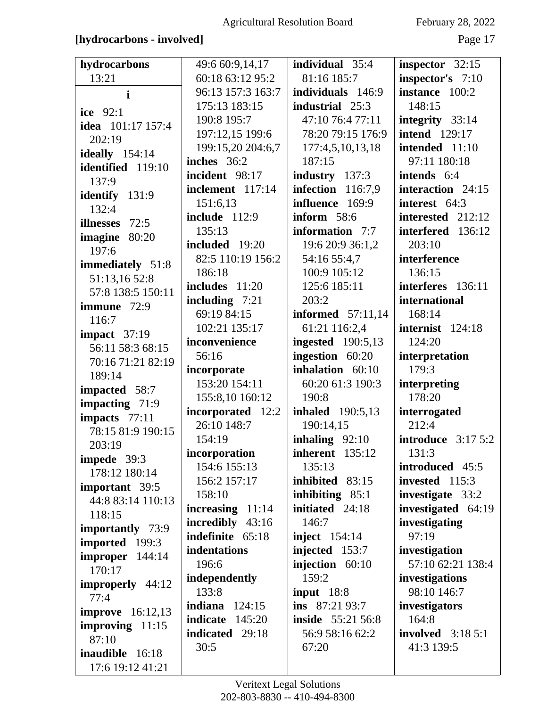### **[hydrocarbons - involved]** Page 17

| hydrocarbons            | 49:6 60:9,14,17      | individual 35:4          | inspector $32:15$          |
|-------------------------|----------------------|--------------------------|----------------------------|
| 13:21                   | 60:18 63:12 95:2     | 81:16 185:7              | inspector's 7:10           |
| $\mathbf{i}$            | 96:13 157:3 163:7    | individuals 146:9        | instance 100:2             |
| ice 92:1                | 175:13 183:15        | industrial 25:3          | 148:15                     |
|                         | 190:8 195:7          | 47:10 76:4 77:11         | integrity 33:14            |
| idea 101:17 157:4       | 197:12,15 199:6      | 78:20 79:15 176:9        | <b>intend</b> 129:17       |
| 202:19                  | 199:15,20 204:6,7    | 177:4,5,10,13,18         | intended 11:10             |
| <b>ideally</b> 154:14   | inches 36:2          | 187:15                   | 97:11 180:18               |
| identified 119:10       | incident 98:17       | industry 137:3           | intends 6:4                |
| 137:9                   | inclement 117:14     | infection $116:7,9$      | interaction 24:15          |
| identify 131:9          | 151:6,13             | influence 169:9          | interest 64:3              |
| 132:4                   | <b>include</b> 112:9 | inform 58:6              | interested 212:12          |
| illnesses 72:5          | 135:13               | information 7:7          | interfered 136:12          |
| imagine 80:20           | included 19:20       | 19:6 20:9 36:1,2         | 203:10                     |
| 197:6                   | 82:5 110:19 156:2    | 54:16 55:4,7             | interference               |
| immediately 51:8        | 186:18               | 100:9 105:12             | 136:15                     |
| 51:13,1652:8            | includes 11:20       | 125:6 185:11             | interferes 136:11          |
| 57:8 138:5 150:11       | including $7:21$     | 203:2                    | international              |
| immune 72:9             | 69:19 84:15          | <b>informed</b> 57:11,14 | 168:14                     |
| 116:7                   | 102:21 135:17        | 61:21 116:2,4            | internist 124:18           |
| impact $37:19$          | inconvenience        | <b>ingested</b> 190:5,13 | 124:20                     |
| 56:11 58:3 68:15        | 56:16                | ingestion 60:20          | interpretation             |
| 70:16 71:21 82:19       | incorporate          | inhalation 60:10         | 179:3                      |
| 189:14                  | 153:20 154:11        | 60:20 61:3 190:3         | interpreting               |
| impacted 58:7           | 155:8,10 160:12      | 190:8                    | 178:20                     |
| impacting 71:9          | incorporated 12:2    | <b>inhaled</b> 190:5,13  | interrogated               |
| impacts 77:11           | 26:10 148:7          | 190:14,15                | 212:4                      |
| 78:15 81:9 190:15       | 154:19               | inhaling $92:10$         | <b>introduce</b> $3:175:2$ |
| 203:19                  | incorporation        | inherent 135:12          | 131:3                      |
| impede 39:3             | 154:6 155:13         | 135:13                   | introduced 45:5            |
| 178:12 180:14           | 156:2 157:17         | inhibited 83:15          | invested 115:3             |
| important 39:5          | 158:10               | inhibiting $85:1$        | investigate 33:2           |
| 44:8 83:14 110:13       | increasing $11:14$   | initiated 24:18          | investigated 64:19         |
| 118:15                  | incredibly 43:16     | 146:7                    | investigating              |
| importantly 73:9        | indefinite 65:18     | inject $154:14$          | 97:19                      |
| imported 199:3          | indentations         | injected 153:7           | investigation              |
| $improper$ 144:14       | 196:6                | injection 60:10          | 57:10 62:21 138:4          |
| 170:17                  | independently        | 159:2                    | investigations             |
| improperly 44:12        | 133:8                | input $18:8$             | 98:10 146:7                |
| 77:4                    | 124:15<br>indiana    | ins 87:21 93:7           | investigators              |
| <b>improve</b> 16:12,13 | indicate<br>145:20   | <b>inside</b> 55:21 56:8 | 164:8                      |
| improving 11:15         | indicated 29:18      | 56:9 58:16 62:2          | <b>involved</b> 3:18 5:1   |
| 87:10                   | 30:5                 | 67:20                    | 41:3 139:5                 |
| inaudible 16:18         |                      |                          |                            |
| 17:6 19:12 41:21        |                      |                          |                            |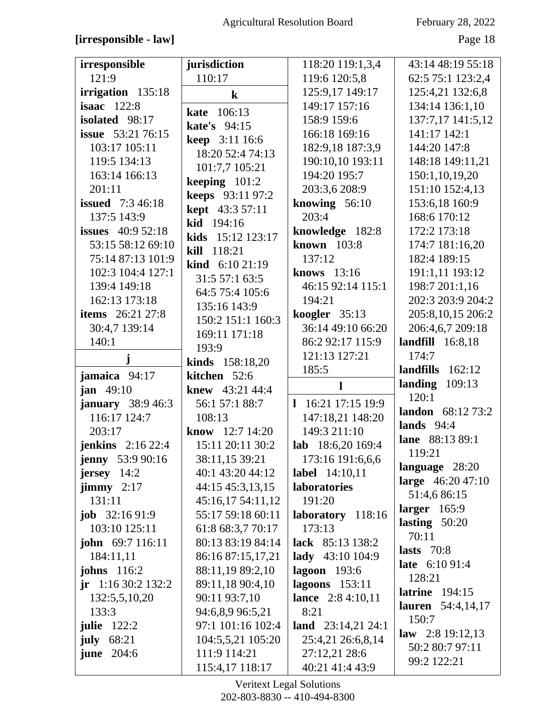### [irresponsible - law]

February 28, 2022

Page 18

| irresponsible                   | jurisdiction                              | 118:20 119:1,3,4                        | 43:14 48:19 55:18              |
|---------------------------------|-------------------------------------------|-----------------------------------------|--------------------------------|
| 121:9                           | 110:17                                    | 119:6 120:5,8                           | 62:5 75:1 123:2,4              |
| irrigation 135:18               | $\bf k$                                   | 125:9,17 149:17                         | 125:4,21 132:6,8               |
| isaac $122:8$                   | 106:13<br>kate                            | 149:17 157:16                           | 134:14 136:1,10                |
| isolated 98:17                  | kate's 94:15                              | 158:9 159:6                             | 137:7,17 141:5,12              |
| <b>issue</b> 53:21 76:15        |                                           | 166:18 169:16                           | 141:17 142:1                   |
| 103:17 105:11                   | <b>keep</b> 3:11 16:6<br>18:20 52:4 74:13 | 182:9,18 187:3,9                        | 144:20 147:8                   |
| 119:5 134:13                    |                                           | 190:10,10 193:11                        | 148:18 149:11,21               |
| 163:14 166:13                   | 101:7,7 105:21                            | 194:20 195:7                            | 150:1,10,19,20                 |
| 201:11                          | keeping $101:2$                           | 203:3,6 208:9                           | 151:10 152:4,13                |
| <b>issued</b> 7:3 46:18         | keeps 93:11 97:2                          | knowing $56:10$                         | 153:6,18 160:9                 |
| 137:5 143:9                     | kept 43:3 57:11                           | 203:4                                   | 168:6 170:12                   |
| <b>issues</b> 40:9 52:18        | kid 194:16                                | knowledge 182:8                         | 172:2 173:18                   |
| 53:15 58:12 69:10               | kids 15:12 123:17                         | known 103:8                             | 174:7 181:16,20                |
| 75:14 87:13 101:9               | kill 118:21                               | 137:12                                  | 182:4 189:15                   |
| 102:3 104:4 127:1               | <b>kind</b> $6:1021:19$                   | knows 13:16                             | 191:1,11 193:12                |
| 139:4 149:18                    | 31:557:163:5                              | 46:15 92:14 115:1                       | 198:7 201:1,16                 |
| 162:13 173:18                   | 64:5 75:4 105:6                           | 194:21                                  | 202:3 203:9 204:2              |
| <b>items</b> 26:21 27:8         | 135:16 143:9                              | koogler 35:13                           | 205:8,10,15 206:2              |
| 30:4,7 139:14                   | 150:2 151:1 160:3                         | 36:14 49:10 66:20                       | 206:4,6,7 209:18               |
| 140:1                           | 169:11 171:18                             | 86:2 92:17 115:9                        | landfill $16:8,18$             |
| j                               | 193:9                                     | 121:13 127:21                           | 174:7                          |
|                                 | kinds 158:18,20                           |                                         |                                |
|                                 |                                           | 185:5                                   | landfills $162:12$             |
| jamaica 94:17                   | kitchen 52:6                              | l                                       | landing $109:13$               |
| <b>jan</b> $49:10$              | knew 43:21 44:4                           |                                         | 120:1                          |
| <b>january</b> $38:946:3$       | 56:1 57:1 88:7                            | 1 16:21 17:15 19:9                      | <b>landon</b> 68:12 73:2       |
| 116:17 124:7                    | 108:13                                    | 147:18,21 148:20                        | lands $94:4$                   |
| 203:17                          | <b>know</b> $12:7$ 14:20                  | 149:3 211:10                            | lane 88:13 89:1                |
| jenkins $2:1622:4$              | 15:11 20:11 30:2                          | lab 18:6,20 169:4                       | 119:21                         |
| <b>jenny</b> 53:9 90:16         | 38:11,15 39:21                            | 173:16 191:6,6,6                        | language 28:20                 |
| $j$ ersey 14:2                  | 40:1 43:20 44:12                          | <b>label</b> 14:10,11                   | large 46:20 47:10              |
| $\textbf{jimmy}$ 2:17           | 44:15 45:3,13,15                          | laboratories                            | 51:4,6 86:15                   |
| 131:11                          | 45:16,17 54:11,12                         | 191:20                                  | larger $165:9$                 |
| <b>job</b> $32:1691:9$          | 55:17 59:18 60:11                         | laboratory 118:16                       | lasting $50:20$                |
| 103:10 125:11                   | 61:8 68:3,7 70:17                         | 173:13                                  | 70:11                          |
| <b>john</b> 69:7 116:11         | 80:13 83:19 84:14                         | lack 85:13 138:2                        | lasts $70:8$                   |
| 184:11,11<br><b>johns</b> 116:2 | 86:16 87:15,17,21                         | lady 43:10 104:9                        | late 6:10 91:4                 |
| $jr$ 1:16 30:2 132:2            | 88:11,19 89:2,10<br>89:11,18 90:4,10      | <b>lagoon</b> 193:6<br>lagoons $153:11$ | 128:21                         |
| 132:5,5,10,20                   | 90:11 93:7,10                             | lance 2:8 4:10,11                       | latrine $194:15$               |
| 133:3                           | 94:6,8,9 96:5,21                          | 8:21                                    | <b>lauren</b> 54:4,14,17       |
| <b>julie</b> 122:2              | 97:1 101:16 102:4                         | land $23:14,21$ 24:1                    | 150:7                          |
| july $68:21$                    | 104:5,5,21 105:20                         | 25:4,21 26:6,8,14                       | law $2:819:12,13$              |
| <b>june</b> 204:6               | 111:9 114:21                              | 27:12,21 28:6                           | 50:2 80:7 97:11<br>99:2 122:21 |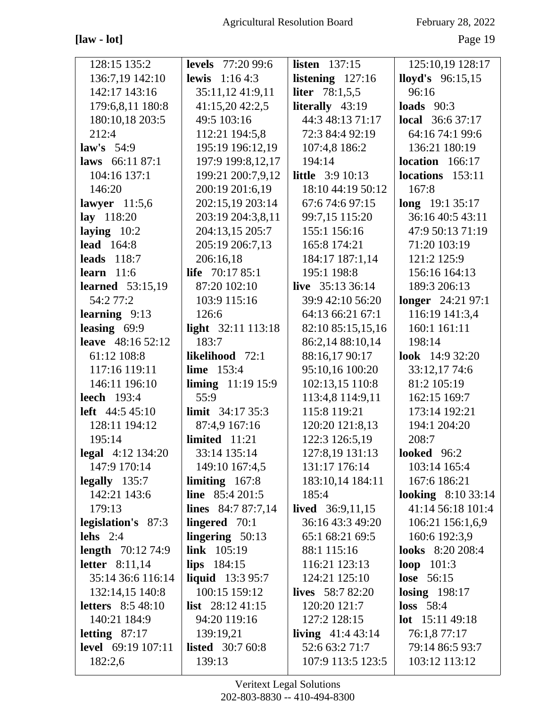**[law - lot]** Page 19

| 128:15 135:2              | <b>levels</b> 77:20 99:6 | <b>listen</b> 137:15      | 125:10,19 128:17          |
|---------------------------|--------------------------|---------------------------|---------------------------|
| 136:7,19 142:10           | <b>lewis</b> $1:164:3$   | listening $127:16$        | <b>lloyd's</b> $96:15,15$ |
| 142:17 143:16             | 35:11,12 41:9,11         | liter 78:1,5,5            | 96:16                     |
| 179:6,8,11 180:8          | 41:15,20 42:2,5          | literally 43:19           | loads $90:3$              |
| 180:10,18 203:5           | 49:5 103:16              | 44:3 48:13 71:17          | <b>local</b> 36:6 37:17   |
| 212:4                     | 112:21 194:5,8           | 72:3 84:4 92:19           | 64:16 74:1 99:6           |
| law's $54:9$              | 195:19 196:12,19         | 107:4,8 186:2             | 136:21 180:19             |
| laws 66:11 87:1           | 197:9 199:8,12,17        | 194:14                    | location $166:17$         |
| 104:16 137:1              | 199:21 200:7,9,12        | <b>little</b> 3:9 10:13   | locations 153:11          |
| 146:20                    | 200:19 201:6,19          | 18:10 44:19 50:12         | 167:8                     |
| lawyer $11:5,6$           | 202:15,19 203:14         | 67:674:697:15             | long 19:1 35:17           |
| lay 118:20                | 203:19 204:3,8,11        | 99:7,15 115:20            | 36:16 40:5 43:11          |
| laying $10:2$             | 204:13,15 205:7          | 155:1 156:16              | 47:9 50:13 71:19          |
| <b>lead</b> 164:8         | 205:19 206:7,13          | 165:8 174:21              | 71:20 103:19              |
| <b>leads</b> 118:7        | 206:16,18                | 184:17 187:1,14           | 121:2 125:9               |
| learn $11:6$              | <b>life</b> $70:1785:1$  | 195:1 198:8               | 156:16 164:13             |
| <b>learned</b> 53:15,19   | 87:20 102:10             | live $35:1336:14$         | 189:3 206:13              |
| 54:2 77:2                 | 103:9 115:16             | 39:9 42:10 56:20          | longer 24:21 97:1         |
| learning 9:13             | 126:6                    | 64:13 66:21 67:1          | 116:19 141:3,4            |
| leasing 69:9              | light 32:11 113:18       | 82:10 85:15,15,16         | 160:1 161:11              |
| leave 48:16 52:12         | 183:7                    | 86:2,14 88:10,14          | 198:14                    |
| 61:12 108:8               | likelihood 72:1          | 88:16,17 90:17            | look 14:9 32:20           |
| 117:16 119:11             | <b>lime</b> 153:4        | 95:10,16 100:20           | 33:12,17 74:6             |
| 146:11 196:10             | liming $11:1915:9$       | 102:13,15 110:8           | 81:2 105:19               |
| <b>leech</b> 193:4        | 55:9                     | 113:4,8 114:9,11          | 162:15 169:7              |
| <b>left</b> $44:545:10$   | <b>limit</b> $34:1735:3$ | 115:8 119:21              | 173:14 192:21             |
| 128:11 194:12             | 87:4,9 167:16            | 120:20 121:8,13           | 194:1 204:20              |
| 195:14                    | limited $11:21$          | 122:3 126:5,19            | 208:7                     |
| <b>legal</b> 4:12 134:20  | 33:14 135:14             | 127:8,19 131:13           | <b>looked</b> 96:2        |
| 147:9 170:14              | 149:10 167:4,5           | 131:17 176:14             | 103:14 165:4              |
| $\text{legally}$ 135:7    | limiting $167:8$         | 183:10,14 184:11          | 167:6 186:21              |
| 142:21 143:6              | line $85:4201:5$         | 185:4                     | looking $8:1033:14$       |
| 179:13                    | lines $84:787:7,14$      | <b>lived</b> $36:9,11,15$ | 41:14 56:18 101:4         |
| legislation's 87:3        | lingered $70:1$          | 36:16 43:3 49:20          | 106:21 156:1,6,9          |
| lehs $2:4$                | lingering $50:13$        | 65:1 68:21 69:5           | 160:6 192:3,9             |
| <b>length</b> 70:12 74:9  | <b>link</b> $105:19$     | 88:1 115:16               | <b>looks</b> 8:20 208:4   |
| <b>letter</b> 8:11,14     | $lips$ 184:15            | 116:21 123:13             | <b>loop</b> $101:3$       |
| 35:14 36:6 116:14         | <b>liquid</b> $13:395:7$ | 124:21 125:10             | <b>lose</b> 56:15         |
| 132:14,15 140:8           | 100:15 159:12            | <b>lives</b> 58:7 82:20   | losing $198:17$           |
| <b>letters</b> 8:5 48:10  | <b>list</b> $28:1241:15$ | 120:20 121:7              | $loss$ 58:4               |
| 140:21 184:9              | 94:20 119:16             | 127:2 128:15              | <b>lot</b> $15:1149:18$   |
| letting $87:17$           | 139:19,21                | <b>living</b> $41:443:14$ | 76:1,8 77:17              |
| <b>level</b> 69:19 107:11 | <b>listed</b> 30:7 60:8  | 52:6 63:2 71:7            | 79:14 86:5 93:7           |
| 182:2,6                   | 139:13                   | 107:9 113:5 123:5         | 103:12 113:12             |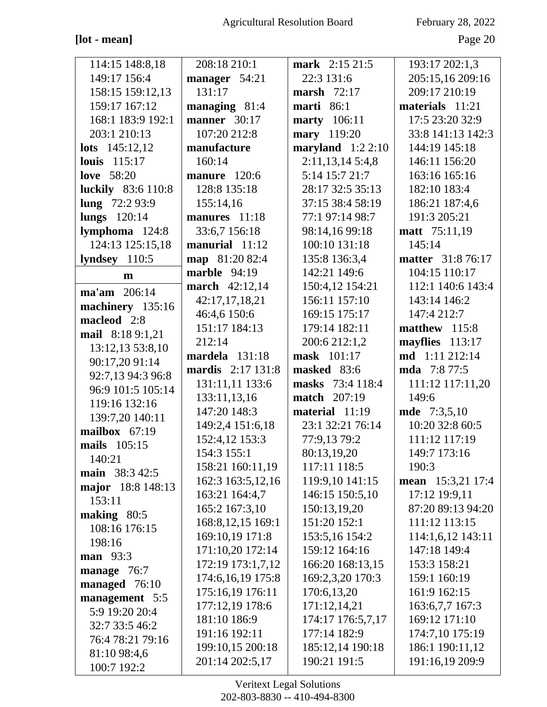# $[\mathrm{lot}$  -  $\mathrm{mean}]$

February 28, 2022

Page 20

| 114:15 148:8,18                     | 208:18 210:1             | mark 2:15 21:5      | 193:17 202:1,3           |
|-------------------------------------|--------------------------|---------------------|--------------------------|
| 149:17 156:4                        | manager 54:21            | 22:3 131:6          | 205:15,16 209:16         |
| 158:15 159:12,13                    | 131:17                   | marsh $72:17$       | 209:17 210:19            |
| 159:17 167:12                       | managing 81:4            | marti $86:1$        | materials 11:21          |
| 168:1 183:9 192:1                   | manner $30:17$           | <b>marty</b> 106:11 | 17:5 23:20 32:9          |
| 203:1 210:13                        | 107:20 212:8             | mary 119:20         | 33:8 141:13 142:3        |
| <b>lots</b> $145:12,12$             | manufacture              | maryland $1:22:10$  | 144:19 145:18            |
| <b>louis</b> 115:17                 | 160:14                   | 2:11,13,145:4,8     | 146:11 156:20            |
| <b>love</b> 58:20                   | manure 120:6             | 5:14 15:7 21:7      | 163:16 165:16            |
| <b>luckily</b> 83:6 110:8           | 128:8 135:18             | 28:17 32:5 35:13    | 182:10 183:4             |
| lung $72:293:9$                     | 155:14,16                | 37:15 38:4 58:19    | 186:21 187:4,6           |
| lungs 120:14                        | manures 11:18            | 77:1 97:14 98:7     | 191:3 205:21             |
| lymphoma 124:8                      | 33:6,7 156:18            | 98:14,16 99:18      | <b>matt</b> 75:11,19     |
| 124:13 125:15,18                    | manurial 11:12           | 100:10 131:18       | 145:14                   |
| lyndsey $110:5$                     | map 81:20 82:4           | 135:8 136:3,4       | <b>matter</b> 31:8 76:17 |
| $\mathbf{m}$                        | marble $94:19$           | 142:21 149:6        | 104:15 110:17            |
| ma'am 206:14                        | march 42:12,14           | 150:4,12 154:21     | 112:1 140:6 143:4        |
|                                     | 42:17,17,18,21           | 156:11 157:10       | 143:14 146:2             |
| machinery 135:16<br>macleod 2:8     | 46:4,6 150:6             | 169:15 175:17       | 147:4 212:7              |
|                                     | 151:17 184:13            | 179:14 182:11       | matthew 115:8            |
| mail 8:18 9:1,21                    | 212:14                   | 200:6 212:1,2       | mayflies 113:17          |
| 13:12,13 53:8,10                    | mardela 131:18           | mask 101:17         | md 1:11 212:14           |
| 90:17,20 91:14<br>92:7,13 94:3 96:8 | <b>mardis</b> 2:17 131:8 | masked 83:6         | <b>mda</b> 7:8 77:5      |
| 96:9 101:5 105:14                   | 131:11,11 133:6          | masks 73:4 118:4    | 111:12 117:11,20         |
| 119:16 132:16                       | 133:11,13,16             | <b>match</b> 207:19 | 149:6                    |
|                                     | 147:20 148:3             | material 11:19      | <b>mde</b> 7:3,5,10      |
| 139:7,20 140:11<br>mailbox 67:19    | 149:2,4 151:6,18         | 23:1 32:21 76:14    | 10:20 32:8 60:5          |
| mails 105:15                        | 152:4,12 153:3           | 77:9,13 79:2        | 111:12 117:19            |
| 140:21                              | 154:3 155:1              | 80:13,19,20         | 149:7 173:16             |
|                                     | 158:21 160:11,19         | 117:11 118:5        | 190:3                    |
| main 38:3 42:5<br>major 18:8 148:13 | 162:3 163:5,12,16        | 119:9,10 141:15     | mean 15:3,21 17:4        |
| 153:11                              | 163:21 164:4,7           | 146:15 150:5,10     | 17:12 19:9,11            |
| making $80:5$                       | 165:2 167:3,10           | 150:13,19,20        | 87:20 89:13 94:20        |
| 108:16 176:15                       | 168:8,12,15 169:1        | 151:20 152:1        | 111:12 113:15            |
| 198:16                              | 169:10,19 171:8          | 153:5,16 154:2      | 114:1,6,12 143:11        |
| <b>man</b> 93:3                     | 171:10,20 172:14         | 159:12 164:16       | 147:18 149:4             |
| manage 76:7                         | 172:19 173:1,7,12        | 166:20 168:13,15    | 153:3 158:21             |
| managed 76:10                       | 174:6,16,19 175:8        | 169:2,3,20 170:3    | 159:1 160:19             |
|                                     | 175:16,19 176:11         | 170:6,13,20         | 161:9 162:15             |
| management 5:5<br>5:9 19:20 20:4    | 177:12,19 178:6          | 171:12,14,21        | 163:6,7,7 167:3          |
| 32:7 33:5 46:2                      | 181:10 186:9             | 174:17 176:5,7,17   | 169:12 171:10            |
|                                     |                          |                     | 174:7,10 175:19          |
|                                     | 191:16 192:11            | 177:14 182:9        |                          |
| 76:4 78:21 79:16                    | 199:10,15 200:18         | 185:12,14 190:18    | 186:1 190:11,12          |
| 81:10 98:4,6<br>100:7 192:2         | 201:14 202:5,17          | 190:21 191:5        | 191:16,19 209:9          |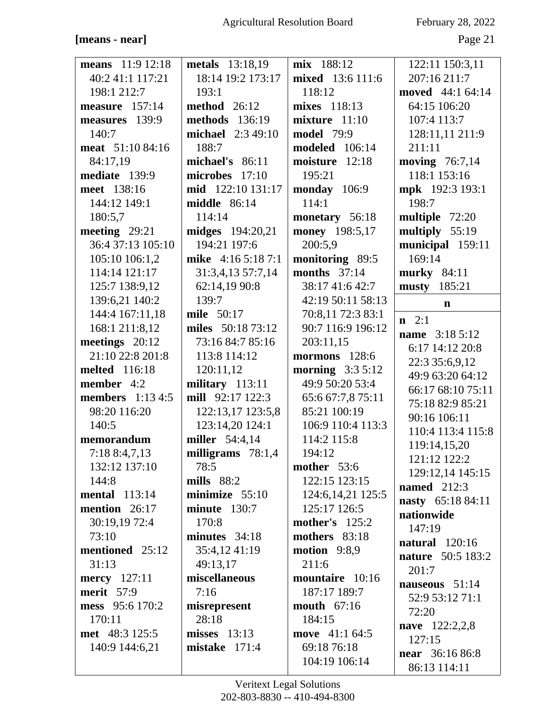# **[means - near]** Page 21

| <b>means</b> 11:9 12:18 | <b>metals</b> 13:18,19  | mix 188:12            | 122:11 150:3,11       |
|-------------------------|-------------------------|-----------------------|-----------------------|
| 40:2 41:1 117:21        | 18:14 19:2 173:17       | mixed 13:6 111:6      | 207:16 211:7          |
| 198:1 212:7             | 193:1                   | 118:12                | moved 44:1 64:14      |
| measure 157:14          | <b>method</b> 26:12     | mixes 118:13          | 64:15 106:20          |
| measures 139:9          | methods 136:19          | mixture 11:10         | 107:4 113:7           |
| 140:7                   | michael 2:3 49:10       | <b>model</b> 79:9     | 128:11,11 211:9       |
| meat 51:10 84:16        | 188:7                   | <b>modeled</b> 106:14 | 211:11                |
| 84:17,19                | michael's 86:11         | moisture 12:18        | moving 76:7,14        |
| mediate 139:9           | microbes 17:10          | 195:21                | 118:1 153:16          |
| meet 138:16             | mid 122:10 131:17       | monday 106:9          | mpk 192:3 193:1       |
| 144:12 149:1            | <b>middle</b> 86:14     | 114:1                 | 198:7                 |
| 180:5,7                 | 114:14                  | monetary 56:18        | multiple 72:20        |
| meeting $29:21$         | <b>midges</b> 194:20,21 | money 198:5,17        | multiply 55:19        |
| 36:4 37:13 105:10       | 194:21 197:6            | 200:5,9               | municipal 159:11      |
| 105:10 106:1,2          | mike 4:16 5:18 7:1      | monitoring 89:5       | 169:14                |
| 114:14 121:17           | 31:3,4,13 57:7,14       | months $37:14$        | murky 84:11           |
| 125:7 138:9,12          | 62:14,19 90:8           | 38:17 41:6 42:7       | musty 185:21          |
| 139:6,21 140:2          | 139:7                   | 42:19 50:11 58:13     | n                     |
| 144:4 167:11,18         | mile 50:17              | 70:8,11 72:3 83:1     |                       |
| 168:1 211:8,12          | miles 50:18 73:12       | 90:7 116:9 196:12     | $\mathbf{n}$ 2:1      |
| meetings $20:12$        | 73:16 84:7 85:16        | 203:11,15             | <b>name</b> 3:18 5:12 |
| 21:10 22:8 201:8        | 113:8 114:12            | mormons $128:6$       | 6:17 14:12 20:8       |
| <b>melted</b> 116:18    | 120:11,12               | morning $3:35:12$     | 22:3 35:6,9,12        |
| member 4:2              | military 113:11         | 49:9 50:20 53:4       | 49:9 63:20 64:12      |
| <b>members</b> 1:13 4:5 | mill 92:17 122:3        | 65:6 67:7,8 75:11     | 66:17 68:10 75:11     |
| 98:20 116:20            | 122:13,17 123:5,8       | 85:21 100:19          | 75:18 82:9 85:21      |
| 140:5                   | 123:14,20 124:1         | 106:9 110:4 113:3     | 90:16 106:11          |
| memorandum              | miller 54:4,14          | 114:2 115:8           | 110:4 113:4 115:8     |
| 7:188:4,7,13            | milligrams 78:1,4       | 194:12                | 119:14,15,20          |
| 132:12 137:10           | 78:5                    | mother $53:6$         | 121:12 122:2          |
| 144:8                   | mills $88:2$            | 122:15 123:15         | 129:12,14 145:15      |
| <b>mental</b> 113:14    | minimize $55:10$        | 124:6, 14, 21 125: 5  | named $212:3$         |
| mention $26:17$         | minute 130:7            | 125:17 126:5          | nasty 65:18 84:11     |
| 30:19,19 72:4           | 170:8                   | <b>mother's</b> 125:2 | nationwide            |
| 73:10                   | minutes $34:18$         | mothers 83:18         | 147:19                |
| mentioned 25:12         | 35:4,12 41:19           | motion $9:8,9$        | <b>natural</b> 120:16 |
| 31:13                   |                         |                       | nature 50:5 183:2     |
|                         | 49:13,17                | 211:6                 | 201:7                 |
| <b>mercy</b> 127:11     | miscellaneous           | mountaire 10:16       | nauseous $51:14$      |
| <b>merit</b> 57:9       | 7:16                    | 187:17 189:7          | 52:9 53:12 71:1       |
| mess 95:6 170:2         | misrepresent            | <b>mouth</b> 67:16    | 72:20                 |
| 170:11                  | 28:18                   | 184:15                | nave 122:2,2,8        |
| met 48:3 125:5          | $misses$ 13:13          | move 41:1 64:5        | 127:15                |
| 140:9 144:6,21          | mistake $171:4$         | 69:18 76:18           | near 36:16 86:8       |
|                         |                         | 104:19 106:14         | 86:13 114:11          |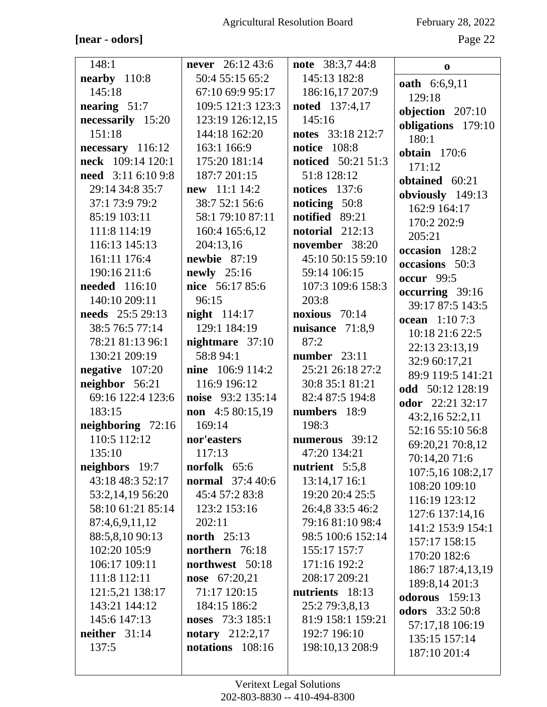# $\left[\text{near}-\text{odors}\right]$

February 28, 2022

Page 22

| 148:1                   | <b>never</b> $26:1243:6$ | note 38:3,7 44:8          | $\bf{0}$               |
|-------------------------|--------------------------|---------------------------|------------------------|
| nearby $110:8$          | 50:4 55:15 65:2          | 145:13 182:8              | <b>oath</b> 6:6,9,11   |
| 145:18                  | 67:10 69:9 95:17         | 186:16,17 207:9           | 129:18                 |
| nearing $51:7$          | 109:5 121:3 123:3        | <b>noted</b> 137:4,17     | objection 207:10       |
| necessarily 15:20       | 123:19 126:12,15         | 145:16                    | obligations 179:10     |
| 151:18                  | 144:18 162:20            | notes 33:18 212:7         | 180:1                  |
| $necessary$ 116:12      | 163:1 166:9              | <b>notice</b> 108:8       | obtain 170:6           |
| neck 109:14 120:1       | 175:20 181:14            | <b>noticed</b> 50:21 51:3 | 171:12                 |
| need 3:11 6:10 9:8      | 187:7 201:15             | 51:8 128:12               | obtained 60:21         |
| 29:14 34:8 35:7         | new 11:1 14:2            | notices 137:6             | obviously 149:13       |
| 37:1 73:9 79:2          | 38:7 52:1 56:6           | noticing 50:8             | 162:9 164:17           |
| 85:19 103:11            | 58:1 79:10 87:11         | notified 89:21            | 170:2 202:9            |
| 111:8 114:19            | 160:4 165:6,12           | notorial $212:13$         | 205:21                 |
| 116:13 145:13           | 204:13,16                | november 38:20            | occasion 128:2         |
| 161:11 176:4            | newbie $87:19$           | 45:10 50:15 59:10         | occasions 50:3         |
| 190:16 211:6            | newly 25:16              | 59:14 106:15              | <b>occur</b> 99:5      |
| <b>needed</b> 116:10    | nice 56:17 85:6          | 107:3 109:6 158:3         | occurring 39:16        |
| 140:10 209:11           | 96:15                    | 203:8                     | 39:17 87:5 143:5       |
| <b>needs</b> 25:5 29:13 | <b>night</b> 114:17      | noxious $70:14$           | <b>ocean</b> 1:10 7:3  |
| 38:5 76:5 77:14         | 129:1 184:19             | nuisance $71:8,9$         | 10:18 21:6 22:5        |
| 78:21 81:13 96:1        | nightmare 37:10          | 87:2                      | 22:13 23:13,19         |
| 130:21 209:19           | 58:8 94:1                | number $23:11$            | 32:9 60:17,21          |
| negative $107:20$       | <b>nine</b> 106:9 114:2  | 25:21 26:18 27:2          | 89:9 119:5 141:21      |
| neighbor 56:21          | 116:9 196:12             | 30:8 35:1 81:21           | odd 50:12 128:19       |
| 69:16 122:4 123:6       | noise 93:2 135:14        | 82:4 87:5 194:8           | odor 22:21 32:17       |
| 183:15                  | non 4:5 80:15,19         | numbers 18:9              | 43:2,1652:2,11         |
| neighboring 72:16       | 169:14                   | 198:3                     | 52:16 55:10 56:8       |
| 110:5 112:12            | nor'easters              | numerous 39:12            | 69:20,21 70:8,12       |
| 135:10                  | 117:13                   | 47:20 134:21              | 70:14,20 71:6          |
| neighbors 19:7          | norfolk 65:6             | nutrient 5:5,8            | 107:5,16 108:2,17      |
| 43:18 48:3 52:17        | <b>normal</b> 37:4 40:6  | 13:14,17 16:1             | 108:20 109:10          |
| 53:2,14,19 56:20        | 45:4 57:2 83:8           | 19:20 20:4 25:5           | 116:19 123:12          |
| 58:10 61:21 85:14       | 123:2 153:16             | 26:4,8 33:5 46:2          | 127:6 137:14,16        |
| 87:4,6,9,11,12          | 202:11                   | 79:16 81:10 98:4          | 141:2 153:9 154:1      |
| 88:5,8,10 90:13         | <b>north</b> 25:13       | 98:5 100:6 152:14         | 157:17 158:15          |
| 102:20 105:9            | northern 76:18           | 155:17 157:7              | 170:20 182:6           |
| 106:17 109:11           | northwest 50:18          | 171:16 192:2              | 186:7 187:4,13,19      |
| 111:8 112:11            | nose 67:20,21            | 208:17 209:21             | 189:8,14 201:3         |
| 121:5,21 138:17         | 71:17 120:15             | nutrients 18:13           | odorous 159:13         |
| 143:21 144:12           | 184:15 186:2             | 25:2 79:3,8,13            | <b>odors</b> 33:2 50:8 |
| 145:6 147:13            | noses 73:3 185:1         | 81:9 158:1 159:21         | 57:17,18 106:19        |
| neither $31:14$         | <b>notary</b> $212:2,17$ | 192:7 196:10              | 135:15 157:14          |
| 137:5                   | notations 108:16         | 198:10,13 208:9           | 187:10 201:4           |
|                         |                          |                           |                        |
|                         |                          |                           |                        |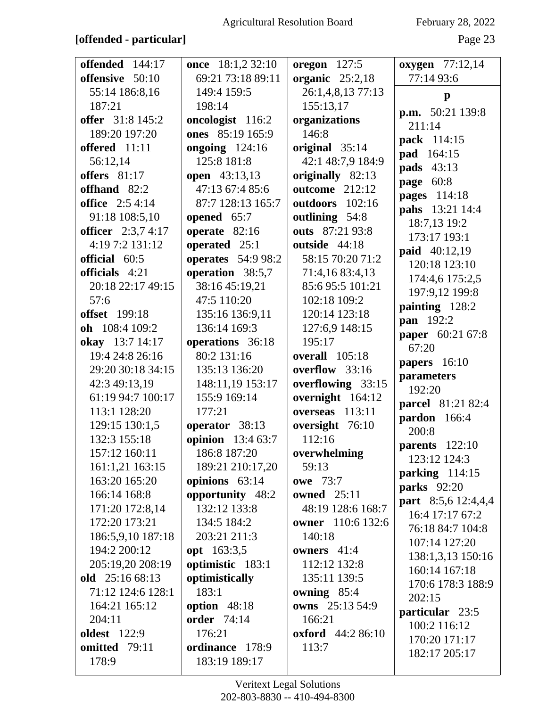Agricultural Resolution Board

# February 28, 2022

# [offended - particular]

Page 23

| offended 144:17<br>offensive 50:10 | once 18:1,2 32:10<br>69:21 73:18 89:11 | <b>oregon</b> 127:5<br>organic $25:2,18$ | <b>oxygen</b> 77:12,14<br>77:14 93:6          |
|------------------------------------|----------------------------------------|------------------------------------------|-----------------------------------------------|
| 55:14 186:8,16                     | 149:4 159:5                            | 26:1,4,8,13 77:13                        |                                               |
| 187:21                             | 198:14                                 | 155:13,17                                | $\mathbf{p}$                                  |
| offer 31:8 145:2                   | oncologist 116:2                       | organizations                            | <b>p.m.</b> 50:21 139:8                       |
| 189:20 197:20                      | ones 85:19 165:9                       | 146:8                                    | 211:14                                        |
| offered 11:11                      | ongoing $124:16$                       | original 35:14                           | pack 114:15                                   |
| 56:12,14                           | 125:8 181:8                            | 42:1 48:7,9 184:9                        | pad 164:15                                    |
| offers 81:17                       | <b>open</b> 43:13,13                   | originally 82:13                         | <b>pads</b> 43:13                             |
| offhand 82:2                       | 47:13 67:4 85:6                        | outcome 212:12                           | page 60:8                                     |
| <b>office</b> 2:5 4:14             | 87:7 128:13 165:7                      | outdoors 102:16                          | pages 114:18                                  |
| 91:18 108:5,10                     | opened 65:7                            | outlining 54:8                           | pahs 13:21 14:4                               |
| officer $2:3,74:17$                | operate $82:16$                        | outs 87:21 93:8                          | 18:7,13 19:2                                  |
| 4:19 7:2 131:12                    | operated 25:1                          | outside 44:18                            | 173:17 193:1                                  |
| official 60:5                      | <b>operates</b> 54:9 98:2              | 58:15 70:20 71:2                         | paid 40:12,19                                 |
| officials 4:21                     | operation 38:5,7                       | 71:4,16 83:4,13                          | 120:18 123:10                                 |
| 20:18 22:17 49:15                  | 38:16 45:19,21                         | 85:695:5101:21                           | 174:4,6 175:2,5                               |
| 57:6                               | 47:5 110:20                            | 102:18 109:2                             | 197:9,12 199:8                                |
| <b>offset</b> 199:18               | 135:16 136:9,11                        | 120:14 123:18                            | painting 128:2                                |
| oh 108:4 109:2                     | 136:14 169:3                           | 127:6,9 148:15                           | pan 192:2                                     |
| okay 13:7 14:17                    | operations 36:18                       | 195:17                                   | paper 60:21 67:8                              |
| 19:4 24:8 26:16                    | 80:2 131:16                            | <b>overall</b> 105:18                    | 67:20                                         |
| 29:20 30:18 34:15                  | 135:13 136:20                          | overflow 33:16                           | papers 16:10                                  |
| 42:3 49:13,19                      | 148:11,19 153:17                       | overflowing 33:15                        | parameters                                    |
| 61:19 94:7 100:17                  | 155:9 169:14                           | overnight 164:12                         | 192:20                                        |
| 113:1 128:20                       | 177:21                                 | overseas 113:11                          | parcel 81:21 82:4                             |
| 129:15 130:1,5                     | operator 38:13                         | oversight 76:10                          | pardon 166:4                                  |
| 132:3 155:18                       | <b>opinion</b> 13:4 63:7               | 112:16                                   | 200:8                                         |
| 157:12 160:11                      | 186:8 187:20                           | overwhelming                             | <b>parents</b> 122:10                         |
| 161:1,21 163:15                    | 189:21 210:17,20                       | 59:13                                    | 123:12 124:3                                  |
| 163:20 165:20                      | opinions 63:14                         | <b>owe</b> 73:7                          | parking 114:15                                |
| 166:14 168:8                       | opportunity 48:2                       | <b>owned</b> 25:11                       | <b>parks</b> 92:20                            |
| 171:20 172:8,14                    | 132:12 133:8                           | 48:19 128:6 168:7                        | <b>part</b> 8:5,6 12:4,4,4<br>16:4 17:17 67:2 |
| 172:20 173:21                      | 134:5 184:2                            | owner 110:6 132:6                        | 76:18 84:7 104:8                              |
| 186:5,9,10 187:18                  | 203:21 211:3                           | 140:18                                   | 107:14 127:20                                 |
| 194:2 200:12                       | <b>opt</b> 163:3,5                     | owners $41:4$                            | 138:1,3,13 150:16                             |
| 205:19,20 208:19                   | optimistic 183:1                       | 112:12 132:8                             | 160:14 167:18                                 |
| old 25:16 68:13                    | optimistically                         | 135:11 139:5                             | 170:6 178:3 188:9                             |
| 71:12 124:6 128:1                  | 183:1                                  | owning 85:4                              | 202:15                                        |
| 164:21 165:12                      | option 48:18                           | owns 25:13 54:9                          | particular 23:5                               |
| 204:11                             | <b>order</b> 74:14                     | 166:21                                   | 100:2 116:12                                  |
| <b>oldest</b> 122:9                | 176:21                                 | <b>oxford</b> 44:2 86:10                 | 170:20 171:17                                 |
| omitted 79:11                      | ordinance 178:9                        | 113:7                                    | 182:17 205:17                                 |
| 178:9                              | 183:19 189:17                          |                                          |                                               |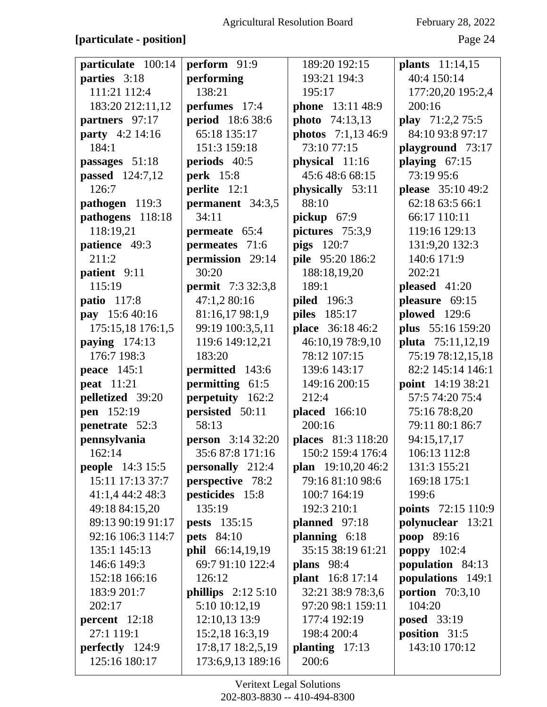# [particulate - position]

February 28, 2022

| particulate 100:14      | perform 91:9             | 189:20 192:15             | <b>plants</b> 11:14,15    |
|-------------------------|--------------------------|---------------------------|---------------------------|
| parties 3:18            | performing               | 193:21 194:3              | 40:4 150:14               |
| 111:21 112:4            | 138:21                   | 195:17                    | 177:20,20 195:2,4         |
| 183:20 212:11,12        | perfumes 17:4            | phone 13:11 48:9          | 200:16                    |
| partners 97:17          | period 18:6 38:6         | photo 74:13,13            | play 71:2,2 75:5          |
| party 4:2 14:16         | 65:18 135:17             | photos 7:1,13 46:9        | 84:10 93:8 97:17          |
| 184:1                   | 151:3 159:18             | 73:10 77:15               | playground 73:17          |
| passages 51:18          | periods 40:5             | physical 11:16            | playing $67:15$           |
| <b>passed</b> 124:7,12  | <b>perk</b> 15:8         | 45:648:668:15             | 73:19 95:6                |
| 126:7                   | perlite 12:1             | physically 53:11          | please 35:10 49:2         |
| pathogen 119:3          | permanent 34:3,5         | 88:10                     | 62:18 63:5 66:1           |
| pathogens 118:18        | 34:11                    | pickup $67:9$             | 66:17 110:11              |
| 118:19,21               | permeate 65:4            | pictures 75:3,9           | 119:16 129:13             |
| patience 49:3           | permeates 71:6           | <b>pigs</b> 120:7         | 131:9,20 132:3            |
| 211:2                   | permission 29:14         | pile 95:20 186:2          | 140:6 171:9               |
| patient 9:11            | 30:20                    | 188:18,19,20              | 202:21                    |
| 115:19                  | <b>permit</b> 7:3 32:3,8 | 189:1                     | pleased $41:20$           |
| <b>patio</b> 117:8      | 47:1,2 80:16             | <b>piled</b> 196:3        | pleasure 69:15            |
| pay 15:6 40:16          | 81:16,17 98:1,9          | piles 185:17              | plowed 129:6              |
| 175:15,18 176:1,5       | 99:19 100:3,5,11         | place 36:18 46:2          | plus 55:16 159:20         |
| paying $174:13$         | 119:6 149:12,21          | 46:10,19 78:9,10          | pluta 75:11,12,19         |
| 176:7 198:3             | 183:20                   | 78:12 107:15              | 75:19 78:12,15,18         |
| <b>peace</b> 145:1      | permitted 143:6          | 139:6 143:17              | 82:2 145:14 146:1         |
| <b>peat</b> 11:21       | permitting 61:5          | 149:16 200:15             | point 14:19 38:21         |
| pelletized 39:20        | perpetuity 162:2         | 212:4                     | 57:5 74:20 75:4           |
| pen 152:19              | persisted 50:11          | <b>placed</b> 166:10      | 75:16 78:8,20             |
| penetrate 52:3          | 58:13                    | 200:16                    | 79:11 80:1 86:7           |
| pennsylvania            | <b>person</b> 3:14 32:20 | <b>places</b> 81:3 118:20 | 94:15,17,17               |
| 162:14                  | 35:687:8171:16           | 150:2 159:4 176:4         | 106:13 112:8              |
| <b>people</b> 14:3 15:5 | personally 212:4         | plan 19:10,20 46:2        | 131:3 155:21              |
| 15:11 17:13 37:7        | perspective 78:2         | 79:16 81:10 98:6          | 169:18 175:1              |
| 41:1,4 44:2 48:3        | pesticides 15:8          | 100:7 164:19              | 199:6                     |
| 49:18 84:15,20          | 135:19                   | 192:3 210:1               | <b>points</b> 72:15 110:9 |
| 89:13 90:19 91:17       | <b>pests</b> 135:15      | planned 97:18             | polynuclear 13:21         |
| 92:16 106:3 114:7       | <b>pets</b> 84:10        | planning 6:18             | poop 89:16                |
| 135:1 145:13            | phil 66:14,19,19         | 35:15 38:19 61:21         | <b>poppy</b> 102:4        |
| 146:6 149:3             | 69:7 91:10 122:4         | <b>plans</b> 98:4         | population 84:13          |
| 152:18 166:16           | 126:12                   | <b>plant</b> 16:8 17:14   | populations 149:1         |
| 183:9 201:7             | phillips $2:125:10$      | 32:21 38:9 78:3,6         | <b>portion</b> 70:3,10    |
| 202:17                  | 5:10 10:12,19            | 97:20 98:1 159:11         | 104:20                    |
| percent 12:18           | 12:10,13 13:9            | 177:4 192:19              | <b>posed</b> 33:19        |
| 27:1 119:1              | 15:2,18 16:3,19          | 198:4 200:4               | position 31:5             |
| perfectly 124:9         | 17:8,17 18:2,5,19        | planting $17:13$          | 143:10 170:12             |
| 125:16 180:17           | 173:6,9,13 189:16        | 200:6                     |                           |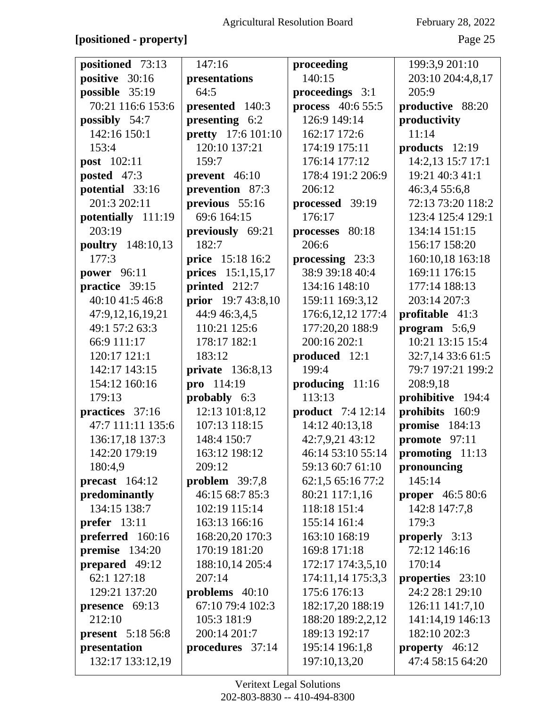# **[positioned - property]** Page 25

| positioned 73:13              | 147:16                           | proceeding                             | 199:3,9 201:10                         |
|-------------------------------|----------------------------------|----------------------------------------|----------------------------------------|
| positive 30:16                | presentations                    | 140:15                                 | 203:10 204:4,8,17                      |
| possible 35:19                | 64:5                             | proceedings 3:1                        | 205:9                                  |
| 70:21 116:6 153:6             | presented 140:3                  | process 40:6 55:5                      | productive 88:20                       |
| possibly 54:7                 | presenting 6:2                   | 126:9 149:14                           | productivity                           |
| 142:16 150:1                  | <b>pretty</b> 17:6 101:10        | 162:17 172:6                           | 11:14                                  |
| 153:4                         | 120:10 137:21                    | 174:19 175:11                          | products 12:19                         |
| <b>post</b> 102:11            | 159:7                            | 176:14 177:12                          | 14:2,13 15:7 17:1                      |
| posted 47:3                   | prevent 46:10                    | 178:4 191:2 206:9                      | 19:21 40:3 41:1                        |
| potential 33:16               | prevention 87:3                  | 206:12                                 | 46:3,4 55:6,8                          |
| 201:3 202:11                  | previous 55:16                   | processed 39:19                        | 72:13 73:20 118:2                      |
| potentially 111:19            | 69:6 164:15                      | 176:17                                 | 123:4 125:4 129:1                      |
| 203:19                        | previously 69:21                 | processes 80:18                        | 134:14 151:15                          |
| poultry 148:10,13             | 182:7                            | 206:6                                  | 156:17 158:20                          |
| 177:3                         | price 15:18 16:2                 | processing 23:3                        | 160:10,18 163:18                       |
| power 96:11                   | prices 15:1,15,17                | 38:9 39:18 40:4                        | 169:11 176:15                          |
| practice 39:15                | printed 212:7                    | 134:16 148:10                          | 177:14 188:13                          |
| 40:10 41:5 46:8               | prior 19:7 43:8,10               | 159:11 169:3,12                        | 203:14 207:3                           |
| 47:9,12,16,19,21              | 44:9 46:3,4,5                    | 176:6, 12, 12 177:4                    | profitable 41:3                        |
| 49:1 57:2 63:3                | 110:21 125:6                     | 177:20,20 188:9                        | program $5:6,9$                        |
| 66:9 111:17                   | 178:17 182:1                     | 200:16 202:1                           | 10:21 13:15 15:4                       |
| 120:17 121:1                  | 183:12                           | produced 12:1                          | 32:7,14 33:6 61:5                      |
| 142:17 143:15                 | <b>private</b> 136:8,13          | 199:4                                  | 79:7 197:21 199:2                      |
| 154:12 160:16                 | pro 114:19                       | producing 11:16                        | 208:9,18                               |
| 179:13                        | probably 6:3                     | 113:13                                 | prohibitive 194:4                      |
| practices 37:16               | 12:13 101:8,12                   | <b>product</b> 7:4 12:14               | prohibits 160:9                        |
| 47:7 111:11 135:6             | 107:13 118:15                    | 14:12 40:13,18                         | promise 184:13                         |
| 136:17,18 137:3               | 148:4 150:7                      | 42:7,9,21 43:12                        | promote 97:11                          |
| 142:20 179:19                 | 163:12 198:12                    | 46:14 53:10 55:14                      | promoting 11:13                        |
| 180:4,9                       | 209:12                           | 59:13 60:7 61:10                       | pronouncing                            |
| precast $164:12$              | problem $39:7,8$                 | 62:1,5 65:16 77:2                      | 145:14                                 |
| predominantly                 | 46:15 68:7 85:3                  | 80:21 117:1,16                         | <b>proper</b> 46:5 80:6                |
| 134:15 138:7                  | 102:19 115:14                    | 118:18 151:4                           | 142:8 147:7,8                          |
| prefer $13:11$                | 163:13 166:16                    | 155:14 161:4                           | 179:3                                  |
| preferred 160:16              | 168:20,20 170:3<br>170:19 181:20 | 163:10 168:19<br>169:8 171:18          | <b>properly</b> $3:13$<br>72:12 146:16 |
| premise 134:20                |                                  |                                        |                                        |
| prepared 49:12<br>62:1 127:18 | 188:10,14 205:4<br>207:14        | 172:17 174:3,5,10<br>174:11,14 175:3,3 | 170:14                                 |
| 129:21 137:20                 | problems $40:10$                 | 175:6 176:13                           | properties 23:10<br>24:2 28:1 29:10    |
| presence 69:13                | 67:10 79:4 102:3                 | 182:17,20 188:19                       | 126:11 141:7,10                        |
| 212:10                        | 105:3 181:9                      | 188:20 189:2,2,12                      | 141:14,19 146:13                       |
| <b>present</b> 5:18 56:8      | 200:14 201:7                     | 189:13 192:17                          | 182:10 202:3                           |
| presentation                  | procedures 37:14                 | 195:14 196:1,8                         | property 46:12                         |
| 132:17 133:12,19              |                                  | 197:10,13,20                           | 47:4 58:15 64:20                       |
|                               |                                  |                                        |                                        |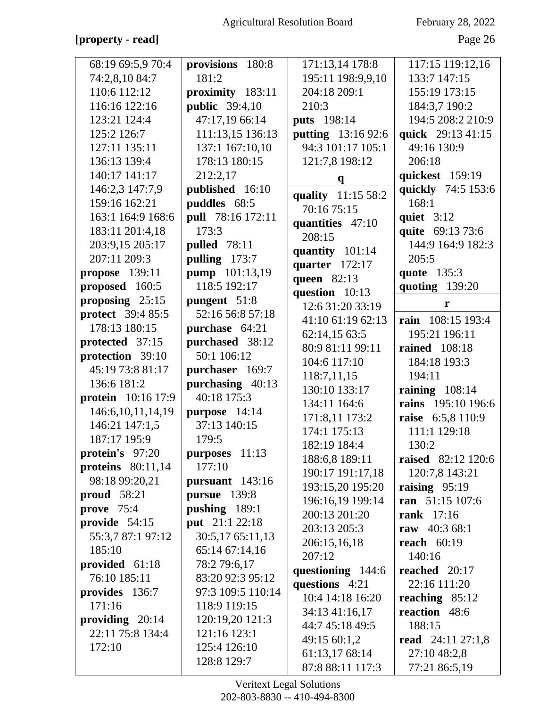# [property - read]

February 28, 2022

Page 26

| 68:19 69:5,9 70:4         | provisions 180:8      | 171:13,14 178:8            | 117:15 119:12,16          |
|---------------------------|-----------------------|----------------------------|---------------------------|
| 74:2,8,10 84:7            | 181:2                 | 195:11 198:9,9,10          | 133:7 147:15              |
| 110:6 112:12              | proximity 183:11      | 204:18 209:1               | 155:19 173:15             |
| 116:16 122:16             | <b>public</b> 39:4,10 | 210:3                      | 184:3,7 190:2             |
| 123:21 124:4              | 47:17,19 66:14        | puts 198:14                | 194:5 208:2 210:9         |
| 125:2 126:7               | 111:13,15 136:13      | putting 13:16 92:6         | quick 29:13 41:15         |
| 127:11 135:11             | 137:1 167:10,10       | 94:3 101:17 105:1          | 49:16 130:9               |
| 136:13 139:4              | 178:13 180:15         | 121:7,8 198:12             | 206:18                    |
| 140:17 141:17             | 212:2,17              | $\mathbf{q}$               | quickest 159:19           |
| 146:2,3 147:7,9           | published 16:10       | quality 11:15 58:2         | quickly 74:5 153:6        |
| 159:16 162:21             | puddles 68:5          | 70:16 75:15                | 168:1                     |
| 163:1 164:9 168:6         | pull 78:16 172:11     |                            | quiet $3:12$              |
| 183:11 201:4,18           | 173:3                 | quantities 47:10<br>208:15 | quite 69:13 73:6          |
| 203:9,15 205:17           | pulled 78:11          | quantity 101:14            | 144:9 164:9 182:3         |
| 207:11 209:3              | pulling 173:7         | quarter 172:17             | 205:5                     |
| <b>propose</b> 139:11     | pump 101:13,19        | queen 82:13                | quote 135:3               |
| proposed 160:5            | 118:5 192:17          | question 10:13             | quoting 139:20            |
| proposing $25:15$         | pungent 51:8          | 12:6 31:20 33:19           | r                         |
| <b>protect</b> 39:4 85:5  | 52:16 56:8 57:18      | 41:10 61:19 62:13          | rain 108:15 193:4         |
| 178:13 180:15             | purchase 64:21        | 62:14,15 63:5              | 195:21 196:11             |
| protected 37:15           | purchased 38:12       | 80:9 81:11 99:11           | <b>rained</b> 108:18      |
| protection 39:10          | 50:1 106:12           | 104:6 117:10               | 184:18 193:3              |
| 45:19 73:8 81:17          | purchaser 169:7       | 118:7,11,15                | 194:11                    |
| 136:6 181:2               | purchasing 40:13      | 130:10 133:17              | raining $108:14$          |
| <b>protein</b> 10:16 17:9 | 40:18 175:3           | 134:11 164:6               | rains 195:10 196:6        |
| 146:6, 10, 11, 14, 19     | purpose 14:14         | 171:8,11 173:2             | raise 6:5,8 110:9         |
| 146:21 147:1,5            | 37:13 140:15          | 174:1 175:13               | 111:1 129:18              |
| 187:17 195:9              | 179:5                 | 182:19 184:4               | 130:2                     |
| protein's 97:20           | purposes 11:13        | 188:6,8 189:11             | <b>raised</b> 82:12 120:6 |
| proteins $80:11,14$       | 177:10                | 190:17 191:17,18           | 120:7,8 143:21            |
| 98:18 99:20,21            | pursuant $143:16$     | 193:15,20 195:20           | raising $95:19$           |
| proud $58:21$             | pursue 139:8          | 196:16,19 199:14           | ran 51:15 107:6           |
| prove $75:4$              | pushing 189:1         | 200:13 201:20              | rank 17:16                |
| provide 54:15             | put 21:1 22:18        | 203:13 205:3               | raw 40:3 68:1             |
| 55:3,7 87:1 97:12         | 30:5,17 65:11,13      | 206:15,16,18               | reach $60:19$             |
| 185:10                    | 65:14 67:14,16        | 207:12                     | 140:16                    |
| provided 61:18            | 78:2 79:6,17          | questioning 144:6          | reached 20:17             |
| 76:10 185:11              | 83:20 92:3 95:12      | questions 4:21             | 22:16 111:20              |
| provides 136:7            | 97:3 109:5 110:14     | 10:4 14:18 16:20           | reaching $85:12$          |
| 171:16                    | 118:9 119:15          | 34:13 41:16,17             | reaction 48:6             |
| providing $20:14$         | 120:19,20 121:3       | 44:7 45:18 49:5            | 188:15                    |
| 22:11 75:8 134:4          | 121:16 123:1          | 49:15 60:1,2               | read 24:11 27:1,8         |
| 172:10                    | 125:4 126:10          | 61:13,17 68:14             | 27:10 48:2,8              |
|                           | 128:8 129:7           | 87:8 88:11 117:3           | 77:21 86:5,19             |
|                           |                       |                            |                           |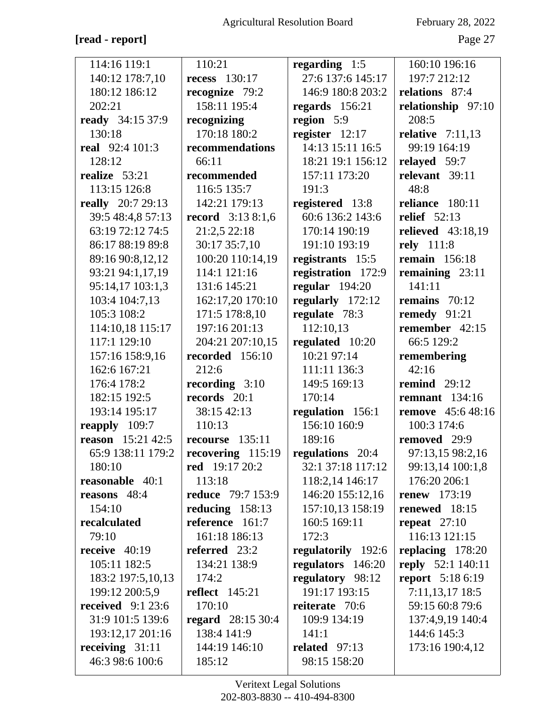# [read - report]

February 28, 2022

Page 27

| 114:16 119:1             | 110:21                   | regarding $1:5$    | 160:10 196:16            |
|--------------------------|--------------------------|--------------------|--------------------------|
| 140:12 178:7,10          | <b>recess</b> 130:17     | 27:6 137:6 145:17  | 197:7 212:12             |
| 180:12 186:12            | recognize 79:2           | 146:9 180:8 203:2  | relations 87:4           |
| 202:21                   | 158:11 195:4             | regards $156:21$   | relationship 97:10       |
| ready 34:15 37:9         | recognizing              | region 5:9         | 208:5                    |
| 130:18                   | 170:18 180:2             | register $12:17$   | relative $7:11,13$       |
| <b>real</b> 92:4 101:3   | recommendations          | 14:13 15:11 16:5   | 99:19 164:19             |
| 128:12                   | 66:11                    | 18:21 19:1 156:12  | relayed 59:7             |
| realize 53:21            | recommended              | 157:11 173:20      | relevant 39:11           |
| 113:15 126:8             | 116:5 135:7              | 191:3              | 48:8                     |
| <b>really</b> 20:7 29:13 | 142:21 179:13            | registered 13:8    | reliance 180:11          |
| 39:5 48:4,8 57:13        | <b>record</b> 3:13 8:1,6 | 60:6 136:2 143:6   | <b>relief</b> 52:13      |
| 63:19 72:12 74:5         | 21:2,5 22:18             | 170:14 190:19      | relieved 43:18,19        |
| 86:17 88:19 89:8         | 30:17 35:7,10            | 191:10 193:19      | rely 111:8               |
| 89:16 90:8,12,12         | 100:20 110:14,19         | registrants 15:5   | <b>remain</b> 156:18     |
| 93:21 94:1,17,19         | 114:1 121:16             | registration 172:9 | remaining 23:11          |
| 95:14,17 103:1,3         | 131:6 145:21             | regular $194:20$   | 141:11                   |
| 103:4 104:7,13           | 162:17,20 170:10         | regularly 172:12   | remains $70:12$          |
| 105:3 108:2              | 171:5 178:8,10           | regulate 78:3      | remedy $91:21$           |
| 114:10,18 115:17         | 197:16 201:13            | 112:10,13          | remember 42:15           |
| 117:1 129:10             | 204:21 207:10,15         | regulated 10:20    | 66:5 129:2               |
| 157:16 158:9,16          | recorded 156:10          | 10:21 97:14        | remembering              |
| 162:6 167:21             | 212:6                    | 111:11 136:3       | 42:16                    |
| 176:4 178:2              | recording $3:10$         | 149:5 169:13       | remind $29:12$           |
| 182:15 192:5             | records 20:1             | 170:14             | remnant $134:16$         |
| 193:14 195:17            | 38:15 42:13              | regulation 156:1   | <b>remove</b> 45:6 48:16 |
| reapply 109:7            | 110:13                   | 156:10 160:9       | 100:3 174:6              |
| <b>reason</b> 15:21 42:5 | recourse $135:11$        | 189:16             | removed 29:9             |
| 65:9 138:11 179:2        | recovering $115:19$      | regulations 20:4   | 97:13,15 98:2,16         |
| 180:10                   | <b>red</b> 19:17 20:2    | 32:1 37:18 117:12  | 99:13,14 100:1,8         |
| reasonable 40:1          | 113:18                   | 118:2,14 146:17    | 176:20 206:1             |
| reasons 48:4             | <b>reduce</b> 79:7 153:9 | 146:20 155:12,16   | renew $173:19$           |
| 154:10                   | reducing $158:13$        | 157:10,13 158:19   | renewed 18:15            |
| recalculated             | reference 161:7          | 160:5 169:11       | repeat $27:10$           |
| 79:10                    | 161:18 186:13            | 172:3              | 116:13 121:15            |
| receive $40:19$          | referred 23:2            | regulatorily 192:6 | replacing 178:20         |
| 105:11 182:5             | 134:21 138:9             | regulators 146:20  | reply 52:1 140:11        |
| 183:2 197:5,10,13        | 174:2                    | regulatory 98:12   | <b>report</b> 5:18 6:19  |
| 199:12 200:5,9           | reflect $145:21$         | 191:17 193:15      | $7:11,13,17$ 18:5        |
| received $9:123:6$       | 170:10                   | reiterate 70:6     | 59:15 60:8 79:6          |
| 31:9 101:5 139:6         | <b>regard</b> 28:15 30:4 | 109:9 134:19       | 137:4,9,19 140:4         |
| 193:12,17 201:16         | 138:4 141:9              | 141:1              | 144:6 145:3              |
| receiving $31:11$        | 144:19 146:10            | related $97:13$    | 173:16 190:4,12          |
| 46:3 98:6 100:6          | 185:12                   | 98:15 158:20       |                          |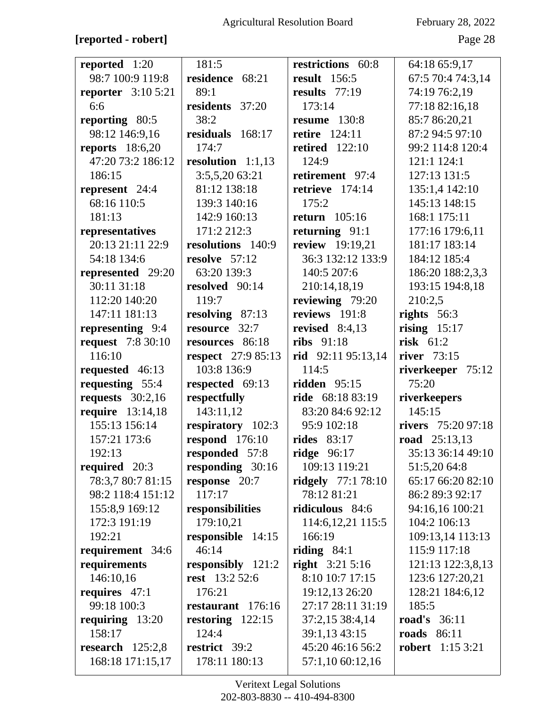# **[reported - robert]** Page 28

| reported 1:20             | 181:5                     | restrictions 60:8    | 64:18 65:9,17           |
|---------------------------|---------------------------|----------------------|-------------------------|
| 98:7 100:9 119:8          | residence 68:21           | <b>result</b> 156:5  | 67:5 70:4 74:3,14       |
| <b>reporter</b> 3:10 5:21 | 89:1                      | results $77:19$      | 74:19 76:2,19           |
| 6:6                       | residents 37:20           | 173:14               | 77:18 82:16,18          |
| reporting 80:5            | 38:2                      | <b>resume</b> 130:8  | 85:7 86:20,21           |
| 98:12 146:9,16            | residuals 168:17          | <b>retire</b> 124:11 | 87:2 94:5 97:10         |
| <b>reports</b> 18:6,20    | 174:7                     | retired $122:10$     | 99:2 114:8 120:4        |
| 47:20 73:2 186:12         | resolution $1:1,13$       | 124:9                | 121:1 124:1             |
| 186:15                    | 3:5,5,20 63:21            | retirement 97:4      | 127:13 131:5            |
| represent 24:4            | 81:12 138:18              | retrieve $174:14$    | 135:1,4 142:10          |
| 68:16 110:5               | 139:3 140:16              | 175:2                | 145:13 148:15           |
| 181:13                    | 142:9 160:13              | return $105:16$      | 168:1 175:11            |
| representatives           | 171:2 212:3               | returning $91:1$     | 177:16 179:6,11         |
| 20:13 21:11 22:9          | resolutions 140:9         | review 19:19,21      | 181:17 183:14           |
| 54:18 134:6               | resolve $57:12$           | 36:3 132:12 133:9    | 184:12 185:4            |
| represented 29:20         | 63:20 139:3               | 140:5 207:6          | 186:20 188:2,3,3        |
| 30:11 31:18               | resolved 90:14            | 210:14,18,19         | 193:15 194:8,18         |
| 112:20 140:20             | 119:7                     | reviewing 79:20      | 210:2,5                 |
| 147:11 181:13             | resolving 87:13           | reviews 191:8        | rights $56:3$           |
| representing 9:4          | resource 32:7             | revised $8:4,13$     | rising $15:17$          |
| <b>request</b> 7:8 30:10  | resources 86:18           | <b>ribs</b> 91:18    | risk $61:2$             |
| 116:10                    | <b>respect</b> 27:9 85:13 | rid 92:11 95:13,14   | river 73:15             |
| requested 46:13           | 103:8 136:9               | 114:5                | riverkeeper 75:12       |
|                           |                           |                      |                         |
| requesting 55:4           | respected 69:13           | ridden $95:15$       | 75:20                   |
| requests $30:2,16$        | respectfully              | ride 68:18 83:19     | riverkeepers            |
| <b>require</b> 13:14,18   | 143:11,12                 | 83:20 84:6 92:12     | 145:15                  |
| 155:13 156:14             | respiratory 102:3         | 95:9 102:18          | rivers 75:20 97:18      |
| 157:21 173:6              | respond $176:10$          | <b>rides</b> 83:17   | road $25:13,13$         |
| 192:13                    | responded 57:8            | ridge $96:17$        | 35:13 36:14 49:10       |
| required $20:3$           | responding 30:16          | 109:13 119:21        | 51:5,20 64:8            |
| 78:3,7 80:7 81:15         | response 20:7             | ridgely $77:178:10$  | 65:17 66:20 82:10       |
| 98:2 118:4 151:12         | 117:17                    | 78:12 81:21          | 86:2 89:3 92:17         |
| 155:8,9 169:12            | responsibilities          | ridiculous 84:6      | 94:16,16 100:21         |
| 172:3 191:19              | 179:10,21                 | 114:6, 12, 21 115:5  | 104:2 106:13            |
| 192:21                    | responsible 14:15         | 166:19               | 109:13,14 113:13        |
| requirement 34:6          | 46:14                     | riding $84:1$        | 115:9 117:18            |
| requirements              | responsibly 121:2         | right $3:215:16$     | 121:13 122:3,8,13       |
| 146:10,16                 | <b>rest</b> 13:2 52:6     | 8:10 10:7 17:15      | 123:6 127:20,21         |
| requires 47:1             | 176:21                    | 19:12,13 26:20       | 128:21 184:6,12         |
| 99:18 100:3               | restaurant 176:16         | 27:17 28:11 31:19    | 185:5                   |
| requiring 13:20           | restoring $122:15$        | 37:2,15 38:4,14      | <b>road's</b> 36:11     |
| 158:17                    | 124:4                     | 39:1,13 43:15        | <b>roads</b> 86:11      |
| research $125:2,8$        | restrict 39:2             | 45:20 46:16 56:2     | <b>robert</b> 1:15 3:21 |
| 168:18 171:15,17          | 178:11 180:13             | 57:1,10 60:12,16     |                         |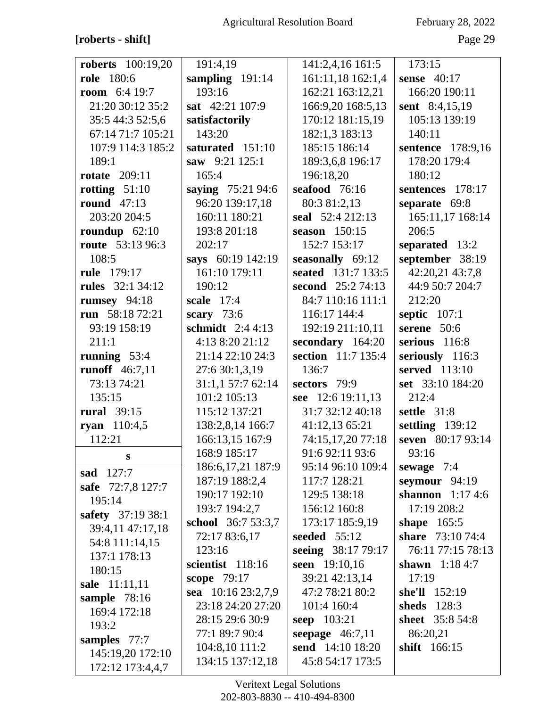# [roberts - shift]

February 28, 2022

Page 29

| <b>roberts</b> 100:19,20 | 191:4,19                  | 141:2,4,16 161:5   | 173:15               |
|--------------------------|---------------------------|--------------------|----------------------|
| <b>role</b> 180:6        | sampling 191:14           | 161:11,18 162:1,4  | sense $40:17$        |
| <b>room</b> $6:419:7$    | 193:16                    | 162:21 163:12,21   | 166:20 190:11        |
| 21:20 30:12 35:2         | sat 42:21 107:9           | 166:9,20 168:5,13  | sent 8:4,15,19       |
| 35:5 44:3 52:5,6         | satisfactorily            | 170:12 181:15,19   | 105:13 139:19        |
| 67:14 71:7 105:21        | 143:20                    | 182:1,3 183:13     | 140:11               |
| 107:9 114:3 185:2        | saturated 151:10          | 185:15 186:14      | sentence 178:9,16    |
| 189:1                    | saw 9:21 125:1            | 189:3,6,8 196:17   | 178:20 179:4         |
| <b>rotate</b> 209:11     | 165:4                     | 196:18,20          | 180:12               |
| rotting $51:10$          | saying 75:21 94:6         | seafood 76:16      | sentences 178:17     |
| round $47:13$            | 96:20 139:17,18           | 80:3 81:2,13       | separate 69:8        |
| 203:20 204:5             | 160:11 180:21             | seal 52:4 212:13   | 165:11,17 168:14     |
| roundup $62:10$          | 193:8 201:18              | season $150:15$    | 206:5                |
| <b>route</b> 53:13 96:3  | 202:17                    | 152:7 153:17       | separated 13:2       |
| 108:5                    | says 60:19 142:19         | seasonally 69:12   | september 38:19      |
| rule 179:17              | 161:10 179:11             | seated 131:7 133:5 | 42:20,21 43:7,8      |
| <b>rules</b> 32:1 34:12  | 190:12                    | second 25:2 74:13  | 44:9 50:7 204:7      |
| rumsey $94:18$           | scale $17:4$              | 84:7 110:16 111:1  | 212:20               |
| run 58:18 72:21          | scary $73:6$              | 116:17 144:4       | septic $107:1$       |
| 93:19 158:19             | schmidt $2:44:13$         | 192:19 211:10,11   | serene $50:6$        |
| 211:1                    | 4:13 8:20 21:12           | secondary 164:20   | serious 116:8        |
| running $53:4$           | 21:14 22:10 24:3          | section 11:7 135:4 | seriously 116:3      |
| runoff 46:7,11           | 27:6 30:1,3,19            | 136:7              | served 113:10        |
| 73:13 74:21              | 31:1,1 57:7 62:14         | sectors 79:9       | set 33:10 184:20     |
| 135:15                   | 101:2 105:13              | see 12:6 19:11,13  | 212:4                |
| <b>rural</b> 39:15       | 115:12 137:21             | 31:7 32:12 40:18   | settle 31:8          |
| ryan 110:4,5             | 138:2,8,14 166:7          | 41:12,13 65:21     | settling 139:12      |
| 112:21                   | 166:13,15 167:9           | 74:15,17,20 77:18  | seven 80:17 93:14    |
| $\mathbf{s}$             | 168:9 185:17              | 91:6 92:11 93:6    | 93:16                |
| sad 127:7                | 186:6, 17, 21 187: 9      | 95:14 96:10 109:4  | sewage $7:4$         |
| safe 72:7,8 127:7        | 187:19 188:2,4            | 117:7 128:21       | seymour $94:19$      |
| 195:14                   | 190:17 192:10             | 129:5 138:18       | shannon $1:174:6$    |
| safety 37:19 38:1        | 193:7 194:2,7             | 156:12 160:8       | 17:19 208:2          |
| 39:4,11 47:17,18         | <b>school</b> 36:7 53:3,7 | 173:17 185:9,19    | shape $165:5$        |
| 54:8 111:14,15           | 72:17 83:6,17             | seeded $55:12$     | share 73:10 74:4     |
| 137:1 178:13             | 123:16                    | seeing 38:17 79:17 | 76:11 77:15 78:13    |
| 180:15                   | scientist 118:16          | seen 19:10,16      | shawn $1:184:7$      |
| sale 11:11,11            | scope 79:17               | 39:21 42:13,14     | 17:19                |
| sample 78:16             | sea 10:16 23:2,7,9        | 47:2 78:21 80:2    | <b>she'll</b> 152:19 |
| 169:4 172:18             | 23:18 24:20 27:20         | 101:4 160:4        | sheds 128:3          |
| 193:2                    | 28:15 29:6 30:9           | seep 103:21        | sheet 35:8 54:8      |
| samples 77:7             | 77:1 89:7 90:4            | seepage $46:7,11$  | 86:20,21             |
| 145:19,20 172:10         | 104:8,10 111:2            | send 14:10 18:20   | shift 166:15         |
| 172:12 173:4,4,7         | 134:15 137:12,18          | 45:8 54:17 173:5   |                      |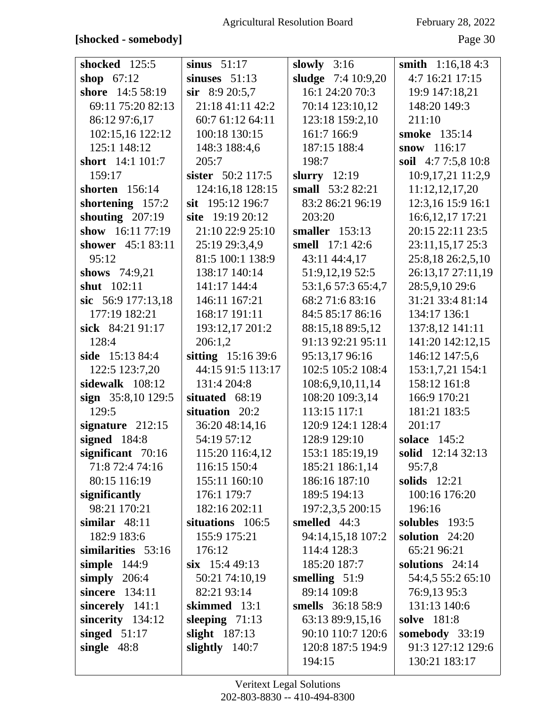| shocked 125:5       | sinus $51:17$      | slowly $3:16$      | smith $1:16,184:3$  |
|---------------------|--------------------|--------------------|---------------------|
| shop $67:12$        | sinuses $51:13$    | sludge 7:4 10:9,20 | 4:7 16:21 17:15     |
| shore 14:5 58:19    | $\sin$ 8:9 20:5,7  | 16:1 24:20 70:3    | 19:9 147:18,21      |
| 69:11 75:20 82:13   | 21:18 41:11 42:2   | 70:14 123:10,12    | 148:20 149:3        |
| 86:12 97:6,17       | 60:7 61:12 64:11   | 123:18 159:2,10    | 211:10              |
| 102:15,16 122:12    | 100:18 130:15      | 161:7 166:9        | smoke 135:14        |
| 125:1 148:12        | 148:3 188:4,6      | 187:15 188:4       | snow $116:17$       |
| short 14:1 101:7    | 205:7              | 198:7              | soil 4:7 7:5,8 10:8 |
| 159:17              | sister 50:2 117:5  | slurry $12:19$     | 10:9,17,21 11:2,9   |
| shorten 156:14      | 124:16,18 128:15   | small 53:2 82:21   | 11:12,12,17,20      |
| shortening 157:2    | sit 195:12 196:7   | 83:2 86:21 96:19   | 12:3,16 15:9 16:1   |
| shouting $207:19$   | site 19:19 20:12   | 203:20             | 16:6, 12, 17 17:21  |
| show 16:11 77:19    | 21:10 22:9 25:10   | smaller $153:13$   | 20:15 22:11 23:5    |
| shower 45:1 83:11   | 25:19 29:3,4,9     | smell 17:1 42:6    | 23:11,15,17 25:3    |
| 95:12               | 81:5 100:1 138:9   | 43:11 44:4,17      | 25:8,18 26:2,5,10   |
| shows $74:9,21$     | 138:17 140:14      | 51:9,12,19 52:5    | 26:13,17 27:11,19   |
| shut 102:11         | 141:17 144:4       | 53:1,6 57:3 65:4,7 | 28:5,9,10 29:6      |
| sic $56:9177:13,18$ | 146:11 167:21      | 68:2 71:6 83:16    | 31:21 33:4 81:14    |
| 177:19 182:21       | 168:17 191:11      | 84:5 85:17 86:16   | 134:17 136:1        |
| sick 84:21 91:17    | 193:12,17 201:2    | 88:15,18 89:5,12   | 137:8,12 141:11     |
| 128:4               | 206:1,2            | 91:13 92:21 95:11  | 141:20 142:12,15    |
| side 15:13 84:4     | sitting 15:16 39:6 | 95:13,17 96:16     | 146:12 147:5,6      |
| 122:5 123:7,20      | 44:15 91:5 113:17  | 102:5 105:2 108:4  | 153:1,7,21 154:1    |
| sidewalk 108:12     | 131:4 204:8        | 108:6,9,10,11,14   | 158:12 161:8        |
| sign 35:8,10 129:5  | situated 68:19     | 108:20 109:3,14    | 166:9 170:21        |
| 129:5               | situation 20:2     | 113:15 117:1       | 181:21 183:5        |
| signature $212:15$  | 36:20 48:14,16     | 120:9 124:1 128:4  | 201:17              |
| signed 184:8        | 54:19 57:12        | 128:9 129:10       | solace 145:2        |
| significant 70:16   | 115:20 116:4,12    | 153:1 185:19,19    | solid 12:14 32:13   |
| 71:8 72:4 74:16     | 116:15 150:4       | 185:21 186:1,14    | 95:7,8              |
| 80:15 116:19        | 155:11 160:10      | 186:16 187:10      | solids $12:21$      |
| significantly       | 176:1 179:7        | 189:5 194:13       | 100:16 176:20       |
| 98:21 170:21        | 182:16 202:11      | 197:2,3,5 200:15   | 196:16              |
| similar $48:11$     | situations 106:5   | smelled 44:3       | solubles 193:5      |
| 182:9 183:6         | 155:9 175:21       | 94:14,15,18 107:2  | solution $24:20$    |
| similarities 53:16  | 176:12             | 114:4 128:3        | 65:21 96:21         |
| simple $144:9$      | $six$ 15:4 49:13   | 185:20 187:7       | solutions $24:14$   |
| simply $206:4$      | 50:21 74:10,19     | smelling $51:9$    | 54:4,5 55:2 65:10   |
| sincere 134:11      | 82:21 93:14        | 89:14 109:8        | 76:9,13 95:3        |
| sincerely 141:1     | skimmed 13:1       | smells 36:18 58:9  | 131:13 140:6        |
| sincerity 134:12    | sleeping $71:13$   | 63:13 89:9,15,16   | solve 181:8         |
| singed $51:17$      | slight $187:13$    | 90:10 110:7 120:6  | somebody $33:19$    |
| single $48:8$       | slightly $140:7$   | 120:8 187:5 194:9  | 91:3 127:12 129:6   |
|                     |                    | 194:15             | 130:21 183:17       |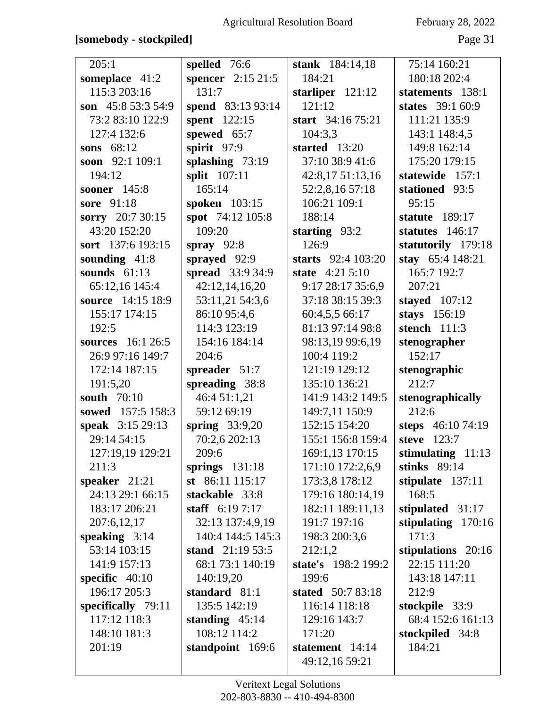# **[somebody - stockpiled]** Page 31

| 205:1              | spelled 76:6             | stank 184:14,18     | 75:14 160:21         |
|--------------------|--------------------------|---------------------|----------------------|
| someplace 41:2     | <b>spencer</b> 2:15 21:5 | 184:21              | 180:18 202:4         |
| 115:3 203:16       | 131:7                    | starliper $121:12$  | statements 138:1     |
| son 45:8 53:3 54:9 | spend 83:13 93:14        | 121:12              | states 39:1 60:9     |
| 73:2 83:10 122:9   | spent 122:15             | start 34:16 75:21   | 111:21 135:9         |
| 127:4 132:6        | spewed 65:7              | 104:3,3             | 143:1 148:4,5        |
| sons $68:12$       | spirit 97:9              | started 13:20       | 149:8 162:14         |
| soon 92:1 109:1    | splashing $73:19$        | 37:10 38:9 41:6     | 175:20 179:15        |
| 194:12             | split 107:11             | 42:8,17 51:13,16    | statewide 157:1      |
| sooner 145:8       | 165:14                   | 52:2,8,16 57:18     | stationed 93:5       |
| sore 91:18         | spoken 103:15            | 106:21 109:1        | 95:15                |
| sorry 20:7 30:15   | spot 74:12 105:8         | 188:14              | statute $189:17$     |
| 43:20 152:20       | 109:20                   | starting $93:2$     | statutes 146:17      |
| sort 137:6 193:15  | spray $92:8$             | 126:9               | statutorily 179:18   |
| sounding $41:8$    | sprayed 92:9             | starts 92:4 103:20  | stay 65:4 148:21     |
| sounds $61:13$     | spread 33:9 34:9         | state 4:21 5:10     | 165:7 192:7          |
| 65:12,16 145:4     | 42:12,14,16,20           | 9:17 28:17 35:6,9   | 207:21               |
| source 14:15 18:9  | 53:11,21 54:3,6          | 37:18 38:15 39:3    | staved 107:12        |
| 155:17 174:15      | 86:10 95:4,6             | 60:4,5,5 66:17      | stays 156:19         |
| 192:5              | 114:3 123:19             | 81:13 97:14 98:8    | stench 111:3         |
| sources 16:1 26:5  | 154:16 184:14            | 98:13,19 99:6,19    | stenographer         |
| 26:9 97:16 149:7   | 204:6                    | 100:4 119:2         | 152:17               |
| 172:14 187:15      | spreader 51:7            | 121:19 129:12       | stenographic         |
| 191:5,20           | spreading 38:8           | 135:10 136:21       | 212:7                |
| south 70:10        | 46:4 51:1,21             | 141:9 143:2 149:5   | stenographically     |
| sowed 157:5 158:3  | 59:12 69:19              | 149:7,11 150:9      | 212:6                |
| speak 3:15 29:13   | spring $33:9,20$         | 152:15 154:20       | steps 46:10 74:19    |
| 29:14 54:15        | 70:2,6 202:13            | 155:1 156:8 159:4   | steve 123:7          |
| 127:19,19 129:21   | 209:6                    | 169:1,13 170:15     | stimulating $11:13$  |
| 211:3              | springs $131:18$         | 171:10 172:2,6,9    | stinks $89:14$       |
| speaker $21:21$    | st $86:11$ 115:17        | 173:3,8 178:12      | stipulate $137:11$   |
| 24:13 29:1 66:15   | stackable 33:8           | 179:16 180:14,19    | 168:5                |
| 183:17 206:21      | staff $6:197:17$         | 182:11 189:11,13    | stipulated 31:17     |
| 207:6,12,17        | 32:13 137:4,9,19         | 191:7 197:16        | stipulating $170:16$ |
| speaking $3:14$    | 140:4 144:5 145:3        | 198:3 200:3,6       | 171:3                |
| 53:14 103:15       | stand 21:19 53:5         | 212:1,2             | stipulations 20:16   |
| 141:9 157:13       | 68:1 73:1 140:19         | state's 198:2 199:2 | 22:15 111:20         |
| specific $40:10$   | 140:19,20                | 199:6               | 143:18 147:11        |
| 196:17 205:3       | standard 81:1            | stated 50:7 83:18   | 212:9                |
| specifically 79:11 | 135:5 142:19             | 116:14 118:18       | stockpile 33:9       |
| 117:12 118:3       | standing $45:14$         | 129:16 143:7        | 68:4 152:6 161:13    |
| 148:10 181:3       | 108:12 114:2             | 171:20              | stockpiled 34:8      |
| 201:19             | standpoint 169:6         | statement 14:14     | 184:21               |
|                    |                          | 49:12,16 59:21      |                      |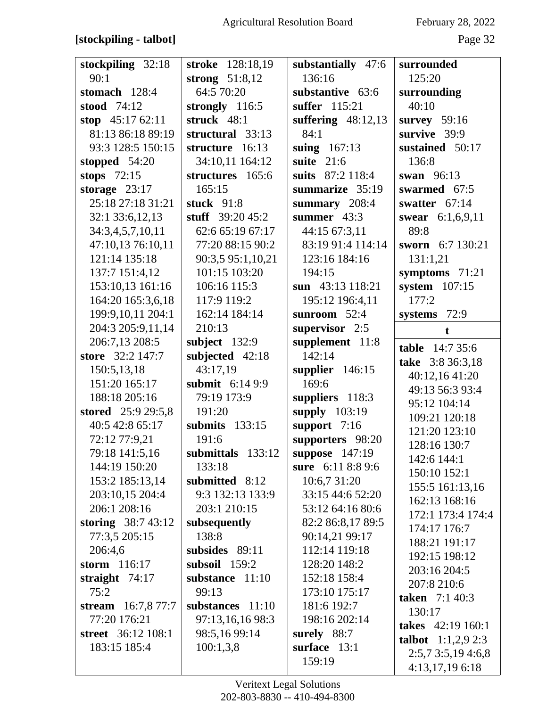# **[stockpiling - talbot]** Page 32

| stockpiling 32:18         | stroke 128:18,19  | substantially 47:6   | surrounded                  |
|---------------------------|-------------------|----------------------|-----------------------------|
| 90:1                      | strong $51:8,12$  | 136:16               | 125:20                      |
| stomach 128:4             | 64:5 70:20        | substantive 63:6     | surrounding                 |
| stood 74:12               | strongly $116:5$  | suffer 115:21        | 40:10                       |
| stop $45:1762:11$         | struck 48:1       | suffering $48:12,13$ | survey $59:16$              |
| 81:13 86:18 89:19         | structural 33:13  | 84:1                 | survive 39:9                |
| 93:3 128:5 150:15         | structure 16:13   | suing $167:13$       | sustained 50:17             |
| stopped $54:20$           | 34:10,11 164:12   | suite $21:6$         | 136:8                       |
| stops $72:15$             | structures 165:6  | suits 87:2 118:4     | swan 96:13                  |
| storage $23:17$           | 165:15            | summarize 35:19      | swarmed 67:5                |
| 25:18 27:18 31:21         | stuck $91:8$      | summary 208:4        | swatter $67:14$             |
| 32:1 33:6,12,13           | stuff $39:2045:2$ | summer $43:3$        | swear 6:1,6,9,11            |
| 34:3,4,5,7,10,11          | 62:6 65:19 67:17  | 44:15 67:3,11        | 89:8                        |
| 47:10,13 76:10,11         | 77:20 88:15 90:2  | 83:19 91:4 114:14    | sworn 6:7 130:21            |
| 121:14 135:18             | 90:3,5 95:1,10,21 | 123:16 184:16        | 131:1,21                    |
| 137:7 151:4,12            | 101:15 103:20     | 194:15               | symptoms 71:21              |
| 153:10,13 161:16          | 106:16 115:3      | sun 43:13 118:21     | system $107:15$             |
| 164:20 165:3,6,18         | 117:9 119:2       | 195:12 196:4,11      | 177:2                       |
| 199:9,10,11 204:1         | 162:14 184:14     | sunroom $52:4$       | systems 72:9                |
| 204:3 205:9,11,14         | 210:13            | supervisor 2:5       | $\mathbf t$                 |
| 206:7,13 208:5            | subject $132:9$   | supplement 11:8      |                             |
| store 32:2 147:7          | subjected 42:18   | 142:14               | <b>table</b> 14:7 35:6      |
| 150:5,13,18               | 43:17,19          | supplier $146:15$    | take 3:8 36:3,18            |
| 151:20 165:17             | submit $6:149:9$  | 169:6                | 40:12,16 41:20              |
| 188:18 205:16             | 79:19 173:9       | suppliers 118:3      | 49:13 56:3 93:4             |
| stored 25:9 29:5,8        | 191:20            | supply 103:19        | 95:12 104:14                |
| 40:5 42:8 65:17           | submits 133:15    | support $7:16$       | 109:21 120:18               |
| 72:12 77:9,21             | 191:6             | supporters 98:20     | 121:20 123:10               |
| 79:18 141:5,16            | submittals 133:12 | suppose 147:19       | 128:16 130:7                |
| 144:19 150:20             | 133:18            | sure 6:11 8:8 9:6    | 142:6 144:1                 |
| 153:2 185:13,14           | submitted 8:12    | 10:6,7 31:20         | 150:10 152:1                |
| 203:10,15 204:4           | 9:3 132:13 133:9  | 33:15 44:6 52:20     | 155:5 161:13,16             |
| 206:1 208:16              | 203:1 210:15      | 53:12 64:16 80:6     | 162:13 168:16               |
| storing $38:743:12$       | subsequently      | 82:2 86:8,17 89:5    | 172:1 173:4 174:4           |
| 77:3,5 205:15             | 138:8             | 90:14,21 99:17       | 174:17 176:7                |
| 206:4,6                   | subsides 89:11    | 112:14 119:18        | 188:21 191:17               |
| storm $116:17$            | subsoil $159:2$   | 128:20 148:2         | 192:15 198:12               |
| straight $74:17$          | substance 11:10   | 152:18 158:4         | 203:16 204:5                |
| 75:2                      | 99:13             | 173:10 175:17        | 207:8 210:6                 |
| stream 16:7,8 77:7        | substances 11:10  | 181:6 192:7          | <b>taken</b> 7:1 40:3       |
| 77:20 176:21              | 97:13,16,16 98:3  | 198:16 202:14        | 130:17                      |
| <b>street</b> 36:12 108:1 | 98:5,16 99:14     | surely 88:7          | takes 42:19 160:1           |
| 183:15 185:4              | 100:1,3,8         | surface $13:1$       | <b>talbot</b> $1:1,2,9$ 2:3 |
|                           |                   | 159:19               | 2:5,73:5,194:6,8            |
|                           |                   |                      | 4:13,17,19 6:18             |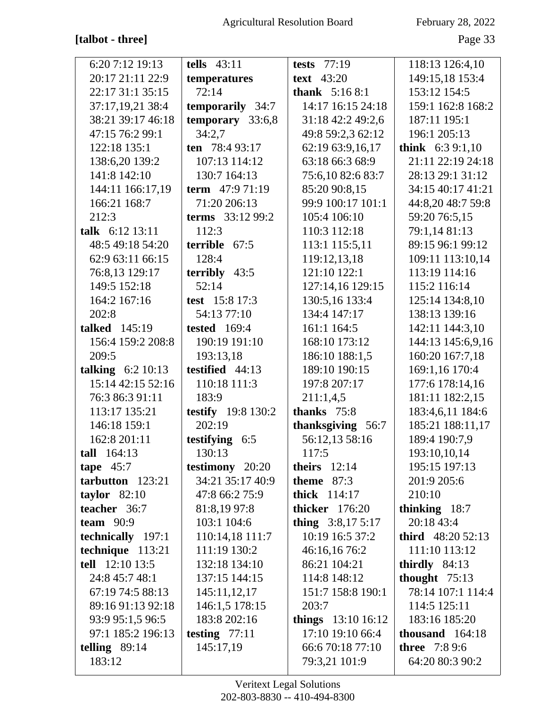# **[talbot - three]** Page 33

| 6:207:1219:13        | tells $43:11$             | tests $77:19$          | 118:13 126:4,10      |
|----------------------|---------------------------|------------------------|----------------------|
| 20:17 21:11 22:9     | temperatures              | <b>text</b> 43:20      | 149:15,18 153:4      |
| 22:17 31:1 35:15     | 72:14                     | <b>thank</b> $5:168:1$ | 153:12 154:5         |
| 37:17,19,21 38:4     | <b>temporarily</b> 34:7   | 14:17 16:15 24:18      | 159:1 162:8 168:2    |
| 38:21 39:17 46:18    | temporary 33:6,8          | 31:18 42:2 49:2,6      | 187:11 195:1         |
| 47:15 76:2 99:1      | 34:2,7                    | 49:8 59:2,3 62:12      | 196:1 205:13         |
| 122:18 135:1         | ten 78:4 93:17            | 62:19 63:9,16,17       | think $6:39:1,10$    |
| 138:6,20 139:2       | 107:13 114:12             | 63:18 66:3 68:9        | 21:11 22:19 24:18    |
| 141:8 142:10         | 130:7 164:13              | 75:6,10 82:6 83:7      | 28:13 29:1 31:12     |
| 144:11 166:17,19     | term $47:971:19$          | 85:20 90:8,15          | 34:15 40:17 41:21    |
| 166:21 168:7         | 71:20 206:13              | 99:9 100:17 101:1      | 44:8,20 48:7 59:8    |
| 212:3                | terms 33:12 99:2          | 105:4 106:10           | 59:20 76:5,15        |
| talk 6:12 13:11      | 112:3                     | 110:3 112:18           | 79:1,14 81:13        |
| 48:5 49:18 54:20     | terrible 67:5             | 113:1 115:5,11         | 89:15 96:1 99:12     |
| 62:9 63:11 66:15     | 128:4                     | 119:12,13,18           | 109:11 113:10,14     |
| 76:8,13 129:17       | terribly $43:5$           | 121:10 122:1           | 113:19 114:16        |
| 149:5 152:18         | 52:14                     | 127:14,16 129:15       | 115:2 116:14         |
| 164:2 167:16         | test 15:8 17:3            | 130:5,16 133:4         | 125:14 134:8,10      |
| 202:8                | 54:13 77:10               | 134:4 147:17           | 138:13 139:16        |
| <b>talked</b> 145:19 | <b>tested</b> 169:4       | 161:1 164:5            | 142:11 144:3,10      |
| 156:4 159:2 208:8    | 190:19 191:10             | 168:10 173:12          | 144:13 145:6,9,16    |
| 209:5                | 193:13,18                 | 186:10 188:1,5         | 160:20 167:7,18      |
| talking $6:2 10:13$  | testified 44:13           | 189:10 190:15          | 169:1,16 170:4       |
| 15:14 42:15 52:16    | 110:18 111:3              | 197:8 207:17           | 177:6 178:14,16      |
| 76:3 86:3 91:11      | 183:9                     | 211:1,4,5              | 181:11 182:2,15      |
| 113:17 135:21        | <b>testify</b> 19:8 130:2 | thanks 75:8            | 183:4,6,11 184:6     |
| 146:18 159:1         | 202:19                    | thanksgiving 56:7      | 185:21 188:11,17     |
| 162:8 201:11         | testifying 6:5            | 56:12,13 58:16         | 189:4 190:7,9        |
| $tall \quad 164:13$  | 130:13                    | 117:5                  | 193:10,10,14         |
| tape $45:7$          | testimony 20:20           | theirs $12:14$         | 195:15 197:13        |
| tarbutton 123:21     | 34:21 35:17 40:9          | theme $87:3$           | 201:9 205:6          |
| taylor $82:10$       | 47:8 66:2 75:9            | <b>thick</b> 114:17    | 210:10               |
| teacher 36:7         | 81:8,19 97:8              | <b>thicker</b> 176:20  | thinking 18:7        |
| team $90:9$          | 103:1 104:6               | thing $3:8,175:17$     | 20:18 43:4           |
| technically 197:1    | 110:14,18 111:7           | 10:19 16:5 37:2        | third $48:2052:13$   |
| technique 113:21     | 111:19 130:2              | 46:16,16 76:2          | 111:10 113:12        |
| tell 12:10 13:5      | 132:18 134:10             | 86:21 104:21           | thirdly $84:13$      |
| 24:8 45:7 48:1       | 137:15 144:15             | 114:8 148:12           | thought $75:13$      |
| 67:19 74:5 88:13     | 145:11,12,17              | 151:7 158:8 190:1      | 78:14 107:1 114:4    |
| 89:16 91:13 92:18    | 146:1,5 178:15            | 203:7                  | 114:5 125:11         |
| 93:9 95:1,5 96:5     | 183:8 202:16              | things $13:10 16:12$   | 183:16 185:20        |
| 97:1 185:2 196:13    | testing $77:11$           | 17:10 19:10 66:4       | thousand $164:18$    |
| telling $89:14$      | 145:17,19                 | 66:6 70:18 77:10       | <b>three</b> 7:8 9:6 |
| 183:12               |                           | 79:3,21 101:9          | 64:20 80:3 90:2      |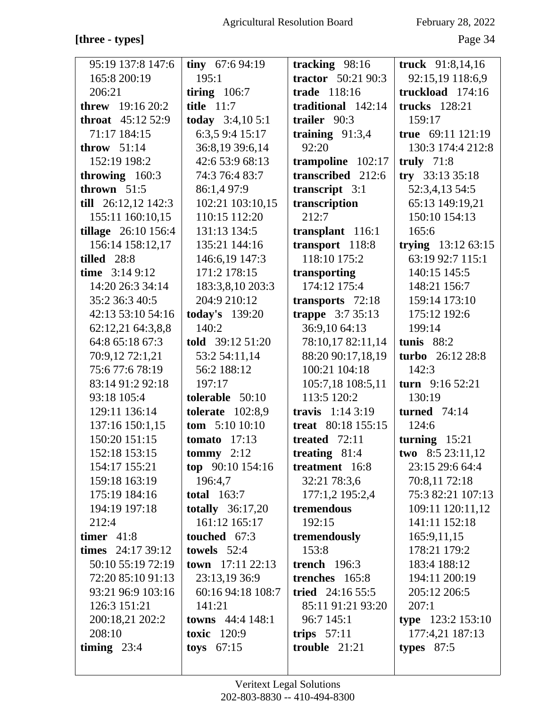# **[three - types]** Page 34

| 95:19 137:8 147:6          | tiny $67:694:19$          | tracking 98:16            | truck 91:8,14,16     |
|----------------------------|---------------------------|---------------------------|----------------------|
| 165:8 200:19               | 195:1                     | <b>tractor</b> 50:21 90:3 | 92:15,19 118:6,9     |
| 206:21                     | tiring $106:7$            | trade 118:16              | truckload 174:16     |
| <b>threw</b> 19:16 20:2    | <b>title</b> 11:7         | traditional 142:14        | <b>trucks</b> 128:21 |
| <b>throat</b> $45:1252:9$  | today $3:4,105:1$         | trailer 90:3              | 159:17               |
| 71:17 184:15               | 6:3,5 9:4 15:17           | training $91:3,4$         | true 69:11 121:19    |
| throw $51:14$              | 36:8,19 39:6,14           | 92:20                     | 130:3 174:4 212:8    |
| 152:19 198:2               | 42:6 53:9 68:13           | trampoline 102:17         | truly $71:8$         |
| throwing $160:3$           | 74:3 76:4 83:7            | transcribed 212:6         | try $33:133:5:18$    |
| thrown $51:5$              | 86:1,4 97:9               | transcript $3:1$          | 52:3,4,13 54:5       |
| till $26:12,12$ 142:3      | 102:21 103:10,15          | transcription             | 65:13 149:19,21      |
| 155:11 160:10,15           | 110:15 112:20             | 212:7                     | 150:10 154:13        |
| <b>tillage</b> 26:10 156:4 | 131:13 134:5              | transplant 116:1          | 165:6                |
| 156:14 158:12,17           | 135:21 144:16             | transport 118:8           | trying 13:12 63:15   |
| tilled 28:8                | 146:6,19 147:3            | 118:10 175:2              | 63:19 92:7 115:1     |
| time $3:149:12$            | 171:2 178:15              | transporting              | 140:15 145:5         |
| 14:20 26:3 34:14           | 183:3,8,10 203:3          | 174:12 175:4              | 148:21 156:7         |
| 35:2 36:3 40:5             | 204:9 210:12              | transports 72:18          | 159:14 173:10        |
| 42:13 53:10 54:16          | <b>today's</b> 139:20     | trappe $3:735:13$         | 175:12 192:6         |
| 62:12,21 64:3,8,8          | 140:2                     | 36:9,10 64:13             | 199:14               |
| 64:8 65:18 67:3            | told 39:12 51:20          | 78:10,17 82:11,14         | tunis $88:2$         |
| 70:9,12 72:1,21            | 53:2 54:11,14             | 88:20 90:17,18,19         | turbo 26:12 28:8     |
| 75:677:678:19              | 56:2 188:12               | 100:21 104:18             | 142:3                |
| 83:14 91:2 92:18           | 197:17                    | 105:7,18 108:5,11         | turn $9:16\,52:21$   |
| 93:18 105:4                | tolerable $50:10$         | 113:5 120:2               | 130:19               |
| 129:11 136:14              | tolerate $102:8,9$        | travis $1:143:19$         | <b>turned</b> 74:14  |
| 137:16 150:1,15            | <b>tom</b> $5:1010:10$    | treat 80:18 155:15        | 124:6                |
| 150:20 151:15              | tomato $17:13$            | treated $72:11$           | turning $15:21$      |
| 152:18 153:15              | tommy $2:12$              | treating $81:4$           | two 8:5 23:11,12     |
| 154:17 155:21              | top $90:10$ 154:16        | treatment 16:8            | 23:15 29:6 64:4      |
| 159:18 163:19              | 196:4,7                   | 32:21 78:3,6              | 70:8,11 72:18        |
| 175:19 184:16              | <b>total</b> 163:7        | 177:1,2 195:2,4           | 75:3 82:21 107:13    |
| 194:19 197:18              | totally $36:17,20$        | tremendous                | 109:11 120:11,12     |
| 212:4                      | 161:12 165:17             | 192:15                    | 141:11 152:18        |
| timer $41:8$               | touched 67:3              | tremendously              | 165:9,11,15          |
| times $24:1739:12$         | towels $52:4$             | 153:8                     | 178:21 179:2         |
| 50:10 55:19 72:19          | town $17:11$ 22:13        | trench $196:3$            | 183:4 188:12         |
| 72:20 85:10 91:13          | 23:13,19 36:9             | trenches 165:8            | 194:11 200:19        |
| 93:21 96:9 103:16          | 60:16 94:18 108:7         | tried $24:16\,55:5$       | 205:12 206:5         |
| 126:3 151:21               | 141:21                    | 85:11 91:21 93:20         | 207:1                |
| 200:18,21 202:2            | <b>towns</b> $44:4$ 148:1 | 96:7 145:1                | type 123:2 153:10    |
| 208:10                     | toxic $120:9$             | trips $57:11$             | 177:4,21 187:13      |
| timing $23:4$              | toys $67:15$              | trouble $21:21$           | types $87:5$         |
|                            |                           |                           |                      |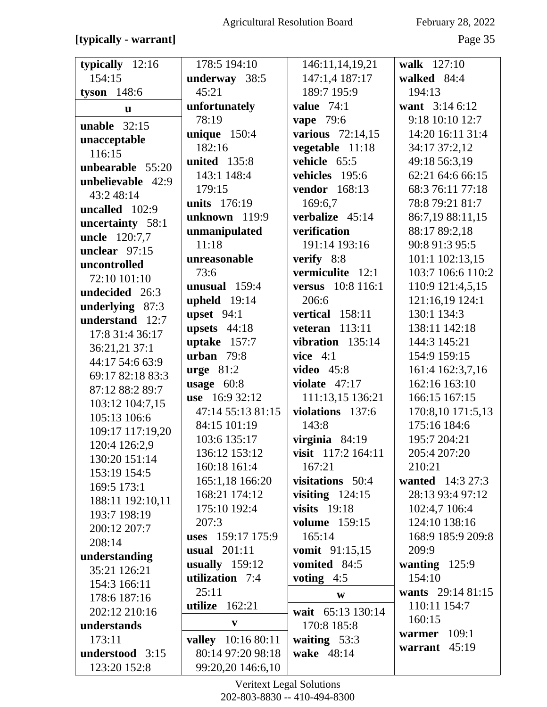[typically - warrant]

# February 28, 2022

Page 35

| typically 12:16                    | 178:5 194:10        | 146:11,14,19,21      | walk 127:10       |
|------------------------------------|---------------------|----------------------|-------------------|
| 154:15                             | underway 38:5       | 147:1,4 187:17       | walked 84:4       |
| tyson $148:6$                      | 45:21               | 189:7 195:9          | 194:13            |
| u                                  | unfortunately       | value $74:1$         | want 3:14 6:12    |
| unable $32:15$                     | 78:19               | <b>vape</b> 79:6     | 9:18 10:10 12:7   |
| unacceptable                       | unique $150:4$      | various $72:14,15$   | 14:20 16:11 31:4  |
| 116:15                             | 182:16              | vegetable 11:18      | 34:17 37:2,12     |
| unbearable 55:20                   | <b>united</b> 135:8 | vehicle 65:5         | 49:18 56:3,19     |
| unbelievable 42:9                  | 143:1 148:4         | vehicles 195:6       | 62:21 64:6 66:15  |
| 43:2 48:14                         | 179:15              | vendor 168:13        | 68:3 76:11 77:18  |
| uncalled 102:9                     | <b>units</b> 176:19 | 169:6,7              | 78:8 79:21 81:7   |
|                                    | unknown 119:9       | verbalize 45:14      | 86:7,19 88:11,15  |
| uncertainty 58:1                   | unmanipulated       | verification         | 88:17 89:2,18     |
| uncle 120:7,7<br>unclear $97:15$   | 11:18               | 191:14 193:16        | 90:8 91:3 95:5    |
|                                    | unreasonable        | verify 8:8           | 101:1 102:13,15   |
| uncontrolled<br>72:10 101:10       | 73:6                | vermiculite 12:1     | 103:7 106:6 110:2 |
| undecided 26:3                     | unusual 159:4       | versus 10:8 116:1    | 110:9 121:4,5,15  |
|                                    | upheld $19:14$      | 206:6                | 121:16,19 124:1   |
| underlying 87:3<br>understand 12:7 | upset $94:1$        | vertical 158:11      | 130:1 134:3       |
|                                    | upsets $44:18$      | veteran $113:11$     | 138:11 142:18     |
| 17:8 31:4 36:17                    | uptake $157:7$      | vibration $135:14$   | 144:3 145:21      |
| 36:21,21 37:1<br>44:17 54:6 63:9   | urban $79:8$        | vice $4:1$           | 154:9 159:15      |
| 69:17 82:18 83:3                   | $urge 81:2$         | <b>video</b> 45:8    | 161:4 162:3,7,16  |
|                                    | usage $60:8$        | violate $47:17$      | 162:16 163:10     |
| 87:12 88:2 89:7                    | use 16:9 32:12      | 111:13,15 136:21     | 166:15 167:15     |
| 103:12 104:7,15                    | 47:14 55:13 81:15   | violations 137:6     | 170:8,10 171:5,13 |
| 105:13 106:6                       | 84:15 101:19        | 143:8                | 175:16 184:6      |
| 109:17 117:19,20                   | 103:6 135:17        | virginia $84:19$     | 195:7 204:21      |
| 120:4 126:2,9                      | 136:12 153:12       | visit 117:2 164:11   | 205:4 207:20      |
| 130:20 151:14                      | 160:18 161:4        | 167:21               | 210:21            |
| 153:19 154:5                       | 165:1,18 166:20     | visitations 50:4     | wanted 14:3 27:3  |
| 169:5 173:1                        | 168:21 174:12       | visiting $124:15$    | 28:13 93:4 97:12  |
| 188:11 192:10,11                   | 175:10 192:4        | visits $19:18$       | 102:4,7 106:4     |
| 193:7 198:19                       | 207:3               | <b>volume</b> 159:15 | 124:10 138:16     |
| 200:12 207:7                       | uses 159:17 175:9   | 165:14               | 168:9 185:9 209:8 |
| 208:14                             | <b>usual</b> 201:11 | vomit 91:15,15       | 209:9             |
| understanding                      | usually $159:12$    | vomited 84:5         | wanting $125:9$   |
| 35:21 126:21                       | utilization 7:4     | voting $4:5$         | 154:10            |
| 154:3 166:11                       | 25:11               | W                    | wants 29:14 81:15 |
| 178:6 187:16                       | utilize $162:21$    |                      | 110:11 154:7      |
| 202:12 210:16                      | $\mathbf{V}$        | wait 65:13 130:14    | 160:15            |
| understands                        |                     | 170:8 185:8          | warmer $109:1$    |
| 173:11                             | valley 10:16 80:11  | waiting $53:3$       | warrant 45:19     |
| understood 3:15                    | 80:14 97:20 98:18   | wake 48:14           |                   |
| 123:20 152:8                       | 99:20,20 146:6,10   |                      |                   |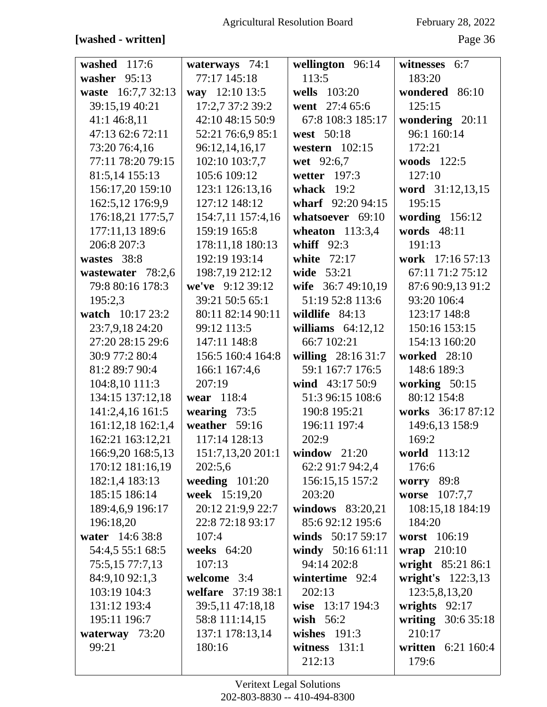# **[washed - written]** Page 36

| washed 117:6       | waterways 74:1     | wellington 96:14    | witnesses 6:7      |
|--------------------|--------------------|---------------------|--------------------|
| washer 95:13       | 77:17 145:18       | 113:5               | 183:20             |
| waste 16:7,7 32:13 | way 12:10 13:5     | wells 103:20        | wondered 86:10     |
| 39:15,19 40:21     | 17:2,7 37:2 39:2   | went 27:4 65:6      | 125:15             |
| 41:1 46:8,11       | 42:10 48:15 50:9   | 67:8 108:3 185:17   | wondering 20:11    |
| 47:13 62:6 72:11   | 52:21 76:6,9 85:1  | west 50:18          | 96:1 160:14        |
| 73:20 76:4,16      | 96:12,14,16,17     | western 102:15      | 172:21             |
| 77:11 78:20 79:15  | 102:10 103:7,7     | wet 92:6,7          | woods 122:5        |
| 81:5,14 155:13     | 105:6 109:12       | wetter 197:3        | 127:10             |
| 156:17,20 159:10   | 123:1 126:13,16    | whack $19:2$        | word 31:12,13,15   |
| 162:5,12 176:9,9   | 127:12 148:12      | wharf 92:20 94:15   | 195:15             |
| 176:18,21 177:5,7  | 154:7,11 157:4,16  | whatsoever 69:10    | wording $156:12$   |
| 177:11,13 189:6    | 159:19 165:8       | wheaton $113:3,4$   | words 48:11        |
| 206:8 207:3        | 178:11,18 180:13   | whiff $92:3$        | 191:13             |
| wastes 38:8        | 192:19 193:14      | white<br>72:17      | work 17:16 57:13   |
| wastewater 78:2,6  | 198:7,19 212:12    | wide 53:21          | 67:11 71:2 75:12   |
| 79:8 80:16 178:3   | we've 9:12 39:12   | wife $36:749:10,19$ | 87:6 90:9,13 91:2  |
| 195:2,3            | 39:21 50:5 65:1    | 51:19 52:8 113:6    | 93:20 106:4        |
| watch 10:17 23:2   | 80:11 82:14 90:11  | wildlife 84:13      | 123:17 148:8       |
| 23:7,9,18 24:20    | 99:12 113:5        | williams $64:12,12$ | 150:16 153:15      |
| 27:20 28:15 29:6   | 147:11 148:8       | 66:7 102:21         | 154:13 160:20      |
| 30:9 77:2 80:4     | 156:5 160:4 164:8  | willing 28:16 31:7  | worked 28:10       |
| 81:2 89:7 90:4     | 166:1 167:4,6      | 59:1 167:7 176:5    | 148:6 189:3        |
| 104:8,10 111:3     | 207:19             | wind $43:17\,50:9$  | working 50:15      |
| 134:15 137:12,18   | wear 118:4         | 51:3 96:15 108:6    | 80:12 154:8        |
| 141:2,4,16 161:5   | wearing $73:5$     | 190:8 195:21        | works 36:17 87:12  |
| 161:12,18 162:1,4  | weather 59:16      | 196:11 197:4        | 149:6,13 158:9     |
| 162:21 163:12,21   | 117:14 128:13      | 202:9               | 169:2              |
| 166:9,20 168:5,13  | 151:7,13,20 201:1  | window $21:20$      | world 113:12       |
| 170:12 181:16,19   | 202:5,6            | 62:2 91:7 94:2,4    | 176:6              |
| 182:1,4 183:13     | weeding $101:20$   | 156:15,15 157:2     | <b>worry</b> 89:8  |
| 185:15 186:14      | week 15:19,20      | 203:20              | worse<br>107:7,7   |
| 189:4,6,9 196:17   | 20:12 21:9,9 22:7  | windows $83:20,21$  | 108:15,18 184:19   |
| 196:18,20          | 22:8 72:18 93:17   | 85:692:12 195:6     | 184:20             |
| water 14:6 38:8    | 107:4              | winds 50:17 59:17   | worst 106:19       |
| 54:4,5 55:1 68:5   | weeks 64:20        | windy 50:16 61:11   | wrap 210:10        |
| 75:5,15 77:7,13    | 107:13             | 94:14 202:8         | wright 85:21 86:1  |
| 84:9,10 92:1,3     | welcome 3:4        | wintertime 92:4     | wright's 122:3,13  |
| 103:19 104:3       | welfare 37:19 38:1 | 202:13              | 123:5,8,13,20      |
| 131:12 193:4       | 39:5,11 47:18,18   | wise 13:17 194:3    | wrights $92:17$    |
| 195:11 196:7       | 58:8 111:14,15     | wish $56:2$         | writing 30:6 35:18 |
| waterway 73:20     | 137:1 178:13,14    | wishes $191:3$      | 210:17             |
| 99:21              | 180:16             | witness $131:1$     | written 6:21 160:4 |
|                    |                    | 212:13              | 179:6              |
|                    |                    |                     |                    |